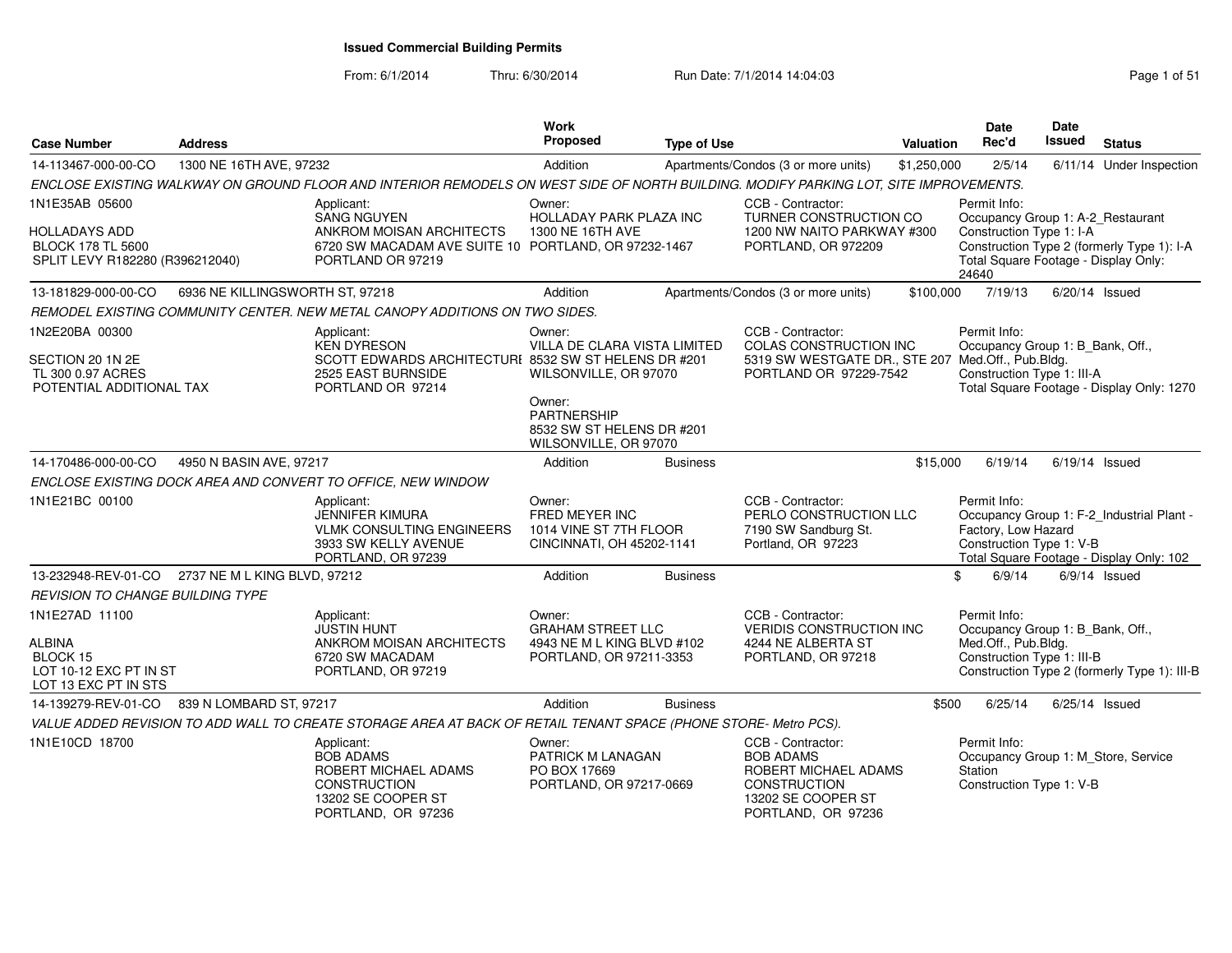From: 6/1/2014Thru: 6/30/2014 Run Date: 7/1/2014 14:04:03 Research 2010 Rage 1 of 51

| <b>Case Number</b>                                                                     | <b>Address</b>                  |                                                                                                                                       | <b>Work</b><br>Proposed                                                                     | <b>Type of Use</b> |                                                                                                                                  | Valuation   | <b>Date</b><br>Rec'd                                                                                  | <b>Date</b><br>Issued | <b>Status</b>                                                                         |
|----------------------------------------------------------------------------------------|---------------------------------|---------------------------------------------------------------------------------------------------------------------------------------|---------------------------------------------------------------------------------------------|--------------------|----------------------------------------------------------------------------------------------------------------------------------|-------------|-------------------------------------------------------------------------------------------------------|-----------------------|---------------------------------------------------------------------------------------|
| 14-113467-000-00-CO                                                                    | 1300 NE 16TH AVE, 97232         |                                                                                                                                       | Addition                                                                                    |                    | Apartments/Condos (3 or more units)                                                                                              | \$1,250,000 | 2/5/14                                                                                                |                       | 6/11/14 Under Inspection                                                              |
|                                                                                        |                                 | ENCLOSE EXISTING WALKWAY ON GROUND FLOOR AND INTERIOR REMODELS ON WEST SIDE OF NORTH BUILDING. MODIFY PARKING LOT, SITE IMPROVEMENTS. |                                                                                             |                    |                                                                                                                                  |             |                                                                                                       |                       |                                                                                       |
| 1N1E35AB 05600                                                                         |                                 | Applicant:<br><b>SANG NGUYEN</b>                                                                                                      | Owner:<br>HOLLADAY PARK PLAZA INC                                                           |                    | CCB - Contractor:<br>TURNER CONSTRUCTION CO                                                                                      |             | Permit Info:<br>Occupancy Group 1: A-2_Restaurant                                                     |                       |                                                                                       |
| <b>HOLLADAYS ADD</b><br><b>BLOCK 178 TL 5600</b><br>SPLIT LEVY R182280 (R396212040)    |                                 | ANKROM MOISAN ARCHITECTS<br>6720 SW MACADAM AVE SUITE 10 PORTLAND, OR 97232-1467<br>PORTLAND OR 97219                                 | 1300 NE 16TH AVE                                                                            |                    | 1200 NW NAITO PARKWAY #300<br>PORTLAND, OR 972209                                                                                |             | Construction Type 1: I-A<br>Total Square Footage - Display Only:<br>24640                             |                       | Construction Type 2 (formerly Type 1): I-A                                            |
| 13-181829-000-00-CO                                                                    | 6936 NE KILLINGSWORTH ST, 97218 |                                                                                                                                       | Addition                                                                                    |                    | Apartments/Condos (3 or more units)                                                                                              | \$100,000   | 7/19/13                                                                                               |                       | $6/20/14$ Issued                                                                      |
|                                                                                        |                                 | REMODEL EXISTING COMMUNITY CENTER. NEW METAL CANOPY ADDITIONS ON TWO SIDES.                                                           |                                                                                             |                    |                                                                                                                                  |             |                                                                                                       |                       |                                                                                       |
| 1N2E20BA 00300<br>SECTION 20 1N 2E<br>TL 300 0.97 ACRES<br>POTENTIAL ADDITIONAL TAX    |                                 | Applicant:<br><b>KEN DYRESON</b><br>SCOTT EDWARDS ARCHITECTURI 8532 SW ST HELENS DR #201<br>2525 EAST BURNSIDE<br>PORTLAND OR 97214   | Owner:<br>VILLA DE CLARA VISTA LIMITED<br>WILSONVILLE, OR 97070                             |                    | CCB - Contractor:<br>COLAS CONSTRUCTION INC<br>5319 SW WESTGATE DR., STE 207 Med.Off., Pub.Bldg.<br>PORTLAND OR 97229-7542       |             | Permit Info:<br>Occupancy Group 1: B_Bank, Off.,<br>Construction Type 1: III-A                        |                       | Total Square Footage - Display Only: 1270                                             |
|                                                                                        |                                 |                                                                                                                                       | Owner:<br><b>PARTNERSHIP</b><br>8532 SW ST HELENS DR #201<br>WILSONVILLE, OR 97070          |                    |                                                                                                                                  |             |                                                                                                       |                       |                                                                                       |
| 14-170486-000-00-CO                                                                    | 4950 N BASIN AVE, 97217         |                                                                                                                                       | Addition                                                                                    | <b>Business</b>    |                                                                                                                                  | \$15,000    | 6/19/14                                                                                               |                       | $6/19/14$ Issued                                                                      |
|                                                                                        |                                 | ENCLOSE EXISTING DOCK AREA AND CONVERT TO OFFICE, NEW WINDOW                                                                          |                                                                                             |                    |                                                                                                                                  |             |                                                                                                       |                       |                                                                                       |
| 1N1E21BC 00100                                                                         |                                 | Applicant:<br><b>JENNIFER KIMURA</b><br><b>VLMK CONSULTING ENGINEERS</b><br>3933 SW KELLY AVENUE<br>PORTLAND, OR 97239                | Owner:<br>FRED MEYER INC<br>1014 VINE ST 7TH FLOOR<br>CINCINNATI, OH 45202-1141             |                    | CCB - Contractor:<br>PERLO CONSTRUCTION LLC<br>7190 SW Sandburg St.<br>Portland, OR 97223                                        |             | Permit Info:<br>Factory, Low Hazard<br>Construction Type 1: V-B                                       |                       | Occupancy Group 1: F-2_Industrial Plant -<br>Total Square Footage - Display Only: 102 |
| 13-232948-REV-01-CO 2737 NE M L KING BLVD, 97212                                       |                                 |                                                                                                                                       | Addition                                                                                    | <b>Business</b>    |                                                                                                                                  |             | \$<br>6/9/14                                                                                          |                       | $6/9/14$ Issued                                                                       |
| <b>REVISION TO CHANGE BUILDING TYPE</b>                                                |                                 |                                                                                                                                       |                                                                                             |                    |                                                                                                                                  |             |                                                                                                       |                       |                                                                                       |
| 1N1E27AD 11100<br>ALBINA<br>BLOCK 15<br>LOT 10-12 EXC PT IN ST<br>LOT 13 EXC PT IN STS |                                 | Applicant:<br><b>JUSTIN HUNT</b><br>ANKROM MOISAN ARCHITECTS<br>6720 SW MACADAM<br>PORTLAND, OR 97219                                 | Owner:<br><b>GRAHAM STREET LLC</b><br>4943 NE M L KING BLVD #102<br>PORTLAND, OR 97211-3353 |                    | CCB - Contractor:<br><b>VERIDIS CONSTRUCTION INC</b><br>4244 NE ALBERTA ST<br>PORTLAND, OR 97218                                 |             | Permit Info:<br>Occupancy Group 1: B Bank, Off.,<br>Med.Off., Pub.Bldg.<br>Construction Type 1: III-B |                       | Construction Type 2 (formerly Type 1): III-B                                          |
| 14-139279-REV-01-CO                                                                    | 839 N LOMBARD ST, 97217         |                                                                                                                                       | Addition                                                                                    | <b>Business</b>    |                                                                                                                                  | \$500       | 6/25/14                                                                                               |                       | $6/25/14$ Issued                                                                      |
|                                                                                        |                                 | VALUE ADDED REVISION TO ADD WALL TO CREATE STORAGE AREA AT BACK OF RETAIL TENANT SPACE (PHONE STORE- Metro PCS).                      |                                                                                             |                    |                                                                                                                                  |             |                                                                                                       |                       |                                                                                       |
| 1N1E10CD 18700                                                                         |                                 | Applicant:<br><b>BOB ADAMS</b><br>ROBERT MICHAEL ADAMS<br><b>CONSTRUCTION</b><br>13202 SE COOPER ST<br>PORTLAND, OR 97236             | Owner:<br>PATRICK M LANAGAN<br>PO BOX 17669<br>PORTLAND, OR 97217-0669                      |                    | CCB - Contractor:<br><b>BOB ADAMS</b><br>ROBERT MICHAEL ADAMS<br><b>CONSTRUCTION</b><br>13202 SE COOPER ST<br>PORTLAND, OR 97236 |             | Permit Info:<br>Station<br>Construction Type 1: V-B                                                   |                       | Occupancy Group 1: M_Store, Service                                                   |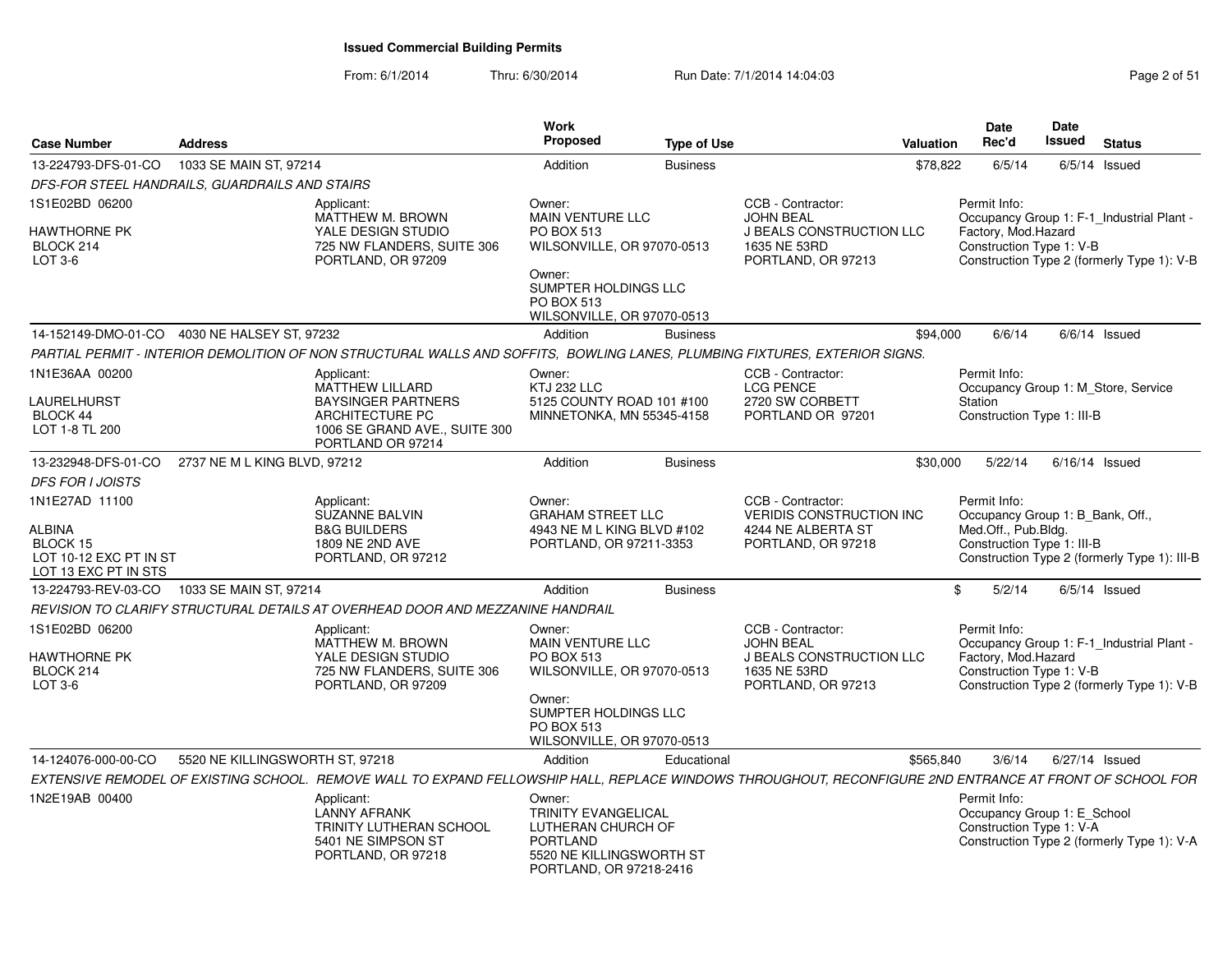From: 6/1/2014Thru: 6/30/2014 Run Date: 7/1/2014 14:04:03 Research 2010 Rage 2 of 51

| <b>Case Number</b>                                                                            | <b>Address</b>                                 |                                                                                                                                                          | Work<br>Proposed                                                                                                                                            | <b>Type of Use</b> |                                                                                                         | Valuation | Date<br>Rec'd                                                                                                                                              | Date<br>Issued   | <b>Status</b>   |  |
|-----------------------------------------------------------------------------------------------|------------------------------------------------|----------------------------------------------------------------------------------------------------------------------------------------------------------|-------------------------------------------------------------------------------------------------------------------------------------------------------------|--------------------|---------------------------------------------------------------------------------------------------------|-----------|------------------------------------------------------------------------------------------------------------------------------------------------------------|------------------|-----------------|--|
| 13-224793-DFS-01-CO                                                                           | 1033 SE MAIN ST, 97214                         |                                                                                                                                                          | Addition                                                                                                                                                    | <b>Business</b>    |                                                                                                         | \$78,822  | 6/5/14                                                                                                                                                     |                  | $6/5/14$ Issued |  |
|                                                                                               | DFS-FOR STEEL HANDRAILS, GUARDRAILS AND STAIRS |                                                                                                                                                          |                                                                                                                                                             |                    |                                                                                                         |           |                                                                                                                                                            |                  |                 |  |
| 1S1E02BD 06200<br><b>HAWTHORNE PK</b><br>BLOCK 214<br>$LOT 3-6$                               |                                                | Applicant:<br>MATTHEW M. BROWN<br>YALE DESIGN STUDIO<br>725 NW FLANDERS, SUITE 306<br>PORTLAND, OR 97209                                                 | Owner:<br>MAIN VENTURE LLC<br>PO BOX 513<br>WILSONVILLE, OR 97070-0513<br>Owner:<br>SUMPTER HOLDINGS LLC<br>PO BOX 513                                      |                    | CCB - Contractor:<br>JOHN BEAL<br>J BEALS CONSTRUCTION LLC<br>1635 NE 53RD<br>PORTLAND, OR 97213        |           | Permit Info:<br>Occupancy Group 1: F-1_Industrial Plant -<br>Factory, Mod.Hazard<br>Construction Type 1: V-B<br>Construction Type 2 (formerly Type 1): V-B |                  |                 |  |
|                                                                                               |                                                |                                                                                                                                                          | WILSONVILLE, OR 97070-0513                                                                                                                                  |                    |                                                                                                         |           |                                                                                                                                                            |                  |                 |  |
|                                                                                               | 14-152149-DMO-01-CO 4030 NE HALSEY ST, 97232   |                                                                                                                                                          | Addition                                                                                                                                                    | <b>Business</b>    |                                                                                                         | \$94,000  | 6/6/14                                                                                                                                                     |                  | $6/6/14$ Issued |  |
|                                                                                               |                                                | PARTIAL PERMIT - INTERIOR DEMOLITION OF NON STRUCTURAL WALLS AND SOFFITS. BOWLING LANES, PLUMBING FIXTURES, EXTERIOR SIGNS.                              |                                                                                                                                                             |                    |                                                                                                         |           |                                                                                                                                                            |                  |                 |  |
| 1N1E36AA 00200<br><b>LAURELHURST</b><br>BLOCK 44<br>LOT 1-8 TL 200                            |                                                | Applicant:<br>MATTHEW LILLARD<br><b>BAYSINGER PARTNERS</b><br>ARCHITECTURE PC<br>1006 SE GRAND AVE., SUITE 300<br>PORTLAND OR 97214                      | Owner:<br>KTJ 232 LLC<br>5125 COUNTY ROAD 101 #100<br>MINNETONKA, MN 55345-4158                                                                             |                    | CCB - Contractor:<br><b>LCG PENCE</b><br>2720 SW CORBETT<br>PORTLAND OR 97201                           |           | Permit Info:<br>Occupancy Group 1: M_Store, Service<br>Station<br>Construction Type 1: III-B                                                               |                  |                 |  |
| 13-232948-DFS-01-CO                                                                           | 2737 NE M L KING BLVD, 97212                   |                                                                                                                                                          | Addition                                                                                                                                                    | <b>Business</b>    |                                                                                                         | \$30,000  | 5/22/14                                                                                                                                                    | $6/16/14$ Issued |                 |  |
| <b>DFS FOR I JOISTS</b>                                                                       |                                                |                                                                                                                                                          |                                                                                                                                                             |                    |                                                                                                         |           |                                                                                                                                                            |                  |                 |  |
| 1N1E27AD 11100<br><b>ALBINA</b><br>BLOCK 15<br>LOT 10-12 EXC PT IN ST<br>LOT 13 EXC PT IN STS |                                                | Applicant:<br>SUZANNE BALVIN<br><b>B&amp;G BUILDERS</b><br>1809 NE 2ND AVE<br>PORTLAND, OR 97212                                                         | Owner:<br><b>GRAHAM STREET LLC</b><br>4943 NE M L KING BLVD #102<br>PORTLAND, OR 97211-3353                                                                 |                    | CCB - Contractor:<br><b>VERIDIS CONSTRUCTION INC.</b><br>4244 NE ALBERTA ST<br>PORTLAND, OR 97218       |           | Permit Info:<br>Occupancy Group 1: B Bank, Off.,<br>Med.Off., Pub.Bldg.<br>Construction Type 1: III-B<br>Construction Type 2 (formerly Type 1): III-B      |                  |                 |  |
|                                                                                               | 13-224793-REV-03-CO 1033 SE MAIN ST, 97214     |                                                                                                                                                          | Addition                                                                                                                                                    | <b>Business</b>    |                                                                                                         |           | 5/2/14<br>\$                                                                                                                                               |                  | $6/5/14$ Issued |  |
|                                                                                               |                                                | REVISION TO CLARIFY STRUCTURAL DETAILS AT OVERHEAD DOOR AND MEZZANINE HANDRAIL                                                                           |                                                                                                                                                             |                    |                                                                                                         |           |                                                                                                                                                            |                  |                 |  |
| 1S1E02BD 06200<br><b>HAWTHORNE PK</b><br>BLOCK 214<br>$LOT 3-6$                               |                                                | Applicant:<br>MATTHEW M. BROWN<br>YALE DESIGN STUDIO<br>725 NW FLANDERS, SUITE 306<br>PORTLAND, OR 97209                                                 | Owner:<br><b>MAIN VENTURE LLC</b><br>PO BOX 513<br>WILSONVILLE, OR 97070-0513<br>Owner:<br>SUMPTER HOLDINGS LLC<br>PO BOX 513<br>WILSONVILLE, OR 97070-0513 |                    | CCB - Contractor:<br>JOHN BEAL<br><b>J BEALS CONSTRUCTION LLC</b><br>1635 NE 53RD<br>PORTLAND, OR 97213 |           | Permit Info:<br>Occupancy Group 1: F-1 Industrial Plant -<br>Factory, Mod.Hazard<br>Construction Type 1: V-B<br>Construction Type 2 (formerly Type 1): V-B |                  |                 |  |
| 14-124076-000-00-CO                                                                           | 5520 NE KILLINGSWORTH ST, 97218                |                                                                                                                                                          | Addition                                                                                                                                                    | Educational        |                                                                                                         | \$565.840 | 3/6/14                                                                                                                                                     | 6/27/14 Issued   |                 |  |
|                                                                                               |                                                | EXTENSIVE REMODEL OF EXISTING SCHOOL. REMOVE WALL TO EXPAND FELLOWSHIP HALL, REPLACE WINDOWS THROUGHOUT, RECONFIGURE 2ND ENTRANCE AT FRONT OF SCHOOL FOR |                                                                                                                                                             |                    |                                                                                                         |           |                                                                                                                                                            |                  |                 |  |
| 1N2E19AB 00400                                                                                |                                                | Applicant:<br>LANNY AFRANK<br><b>TRINITY LUTHERAN SCHOOL</b><br>5401 NE SIMPSON ST<br>PORTLAND, OR 97218                                                 | Owner:<br>TRINITY EVANGELICAL<br>LUTHERAN CHURCH OF<br><b>PORTLAND</b><br>5520 NE KILLINGSWORTH ST<br>PORTLAND, OR 97218-2416                               |                    |                                                                                                         |           | Permit Info:<br>Occupancy Group 1: E_School<br>Construction Type 1: V-A<br>Construction Type 2 (formerly Type 1): V-A                                      |                  |                 |  |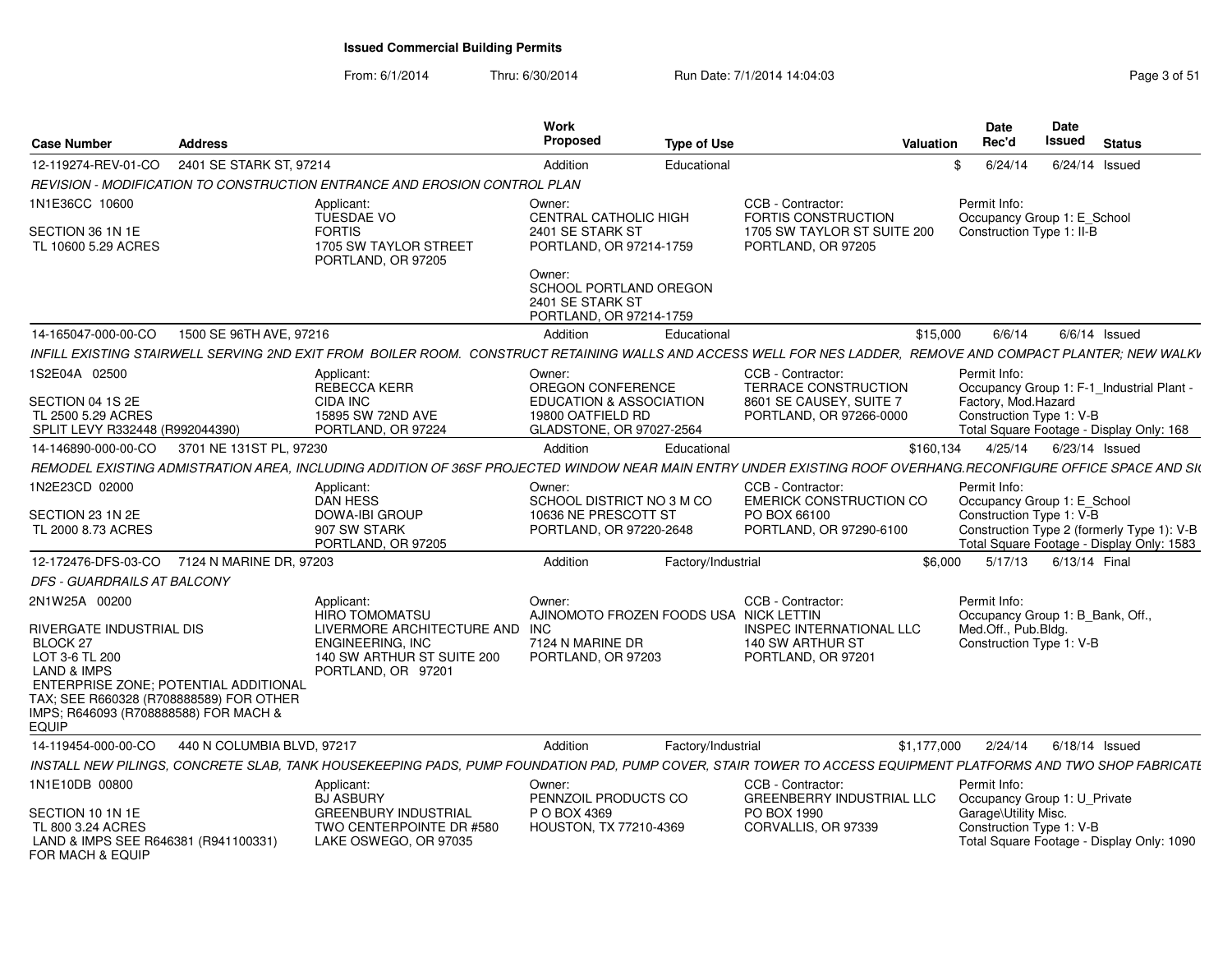From: 6/1/2014Thru: 6/30/2014 Run Date: 7/1/2014 14:04:03 Research 2010 Rage 3 of 51

| <b>Case Number</b>                                                                                                                                                                                                                              | <b>Address</b>             |                                                                                                                                                               | Work<br>Proposed                                                                    | <b>Type of Use</b> |                                                                                      | Valuation | Date<br>Rec'd                                                                                    | <b>Date</b><br>Issued | <b>Status</b>   |                                                                                         |
|-------------------------------------------------------------------------------------------------------------------------------------------------------------------------------------------------------------------------------------------------|----------------------------|---------------------------------------------------------------------------------------------------------------------------------------------------------------|-------------------------------------------------------------------------------------|--------------------|--------------------------------------------------------------------------------------|-----------|--------------------------------------------------------------------------------------------------|-----------------------|-----------------|-----------------------------------------------------------------------------------------|
| 12-119274-REV-01-CO                                                                                                                                                                                                                             | 2401 SE STARK ST, 97214    |                                                                                                                                                               | Addition                                                                            | Educational        |                                                                                      | \$        | 6/24/14                                                                                          | $6/24/14$ Issued      |                 |                                                                                         |
|                                                                                                                                                                                                                                                 |                            | REVISION - MODIFICATION TO CONSTRUCTION ENTRANCE AND EROSION CONTROL PLAN                                                                                     |                                                                                     |                    |                                                                                      |           |                                                                                                  |                       |                 |                                                                                         |
| 1N1E36CC 10600                                                                                                                                                                                                                                  |                            | Applicant:<br>TUESDAE VO                                                                                                                                      | Owner:<br><b>CENTRAL CATHOLIC HIGH</b>                                              |                    | CCB - Contractor:<br><b>FORTIS CONSTRUCTION</b>                                      |           | Permit Info:<br>Occupancy Group 1: E School                                                      |                       |                 |                                                                                         |
| SECTION 36 1N 1E<br>TL 10600 5.29 ACRES                                                                                                                                                                                                         |                            | <b>FORTIS</b><br>1705 SW TAYLOR STREET<br>PORTLAND, OR 97205                                                                                                  | 2401 SE STARK ST<br>PORTLAND, OR 97214-1759                                         |                    | 1705 SW TAYLOR ST SUITE 200<br>PORTLAND, OR 97205                                    |           | Construction Type 1: II-B                                                                        |                       |                 |                                                                                         |
|                                                                                                                                                                                                                                                 |                            |                                                                                                                                                               | Owner:<br>SCHOOL PORTLAND OREGON<br>2401 SE STARK ST<br>PORTLAND, OR 97214-1759     |                    |                                                                                      |           |                                                                                                  |                       |                 |                                                                                         |
| 14-165047-000-00-CO                                                                                                                                                                                                                             | 1500 SE 96TH AVE, 97216    |                                                                                                                                                               | Addition                                                                            | Educational        |                                                                                      | \$15,000  | 6/6/14                                                                                           |                       | $6/6/14$ Issued |                                                                                         |
|                                                                                                                                                                                                                                                 |                            | INFILL EXISTING STAIRWELL SERVING 2ND EXIT FROM BOILER ROOM. CONSTRUCT RETAINING WALLS AND ACCESS WELL FOR NES LADDER. REMOVE AND COMPACT PLANTER: NEW WALKV  |                                                                                     |                    |                                                                                      |           |                                                                                                  |                       |                 |                                                                                         |
| 1S2E04A 02500                                                                                                                                                                                                                                   |                            | Applicant:<br>REBECCA KERR                                                                                                                                    | Owner:<br>OREGON CONFERENCE                                                         |                    | CCB - Contractor:<br>TERRACE CONSTRUCTION                                            |           | Permit Info:<br>Occupancy Group 1: F-1_Industrial Plant -                                        |                       |                 |                                                                                         |
| SECTION 04 1S 2E<br>TL 2500 5.29 ACRES<br>SPLIT LEVY R332448 (R992044390)                                                                                                                                                                       |                            | <b>CIDA INC</b><br>15895 SW 72ND AVE<br>PORTLAND, OR 97224                                                                                                    | <b>EDUCATION &amp; ASSOCIATION</b><br>19800 OATFIELD RD<br>GLADSTONE, OR 97027-2564 |                    | 8601 SE CAUSEY, SUITE 7<br>PORTLAND, OR 97266-0000                                   |           | Factory, Mod.Hazard<br>Construction Type 1: V-B<br>Total Square Footage - Display Only: 168      |                       |                 |                                                                                         |
| 14-146890-000-00-CO                                                                                                                                                                                                                             | 3701 NE 131ST PL, 97230    |                                                                                                                                                               | Addition                                                                            | Educational        |                                                                                      | \$160,134 | 4/25/14                                                                                          | 6/23/14 Issued        |                 |                                                                                         |
|                                                                                                                                                                                                                                                 |                            | REMODEL EXISTING ADMISTRATION AREA. INCLUDING ADDITION OF 36SF PROJECTED WINDOW NEAR MAIN ENTRY UNDER EXISTING ROOF OVERHANG.RECONFIGURE OFFICE SPACE AND SIL |                                                                                     |                    |                                                                                      |           |                                                                                                  |                       |                 |                                                                                         |
| 1N2E23CD 02000                                                                                                                                                                                                                                  |                            | Applicant:                                                                                                                                                    | Owner:                                                                              |                    | CCB - Contractor:                                                                    |           | Permit Info:                                                                                     |                       |                 |                                                                                         |
| SECTION 23 1N 2E<br>TL 2000 8.73 ACRES                                                                                                                                                                                                          |                            | <b>DAN HESS</b><br><b>DOWA-IBI GROUP</b><br>907 SW STARK<br>PORTLAND, OR 97205                                                                                | SCHOOL DISTRICT NO 3 M CO<br>10636 NE PRESCOTT ST<br>PORTLAND, OR 97220-2648        |                    | <b>EMERICK CONSTRUCTION CO</b><br>PO BOX 66100<br>PORTLAND, OR 97290-6100            |           | Occupancy Group 1: E School<br>Construction Type 1: V-B                                          |                       |                 | Construction Type 2 (formerly Type 1): V-B<br>Total Square Footage - Display Only: 1583 |
| 12-172476-DFS-03-CO                                                                                                                                                                                                                             | 7124 N MARINE DR. 97203    |                                                                                                                                                               | Addition                                                                            | Factory/Industrial |                                                                                      | \$6,000   | 5/17/13                                                                                          | 6/13/14 Final         |                 |                                                                                         |
| DFS - GUARDRAILS AT BALCONY                                                                                                                                                                                                                     |                            |                                                                                                                                                               |                                                                                     |                    |                                                                                      |           |                                                                                                  |                       |                 |                                                                                         |
| 2N1W25A 00200                                                                                                                                                                                                                                   |                            | Applicant:<br><b>HIRO TOMOMATSU</b>                                                                                                                           | Owner:<br>AJINOMOTO FROZEN FOODS USA NICK LETTIN                                    |                    | CCB - Contractor:                                                                    |           | Permit Info:<br>Occupancy Group 1: B Bank, Off.,                                                 |                       |                 |                                                                                         |
| <b>RIVERGATE INDUSTRIAL DIS</b><br>BLOCK <sub>27</sub><br>LOT 3-6 TL 200<br><b>LAND &amp; IMPS</b><br>ENTERPRISE ZONE: POTENTIAL ADDITIONAL<br>TAX; SEE R660328 (R708888589) FOR OTHER<br>IMPS; R646093 (R708888588) FOR MACH &<br><b>EQUIP</b> |                            | LIVERMORE ARCHITECTURE AND INC<br>ENGINEERING. INC<br>140 SW ARTHUR ST SUITE 200<br>PORTLAND, OR 97201                                                        | 7124 N MARINE DR<br>PORTLAND, OR 97203                                              |                    | <b>INSPEC INTERNATIONAL LLC</b><br>140 SW ARTHUR ST<br>PORTLAND, OR 97201            |           | Med.Off., Pub.Bldg.<br>Construction Type 1: V-B                                                  |                       |                 |                                                                                         |
| 14-119454-000-00-CO                                                                                                                                                                                                                             | 440 N COLUMBIA BLVD, 97217 |                                                                                                                                                               | Addition                                                                            | Factory/Industrial | \$1,177,000                                                                          |           | 2/24/14                                                                                          | $6/18/14$ Issued      |                 |                                                                                         |
|                                                                                                                                                                                                                                                 |                            | INSTALL NEW PILINGS, CONCRETE SLAB, TANK HOUSEKEEPING PADS, PUMP FOUNDATION PAD, PUMP COVER, STAIR TOWER TO ACCESS EQUIPMENT PLATFORMS AND TWO SHOP FABRICATL |                                                                                     |                    |                                                                                      |           |                                                                                                  |                       |                 |                                                                                         |
| 1N1E10DB 00800<br>SECTION 10 1N 1E<br>TL 800 3.24 ACRES                                                                                                                                                                                         |                            | Applicant:<br><b>BJ ASBURY</b><br><b>GREENBURY INDUSTRIAL</b><br>TWO CENTERPOINTE DR #580                                                                     | Owner:<br>PENNZOIL PRODUCTS CO<br>P O BOX 4369<br>HOUSTON, TX 77210-4369            |                    | CCB - Contractor:<br>GREENBERRY INDUSTRIAL LLC<br>PO BOX 1990<br>CORVALLIS, OR 97339 |           | Permit Info:<br>Occupancy Group 1: U_Private<br>Garage\Utility Misc.<br>Construction Type 1: V-B |                       |                 |                                                                                         |
| LAND & IMPS SEE R646381 (R941100331)<br>FOR MACH & EQUIP                                                                                                                                                                                        |                            | LAKE OSWEGO, OR 97035                                                                                                                                         |                                                                                     |                    |                                                                                      |           |                                                                                                  |                       |                 | Total Square Footage - Display Only: 1090                                               |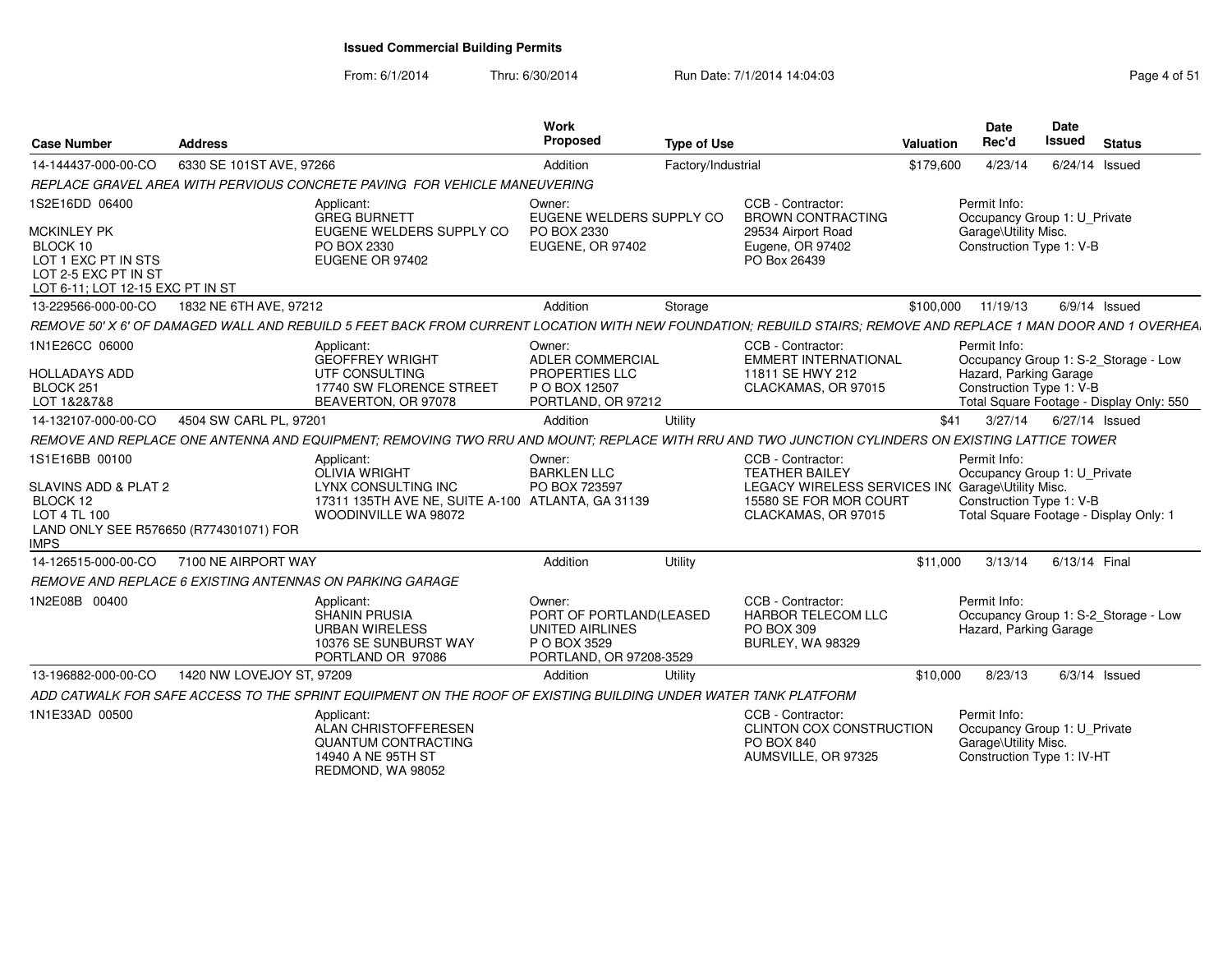#### From: 6/1/2014Thru: 6/30/2014 Run Date: 7/1/2014 14:04:03 Research 2010 Rage 4 of 51

| <b>Case Number</b>                                                                                                                  | <b>Address</b>            |                                                                                                                                                                 | Work<br>Proposed                                                                                | <b>Type of Use</b> |                                                                                                                                                  | Valuation | <b>Date</b><br>Rec'd                                                                               | <b>Date</b><br><b>Issued</b> | <b>Status</b>                                                                    |
|-------------------------------------------------------------------------------------------------------------------------------------|---------------------------|-----------------------------------------------------------------------------------------------------------------------------------------------------------------|-------------------------------------------------------------------------------------------------|--------------------|--------------------------------------------------------------------------------------------------------------------------------------------------|-----------|----------------------------------------------------------------------------------------------------|------------------------------|----------------------------------------------------------------------------------|
| 14-144437-000-00-CO                                                                                                                 | 6330 SE 101ST AVE, 97266  |                                                                                                                                                                 | Addition                                                                                        | Factory/Industrial |                                                                                                                                                  | \$179,600 | 4/23/14                                                                                            |                              | $6/24/14$ Issued                                                                 |
|                                                                                                                                     |                           | REPLACE GRAVEL AREA WITH PERVIOUS CONCRETE PAVING FOR VEHICLE MANEUVERING                                                                                       |                                                                                                 |                    |                                                                                                                                                  |           |                                                                                                    |                              |                                                                                  |
| 1S2E16DD 06400<br><b>MCKINLEY PK</b><br>BLOCK 10<br>LOT 1 EXC PT IN STS<br>LOT 2-5 EXC PT IN ST<br>LOT 6-11; LOT 12-15 EXC PT IN ST |                           | Applicant:<br><b>GREG BURNETT</b><br>EUGENE WELDERS SUPPLY CO<br>PO BOX 2330<br>EUGENE OR 97402                                                                 | Owner:<br>EUGENE WELDERS SUPPLY CO<br>PO BOX 2330<br>EUGENE, OR 97402                           |                    | CCB - Contractor:<br><b>BROWN CONTRACTING</b><br>29534 Airport Road<br>Eugene, OR 97402<br>PO Box 26439                                          |           | Permit Info:<br>Occupancy Group 1: U_Private<br>Garage\Utility Misc.<br>Construction Type 1: V-B   |                              |                                                                                  |
| 13-229566-000-00-CO                                                                                                                 | 1832 NE 6TH AVE, 97212    |                                                                                                                                                                 | Addition                                                                                        | Storage            |                                                                                                                                                  | \$100,000 | 11/19/13                                                                                           |                              | $6/9/14$ Issued                                                                  |
|                                                                                                                                     |                           | REMOVE 50' X 6' OF DAMAGED WALL AND REBUILD 5 FEET BACK FROM CURRENT LOCATION WITH NEW FOUNDATION: REBUILD STAIRS; REMOVE AND REPLACE 1 MAN DOOR AND 1 OVERHEA. |                                                                                                 |                    |                                                                                                                                                  |           |                                                                                                    |                              |                                                                                  |
| 1N1E26CC 06000<br><b>HOLLADAYS ADD</b><br>BLOCK <sub>251</sub><br>LOT 1&2&7&8                                                       |                           | Applicant:<br><b>GEOFFREY WRIGHT</b><br>UTF CONSULTING<br>17740 SW FLORENCE STREET<br>BEAVERTON, OR 97078                                                       | Owner:<br><b>ADLER COMMERCIAL</b><br>PROPERTIES LLC<br>P O BOX 12507<br>PORTLAND, OR 97212      |                    | CCB - Contractor:<br><b>EMMERT INTERNATIONAL</b><br>11811 SE HWY 212<br>CLACKAMAS, OR 97015                                                      |           | Permit Info:<br>Hazard, Parking Garage<br>Construction Type 1: V-B                                 |                              | Occupancy Group 1: S-2_Storage - Low<br>Total Square Footage - Display Only: 550 |
| 14-132107-000-00-CO                                                                                                                 | 4504 SW CARL PL, 97201    |                                                                                                                                                                 | Addition                                                                                        | Utility            |                                                                                                                                                  | \$41      | 3/27/14                                                                                            |                              | 6/27/14 Issued                                                                   |
|                                                                                                                                     |                           | REMOVE AND REPLACE ONE ANTENNA AND EQUIPMENT; REMOVING TWO RRU AND MOUNT; REPLACE WITH RRU AND TWO JUNCTION CYLINDERS ON EXISTING LATTICE TOWER                 |                                                                                                 |                    |                                                                                                                                                  |           |                                                                                                    |                              |                                                                                  |
| 1S1E16BB 00100<br>SLAVINS ADD & PLAT 2<br>BLOCK 12<br>LOT 4 TL 100<br>LAND ONLY SEE R576650 (R774301071) FOR<br><b>IMPS</b>         |                           | Applicant:<br><b>OLIVIA WRIGHT</b><br>LYNX CONSULTING INC<br>17311 135TH AVE NE, SUITE A-100 ATLANTA, GA 31139<br>WOODINVILLE WA 98072                          | Owner:<br><b>BARKLEN LLC</b><br>PO BOX 723597                                                   |                    | CCB - Contractor:<br><b>TEATHER BAILEY</b><br>LEGACY WIRELESS SERVICES INC Garage\Utility Misc.<br>15580 SE FOR MOR COURT<br>CLACKAMAS, OR 97015 |           | Permit Info:<br>Occupancy Group 1: U Private<br>Construction Type 1: V-B                           |                              | Total Square Footage - Display Only: 1                                           |
| 14-126515-000-00-CO                                                                                                                 | 7100 NE AIRPORT WAY       |                                                                                                                                                                 | Addition                                                                                        | Utility            |                                                                                                                                                  | \$11,000  | 3/13/14                                                                                            | 6/13/14 Final                |                                                                                  |
|                                                                                                                                     |                           | REMOVE AND REPLACE 6 EXISTING ANTENNAS ON PARKING GARAGE                                                                                                        |                                                                                                 |                    |                                                                                                                                                  |           |                                                                                                    |                              |                                                                                  |
| 1N2E08B 00400                                                                                                                       |                           | Applicant:<br><b>SHANIN PRUSIA</b><br><b>URBAN WIRELESS</b><br>10376 SE SUNBURST WAY<br>PORTLAND OR 97086                                                       | Owner:<br>PORT OF PORTLAND(LEASED<br>UNITED AIRLINES<br>P O BOX 3529<br>PORTLAND, OR 97208-3529 |                    | CCB - Contractor:<br><b>HARBOR TELECOM LLC</b><br>PO BOX 309<br><b>BURLEY, WA 98329</b>                                                          |           | Permit Info:<br>Hazard, Parking Garage                                                             |                              | Occupancy Group 1: S-2_Storage - Low                                             |
| 13-196882-000-00-CO                                                                                                                 | 1420 NW LOVEJOY ST, 97209 |                                                                                                                                                                 | Addition                                                                                        | Utility            |                                                                                                                                                  | \$10,000  | 8/23/13                                                                                            |                              | $6/3/14$ Issued                                                                  |
|                                                                                                                                     |                           | ADD CATWALK FOR SAFE ACCESS TO THE SPRINT EQUIPMENT ON THE ROOF OF EXISTING BUILDING UNDER WATER TANK PLATFORM                                                  |                                                                                                 |                    |                                                                                                                                                  |           |                                                                                                    |                              |                                                                                  |
| 1N1E33AD 00500                                                                                                                      |                           | Applicant:<br>ALAN CHRISTOFFERESEN<br><b>QUANTUM CONTRACTING</b><br>14940 A NE 95TH ST<br>REDMOND, WA 98052                                                     |                                                                                                 |                    | CCB - Contractor:<br>CLINTON COX CONSTRUCTION<br>PO BOX 840<br>AUMSVILLE, OR 97325                                                               |           | Permit Info:<br>Occupancy Group 1: U_Private<br>Garage\Utility Misc.<br>Construction Type 1: IV-HT |                              |                                                                                  |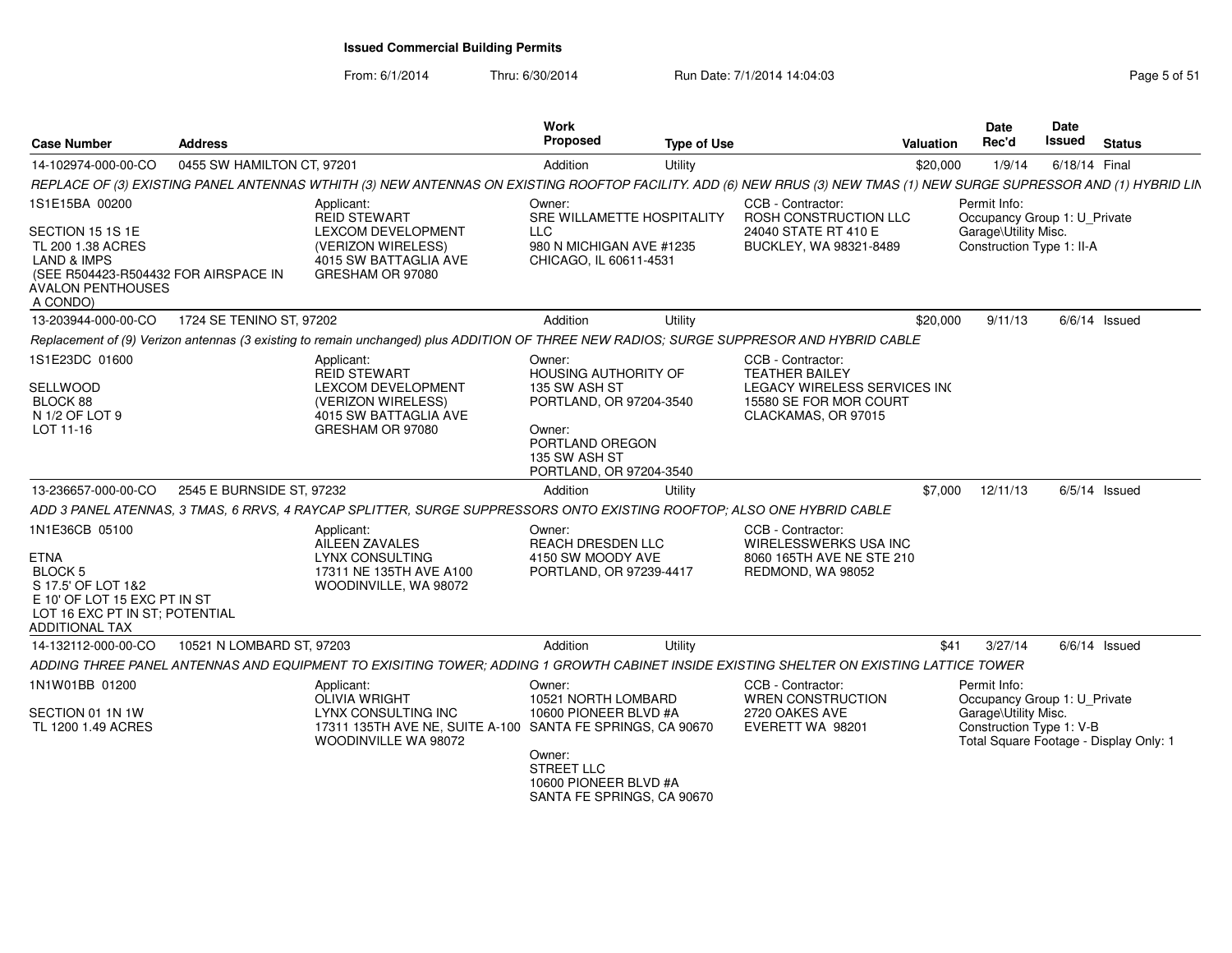From: 6/1/2014Thru: 6/30/2014 Run Date: 7/1/2014 14:04:03 Research 2010 Rage 5 of 51

| <b>Case Number</b>                                                                                                                                                | <b>Address</b>             |                                                                                                                                                                       | Work<br><b>Proposed</b>                                                                                                                                    | <b>Type of Use</b> |                                                                                                                             | Valuation | Date<br>Rec'd                                                                                     | Date<br><b>Issued</b> | <b>Status</b>                          |
|-------------------------------------------------------------------------------------------------------------------------------------------------------------------|----------------------------|-----------------------------------------------------------------------------------------------------------------------------------------------------------------------|------------------------------------------------------------------------------------------------------------------------------------------------------------|--------------------|-----------------------------------------------------------------------------------------------------------------------------|-----------|---------------------------------------------------------------------------------------------------|-----------------------|----------------------------------------|
| 14-102974-000-00-CO                                                                                                                                               | 0455 SW HAMILTON CT, 97201 |                                                                                                                                                                       | Addition                                                                                                                                                   | Utility            |                                                                                                                             | \$20,000  | 1/9/14                                                                                            | 6/18/14 Final         |                                        |
|                                                                                                                                                                   |                            | REPLACE OF (3) EXISTING PANEL ANTENNAS WTHITH (3) NEW ANTENNAS ON EXISTING ROOFTOP FACILITY. ADD (6) NEW RRUS (3) NEW TMAS (1) NEW SURGE SUPRESSOR AND (1) HYBRID LIN |                                                                                                                                                            |                    |                                                                                                                             |           |                                                                                                   |                       |                                        |
| 1S1E15BA 00200<br>SECTION 15 1S 1E<br>TL 200 1.38 ACRES<br><b>LAND &amp; IMPS</b><br>(SEE R504423-R504432 FOR AIRSPACE IN<br><b>AVALON PENTHOUSES</b><br>A CONDO) |                            | Applicant:<br><b>REID STEWART</b><br>LEXCOM DEVELOPMENT<br>(VERIZON WIRELESS)<br>4015 SW BATTAGLIA AVE<br>GRESHAM OR 97080                                            | Owner:<br>SRE WILLAMETTE HOSPITALITY<br><b>LLC</b><br>980 N MICHIGAN AVE #1235<br>CHICAGO, IL 60611-4531                                                   |                    | CCB - Contractor:<br>ROSH CONSTRUCTION LLC<br>24040 STATE RT 410 E<br>BUCKLEY, WA 98321-8489                                |           | Permit Info:<br>Occupancy Group 1: U_Private<br>Garage\Utility Misc.<br>Construction Type 1: II-A |                       |                                        |
| 13-203944-000-00-CO                                                                                                                                               | 1724 SE TENINO ST. 97202   |                                                                                                                                                                       | Addition                                                                                                                                                   | Utility            |                                                                                                                             | \$20,000  | 9/11/13                                                                                           |                       | $6/6/14$ Issued                        |
|                                                                                                                                                                   |                            | Replacement of (9) Verizon antennas (3 existing to remain unchanged) plus ADDITION OF THREE NEW RADIOS; SURGE SUPPRESOR AND HYBRID CABLE                              |                                                                                                                                                            |                    |                                                                                                                             |           |                                                                                                   |                       |                                        |
| 1S1E23DC 01600<br>SELLWOOD<br>BLOCK 88<br>N 1/2 OF LOT 9<br>LOT 11-16                                                                                             |                            | Applicant:<br><b>REID STEWART</b><br>LEXCOM DEVELOPMENT<br>(VERIZON WIRELESS)<br>4015 SW BATTAGLIA AVE<br>GRESHAM OR 97080                                            | Owner:<br><b>HOUSING AUTHORITY OF</b><br>135 SW ASH ST<br>PORTLAND, OR 97204-3540<br>Owner:<br>PORTLAND OREGON<br>135 SW ASH ST<br>PORTLAND, OR 97204-3540 |                    | CCB - Contractor:<br><b>TEATHER BAILEY</b><br>LEGACY WIRELESS SERVICES INC<br>15580 SE FOR MOR COURT<br>CLACKAMAS, OR 97015 |           |                                                                                                   |                       |                                        |
| 13-236657-000-00-CO                                                                                                                                               | 2545 E BURNSIDE ST, 97232  |                                                                                                                                                                       | Addition                                                                                                                                                   | Utility            |                                                                                                                             | \$7,000   | 12/11/13                                                                                          |                       | $6/5/14$ Issued                        |
|                                                                                                                                                                   |                            | ADD 3 PANEL ATENNAS, 3 TMAS, 6 RRVS, 4 RAYCAP SPLITTER, SURGE SUPPRESSORS ONTO EXISTING ROOFTOP; ALSO ONE HYBRID CABLE                                                |                                                                                                                                                            |                    |                                                                                                                             |           |                                                                                                   |                       |                                        |
| 1N1E36CB 05100<br><b>ETNA</b><br><b>BLOCK 5</b><br>S 17.5' OF LOT 1&2<br>E 10' OF LOT 15 EXC PT IN ST<br>LOT 16 EXC PT IN ST; POTENTIAL<br><b>ADDITIONAL TAX</b>  |                            | Applicant:<br>AILEEN ZAVALES<br><b>LYNX CONSULTING</b><br>17311 NE 135TH AVE A100<br>WOODINVILLE, WA 98072                                                            | Owner:<br>REACH DRESDEN LLC<br>4150 SW MOODY AVE<br>PORTLAND, OR 97239-4417                                                                                |                    | CCB - Contractor:<br>WIRELESSWERKS USA INC<br>8060 165TH AVE NE STE 210<br>REDMOND, WA 98052                                |           |                                                                                                   |                       |                                        |
| 14-132112-000-00-CO                                                                                                                                               | 10521 N LOMBARD ST, 97203  |                                                                                                                                                                       | Addition                                                                                                                                                   | Utility            |                                                                                                                             | \$41      | 3/27/14                                                                                           |                       | $6/6/14$ Issued                        |
|                                                                                                                                                                   |                            | ADDING THREE PANEL ANTENNAS AND EQUIPMENT TO EXISITING TOWER; ADDING 1 GROWTH CABINET INSIDE EXISTING SHELTER ON EXISTING LATTICE TOWER                               |                                                                                                                                                            |                    |                                                                                                                             |           |                                                                                                   |                       |                                        |
| 1N1W01BB 01200<br>SECTION 01 1N 1W<br>TL 1200 1.49 ACRES                                                                                                          |                            | Applicant:<br><b>OLIVIA WRIGHT</b><br>LYNX CONSULTING INC<br>17311 135TH AVE NE, SUITE A-100 SANTA FE SPRINGS, CA 90670<br>WOODINVILLE WA 98072                       | Owner:<br>10521 NORTH LOMBARD<br>10600 PIONEER BLVD #A<br>Owner:<br><b>STREET LLC</b><br>10600 PIONEER BLVD #A<br>SANTA FE SPRINGS, CA 90670               |                    | CCB - Contractor:<br>WREN CONSTRUCTION<br>2720 OAKES AVE<br>EVERETT WA 98201                                                |           | Permit Info:<br>Occupancy Group 1: U_Private<br>Garage\Utility Misc.<br>Construction Type 1: V-B  |                       | Total Square Footage - Display Only: 1 |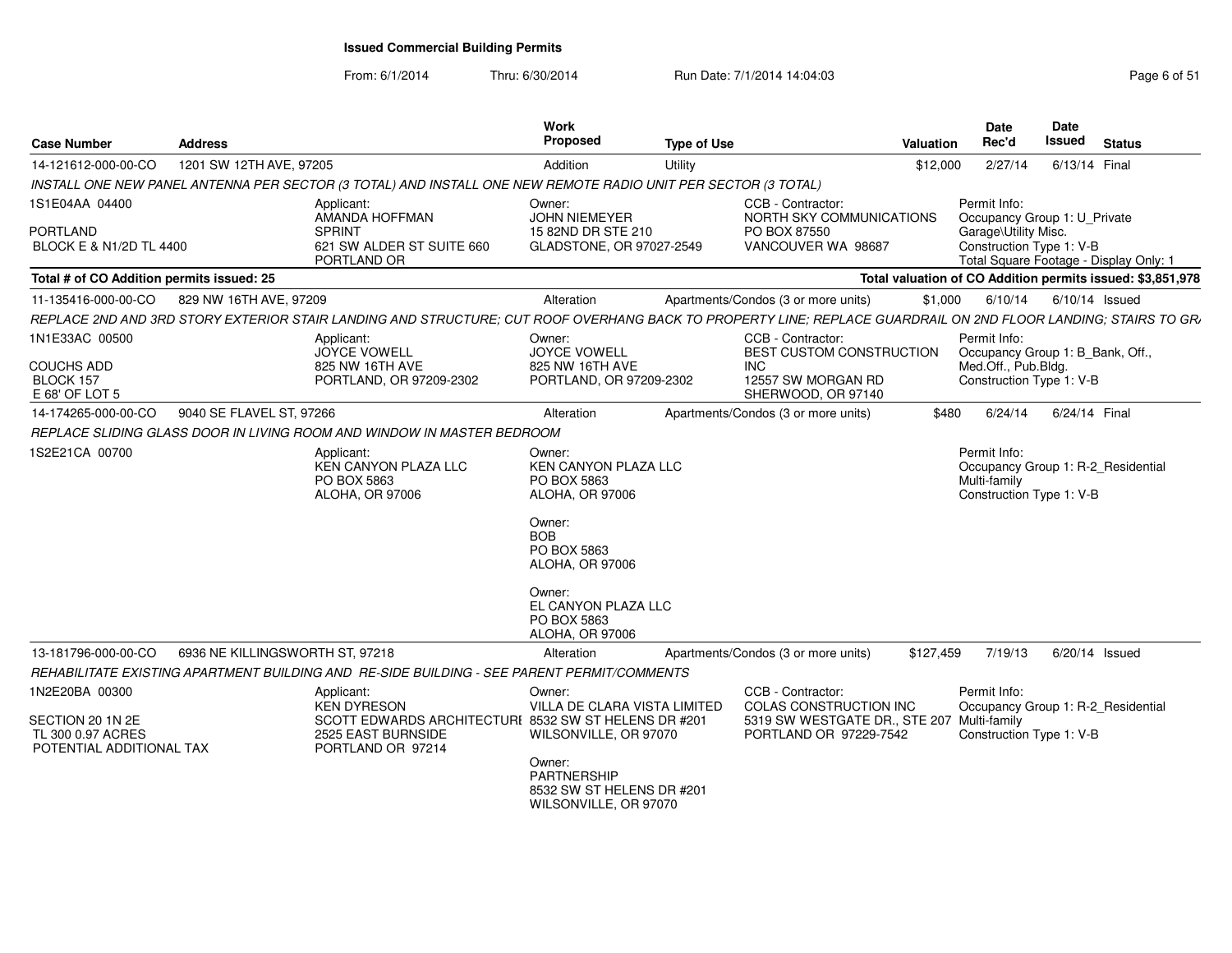From: 6/1/2014

Thru: 6/30/2014 Run Date: 7/1/2014 14:04:03 Research 2010 Rage 6 of 51

| <b>Case Number</b>                                                | <b>Address</b>                  |                                                                                                               | Work<br>Proposed                                                                                                          | <b>Type of Use</b> | Valuation                                                                                                                                                     | Date<br>Rec'd                                            | <b>Date</b><br><b>Issued</b>           | <b>Status</b> |
|-------------------------------------------------------------------|---------------------------------|---------------------------------------------------------------------------------------------------------------|---------------------------------------------------------------------------------------------------------------------------|--------------------|---------------------------------------------------------------------------------------------------------------------------------------------------------------|----------------------------------------------------------|----------------------------------------|---------------|
| 14-121612-000-00-CO                                               | 1201 SW 12TH AVE, 97205         |                                                                                                               | Addition                                                                                                                  | Utility            | \$12,000                                                                                                                                                      | 2/27/14                                                  | 6/13/14 Final                          |               |
|                                                                   |                                 | INSTALL ONE NEW PANEL ANTENNA PER SECTOR (3 TOTAL) AND INSTALL ONE NEW REMOTE RADIO UNIT PER SECTOR (3 TOTAL) |                                                                                                                           |                    |                                                                                                                                                               |                                                          |                                        |               |
| 1S1E04AA 04400                                                    |                                 | Applicant:<br>AMANDA HOFFMAN                                                                                  | Owner:<br><b>JOHN NIEMEYER</b>                                                                                            |                    | CCB - Contractor:<br>NORTH SKY COMMUNICATIONS                                                                                                                 | Permit Info:                                             | Occupancy Group 1: U Private           |               |
| <b>PORTLAND</b><br>BLOCK E & N1/2D TL 4400                        |                                 | <b>SPRINT</b><br>621 SW ALDER ST SUITE 660<br>PORTLAND OR                                                     | 15 82ND DR STE 210<br>GLADSTONE, OR 97027-2549                                                                            |                    | PO BOX 87550<br>VANCOUVER WA 98687                                                                                                                            | Garage\Utility Misc.<br>Construction Type 1: V-B         | Total Square Footage - Display Only: 1 |               |
| Total # of CO Addition permits issued: 25                         |                                 |                                                                                                               |                                                                                                                           |                    | Total valuation of CO Addition permits issued: \$3,851,978                                                                                                    |                                                          |                                        |               |
| 11-135416-000-00-CO                                               | 829 NW 16TH AVE, 97209          |                                                                                                               | Alteration                                                                                                                |                    | Apartments/Condos (3 or more units)<br>\$1.000                                                                                                                |                                                          | 6/10/14 6/10/14 Issued                 |               |
|                                                                   |                                 |                                                                                                               |                                                                                                                           |                    | REPLACE 2ND AND 3RD STORY EXTERIOR STAIR LANDING AND STRUCTURE: CUT ROOF OVERHANG BACK TO PROPERTY LINE: REPLACE GUARDRAIL ON 2ND FLOOR LANDING: STAIRS TO GR |                                                          |                                        |               |
| 1N1E33AC 00500                                                    |                                 | Applicant:<br><b>JOYCE VOWELL</b>                                                                             | Owner:<br>JOYCE VOWELL                                                                                                    |                    | CCB - Contractor:<br>BEST CUSTOM CONSTRUCTION                                                                                                                 | Permit Info:                                             | Occupancy Group 1: B_Bank, Off.        |               |
| <b>COUCHS ADD</b><br>BLOCK 157<br>E 68' OF LOT 5                  |                                 | 825 NW 16TH AVE<br>PORTLAND, OR 97209-2302                                                                    | 825 NW 16TH AVE<br>PORTLAND, OR 97209-2302                                                                                |                    | INC.<br>12557 SW MORGAN RD<br>SHERWOOD, OR 97140                                                                                                              | Med.Off., Pub.Bldg.<br>Construction Type 1: V-B          |                                        |               |
| 14-174265-000-00-CO                                               | 9040 SE FLAVEL ST, 97266        |                                                                                                               | Alteration                                                                                                                |                    | Apartments/Condos (3 or more units)<br>\$480                                                                                                                  | 6/24/14                                                  | 6/24/14 Final                          |               |
|                                                                   |                                 | REPLACE SLIDING GLASS DOOR IN LIVING ROOM AND WINDOW IN MASTER BEDROOM                                        |                                                                                                                           |                    |                                                                                                                                                               |                                                          |                                        |               |
| 1S2E21CA 00700                                                    |                                 | Applicant:<br>KEN CANYON PLAZA LLC<br>PO BOX 5863<br>ALOHA, OR 97006                                          | Owner:<br><b>KEN CANYON PLAZA LLC</b><br>PO BOX 5863<br><b>ALOHA, OR 97006</b>                                            |                    |                                                                                                                                                               | Permit Info:<br>Multi-family<br>Construction Type 1: V-B | Occupancy Group 1: R-2 Residential     |               |
|                                                                   |                                 |                                                                                                               | Owner:<br><b>BOB</b><br>PO BOX 5863<br>ALOHA, OR 97006<br>Owner:<br>EL CANYON PLAZA LLC<br>PO BOX 5863<br>ALOHA, OR 97006 |                    |                                                                                                                                                               |                                                          |                                        |               |
| 13-181796-000-00-CO                                               | 6936 NE KILLINGSWORTH ST. 97218 |                                                                                                               | Alteration                                                                                                                |                    | Apartments/Condos (3 or more units)<br>\$127,459                                                                                                              | 7/19/13                                                  | 6/20/14 Issued                         |               |
|                                                                   |                                 | REHABILITATE EXISTING APARTMENT BUILDING AND RE-SIDE BUILDING - SEE PARENT PERMIT/COMMENTS                    |                                                                                                                           |                    |                                                                                                                                                               |                                                          |                                        |               |
| 1N2E20BA 00300                                                    |                                 | Applicant:<br><b>KEN DYRESON</b>                                                                              | Owner:<br>VILLA DE CLARA VISTA LIMITED                                                                                    |                    | CCB - Contractor:<br>COLAS CONSTRUCTION INC                                                                                                                   | Permit Info:                                             | Occupancy Group 1: R-2_Residential     |               |
| SECTION 20 1N 2E<br>TL 300 0.97 ACRES<br>POTENTIAL ADDITIONAL TAX |                                 | SCOTT EDWARDS ARCHITECTURI 8532 SW ST HELENS DR #201<br>2525 EAST BURNSIDE<br>PORTLAND OR 97214               | WILSONVILLE, OR 97070                                                                                                     |                    | 5319 SW WESTGATE DR., STE 207 Multi-family<br>PORTLAND OR 97229-7542                                                                                          | Construction Type 1: V-B                                 |                                        |               |
|                                                                   |                                 |                                                                                                               | Owner:<br>PARTNERSHIP<br>8532 SW ST HELENS DR #201<br>WILSONVILLE, OR 97070                                               |                    |                                                                                                                                                               |                                                          |                                        |               |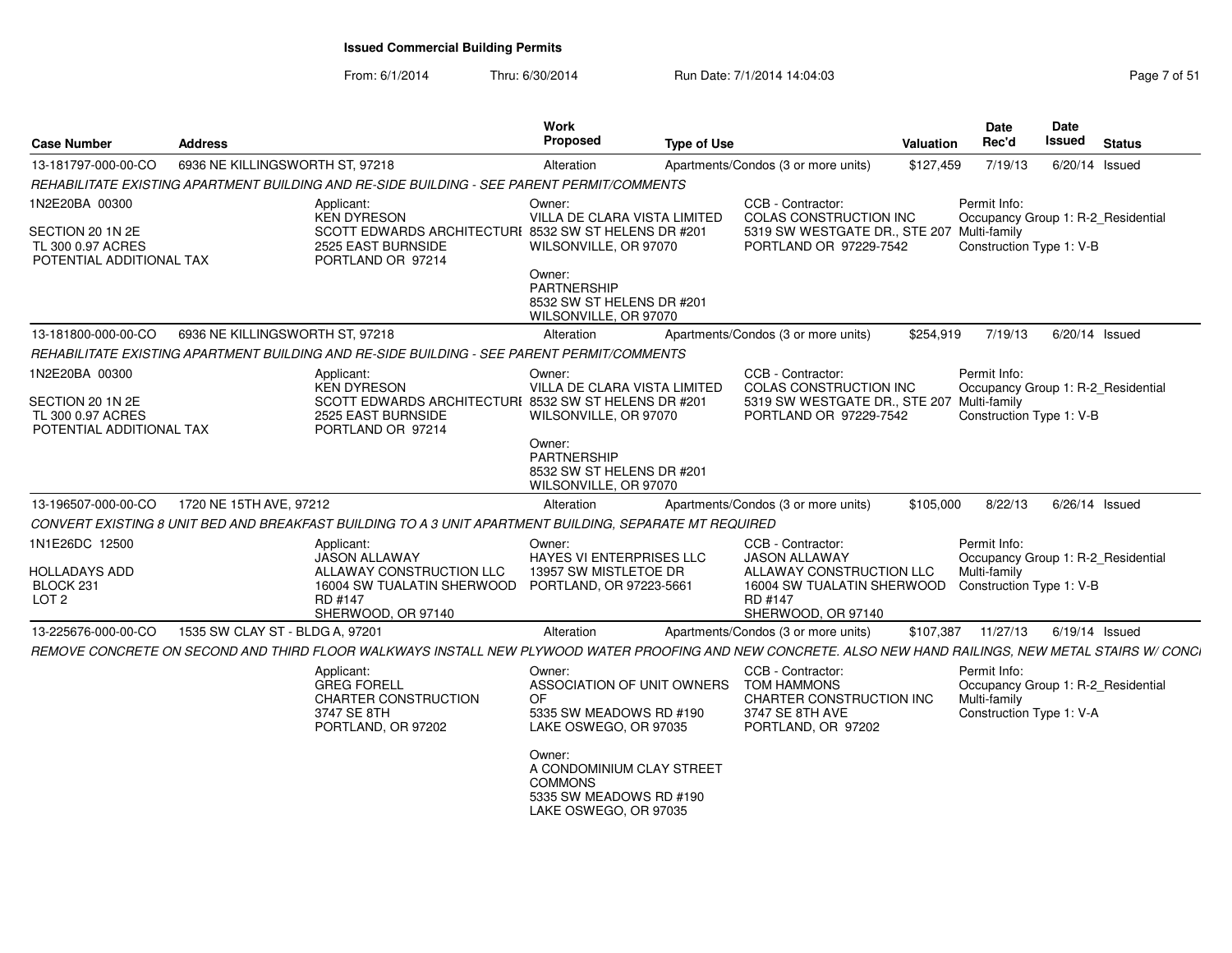From: 6/1/2014Thru: 6/30/2014 Run Date: 7/1/2014 14:04:03 Research 2010 Rage 7 of 51

| <b>Case Number</b>                                                | <b>Address</b>                  |                                                                                                                                                           | <b>Work</b><br><b>Proposed</b>                                                                            | <b>Type of Use</b> |                                                                                                              | Valuation | Date<br>Rec'd                                                                                  | <b>Date</b><br>Issued | <b>Status</b> |
|-------------------------------------------------------------------|---------------------------------|-----------------------------------------------------------------------------------------------------------------------------------------------------------|-----------------------------------------------------------------------------------------------------------|--------------------|--------------------------------------------------------------------------------------------------------------|-----------|------------------------------------------------------------------------------------------------|-----------------------|---------------|
| 13-181797-000-00-CO                                               | 6936 NE KILLINGSWORTH ST, 97218 |                                                                                                                                                           | Alteration                                                                                                |                    | Apartments/Condos (3 or more units)                                                                          | \$127,459 | 7/19/13                                                                                        | $6/20/14$ Issued      |               |
|                                                                   |                                 | REHABILITATE EXISTING APARTMENT BUILDING AND RE-SIDE BUILDING - SEE PARENT PERMIT/COMMENTS                                                                |                                                                                                           |                    |                                                                                                              |           |                                                                                                |                       |               |
| 1N2E20BA 00300                                                    |                                 | Applicant:<br><b>KEN DYRESON</b>                                                                                                                          | Owner:<br>VILLA DE CLARA VISTA LIMITED                                                                    |                    | CCB - Contractor:<br>COLAS CONSTRUCTION INC                                                                  |           | Permit Info:<br>Occupancy Group 1: R-2_Residential                                             |                       |               |
| SECTION 20 1N 2E<br>TL 300 0.97 ACRES<br>POTENTIAL ADDITIONAL TAX |                                 | SCOTT EDWARDS ARCHITECTURI 8532 SW ST HELENS DR #201<br>2525 EAST BURNSIDE<br>PORTLAND OR 97214                                                           | WILSONVILLE, OR 97070                                                                                     |                    | 5319 SW WESTGATE DR., STE 207 Multi-family<br>PORTLAND OR 97229-7542                                         |           | Construction Type 1: V-B                                                                       |                       |               |
|                                                                   |                                 |                                                                                                                                                           | Owner:<br>PARTNERSHIP<br>8532 SW ST HELENS DR #201<br>WILSONVILLE, OR 97070                               |                    |                                                                                                              |           |                                                                                                |                       |               |
| 13-181800-000-00-CO                                               | 6936 NE KILLINGSWORTH ST, 97218 |                                                                                                                                                           | Alteration                                                                                                |                    | Apartments/Condos (3 or more units)                                                                          | \$254,919 | 7/19/13                                                                                        | 6/20/14 Issued        |               |
|                                                                   |                                 | REHABILITATE EXISTING APARTMENT BUILDING AND RE-SIDE BUILDING - SEE PARENT PERMIT/COMMENTS                                                                |                                                                                                           |                    |                                                                                                              |           |                                                                                                |                       |               |
| 1N2E20BA 00300<br>SECTION 20 1N 2E                                |                                 | Applicant:<br><b>KEN DYRESON</b><br>SCOTT EDWARDS ARCHITECTURI 8532 SW ST HELENS DR #201                                                                  | Owner:<br>VILLA DE CLARA VISTA LIMITED                                                                    |                    | CCB - Contractor:<br>COLAS CONSTRUCTION INC<br>5319 SW WESTGATE DR., STE 207 Multi-family                    |           | Permit Info:<br>Occupancy Group 1: R-2_Residential                                             |                       |               |
| TL 300 0.97 ACRES<br>POTENTIAL ADDITIONAL TAX                     |                                 | 2525 EAST BURNSIDE<br>PORTLAND OR 97214                                                                                                                   | WILSONVILLE, OR 97070                                                                                     |                    | PORTLAND OR 97229-7542                                                                                       |           | Construction Type 1: V-B                                                                       |                       |               |
|                                                                   |                                 |                                                                                                                                                           | Owner:<br><b>PARTNERSHIP</b><br>8532 SW ST HELENS DR #201<br>WILSONVILLE, OR 97070                        |                    |                                                                                                              |           |                                                                                                |                       |               |
| 13-196507-000-00-CO                                               | 1720 NE 15TH AVE, 97212         |                                                                                                                                                           | Alteration                                                                                                |                    | Apartments/Condos (3 or more units)                                                                          | \$105,000 | 8/22/13                                                                                        | $6/26/14$ Issued      |               |
|                                                                   |                                 | CONVERT EXISTING 8 UNIT BED AND BREAKFAST BUILDING TO A 3 UNIT APARTMENT BUILDING, SEPARATE MT REQUIRED                                                   |                                                                                                           |                    |                                                                                                              |           |                                                                                                |                       |               |
| 1N1E26DC 12500                                                    |                                 | Applicant:<br>JASON ALLAWAY                                                                                                                               | Owner:<br>HAYES VI ENTERPRISES LLC                                                                        |                    | CCB - Contractor:<br><b>JASON ALLAWAY</b>                                                                    |           | Permit Info:<br>Occupancy Group 1: R-2_Residential                                             |                       |               |
| HOLLADAYS ADD<br>BLOCK <sub>231</sub><br>LOT <sub>2</sub>         |                                 | ALLAWAY CONSTRUCTION LLC<br>16004 SW TUALATIN SHERWOOD<br>RD #147                                                                                         | 13957 SW MISTLETOE DR<br>PORTLAND, OR 97223-5661                                                          |                    | ALLAWAY CONSTRUCTION LLC<br>16004 SW TUALATIN SHERWOOD<br>RD #147                                            |           | Multi-family<br>Construction Type 1: V-B                                                       |                       |               |
| 13-225676-000-00-CO                                               | 1535 SW CLAY ST - BLDG A, 97201 | SHERWOOD, OR 97140                                                                                                                                        | Alteration                                                                                                |                    | SHERWOOD, OR 97140<br>Apartments/Condos (3 or more units)                                                    | \$107,387 | 11/27/13                                                                                       | $6/19/14$ Issued      |               |
|                                                                   |                                 | REMOVE CONCRETE ON SECOND AND THIRD FLOOR WALKWAYS INSTALL NEW PLYWOOD WATER PROOFING AND NEW CONCRETE. ALSO NEW HAND RAILINGS, NEW METAL STAIRS W/ CONCI |                                                                                                           |                    |                                                                                                              |           |                                                                                                |                       |               |
|                                                                   |                                 | Applicant:<br><b>GREG FORELL</b><br>CHARTER CONSTRUCTION<br>3747 SE 8TH<br>PORTLAND, OR 97202                                                             | Owner:<br>ASSOCIATION OF UNIT OWNERS<br><b>OF</b><br>5335 SW MEADOWS RD #190<br>LAKE OSWEGO, OR 97035     |                    | CCB - Contractor:<br><b>TOM HAMMONS</b><br>CHARTER CONSTRUCTION INC<br>3747 SE 8TH AVE<br>PORTLAND, OR 97202 |           | Permit Info:<br>Occupancy Group 1: R-2_Residential<br>Multi-family<br>Construction Type 1: V-A |                       |               |
|                                                                   |                                 |                                                                                                                                                           | Owner:<br>A CONDOMINIUM CLAY STREET<br><b>COMMONS</b><br>5335 SW MEADOWS RD #190<br>LAKE OSWEGO, OR 97035 |                    |                                                                                                              |           |                                                                                                |                       |               |
|                                                                   |                                 |                                                                                                                                                           |                                                                                                           |                    |                                                                                                              |           |                                                                                                |                       |               |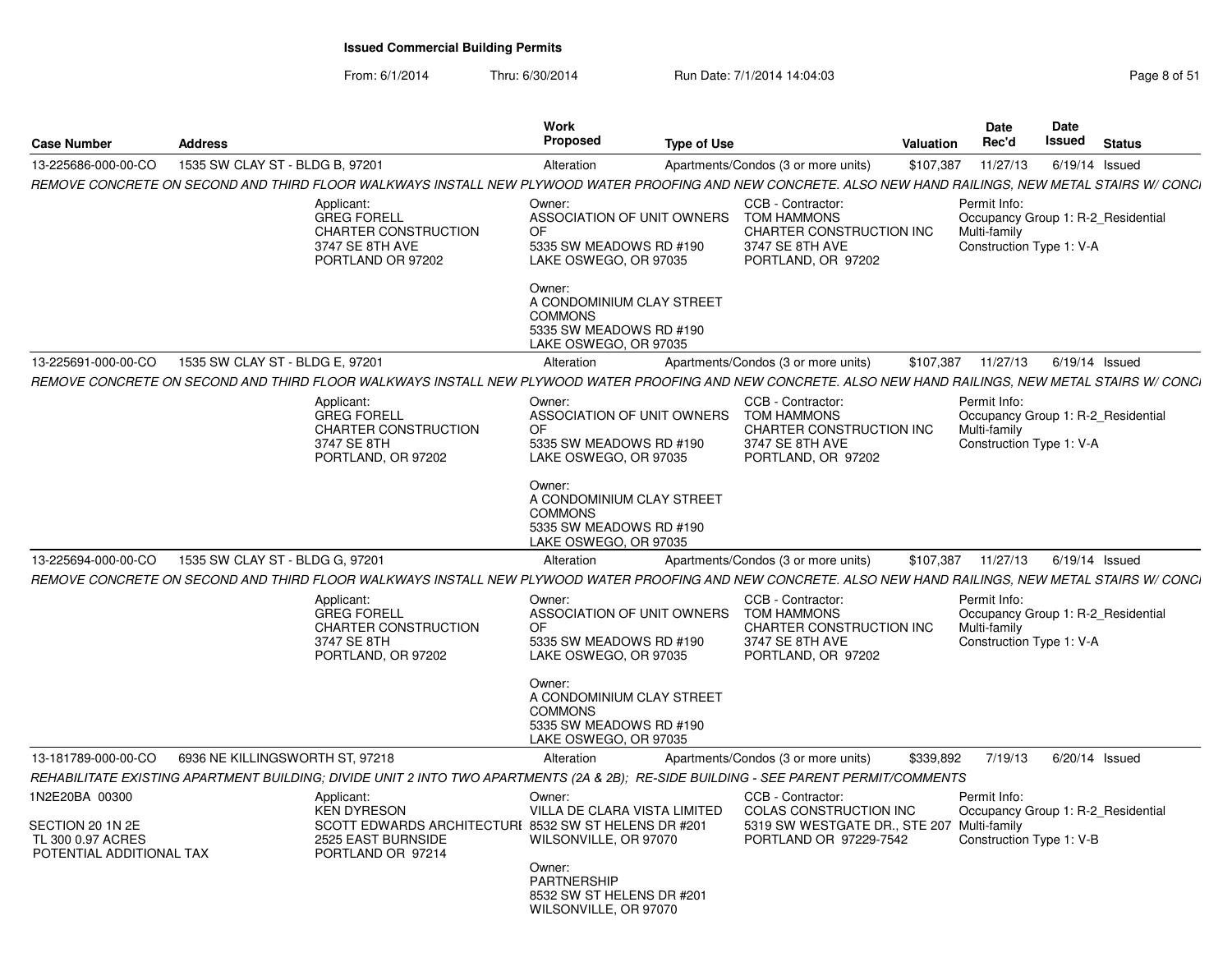From: 6/1/2014Thru: 6/30/2014 Run Date: 7/1/2014 14:04:03 Run Date: 7/1/2014 14:04:03

| <b>Case Number</b>                                                                  | <b>Address</b>                  |                                                                                                                                                                                                                                                            | Work<br><b>Proposed</b>                                                                                   | <b>Type of Use</b> |                                                                                                                            | <b>Valuation</b> | <b>Date</b><br>Rec'd                                                                           | Date<br>Issued   | <b>Status</b> |
|-------------------------------------------------------------------------------------|---------------------------------|------------------------------------------------------------------------------------------------------------------------------------------------------------------------------------------------------------------------------------------------------------|-----------------------------------------------------------------------------------------------------------|--------------------|----------------------------------------------------------------------------------------------------------------------------|------------------|------------------------------------------------------------------------------------------------|------------------|---------------|
| 13-225686-000-00-CO                                                                 | 1535 SW CLAY ST - BLDG B, 97201 |                                                                                                                                                                                                                                                            | Alteration                                                                                                |                    | Apartments/Condos (3 or more units)                                                                                        | \$107,387        | 11/27/13                                                                                       | $6/19/14$ Issued |               |
|                                                                                     |                                 | REMOVE CONCRETE ON SECOND AND THIRD FLOOR WALKWAYS INSTALL NEW PLYWOOD WATER PROOFING AND NEW CONCRETE. ALSO NEW HAND RAILINGS, NEW METAL STAIRS W/ CONCI                                                                                                  |                                                                                                           |                    |                                                                                                                            |                  |                                                                                                |                  |               |
|                                                                                     |                                 | Applicant:<br><b>GREG FORELL</b><br><b>CHARTER CONSTRUCTION</b><br>3747 SE 8TH AVE<br>PORTLAND OR 97202                                                                                                                                                    | Owner:<br>ASSOCIATION OF UNIT OWNERS<br>OF<br>5335 SW MEADOWS RD #190<br>LAKE OSWEGO, OR 97035            |                    | CCB - Contractor:<br><b>TOM HAMMONS</b><br>CHARTER CONSTRUCTION INC<br>3747 SE 8TH AVE<br>PORTLAND, OR 97202               |                  | Permit Info:<br>Occupancy Group 1: R-2_Residential<br>Multi-family<br>Construction Type 1: V-A |                  |               |
|                                                                                     |                                 |                                                                                                                                                                                                                                                            | Owner:<br>A CONDOMINIUM CLAY STREET<br><b>COMMONS</b><br>5335 SW MEADOWS RD #190<br>LAKE OSWEGO, OR 97035 |                    |                                                                                                                            |                  |                                                                                                |                  |               |
| 13-225691-000-00-CO                                                                 | 1535 SW CLAY ST - BLDG E, 97201 |                                                                                                                                                                                                                                                            | Alteration                                                                                                |                    | Apartments/Condos (3 or more units)                                                                                        | \$107,387        | 11/27/13                                                                                       | $6/19/14$ Issued |               |
|                                                                                     |                                 | REMOVE CONCRETE ON SECOND AND THIRD FLOOR WALKWAYS INSTALL NEW PLYWOOD WATER PROOFING AND NEW CONCRETE. ALSO NEW HAND RAILINGS, NEW METAL STAIRS W/ CONCI<br>Applicant:<br><b>GREG FORELL</b><br>CHARTER CONSTRUCTION<br>3747 SE 8TH<br>PORTLAND, OR 97202 | Owner:<br>ASSOCIATION OF UNIT OWNERS<br>0F<br>5335 SW MEADOWS RD #190<br>LAKE OSWEGO, OR 97035            |                    | CCB - Contractor:<br><b>TOM HAMMONS</b><br>CHARTER CONSTRUCTION INC<br>3747 SE 8TH AVE<br>PORTLAND, OR 97202               |                  | Permit Info:<br>Occupancy Group 1: R-2_Residential<br>Multi-family<br>Construction Type 1: V-A |                  |               |
|                                                                                     |                                 |                                                                                                                                                                                                                                                            | Owner:<br>A CONDOMINIUM CLAY STREET<br><b>COMMONS</b><br>5335 SW MEADOWS RD #190<br>LAKE OSWEGO, OR 97035 |                    |                                                                                                                            |                  |                                                                                                |                  |               |
| 13-225694-000-00-CO                                                                 | 1535 SW CLAY ST - BLDG G, 97201 |                                                                                                                                                                                                                                                            | Alteration                                                                                                |                    | Apartments/Condos (3 or more units)                                                                                        |                  | \$107,387 11/27/13                                                                             | $6/19/14$ Issued |               |
|                                                                                     |                                 | REMOVE CONCRETE ON SECOND AND THIRD FLOOR WALKWAYS INSTALL NEW PLYWOOD WATER PROOFING AND NEW CONCRETE. ALSO NEW HAND RAILINGS, NEW METAL STAIRS W/ CONCI                                                                                                  |                                                                                                           |                    |                                                                                                                            |                  |                                                                                                |                  |               |
|                                                                                     |                                 | Applicant:<br><b>GREG FORELL</b><br>CHARTER CONSTRUCTION<br>3747 SE 8TH<br>PORTLAND, OR 97202                                                                                                                                                              | Owner:<br>ASSOCIATION OF UNIT OWNERS<br>0F<br>5335 SW MEADOWS RD #190<br>LAKE OSWEGO, OR 97035            |                    | CCB - Contractor:<br><b>TOM HAMMONS</b><br>CHARTER CONSTRUCTION INC<br>3747 SE 8TH AVE<br>PORTLAND, OR 97202               |                  | Permit Info:<br>Occupancy Group 1: R-2 Residential<br>Multi-family<br>Construction Type 1: V-A |                  |               |
|                                                                                     |                                 |                                                                                                                                                                                                                                                            | Owner:<br>A CONDOMINIUM CLAY STREET<br><b>COMMONS</b><br>5335 SW MEADOWS RD #190<br>LAKE OSWEGO, OR 97035 |                    |                                                                                                                            |                  |                                                                                                |                  |               |
| 13-181789-000-00-CO                                                                 | 6936 NE KILLINGSWORTH ST, 97218 |                                                                                                                                                                                                                                                            | Alteration                                                                                                |                    | Apartments/Condos (3 or more units)                                                                                        | \$339,892        | 7/19/13                                                                                        | $6/20/14$ Issued |               |
|                                                                                     |                                 | REHABILITATE EXISTING APARTMENT BUILDING; DIVIDE UNIT 2 INTO TWO APARTMENTS (2A & 2B); RE-SIDE BUILDING - SEE PARENT PERMIT/COMMENTS                                                                                                                       |                                                                                                           |                    |                                                                                                                            |                  |                                                                                                |                  |               |
| 1N2E20BA 00300<br>SECTION 20 1N 2E<br>TL 300 0.97 ACRES<br>POTENTIAL ADDITIONAL TAX |                                 | Applicant:<br><b>KEN DYRESON</b><br>SCOTT EDWARDS ARCHITECTURI 8532 SW ST HELENS DR #201<br>2525 EAST BURNSIDE<br>PORTLAND OR 97214                                                                                                                        | Owner:<br>VILLA DE CLARA VISTA LIMITED<br>WILSONVILLE, OR 97070                                           |                    | CCB - Contractor:<br><b>COLAS CONSTRUCTION INC</b><br>5319 SW WESTGATE DR., STE 207 Multi-family<br>PORTLAND OR 97229-7542 |                  | Permit Info:<br>Occupancy Group 1: R-2 Residential<br>Construction Type 1: V-B                 |                  |               |
|                                                                                     |                                 |                                                                                                                                                                                                                                                            | Owner:<br><b>PARTNERSHIP</b><br>8532 SW ST HELENS DR #201<br>WILSONVILLE, OR 97070                        |                    |                                                                                                                            |                  |                                                                                                |                  |               |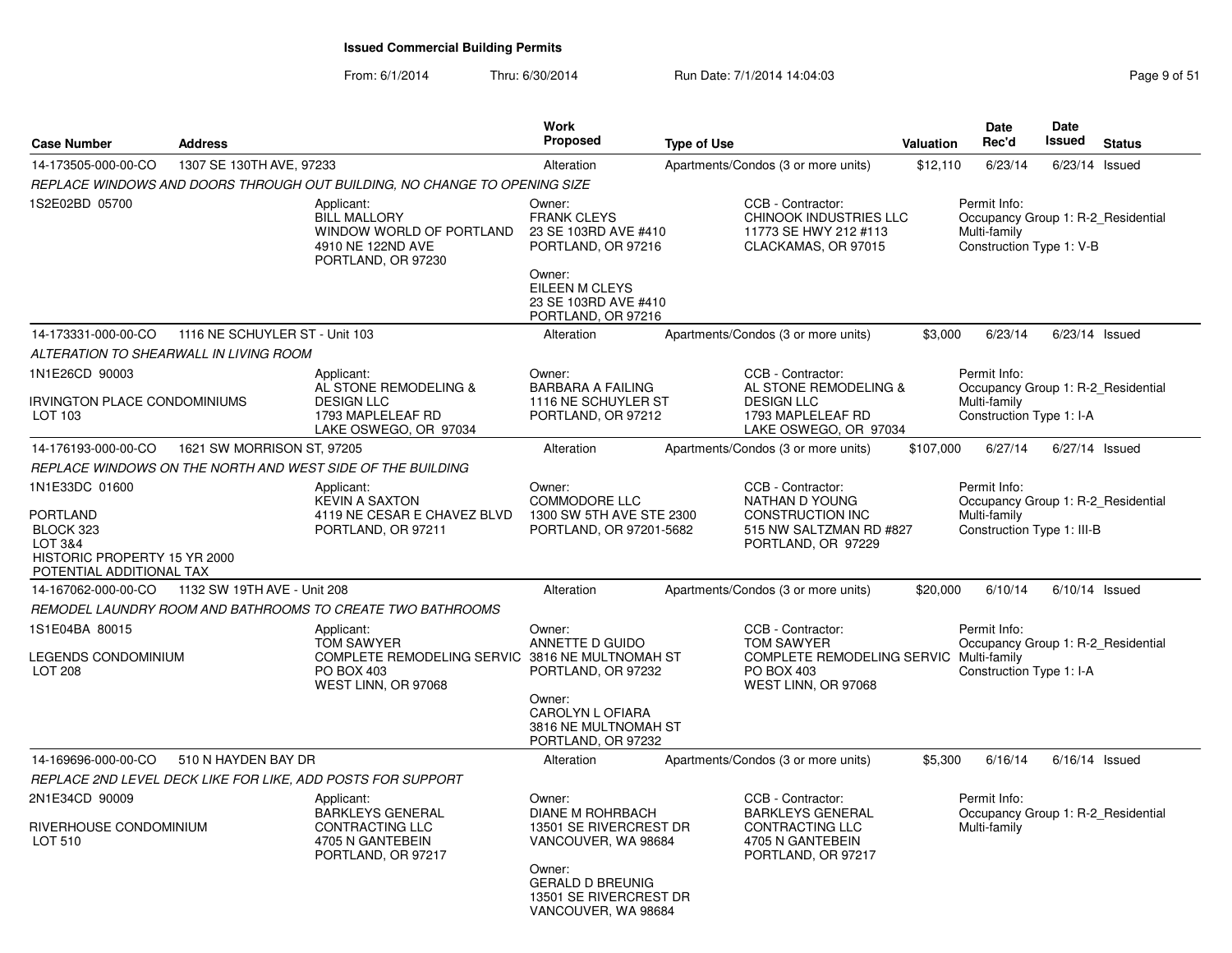From: 6/1/2014Thru: 6/30/2014 Run Date: 7/1/2014 14:04:03 Research 2010 Rage 9 of 51

| <b>Case Number</b>                                                                                                    | <b>Address</b>                         |                                                                                                                         | Work<br><b>Proposed</b>                                                                                                                                           | <b>Type of Use</b> |                                                                                                                               | Valuation | <b>Date</b><br>Rec'd                                                                             | <b>Date</b><br>Issued | <b>Status</b>    |
|-----------------------------------------------------------------------------------------------------------------------|----------------------------------------|-------------------------------------------------------------------------------------------------------------------------|-------------------------------------------------------------------------------------------------------------------------------------------------------------------|--------------------|-------------------------------------------------------------------------------------------------------------------------------|-----------|--------------------------------------------------------------------------------------------------|-----------------------|------------------|
| 14-173505-000-00-CO                                                                                                   | 1307 SE 130TH AVE, 97233               |                                                                                                                         | Alteration                                                                                                                                                        |                    | Apartments/Condos (3 or more units)                                                                                           | \$12,110  | 6/23/14                                                                                          |                       | $6/23/14$ Issued |
|                                                                                                                       |                                        | REPLACE WINDOWS AND DOORS THROUGH OUT BUILDING, NO CHANGE TO OPENING SIZE                                               |                                                                                                                                                                   |                    |                                                                                                                               |           |                                                                                                  |                       |                  |
| 1S2E02BD 05700                                                                                                        |                                        | Applicant:<br><b>BILL MALLORY</b><br>WINDOW WORLD OF PORTLAND<br>4910 NE 122ND AVE<br>PORTLAND, OR 97230                | Owner:<br><b>FRANK CLEYS</b><br>23 SE 103RD AVE #410<br>PORTLAND, OR 97216<br>Owner:<br>EILEEN M CLEYS<br>23 SE 103RD AVE #410                                    |                    | CCB - Contractor:<br><b>CHINOOK INDUSTRIES LLC</b><br>11773 SE HWY 212 #113<br>CLACKAMAS, OR 97015                            |           | Permit Info:<br>Occupancy Group 1: R-2 Residential<br>Multi-family<br>Construction Type 1: V-B   |                       |                  |
|                                                                                                                       |                                        |                                                                                                                         | PORTLAND, OR 97216                                                                                                                                                |                    |                                                                                                                               |           |                                                                                                  |                       |                  |
| 14-173331-000-00-CO                                                                                                   | 1116 NE SCHUYLER ST - Unit 103         |                                                                                                                         | Alteration                                                                                                                                                        |                    | Apartments/Condos (3 or more units)                                                                                           | \$3,000   | 6/23/14                                                                                          |                       | $6/23/14$ Issued |
|                                                                                                                       | ALTERATION TO SHEARWALL IN LIVING ROOM |                                                                                                                         |                                                                                                                                                                   |                    |                                                                                                                               |           |                                                                                                  |                       |                  |
| 1N1E26CD 90003<br><b>IRVINGTON PLACE CONDOMINIUMS</b><br>LOT 103                                                      |                                        | Applicant:<br>AL STONE REMODELING &<br><b>DESIGN LLC</b><br>1793 MAPLELEAF RD<br>LAKE OSWEGO, OR 97034                  | Owner:<br><b>BARBARA A FAILING</b><br>1116 NE SCHUYLER ST<br>PORTLAND, OR 97212                                                                                   |                    | CCB - Contractor:<br>AL STONE REMODELING &<br><b>DESIGN LLC</b><br>1793 MAPLELEAF RD<br>LAKE OSWEGO, OR 97034                 |           | Permit Info:<br>Occupancy Group 1: R-2_Residential<br>Multi-family<br>Construction Type 1: I-A   |                       |                  |
| 14-176193-000-00-CO                                                                                                   | 1621 SW MORRISON ST, 97205             |                                                                                                                         | Alteration                                                                                                                                                        |                    | Apartments/Condos (3 or more units)                                                                                           | \$107,000 | 6/27/14                                                                                          |                       | $6/27/14$ Issued |
|                                                                                                                       |                                        | REPLACE WINDOWS ON THE NORTH AND WEST SIDE OF THE BUILDING                                                              |                                                                                                                                                                   |                    |                                                                                                                               |           |                                                                                                  |                       |                  |
| 1N1E33DC 01600<br><b>PORTLAND</b><br>BLOCK 323<br>LOT 3&4<br>HISTORIC PROPERTY 15 YR 2000<br>POTENTIAL ADDITIONAL TAX |                                        | Applicant:<br><b>KEVIN A SAXTON</b><br>4119 NE CESAR E CHAVEZ BLVD<br>PORTLAND, OR 97211                                | Owner:<br><b>COMMODORE LLC</b><br>1300 SW 5TH AVE STE 2300<br>PORTLAND, OR 97201-5682                                                                             |                    | CCB - Contractor:<br>NATHAN D YOUNG<br>CONSTRUCTION INC<br>515 NW SALTZMAN RD #827<br>PORTLAND, OR 97229                      |           | Permit Info:<br>Occupancy Group 1: R-2 Residential<br>Multi-family<br>Construction Type 1: III-B |                       |                  |
| 14-167062-000-00-CO                                                                                                   | 1132 SW 19TH AVE - Unit 208            |                                                                                                                         | Alteration                                                                                                                                                        |                    | Apartments/Condos (3 or more units)                                                                                           | \$20,000  | 6/10/14                                                                                          |                       | $6/10/14$ Issued |
|                                                                                                                       |                                        | REMODEL LAUNDRY ROOM AND BATHROOMS TO CREATE TWO BATHROOMS                                                              |                                                                                                                                                                   |                    |                                                                                                                               |           |                                                                                                  |                       |                  |
| 1S1E04BA 80015<br>LEGENDS CONDOMINIUM<br><b>LOT 208</b>                                                               |                                        | Applicant:<br><b>TOM SAWYER</b><br>COMPLETE REMODELING SERVIC 3816 NE MULTNOMAH ST<br>PO BOX 403<br>WEST LINN, OR 97068 | Owner:<br>ANNETTE D GUIDO<br>PORTLAND, OR 97232<br>Owner:<br>CAROLYN L OFIARA<br>3816 NE MULTNOMAH ST<br>PORTLAND, OR 97232                                       |                    | CCB - Contractor:<br><b>TOM SAWYER</b><br><b>COMPLETE REMODELING SERVIC Multi-family</b><br>PO BOX 403<br>WEST LINN, OR 97068 |           | Permit Info:<br>Occupancy Group 1: R-2 Residential<br>Construction Type 1: I-A                   |                       |                  |
| 14-169696-000-00-CO                                                                                                   | 510 N HAYDEN BAY DR                    |                                                                                                                         | Alteration                                                                                                                                                        |                    | Apartments/Condos (3 or more units)                                                                                           | \$5,300   | 6/16/14                                                                                          |                       | $6/16/14$ Issued |
|                                                                                                                       |                                        | REPLACE 2ND LEVEL DECK LIKE FOR LIKE, ADD POSTS FOR SUPPORT                                                             |                                                                                                                                                                   |                    |                                                                                                                               |           |                                                                                                  |                       |                  |
| 2N1E34CD 90009<br>RIVERHOUSE CONDOMINIUM<br>LOT 510                                                                   |                                        | Applicant:<br>BARKLEYS GENERAL<br><b>CONTRACTING LLC</b><br>4705 N GANTEBEIN<br>PORTLAND, OR 97217                      | Owner:<br>DIANE M ROHRBACH<br>13501 SE RIVERCREST DR<br>VANCOUVER, WA 98684<br>Owner:<br><b>GERALD D BREUNIG</b><br>13501 SE RIVERCREST DR<br>VANCOUVER, WA 98684 |                    | CCB - Contractor:<br><b>BARKLEYS GENERAL</b><br><b>CONTRACTING LLC</b><br>4705 N GANTEBEIN<br>PORTLAND, OR 97217              |           | Permit Info:<br>Occupancy Group 1: R-2_Residential<br>Multi-family                               |                       |                  |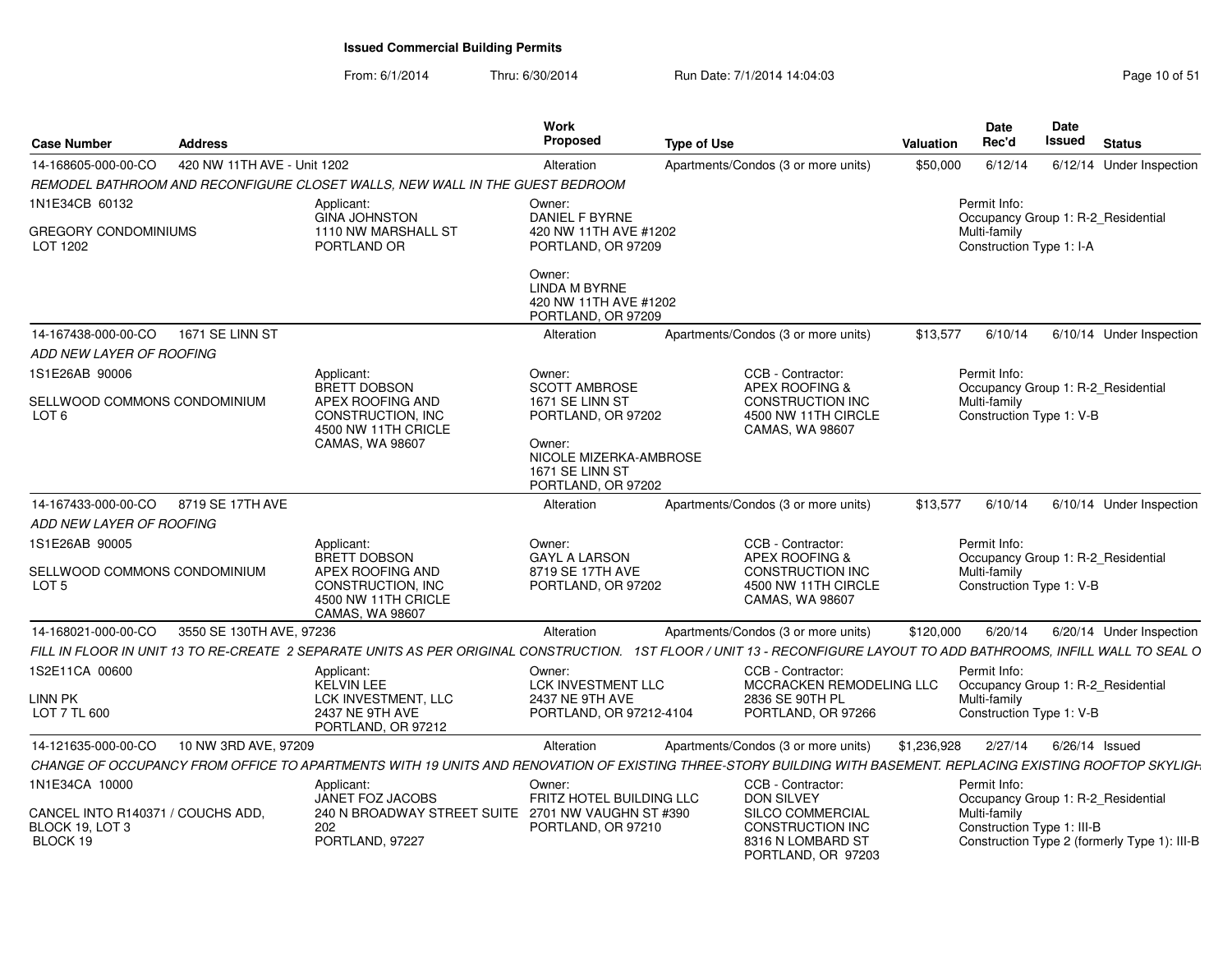From: 6/1/2014Thru: 6/30/2014 Run Date: 7/1/2014 14:04:03 Research 2010 of 51

| <b>Case Number</b><br><b>Address</b>             |                                                                                                                                                                       | <b>Work</b><br><b>Proposed</b>                                                | <b>Type of Use</b>                                                 | Valuation   | Date<br>Rec'd                            | <b>Date</b><br>Issued<br><b>Status</b>       |
|--------------------------------------------------|-----------------------------------------------------------------------------------------------------------------------------------------------------------------------|-------------------------------------------------------------------------------|--------------------------------------------------------------------|-------------|------------------------------------------|----------------------------------------------|
| 14-168605-000-00-CO                              | 420 NW 11TH AVE - Unit 1202                                                                                                                                           | Alteration                                                                    | Apartments/Condos (3 or more units)                                | \$50,000    | 6/12/14                                  | 6/12/14 Under Inspection                     |
|                                                  | REMODEL BATHROOM AND RECONFIGURE CLOSET WALLS, NEW WALL IN THE GUEST BEDROOM                                                                                          |                                                                               |                                                                    |             |                                          |                                              |
| 1N1E34CB 60132                                   | Applicant:<br><b>GINA JOHNSTON</b>                                                                                                                                    | Owner:<br>DANIEL F BYRNE                                                      |                                                                    |             | Permit Info:                             | Occupancy Group 1: R-2_Residential           |
| GREGORY CONDOMINIUMS<br>LOT 1202                 | 1110 NW MARSHALL ST<br>PORTLAND OR                                                                                                                                    | 420 NW 11TH AVE #1202<br>PORTLAND, OR 97209                                   |                                                                    |             | Multi-family<br>Construction Type 1: I-A |                                              |
|                                                  |                                                                                                                                                                       | Owner:<br><b>LINDA M BYRNE</b><br>420 NW 11TH AVE #1202<br>PORTLAND, OR 97209 |                                                                    |             |                                          |                                              |
| 14-167438-000-00-CO<br>1671 SE LINN ST           |                                                                                                                                                                       | Alteration                                                                    | Apartments/Condos (3 or more units)                                | \$13,577    | 6/10/14                                  | 6/10/14 Under Inspection                     |
| ADD NEW LAYER OF ROOFING                         |                                                                                                                                                                       |                                                                               |                                                                    |             |                                          |                                              |
| 1S1E26AB 90006                                   | Applicant:<br>BRETT DOBSON                                                                                                                                            | Owner:<br><b>SCOTT AMBROSE</b>                                                | CCB - Contractor:<br>APEX ROOFING &                                |             | Permit Info:                             | Occupancy Group 1: R-2_Residential           |
| SELLWOOD COMMONS CONDOMINIUM<br>LOT <sub>6</sub> | APEX ROOFING AND<br>CONSTRUCTION, INC<br>4500 NW 11TH CRICLE                                                                                                          | 1671 SE LINN ST<br>PORTLAND, OR 97202                                         | <b>CONSTRUCTION INC</b><br>4500 NW 11TH CIRCLE<br>CAMAS, WA 98607  |             | Multi-family<br>Construction Type 1: V-B |                                              |
|                                                  | CAMAS, WA 98607                                                                                                                                                       | Owner:<br>NICOLE MIZERKA-AMBROSE<br>1671 SE LINN ST<br>PORTLAND, OR 97202     |                                                                    |             |                                          |                                              |
| 14-167433-000-00-CO 8719 SE 17TH AVE             |                                                                                                                                                                       | Alteration                                                                    | Apartments/Condos (3 or more units)                                | \$13,577    | 6/10/14                                  | 6/10/14 Under Inspection                     |
| ADD NEW LAYER OF ROOFING                         |                                                                                                                                                                       |                                                                               |                                                                    |             |                                          |                                              |
| 1S1E26AB 90005                                   | Applicant:                                                                                                                                                            | Owner:                                                                        | CCB - Contractor:                                                  |             | Permit Info:                             |                                              |
| SELLWOOD COMMONS CONDOMINIUM                     | BRETT DOBSON<br>APEX ROOFING AND                                                                                                                                      | <b>GAYL A LARSON</b><br>8719 SE 17TH AVE                                      | <b>APEX ROOFING &amp;</b><br><b>CONSTRUCTION INC</b>               |             | Multi-family                             | Occupancy Group 1: R-2_Residential           |
| LOT <sub>5</sub>                                 | CONSTRUCTION, INC.<br>4500 NW 11TH CRICLE<br><b>CAMAS, WA 98607</b>                                                                                                   | PORTLAND, OR 97202                                                            | 4500 NW 11TH CIRCLE<br>CAMAS, WA 98607                             |             | Construction Type 1: V-B                 |                                              |
| 14-168021-000-00-CO                              | 3550 SE 130TH AVE, 97236                                                                                                                                              | Alteration                                                                    | Apartments/Condos (3 or more units)                                | \$120,000   | 6/20/14                                  | 6/20/14 Under Inspection                     |
|                                                  | FILL IN FLOOR IN UNIT 13 TO RE-CREATE 2 SEPARATE UNITS AS PER ORIGINAL CONSTRUCTION. 1ST FLOOR / UNIT 13 - RECONFIGURE LAYOUT TO ADD BATHROOMS, INFILL WALL TO SEAL O |                                                                               |                                                                    |             |                                          |                                              |
| 1S2E11CA 00600                                   | Applicant:<br><b>KELVIN LEE</b>                                                                                                                                       | Owner:<br>LCK INVESTMENT LLC                                                  | CCB - Contractor:<br>MCCRACKEN REMODELING LLC                      |             | Permit Info:                             | Occupancy Group 1: R-2_Residential           |
| <b>LINN PK</b><br>LOT 7 TL 600                   | LCK INVESTMENT. LLC<br>2437 NE 9TH AVE<br>PORTLAND, OR 97212                                                                                                          | 2437 NE 9TH AVE<br>PORTLAND, OR 97212-4104                                    | 2836 SE 90TH PL<br>PORTLAND, OR 97266                              |             | Multi-family<br>Construction Type 1: V-B |                                              |
| 14-121635-000-00-CO                              | 10 NW 3RD AVE, 97209                                                                                                                                                  | Alteration                                                                    | Apartments/Condos (3 or more units)                                | \$1,236,928 | 2/27/14                                  | 6/26/14 Issued                               |
|                                                  | CHANGE OF OCCUPANCY FROM OFFICE TO APARTMENTS WITH 19 UNITS AND RENOVATION OF EXISTING THREE-STORY BUILDING WITH BASEMENT. REPLACING EXISTING ROOFTOP SKYLIGH         |                                                                               |                                                                    |             |                                          |                                              |
| 1N1E34CA 10000                                   | Applicant:                                                                                                                                                            | Owner:                                                                        | CCB - Contractor:                                                  |             | Permit Info:                             |                                              |
| CANCEL INTO R140371 / COUCHS ADD.                | JANET FOZ JACOBS<br>240 N BROADWAY STREET SUITE 2701 NW VAUGHN ST #390                                                                                                | FRITZ HOTEL BUILDING LLC                                                      | <b>DON SILVEY</b><br><b>SILCO COMMERCIAL</b>                       |             | Multi-family                             | Occupancy Group 1: R-2 Residential           |
| BLOCK 19, LOT 3<br>BLOCK 19                      | 202<br>PORTLAND, 97227                                                                                                                                                | PORTLAND, OR 97210                                                            | <b>CONSTRUCTION INC</b><br>8316 N LOMBARD ST<br>PORTLAND, OR 97203 |             | Construction Type 1: III-B               | Construction Type 2 (formerly Type 1): III-B |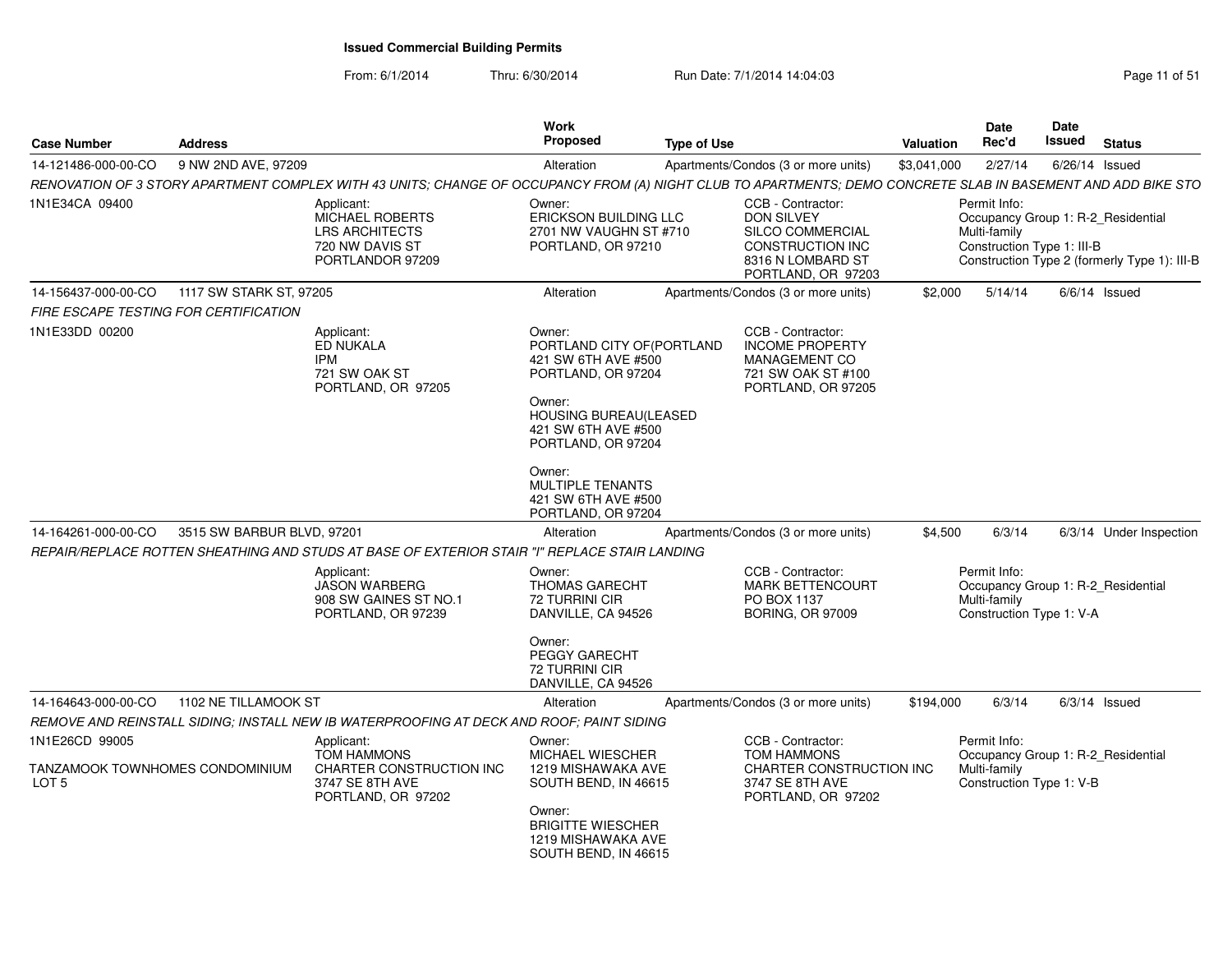From: 6/1/2014Thru: 6/30/2014 Run Date: 7/1/2014 14:04:03 Research 2010 Rage 11 of 51

| <b>Case Number</b>                                | <b>Address</b>                                 |                                                                                                      | Work<br>Proposed                                                                                                                                                                                                                                    | <b>Type of Use</b>                                                                                                                                            | Date<br>Rec'd<br>Valuation   | Date<br>Issued<br>Status                                                                                         |
|---------------------------------------------------|------------------------------------------------|------------------------------------------------------------------------------------------------------|-----------------------------------------------------------------------------------------------------------------------------------------------------------------------------------------------------------------------------------------------------|---------------------------------------------------------------------------------------------------------------------------------------------------------------|------------------------------|------------------------------------------------------------------------------------------------------------------|
|                                                   | 14-121486-000-00-CO 9 NW 2ND AVE, 97209        |                                                                                                      | Alteration                                                                                                                                                                                                                                          | Apartments/Condos (3 or more units)                                                                                                                           | \$3,041,000<br>2/27/14       | 6/26/14 Issued                                                                                                   |
|                                                   |                                                |                                                                                                      |                                                                                                                                                                                                                                                     | RENOVATION OF 3 STORY APARTMENT COMPLEX WITH 43 UNITS; CHANGE OF OCCUPANCY FROM (A) NIGHT CLUB TO APARTMENTS; DEMO CONCRETE SLAB IN BASEMENT AND ADD BIKE STO |                              |                                                                                                                  |
| 1N1E34CA 09400                                    |                                                | Applicant:<br><b>MICHAEL ROBERTS</b><br><b>LRS ARCHITECTS</b><br>720 NW DAVIS ST<br>PORTLANDOR 97209 | Owner:<br>ERICKSON BUILDING LLC<br>2701 NW VAUGHN ST #710<br>PORTLAND, OR 97210                                                                                                                                                                     | CCB - Contractor:<br>DON SILVEY<br>SILCO COMMERCIAL<br><b>CONSTRUCTION INC</b><br>8316 N LOMBARD ST<br>PORTLAND, OR 97203                                     | Permit Info:<br>Multi-family | Occupancy Group 1: R-2_Residential<br>Construction Type 1: III-B<br>Construction Type 2 (formerly Type 1): III-B |
|                                                   | 14-156437-000-00-CO 1117 SW STARK ST, 97205    |                                                                                                      | Alteration                                                                                                                                                                                                                                          | Apartments/Condos (3 or more units)                                                                                                                           |                              | \$2,000  5/14/14  6/6/14  Issued                                                                                 |
| FIRE ESCAPE TESTING FOR CERTIFICATION             |                                                |                                                                                                      |                                                                                                                                                                                                                                                     |                                                                                                                                                               |                              |                                                                                                                  |
| 1N1E33DD 00200                                    |                                                | Applicant:<br>ED NUKALA<br>IPM<br>721 SW OAK ST<br>PORTLAND, OR 97205                                | Owner:<br>PORTLAND CITY OF (PORTLAND<br>421 SW 6TH AVE #500<br>PORTLAND, OR 97204<br>Owner:<br><b>HOUSING BUREAU(LEASED</b><br>421 SW 6TH AVE #500<br>PORTLAND, OR 97204<br>Owner:<br>MULTIPLE TENANTS<br>421 SW 6TH AVE #500<br>PORTLAND, OR 97204 | CCB - Contractor:<br><b>INCOME PROPERTY</b><br>MANAGEMENT CO<br>721 SW OAK ST #100<br>PORTLAND, OR 97205                                                      |                              |                                                                                                                  |
|                                                   | 14-164261-000-00-CO 3515 SW BARBUR BLVD, 97201 |                                                                                                      | Alteration                                                                                                                                                                                                                                          | Apartments/Condos (3 or more units)                                                                                                                           | \$4,500                      | 6/3/14<br>6/3/14 Under Inspection                                                                                |
|                                                   |                                                | REPAIR/REPLACE ROTTEN SHEATHING AND STUDS AT BASE OF EXTERIOR STAIR "I" REPLACE STAIR LANDING        |                                                                                                                                                                                                                                                     |                                                                                                                                                               |                              |                                                                                                                  |
|                                                   |                                                | Applicant:<br>JASON WARBERG<br>908 SW GAINES ST NO.1<br>PORTLAND, OR 97239                           | Owner:<br>THOMAS GARECHT<br>72 TURRINI CIR<br>DANVILLE, CA 94526<br>Owner:<br>PEGGY GARECHT<br>72 TURRINI CIR<br>DANVILLE, CA 94526                                                                                                                 | CCB - Contractor:<br><b>MARK BETTENCOURT</b><br>PO BOX 1137<br><b>BORING, OR 97009</b>                                                                        | Permit Info:<br>Multi-family | Occupancy Group 1: R-2_Residential<br>Construction Type 1: V-A                                                   |
|                                                   | 14-164643-000-00-CO 1102 NE TILLAMOOK ST       |                                                                                                      | Alteration                                                                                                                                                                                                                                          | Apartments/Condos (3 or more units)                                                                                                                           | \$194,000                    | 6/3/14<br>6/3/14 Issued                                                                                          |
|                                                   |                                                | REMOVE AND REINSTALL SIDING; INSTALL NEW IB WATERPROOFING AT DECK AND ROOF; PAINT SIDING             |                                                                                                                                                                                                                                                     |                                                                                                                                                               |                              |                                                                                                                  |
| 1N1E26CD 99005<br>TANZAMOOK TOWNHOMES CONDOMINIUM |                                                | Applicant:<br><b>TOM HAMMONS</b><br>CHARTER CONSTRUCTION INC                                         | Owner:<br>MICHAEL WIESCHER<br>1219 MISHAWAKA AVE                                                                                                                                                                                                    | CCB - Contractor:<br><b>TOM HAMMONS</b><br>CHARTER CONSTRUCTION INC                                                                                           | Permit Info:<br>Multi-family | Occupancy Group 1: R-2_Residential                                                                               |
| LOT <sub>5</sub>                                  |                                                | 3747 SE 8TH AVE<br>PORTLAND, OR 97202                                                                | SOUTH BEND, IN 46615<br>Owner:<br><b>BRIGITTE WIESCHER</b><br>1219 MISHAWAKA AVE<br>SOUTH BEND, IN 46615                                                                                                                                            | 3747 SE 8TH AVE<br>PORTLAND, OR 97202                                                                                                                         |                              | Construction Type 1: V-B                                                                                         |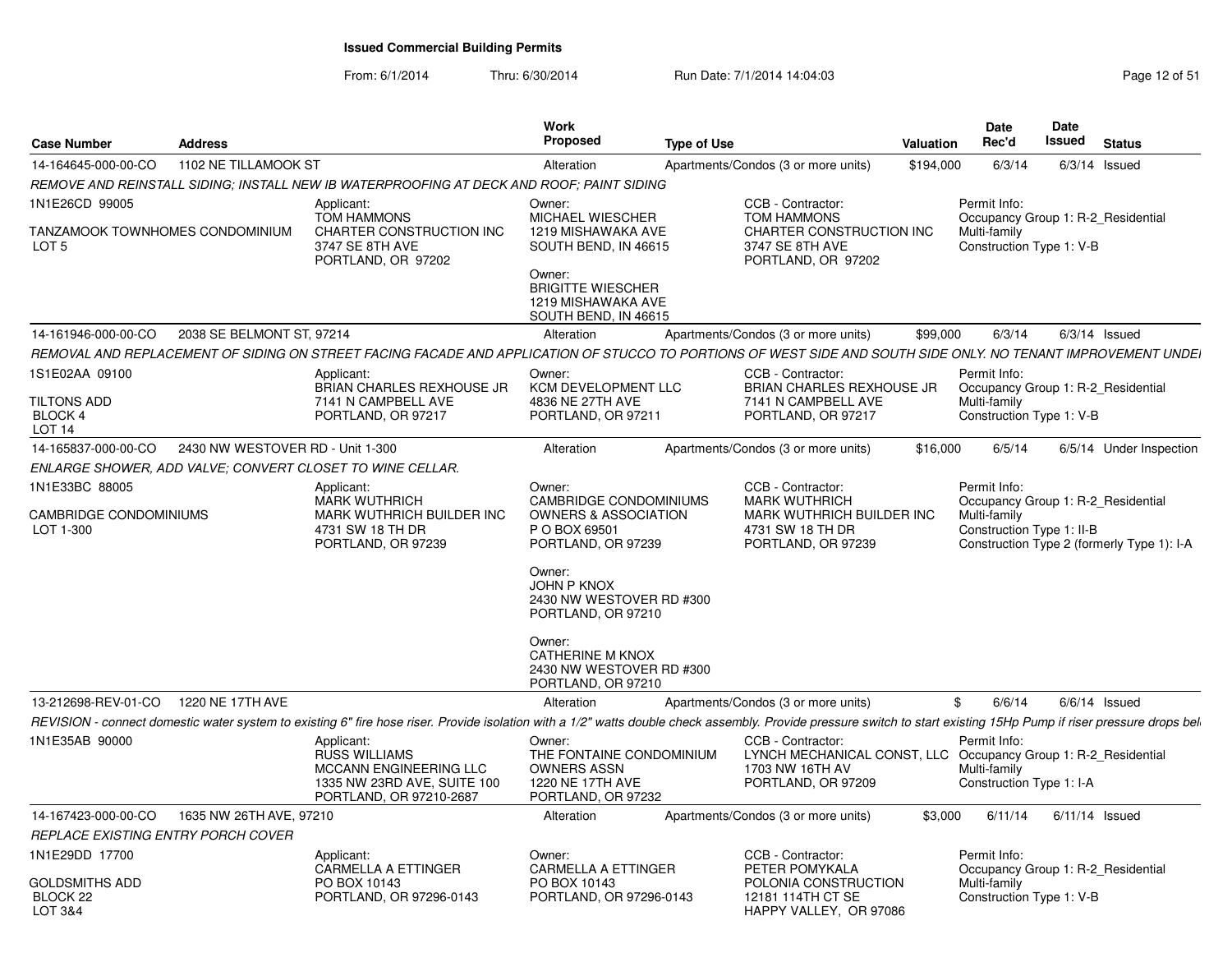From: 6/1/2014Thru: 6/30/2014 Run Date: 7/1/2014 14:04:03 Research 2010 Rage 12 of 51

| Case Number                                                           | <b>Address</b>                   |                                                                                                                                                                                                                     | Work<br>Proposed                                                                                   | <b>Type of Use</b> |                                                                                                                              | Valuation | <b>Date</b><br>Rec'd                                                                           | Date<br>Issued | <b>Status</b>                              |
|-----------------------------------------------------------------------|----------------------------------|---------------------------------------------------------------------------------------------------------------------------------------------------------------------------------------------------------------------|----------------------------------------------------------------------------------------------------|--------------------|------------------------------------------------------------------------------------------------------------------------------|-----------|------------------------------------------------------------------------------------------------|----------------|--------------------------------------------|
| 14-164645-000-00-CO                                                   | 1102 NE TILLAMOOK ST             |                                                                                                                                                                                                                     | Alteration                                                                                         |                    | Apartments/Condos (3 or more units)                                                                                          | \$194,000 | 6/3/14                                                                                         |                | $6/3/14$ Issued                            |
|                                                                       |                                  | REMOVE AND REINSTALL SIDING; INSTALL NEW IB WATERPROOFING AT DECK AND ROOF; PAINT SIDING                                                                                                                            |                                                                                                    |                    |                                                                                                                              |           |                                                                                                |                |                                            |
| 1N1E26CD 99005<br>TANZAMOOK TOWNHOMES CONDOMINIUM<br>LOT <sub>5</sub> |                                  | Applicant:<br><b>TOM HAMMONS</b><br>CHARTER CONSTRUCTION INC<br>3747 SE 8TH AVE                                                                                                                                     | Owner:<br><b>MICHAEL WIESCHER</b><br>1219 MISHAWAKA AVE<br>SOUTH BEND, IN 46615                    |                    | CCB - Contractor:<br><b>TOM HAMMONS</b><br>CHARTER CONSTRUCTION INC<br>3747 SE 8TH AVE                                       |           | Permit Info:<br>Occupancy Group 1: R-2 Residential<br>Multi-family<br>Construction Type 1: V-B |                |                                            |
|                                                                       |                                  | PORTLAND, OR 97202                                                                                                                                                                                                  | Owner:<br><b>BRIGITTE WIESCHER</b><br>1219 MISHAWAKA AVE<br>SOUTH BEND, IN 46615                   |                    | PORTLAND, OR 97202                                                                                                           |           |                                                                                                |                |                                            |
| 14-161946-000-00-CO                                                   | 2038 SE BELMONT ST, 97214        |                                                                                                                                                                                                                     | Alteration                                                                                         |                    | Apartments/Condos (3 or more units)                                                                                          | \$99,000  | 6/3/14                                                                                         |                | $6/3/14$ Issued                            |
|                                                                       |                                  | REMOVAL AND REPLACEMENT OF SIDING ON STREET FACING FACADE AND APPLICATION OF STUCCO TO PORTIONS OF WEST SIDE AND SOUTH SIDE ONLY. NO TENANT IMPROVEMENT UNDEI                                                       |                                                                                                    |                    |                                                                                                                              |           |                                                                                                |                |                                            |
| 1S1E02AA 09100                                                        |                                  | Applicant:                                                                                                                                                                                                          | Owner:                                                                                             |                    | CCB - Contractor:                                                                                                            |           | Permit Info:                                                                                   |                |                                            |
| TILTONS ADD<br>BLOCK 4                                                |                                  | <b>BRIAN CHARLES REXHOUSE JR</b><br>7141 N CAMPBELL AVE<br>PORTLAND, OR 97217                                                                                                                                       | KCM DEVELOPMENT LLC<br>4836 NE 27TH AVE<br>PORTLAND, OR 97211                                      |                    | <b>BRIAN CHARLES REXHOUSE JR</b><br>7141 N CAMPBELL AVE<br>PORTLAND, OR 97217                                                |           | Occupancy Group 1: R-2 Residential<br>Multi-family<br>Construction Type 1: V-B                 |                |                                            |
| LOT <sub>14</sub><br>14-165837-000-00-CO                              | 2430 NW WESTOVER RD - Unit 1-300 |                                                                                                                                                                                                                     | Alteration                                                                                         |                    | Apartments/Condos (3 or more units)                                                                                          | \$16,000  | 6/5/14                                                                                         |                | 6/5/14 Under Inspection                    |
|                                                                       |                                  | ENLARGE SHOWER, ADD VALVE; CONVERT CLOSET TO WINE CELLAR.                                                                                                                                                           |                                                                                                    |                    |                                                                                                                              |           |                                                                                                |                |                                            |
| 1N1E33BC 88005                                                        |                                  | Applicant:                                                                                                                                                                                                          | Owner:                                                                                             |                    | CCB - Contractor:                                                                                                            |           | Permit Info:                                                                                   |                |                                            |
|                                                                       |                                  | <b>MARK WUTHRICH</b>                                                                                                                                                                                                | CAMBRIDGE CONDOMINIUMS                                                                             |                    | <b>MARK WUTHRICH</b>                                                                                                         |           | Occupancy Group 1: R-2 Residential                                                             |                |                                            |
| CAMBRIDGE CONDOMINIUMS<br>LOT 1-300                                   |                                  | MARK WUTHRICH BUILDER INC<br>4731 SW 18 TH DR<br>PORTLAND, OR 97239                                                                                                                                                 | <b>OWNERS &amp; ASSOCIATION</b><br>P O BOX 69501<br>PORTLAND, OR 97239                             |                    | MARK WUTHRICH BUILDER INC<br>4731 SW 18 TH DR<br>PORTLAND, OR 97239                                                          |           | Multi-family<br>Construction Type 1: II-B                                                      |                | Construction Type 2 (formerly Type 1): I-A |
|                                                                       |                                  |                                                                                                                                                                                                                     | Owner:<br><b>JOHN P KNOX</b><br>2430 NW WESTOVER RD #300<br>PORTLAND, OR 97210                     |                    |                                                                                                                              |           |                                                                                                |                |                                            |
|                                                                       |                                  |                                                                                                                                                                                                                     | Owner:<br>CATHERINE M KNOX<br>2430 NW WESTOVER RD #300<br>PORTLAND, OR 97210                       |                    |                                                                                                                              |           |                                                                                                |                |                                            |
| 13-212698-REV-01-CO                                                   | 1220 NE 17TH AVE                 |                                                                                                                                                                                                                     | Alteration                                                                                         |                    | Apartments/Condos (3 or more units)                                                                                          |           | 6/6/14<br>\$                                                                                   |                | $6/6/14$ Issued                            |
|                                                                       |                                  | REVISION - connect domestic water system to existing 6" fire hose riser. Provide isolation with a 1/2" watts double check assembly. Provide pressure switch to start existing 15Hp Pump if riser pressure drops bel |                                                                                                    |                    |                                                                                                                              |           |                                                                                                |                |                                            |
| 1N1E35AB 90000                                                        |                                  | Applicant:<br><b>RUSS WILLIAMS</b><br>MCCANN ENGINEERING LLC<br>1335 NW 23RD AVE, SUITE 100<br>PORTLAND, OR 97210-2687                                                                                              | Owner:<br>THE FONTAINE CONDOMINIUM<br><b>OWNERS ASSN</b><br>1220 NE 17TH AVE<br>PORTLAND, OR 97232 |                    | CCB - Contractor:<br>LYNCH MECHANICAL CONST, LLC Occupancy Group 1: R-2_Residential<br>1703 NW 16TH AV<br>PORTLAND, OR 97209 |           | Permit Info:<br>Multi-family<br>Construction Type 1: I-A                                       |                |                                            |
| 14-167423-000-00-CO                                                   | 1635 NW 26TH AVE, 97210          |                                                                                                                                                                                                                     | Alteration                                                                                         |                    | Apartments/Condos (3 or more units)                                                                                          | \$3,000   | 6/11/14                                                                                        |                | $6/11/14$ Issued                           |
| REPLACE EXISTING ENTRY PORCH COVER                                    |                                  |                                                                                                                                                                                                                     |                                                                                                    |                    |                                                                                                                              |           |                                                                                                |                |                                            |
| 1N1E29DD 17700                                                        |                                  | Applicant:<br><b>CARMELLA A ETTINGER</b>                                                                                                                                                                            | Owner:<br><b>CARMELLA A ETTINGER</b>                                                               |                    | CCB - Contractor:<br>PETER POMYKALA                                                                                          |           | Permit Info:<br>Occupancy Group 1: R-2 Residential                                             |                |                                            |
| GOLDSMITHS ADD<br>BLOCK 22<br>LOT 3&4                                 |                                  | PO BOX 10143<br>PORTLAND, OR 97296-0143                                                                                                                                                                             | PO BOX 10143<br>PORTLAND, OR 97296-0143                                                            |                    | POLONIA CONSTRUCTION<br>12181 114TH CT SE<br>HAPPY VALLEY, OR 97086                                                          |           | Multi-family<br>Construction Type 1: V-B                                                       |                |                                            |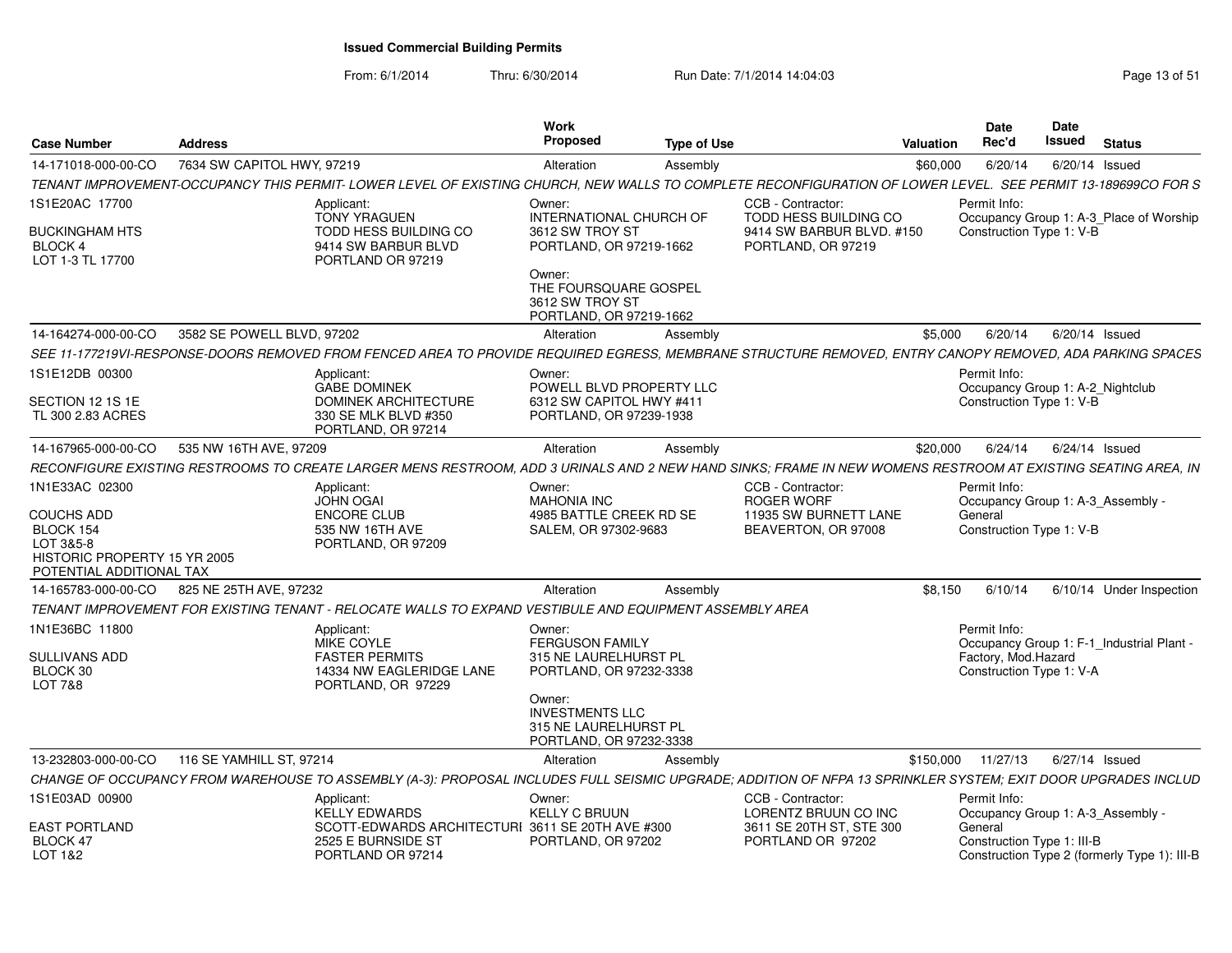From: 6/1/2014Thru: 6/30/2014 Run Date: 7/1/2014 14:04:03 Research 2010 Rage 13 of 51

| Case Number                                                                                             | <b>Address</b>                                                                                                                                                | <b>Work</b><br>Proposed                                                  | <b>Type of Use</b>                                                                                                                                       |                                                                                 | Valuation | <b>Date</b><br>Rec'd                                                                                                     | Date<br>Issued | <b>Status</b> |                          |
|---------------------------------------------------------------------------------------------------------|---------------------------------------------------------------------------------------------------------------------------------------------------------------|--------------------------------------------------------------------------|----------------------------------------------------------------------------------------------------------------------------------------------------------|---------------------------------------------------------------------------------|-----------|--------------------------------------------------------------------------------------------------------------------------|----------------|---------------|--------------------------|
| 14-171018-000-00-CO                                                                                     | 7634 SW CAPITOL HWY, 97219                                                                                                                                    | Alteration                                                               | Assembly                                                                                                                                                 |                                                                                 | \$60,000  | 6/20/14                                                                                                                  | 6/20/14 Issued |               |                          |
|                                                                                                         | TENANT IMPROVEMENT-OCCUPANCY THIS PERMIT- LOWER LEVEL OF EXISTING CHURCH, NEW WALLS TO COMPLETE RECONFIGURATION OF LOWER LEVEL. SEE PERMIT 13-189699CO FOR S  |                                                                          |                                                                                                                                                          |                                                                                 |           |                                                                                                                          |                |               |                          |
| 1S1E20AC 17700                                                                                          | Applicant:                                                                                                                                                    | Owner:                                                                   |                                                                                                                                                          | CCB - Contractor:                                                               |           | Permit Info:                                                                                                             |                |               |                          |
| <b>BUCKINGHAM HTS</b><br>BLOCK 4<br>LOT 1-3 TL 17700                                                    | <b>TONY YRAGUEN</b><br>TODD HESS BUILDING CO<br>9414 SW BARBUR BLVD<br>PORTLAND OR 97219                                                                      | 3612 SW TROY ST                                                          | <b>INTERNATIONAL CHURCH OF</b><br>PORTLAND, OR 97219-1662                                                                                                | <b>TODD HESS BUILDING CO</b><br>9414 SW BARBUR BLVD. #150<br>PORTLAND, OR 97219 |           | Occupancy Group 1: A-3_Place of Worship<br>Construction Type 1: V-B                                                      |                |               |                          |
|                                                                                                         |                                                                                                                                                               | Owner:<br>3612 SW TROY ST                                                | THE FOURSQUARE GOSPEL<br>PORTLAND, OR 97219-1662                                                                                                         |                                                                                 |           |                                                                                                                          |                |               |                          |
| 14-164274-000-00-CO                                                                                     | 3582 SE POWELL BLVD, 97202                                                                                                                                    | Alteration                                                               | Assembly                                                                                                                                                 |                                                                                 | \$5,000   | 6/20/14                                                                                                                  | 6/20/14 Issued |               |                          |
|                                                                                                         | SEE 11-177219VI-RESPONSE-DOORS REMOVED FROM FENCED AREA TO PROVIDE REQUIRED EGRESS. MEMBRANE STRUCTURE REMOVED. ENTRY CANOPY REMOVED. ADA PARKING SPACES      |                                                                          |                                                                                                                                                          |                                                                                 |           |                                                                                                                          |                |               |                          |
| 1S1E12DB 00300<br>SECTION 12 1S 1E<br>TL 300 2.83 ACRES                                                 | Applicant:<br><b>GABE DOMINEK</b><br><b>DOMINEK ARCHITECTURE</b><br>330 SE MLK BLVD #350<br>PORTLAND, OR 97214                                                | Owner:                                                                   | POWELL BLVD PROPERTY LLC<br>6312 SW CAPITOL HWY #411<br>PORTLAND, OR 97239-1938                                                                          |                                                                                 |           | Permit Info:<br>Occupancy Group 1: A-2_Nightclub<br>Construction Type 1: V-B                                             |                |               |                          |
| 14-167965-000-00-CO                                                                                     | 535 NW 16TH AVE, 97209                                                                                                                                        | Alteration                                                               | Assembly                                                                                                                                                 |                                                                                 | \$20,000  | 6/24/14 6/24/14 Issued                                                                                                   |                |               |                          |
|                                                                                                         | RECONFIGURE EXISTING RESTROOMS TO CREATE LARGER MENS RESTROOM, ADD 3 URINALS AND 2 NEW HAND SINKS; FRAME IN NEW WOMENS RESTROOM AT EXISTING SEATING AREA, IN  |                                                                          |                                                                                                                                                          |                                                                                 |           |                                                                                                                          |                |               |                          |
| 1N1E33AC 02300                                                                                          | Applicant:                                                                                                                                                    | Owner:                                                                   |                                                                                                                                                          | CCB - Contractor:                                                               |           | Permit Info:                                                                                                             |                |               |                          |
| <b>COUCHS ADD</b><br>BLOCK 154<br>LOT 3&5-8<br>HISTORIC PROPERTY 15 YR 2005<br>POTENTIAL ADDITIONAL TAX | <b>JOHN OGAI</b><br>ENCORE CLUB<br>535 NW 16TH AVE<br>PORTLAND, OR 97209                                                                                      | <b>MAHONIA INC</b>                                                       | 4985 BATTLE CREEK RD SE<br>SALEM, OR 97302-9683                                                                                                          | <b>ROGER WORF</b><br>11935 SW BURNETT LANE<br>BEAVERTON, OR 97008               |           | Occupancy Group 1: A-3 Assembly -<br>General<br>Construction Type 1: V-B                                                 |                |               |                          |
| 14-165783-000-00-CO                                                                                     | 825 NE 25TH AVE, 97232                                                                                                                                        | Alteration                                                               | Assembly                                                                                                                                                 |                                                                                 | \$8.150   | 6/10/14                                                                                                                  |                |               | 6/10/14 Under Inspection |
|                                                                                                         | TENANT IMPROVEMENT FOR EXISTING TENANT - RELOCATE WALLS TO EXPAND VESTIBULE AND EQUIPMENT ASSEMBLY AREA                                                       |                                                                          |                                                                                                                                                          |                                                                                 |           |                                                                                                                          |                |               |                          |
| 1N1E36BC 11800<br>SULLIVANS ADD<br>BLOCK 30<br>LOT 7&8                                                  | Applicant:<br><b>MIKE COYLE</b><br><b>FASTER PERMITS</b><br>14334 NW EAGLERIDGE LANE<br>PORTLAND, OR 97229                                                    | Owner:<br>Owner:                                                         | <b>FERGUSON FAMILY</b><br>315 NE LAURELHURST PL<br>PORTLAND, OR 97232-3338<br><b>INVESTMENTS LLC</b><br>315 NE LAURELHURST PL<br>PORTLAND, OR 97232-3338 |                                                                                 |           | Permit Info:<br>Occupancy Group 1: F-1 Industrial Plant -<br>Factory, Mod.Hazard<br>Construction Type 1: V-A             |                |               |                          |
| 13-232803-000-00-CO                                                                                     | 116 SE YAMHILL ST, 97214                                                                                                                                      | Alteration                                                               | Assembly                                                                                                                                                 |                                                                                 | \$150,000 | 11/27/13                                                                                                                 | 6/27/14 Issued |               |                          |
|                                                                                                         | CHANGE OF OCCUPANCY FROM WAREHOUSE TO ASSEMBLY (A-3): PROPOSAL INCLUDES FULL SEISMIC UPGRADE; ADDITION OF NFPA 13 SPRINKLER SYSTEM; EXIT DOOR UPGRADES INCLUD |                                                                          |                                                                                                                                                          |                                                                                 |           |                                                                                                                          |                |               |                          |
| 1S1E03AD 00900                                                                                          | Applicant:                                                                                                                                                    | Owner:                                                                   |                                                                                                                                                          | CCB - Contractor:                                                               |           | Permit Info:                                                                                                             |                |               |                          |
| <b>EAST PORTLAND</b><br>BLOCK 47<br>LOT 1&2                                                             | <b>KELLY EDWARDS</b><br>2525 E BURNSIDE ST<br>PORTLAND OR 97214                                                                                               | <b>KELLY C BRUUN</b><br>SCOTT-EDWARDS ARCHITECTURI 3611 SE 20TH AVE #300 | PORTLAND, OR 97202                                                                                                                                       | LORENTZ BRUUN CO INC<br>3611 SE 20TH ST, STE 300<br>PORTLAND OR 97202           |           | Occupancy Group 1: A-3_Assembly<br>General<br>Construction Type 1: III-B<br>Construction Type 2 (formerly Type 1): III-B |                |               |                          |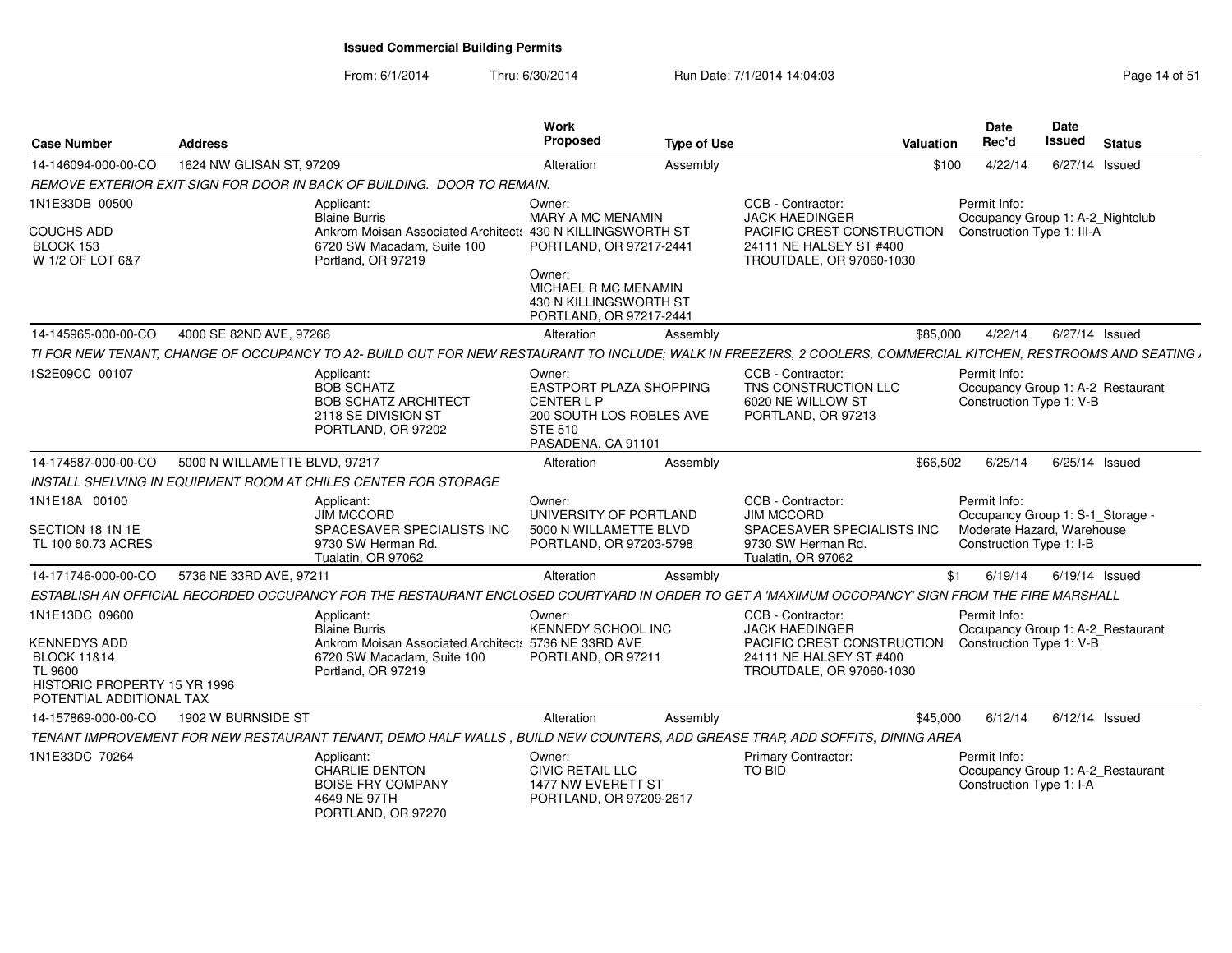From: 6/1/2014Thru: 6/30/2014 Run Date: 7/1/2014 14:04:03 Research 2010 Rage 14 of 51

| <b>Case Number</b>                                                                                            | <b>Address</b>                |                                                                                                                                                                 | Work<br>Proposed                                                                                                                | <b>Type of Use</b> |                                                                                      | Valuation | <b>Date</b><br>Rec'd                                                           | Date<br>Issued | <b>Status</b>    |
|---------------------------------------------------------------------------------------------------------------|-------------------------------|-----------------------------------------------------------------------------------------------------------------------------------------------------------------|---------------------------------------------------------------------------------------------------------------------------------|--------------------|--------------------------------------------------------------------------------------|-----------|--------------------------------------------------------------------------------|----------------|------------------|
| 14-146094-000-00-CO                                                                                           | 1624 NW GLISAN ST, 97209      |                                                                                                                                                                 | Alteration                                                                                                                      | Assembly           |                                                                                      | \$100     | 4/22/14                                                                        |                | 6/27/14 Issued   |
|                                                                                                               |                               | REMOVE EXTERIOR EXIT SIGN FOR DOOR IN BACK OF BUILDING. DOOR TO REMAIN.                                                                                         |                                                                                                                                 |                    |                                                                                      |           |                                                                                |                |                  |
| 1N1E33DB 00500                                                                                                |                               | Applicant:<br><b>Blaine Burris</b>                                                                                                                              | Owner:<br><b>MARY A MC MENAMIN</b>                                                                                              |                    | CCB - Contractor:<br><b>JACK HAEDINGER</b>                                           |           | Permit Info:<br>Occupancy Group 1: A-2_Nightclub                               |                |                  |
| <b>COUCHS ADD</b><br>BLOCK 153<br>W 1/2 OF LOT 6&7                                                            |                               | Ankrom Moisan Associated Architect: 430 N KILLINGSWORTH ST<br>6720 SW Macadam, Suite 100<br>Portland, OR 97219                                                  | PORTLAND, OR 97217-2441                                                                                                         |                    | PACIFIC CREST CONSTRUCTION<br>24111 NE HALSEY ST #400<br>TROUTDALE, OR 97060-1030    |           | Construction Type 1: III-A                                                     |                |                  |
|                                                                                                               |                               |                                                                                                                                                                 | Owner:<br>MICHAEL R MC MENAMIN<br>430 N KILLINGSWORTH ST<br>PORTLAND, OR 97217-2441                                             |                    |                                                                                      |           |                                                                                |                |                  |
| 14-145965-000-00-CO                                                                                           | 4000 SE 82ND AVE, 97266       |                                                                                                                                                                 | Alteration                                                                                                                      | Assembly           |                                                                                      | \$85,000  | 4/22/14                                                                        |                | 6/27/14 Issued   |
|                                                                                                               |                               | TI FOR NEW TENANT, CHANGE OF OCCUPANCY TO A2- BUILD OUT FOR NEW RESTAURANT TO INCLUDE; WALK IN FREEZERS, 2 COOLERS, COMMERCIAL KITCHEN, RESTROOMS AND SEATING , |                                                                                                                                 |                    |                                                                                      |           |                                                                                |                |                  |
| 1S2E09CC 00107                                                                                                |                               | Applicant:<br><b>BOB SCHATZ</b><br><b>BOB SCHATZ ARCHITECT</b><br>2118 SE DIVISION ST<br>PORTLAND, OR 97202                                                     | Owner:<br><b>EASTPORT PLAZA SHOPPING</b><br><b>CENTERLP</b><br>200 SOUTH LOS ROBLES AVE<br><b>STE 510</b><br>PASADENA, CA 91101 |                    | CCB - Contractor:<br>TNS CONSTRUCTION LLC<br>6020 NE WILLOW ST<br>PORTLAND, OR 97213 |           | Permit Info:<br>Occupancy Group 1: A-2_Restaurant<br>Construction Type 1: V-B  |                |                  |
| 14-174587-000-00-CO                                                                                           | 5000 N WILLAMETTE BLVD, 97217 |                                                                                                                                                                 | Alteration                                                                                                                      | Assembly           |                                                                                      | \$66,502  | 6/25/14                                                                        | 6/25/14 Issued |                  |
|                                                                                                               |                               | INSTALL SHELVING IN EQUIPMENT ROOM AT CHILES CENTER FOR STORAGE                                                                                                 |                                                                                                                                 |                    |                                                                                      |           |                                                                                |                |                  |
| 1N1E18A 00100<br>SECTION 18 1N 1E                                                                             |                               | Applicant:<br><b>JIM MCCORD</b><br>SPACESAVER SPECIALISTS INC                                                                                                   | Owner:<br>UNIVERSITY OF PORTLAND<br>5000 N WILLAMETTE BLVD                                                                      |                    | CCB - Contractor:<br><b>JIM MCCORD</b><br>SPACESAVER SPECIALISTS INC                 |           | Permit Info:<br>Occupancy Group 1: S-1_Storage -<br>Moderate Hazard, Warehouse |                |                  |
| TL 100 80.73 ACRES                                                                                            |                               | 9730 SW Herman Rd.<br>Tualatin, OR 97062                                                                                                                        | PORTLAND, OR 97203-5798                                                                                                         |                    | 9730 SW Herman Rd.<br>Tualatin, OR 97062                                             |           | Construction Type 1: I-B                                                       |                |                  |
| 14-171746-000-00-CO                                                                                           | 5736 NE 33RD AVE, 97211       |                                                                                                                                                                 | Alteration                                                                                                                      | Assembly           |                                                                                      | \$1       | 6/19/14                                                                        |                | $6/19/14$ Issued |
|                                                                                                               |                               | ESTABLISH AN OFFICIAL RECORDED OCCUPANCY FOR THE RESTAURANT ENCLOSED COURTYARD IN ORDER TO GET A 'MAXIMUM OCCOPANCY' SIGN FROM THE FIRE MARSHALL                |                                                                                                                                 |                    |                                                                                      |           |                                                                                |                |                  |
| 1N1E13DC 09600                                                                                                |                               | Applicant:<br><b>Blaine Burris</b>                                                                                                                              | Owner:<br>KENNEDY SCHOOL INC                                                                                                    |                    | CCB - Contractor:<br><b>JACK HAEDINGER</b>                                           |           | Permit Info:<br>Occupancy Group 1: A-2_Restaurant                              |                |                  |
| KENNEDYS ADD<br><b>BLOCK 11&amp;14</b><br>TL 9600<br>HISTORIC PROPERTY 15 YR 1996<br>POTENTIAL ADDITIONAL TAX |                               | Ankrom Moisan Associated Architect: 5736 NE 33RD AVE<br>6720 SW Macadam, Suite 100<br>Portland, OR 97219                                                        | PORTLAND, OR 97211                                                                                                              |                    | PACIFIC CREST CONSTRUCTION<br>24111 NE HALSEY ST #400<br>TROUTDALE, OR 97060-1030    |           | Construction Type 1: V-B                                                       |                |                  |
| 14-157869-000-00-CO                                                                                           | 1902 W BURNSIDE ST            |                                                                                                                                                                 | Alteration                                                                                                                      | Assembly           |                                                                                      | \$45,000  | 6/12/14                                                                        |                | $6/12/14$ Issued |
|                                                                                                               |                               | TENANT IMPROVEMENT FOR NEW RESTAURANT TENANT, DEMO HALF WALLS, BUILD NEW COUNTERS, ADD GREASE TRAP, ADD SOFFITS, DINING AREA                                    |                                                                                                                                 |                    |                                                                                      |           |                                                                                |                |                  |
| 1N1E33DC 70264                                                                                                |                               | Applicant:<br><b>CHARLIE DENTON</b><br><b>BOISE FRY COMPANY</b><br>4649 NE 97TH<br>PORTLAND, OR 97270                                                           | Owner:<br><b>CIVIC RETAIL LLC</b><br>1477 NW EVERETT ST<br>PORTLAND, OR 97209-2617                                              |                    | <b>Primary Contractor:</b><br><b>TO BID</b>                                          |           | Permit Info:<br>Occupancy Group 1: A-2 Restaurant<br>Construction Type 1: I-A  |                |                  |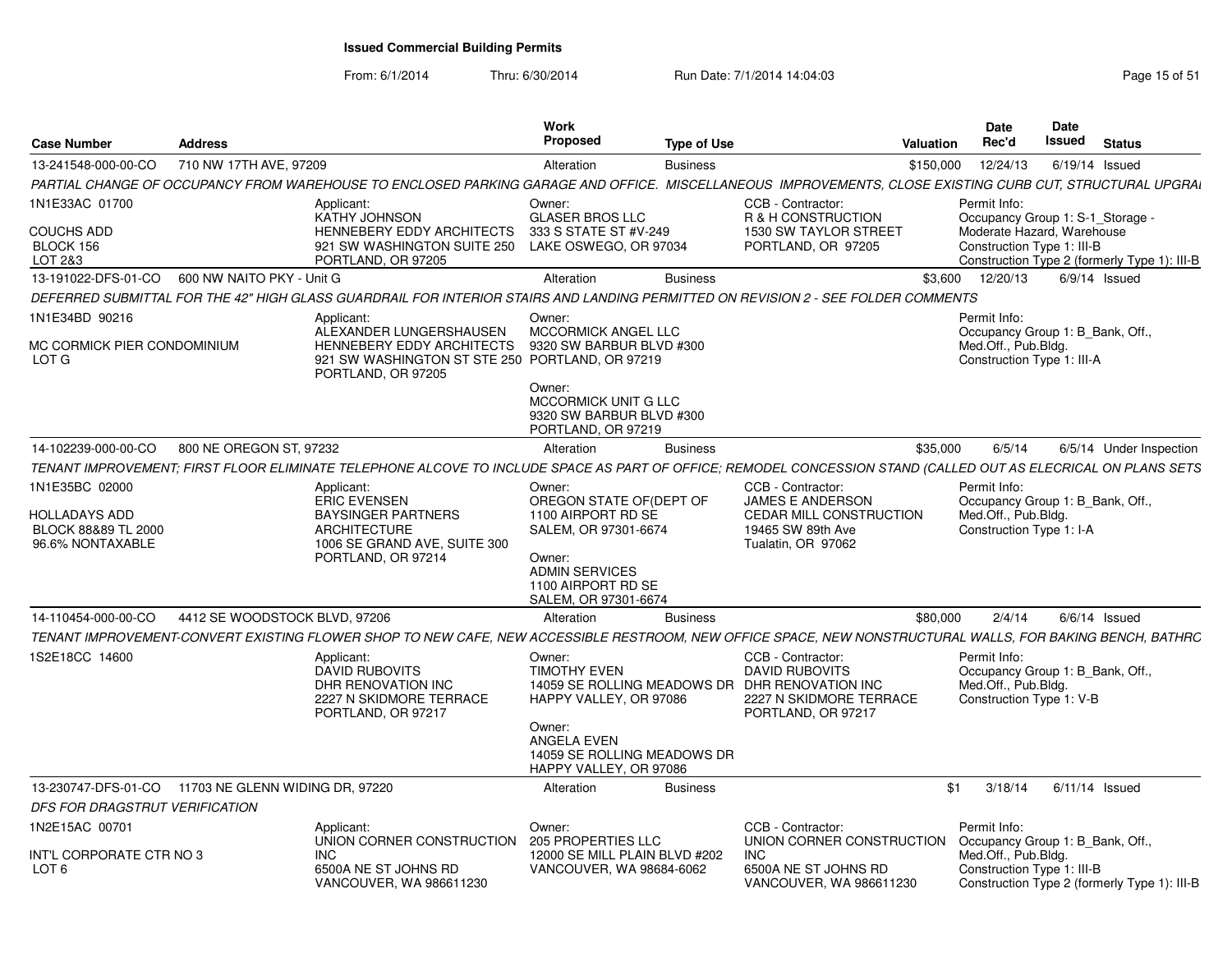From: 6/1/2014

Thru: 6/30/2014 Run Date: 7/1/2014 14:04:03 Research 2010 Rage 15 of 51

| <b>Case Number</b>                                                                | <b>Address</b>                  |                                                                                                                                                                | Work<br><b>Proposed</b>                                                          | <b>Type of Use</b> |                                                                                                                                               | Valuation | <b>Date</b><br>Rec'd                                                                                  | <b>Date</b><br>Issued | <b>Status</b> |                         |
|-----------------------------------------------------------------------------------|---------------------------------|----------------------------------------------------------------------------------------------------------------------------------------------------------------|----------------------------------------------------------------------------------|--------------------|-----------------------------------------------------------------------------------------------------------------------------------------------|-----------|-------------------------------------------------------------------------------------------------------|-----------------------|---------------|-------------------------|
| 13-241548-000-00-CO                                                               | 710 NW 17TH AVE, 97209          |                                                                                                                                                                | Alteration                                                                       | <b>Business</b>    |                                                                                                                                               | \$150,000 | 12/24/13                                                                                              | 6/19/14 Issued        |               |                         |
|                                                                                   |                                 | PARTIAL CHANGE OF OCCUPANCY FROM WAREHOUSE TO ENCLOSED PARKING GARAGE AND OFFICE. MISCELLANEOUS IMPROVEMENTS, CLOSE EXISTING CURB CUT, STRUCTURAL UPGRAI       |                                                                                  |                    |                                                                                                                                               |           |                                                                                                       |                       |               |                         |
| 1N1E33AC 01700<br><b>COUCHS ADD</b>                                               |                                 | Applicant<br>KATHY JOHNSON<br><b>HENNEBERY EDDY ARCHITECTS</b>                                                                                                 | Owner:<br><b>GLASER BROS LLC</b><br>333 S STATE ST #V-249                        |                    | CCB - Contractor:<br>R & H CONSTRUCTION<br>1530 SW TAYLOR STREET                                                                              |           | Permit Info:<br>Occupancy Group 1: S-1 Storage -<br>Moderate Hazard, Warehouse                        |                       |               |                         |
| BLOCK 156<br>LOT 2&3                                                              |                                 | 921 SW WASHINGTON SUITE 250<br>PORTLAND, OR 97205                                                                                                              | LAKE OSWEGO, OR 97034                                                            |                    | PORTLAND, OR 97205                                                                                                                            |           | Construction Type 1: III-B<br>Construction Type 2 (formerly Type 1): III-B                            |                       |               |                         |
| 13-191022-DFS-01-CO                                                               | 600 NW NAITO PKY - Unit G       |                                                                                                                                                                | Alteration                                                                       | <b>Business</b>    |                                                                                                                                               | \$3,600   | 12/20/13                                                                                              | $6/9/14$ Issued       |               |                         |
|                                                                                   |                                 | DEFERRED SUBMITTAL FOR THE 42" HIGH GLASS GUARDRAIL FOR INTERIOR STAIRS AND LANDING PERMITTED ON REVISION 2 - SEE FOLDER COMMENTS                              |                                                                                  |                    |                                                                                                                                               |           |                                                                                                       |                       |               |                         |
| 1N1E34BD 90216<br>MC CORMICK PIER CONDOMINIUM<br>LOT G                            |                                 | Applicant<br>ALEXANDER LUNGERSHAUSEN<br>HENNEBERY EDDY ARCHITECTS<br>921 SW WASHINGTON ST STE 250 PORTLAND, OR 97219<br>PORTLAND, OR 97205                     | Owner:<br><b>MCCORMICK ANGEL LLC</b><br>9320 SW BARBUR BLVD #300                 |                    |                                                                                                                                               |           | Permit Info:<br>Occupancy Group 1: B_Bank, Off.,<br>Med.Off., Pub.Bldg.<br>Construction Type 1: III-A |                       |               |                         |
|                                                                                   |                                 |                                                                                                                                                                | Owner:<br>MCCORMICK UNIT G LLC<br>9320 SW BARBUR BLVD #300<br>PORTLAND, OR 97219 |                    |                                                                                                                                               |           |                                                                                                       |                       |               |                         |
| 14-102239-000-00-CO                                                               | 800 NE OREGON ST, 97232         |                                                                                                                                                                | Alteration                                                                       | <b>Business</b>    |                                                                                                                                               | \$35,000  | 6/5/14                                                                                                |                       |               | 6/5/14 Under Inspection |
|                                                                                   |                                 | TENANT IMPROVEMENT: FIRST FLOOR ELIMINATE TELEPHONE ALCOVE TO INCLUDE SPACE AS PART OF OFFICE: REMODEL CONCESSION STAND (CALLED OUT AS ELECRICAL ON PLANS SETS |                                                                                  |                    |                                                                                                                                               |           |                                                                                                       |                       |               |                         |
| 1N1E35BC 02000<br><b>HOLLADAYS ADD</b><br>BLOCK 88&89 TL 2000<br>96.6% NONTAXABLE |                                 | Applicant:<br><b>ERIC EVENSEN</b><br><b>BAYSINGER PARTNERS</b><br><b>ARCHITECTURE</b><br>1006 SE GRAND AVE, SUITE 300                                          | Owner:<br>OREGON STATE OF (DEPT OF<br>1100 AIRPORT RD SE<br>SALEM, OR 97301-6674 |                    | CCB - Contractor:<br>JAMES E ANDERSON<br><b>CEDAR MILL CONSTRUCTION</b><br>19465 SW 89th Ave<br>Tualatin, OR 97062                            |           | Permit Info:<br>Occupancy Group 1: B Bank, Off<br>Med.Off., Pub.Bldg.<br>Construction Type 1: I-A     |                       |               |                         |
|                                                                                   |                                 | PORTLAND, OR 97214                                                                                                                                             | Owner:<br><b>ADMIN SERVICES</b><br>1100 AIRPORT RD SE<br>SALEM, OR 97301-6674    |                    |                                                                                                                                               |           |                                                                                                       |                       |               |                         |
| 14-110454-000-00-CO                                                               | 4412 SE WOODSTOCK BLVD, 97206   |                                                                                                                                                                | Alteration                                                                       | <b>Business</b>    |                                                                                                                                               | \$80,000  | 2/4/14                                                                                                | $6/6/14$ Issued       |               |                         |
|                                                                                   |                                 | TENANT IMPROVEMENT-CONVERT EXISTING FLOWER SHOP TO NEW CAFE, NEW ACCESSIBLE RESTROOM, NEW OFFICE SPACE, NEW NONSTRUCTURAL WALLS, FOR BAKING BENCH, BATHRC      |                                                                                  |                    |                                                                                                                                               |           |                                                                                                       |                       |               |                         |
| 1S2E18CC 14600                                                                    |                                 | Applicant:<br>DAVID RUBOVITS<br>DHR RENOVATION INC<br>2227 N SKIDMORE TERRACE<br>PORTLAND, OR 97217                                                            | Owner:<br><b>TIMOTHY EVEN</b><br>HAPPY VALLEY, OR 97086                          |                    | CCB - Contractor:<br><b>DAVID RUBOVITS</b><br>14059 SE ROLLING MEADOWS DR DHR RENOVATION INC<br>2227 N SKIDMORE TERRACE<br>PORTLAND, OR 97217 |           | Permit Info:<br>Occupancy Group 1: B_Bank, Off.,<br>Med.Off., Pub.Bldg.<br>Construction Type 1: V-B   |                       |               |                         |
|                                                                                   |                                 |                                                                                                                                                                | Owner:<br>ANGELA EVEN<br>14059 SE ROLLING MEADOWS DR<br>HAPPY VALLEY, OR 97086   |                    |                                                                                                                                               |           |                                                                                                       |                       |               |                         |
| 13-230747-DFS-01-CO<br>DFS FOR DRAGSTRUT VERIFICATION                             | 11703 NE GLENN WIDING DR, 97220 |                                                                                                                                                                | Alteration                                                                       | <b>Business</b>    |                                                                                                                                               | \$1       | 3/18/14                                                                                               | $6/11/14$ Issued      |               |                         |
| 1N2E15AC 00701                                                                    |                                 | Applicant:<br>UNION CORNER CONSTRUCTION 205 PROPERTIES LLC                                                                                                     | Owner:                                                                           |                    | CCB - Contractor:<br>UNION CORNER CONSTRUCTION                                                                                                |           | Permit Info:<br>Occupancy Group 1: B Bank, Off                                                        |                       |               |                         |
| INT'L CORPORATE CTR NO 3<br>LOT <sub>6</sub>                                      |                                 | <b>INC</b><br>6500A NE ST JOHNS RD<br>VANCOUVER, WA 986611230                                                                                                  | 12000 SE MILL PLAIN BLVD #202<br>VANCOUVER, WA 98684-6062                        |                    | INC.<br>6500A NE ST JOHNS RD<br>VANCOUVER, WA 986611230                                                                                       |           | Med.Off., Pub.Bldg.<br>Construction Type 1: III-B<br>Construction Type 2 (formerly Type 1): III-B     |                       |               |                         |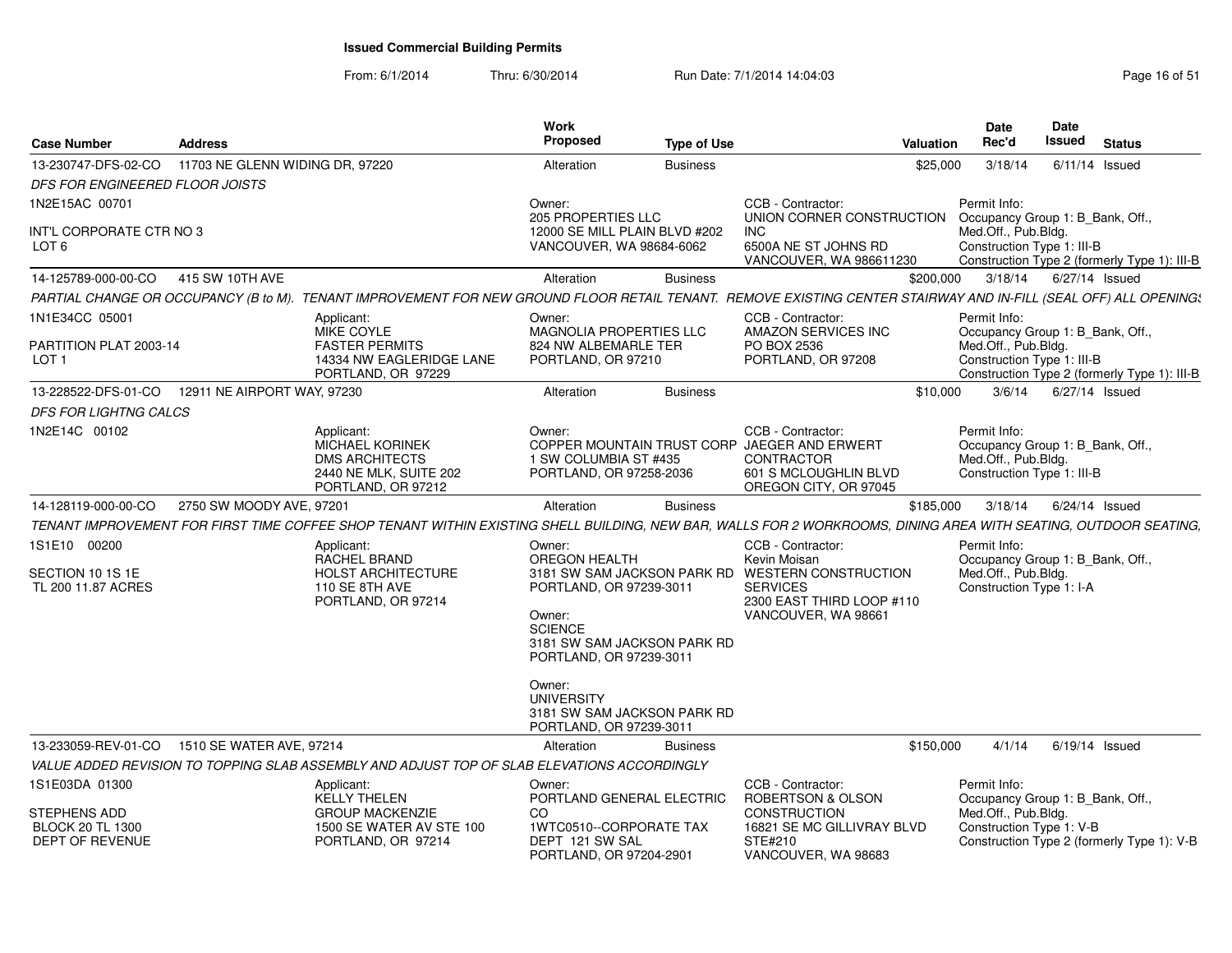From: 6/1/2014Thru: 6/30/2014 Run Date: 7/1/2014 14:04:03 Research 2010 Rage 16 of 51

| <b>Case Number</b>                                                       | <b>Address</b>                  |                                                                                                                                                                  | Work<br>Proposed                                                                                              | <b>Type of Use</b> |                                                                                                                                          | <b>Valuation</b> | <b>Date</b><br>Rec'd                                                                                  | Date<br>Issued         | <b>Status</b>                                |
|--------------------------------------------------------------------------|---------------------------------|------------------------------------------------------------------------------------------------------------------------------------------------------------------|---------------------------------------------------------------------------------------------------------------|--------------------|------------------------------------------------------------------------------------------------------------------------------------------|------------------|-------------------------------------------------------------------------------------------------------|------------------------|----------------------------------------------|
| 13-230747-DFS-02-CO<br><b>DFS FOR ENGINEERED FLOOR JOISTS</b>            | 11703 NE GLENN WIDING DR. 97220 |                                                                                                                                                                  | Alteration                                                                                                    | <b>Business</b>    |                                                                                                                                          | \$25,000         | 3/18/14                                                                                               | $6/11/14$ Issued       |                                              |
| 1N2E15AC 00701                                                           |                                 |                                                                                                                                                                  | Owner:<br>205 PROPERTIES LLC                                                                                  |                    | CCB - Contractor:<br>UNION CORNER CONSTRUCTION                                                                                           |                  | Permit Info:<br>Occupancy Group 1: B_Bank, Off.,                                                      |                        |                                              |
| INT'L CORPORATE CTR NO 3<br>LOT <sub>6</sub>                             |                                 |                                                                                                                                                                  | 12000 SE MILL PLAIN BLVD #202<br>VANCOUVER, WA 98684-6062                                                     |                    | <b>INC</b><br>6500A NE ST JOHNS RD<br>VANCOUVER, WA 986611230                                                                            |                  | Med.Off., Pub.Bldg.<br>Construction Type 1: III-B                                                     |                        | Construction Type 2 (formerly Type 1): III-B |
| 14-125789-000-00-CO                                                      | 415 SW 10TH AVE                 |                                                                                                                                                                  | Alteration                                                                                                    | <b>Business</b>    |                                                                                                                                          | \$200.000        |                                                                                                       | 3/18/14 6/27/14 Issued |                                              |
|                                                                          |                                 | PARTIAL CHANGE OR OCCUPANCY (B to M). TENANT IMPROVEMENT FOR NEW GROUND FLOOR RETAIL TENANT. REMOVE EXISTING CENTER STAIRWAY AND IN-FILL (SEAL OFF) ALL OPENING: |                                                                                                               |                    |                                                                                                                                          |                  |                                                                                                       |                        |                                              |
| 1N1E34CC 05001                                                           |                                 | Applicant:<br>MIKE COYLE                                                                                                                                         | Owner:<br>MAGNOLIA PROPERTIES LLC                                                                             |                    | CCB - Contractor:<br>AMAZON SERVICES INC                                                                                                 |                  | Permit Info:<br>Occupancy Group 1: B_Bank, Off.,                                                      |                        |                                              |
| PARTITION PLAT 2003-14<br>LOT <sub>1</sub>                               |                                 | <b>FASTER PERMITS</b><br>14334 NW EAGLERIDGE LANE<br>PORTLAND, OR 97229                                                                                          | 824 NW ALBEMARLE TER<br>PORTLAND, OR 97210                                                                    |                    | PO BOX 2536<br>PORTLAND, OR 97208                                                                                                        |                  | Med.Off., Pub.Bldg.<br>Construction Type 1: III-B                                                     |                        | Construction Type 2 (formerly Type 1): III-B |
| 13-228522-DFS-01-CO  12911 NE AIRPORT WAY, 97230                         |                                 |                                                                                                                                                                  | Alteration                                                                                                    | <b>Business</b>    |                                                                                                                                          | \$10.000         | 3/6/14                                                                                                | 6/27/14 Issued         |                                              |
| <b>DFS FOR LIGHTNG CALCS</b>                                             |                                 |                                                                                                                                                                  |                                                                                                               |                    |                                                                                                                                          |                  |                                                                                                       |                        |                                              |
| 1N2E14C 00102                                                            |                                 | Applicant:<br><b>MICHAEL KORINEK</b><br><b>DMS ARCHITECTS</b><br>2440 NE MLK, SUITE 202<br>PORTLAND, OR 97212                                                    | Owner:<br>1 SW COLUMBIA ST #435<br>PORTLAND, OR 97258-2036                                                    |                    | CCB - Contractor:<br>COPPER MOUNTAIN TRUST CORP JAEGER AND ERWERT<br><b>CONTRACTOR</b><br>601 S MCLOUGHLIN BLVD<br>OREGON CITY, OR 97045 |                  | Permit Info:<br>Occupancy Group 1: B_Bank, Off.,<br>Med.Off., Pub.Bldg.<br>Construction Type 1: III-B |                        |                                              |
| 14-128119-000-00-CO                                                      | 2750 SW MOODY AVE, 97201        |                                                                                                                                                                  | Alteration                                                                                                    | <b>Business</b>    |                                                                                                                                          | \$185,000        | 3/18/14                                                                                               | 6/24/14 Issued         |                                              |
|                                                                          |                                 | TENANT IMPROVEMENT FOR FIRST TIME COFFEE SHOP TENANT WITHIN EXISTING SHELL BUILDING, NEW BAR, WALLS FOR 2 WORKROOMS, DINING AREA WITH SEATING, OUTDOOR SEATING,  |                                                                                                               |                    |                                                                                                                                          |                  |                                                                                                       |                        |                                              |
| 1S1E10 00200                                                             |                                 | Applicant:<br>RACHEL BRAND                                                                                                                                       | Owner:<br>OREGON HEALTH                                                                                       |                    | CCB - Contractor:<br>Kevin Moisan                                                                                                        |                  | Permit Info:<br>Occupancy Group 1: B Bank, Off.,                                                      |                        |                                              |
| SECTION 10 1S 1E<br>TL 200 11.87 ACRES                                   |                                 | <b>HOLST ARCHITECTURE</b><br>110 SE 8TH AVE<br>PORTLAND, OR 97214                                                                                                | PORTLAND, OR 97239-3011<br>Owner:<br><b>SCIENCE</b><br>3181 SW SAM JACKSON PARK RD<br>PORTLAND, OR 97239-3011 |                    | 3181 SW SAM JACKSON PARK RD WESTERN CONSTRUCTION<br><b>SERVICES</b><br>2300 EAST THIRD LOOP #110<br>VANCOUVER, WA 98661                  |                  | Med.Off., Pub.Bldg.<br>Construction Type 1: I-A                                                       |                        |                                              |
|                                                                          |                                 |                                                                                                                                                                  | Owner:<br><b>UNIVERSITY</b><br>3181 SW SAM JACKSON PARK RD<br>PORTLAND, OR 97239-3011                         |                    |                                                                                                                                          |                  |                                                                                                       |                        |                                              |
| 13-233059-REV-01-CO                                                      | 1510 SE WATER AVE, 97214        |                                                                                                                                                                  | Alteration                                                                                                    | <b>Business</b>    |                                                                                                                                          | \$150,000        | 4/1/14                                                                                                | $6/19/14$ Issued       |                                              |
|                                                                          |                                 | VALUE ADDED REVISION TO TOPPING SLAB ASSEMBLY AND ADJUST TOP OF SLAB ELEVATIONS ACCORDINGLY                                                                      |                                                                                                               |                    |                                                                                                                                          |                  |                                                                                                       |                        |                                              |
| 1S1E03DA 01300                                                           |                                 | Applicant:<br>KELLY THELEN                                                                                                                                       | Owner:<br>PORTLAND GENERAL ELECTRIC                                                                           |                    | CCB - Contractor:<br>ROBERTSON & OLSON                                                                                                   |                  | Permit Info:<br>Occupancy Group 1: B_Bank, Off.,                                                      |                        |                                              |
| <b>STEPHENS ADD</b><br><b>BLOCK 20 TL 1300</b><br><b>DEPT OF REVENUE</b> |                                 | <b>GROUP MACKENZIE</b><br>1500 SE WATER AV STE 100<br>PORTLAND, OR 97214                                                                                         | CO.<br>1WTC0510--CORPORATE TAX<br>DEPT 121 SW SAL<br>PORTLAND, OR 97204-2901                                  |                    | <b>CONSTRUCTION</b><br>16821 SE MC GILLIVRAY BLVD<br>STE#210<br>VANCOUVER, WA 98683                                                      |                  | Med.Off., Pub.Bldg.<br>Construction Type 1: V-B                                                       |                        | Construction Type 2 (formerly Type 1): V-B   |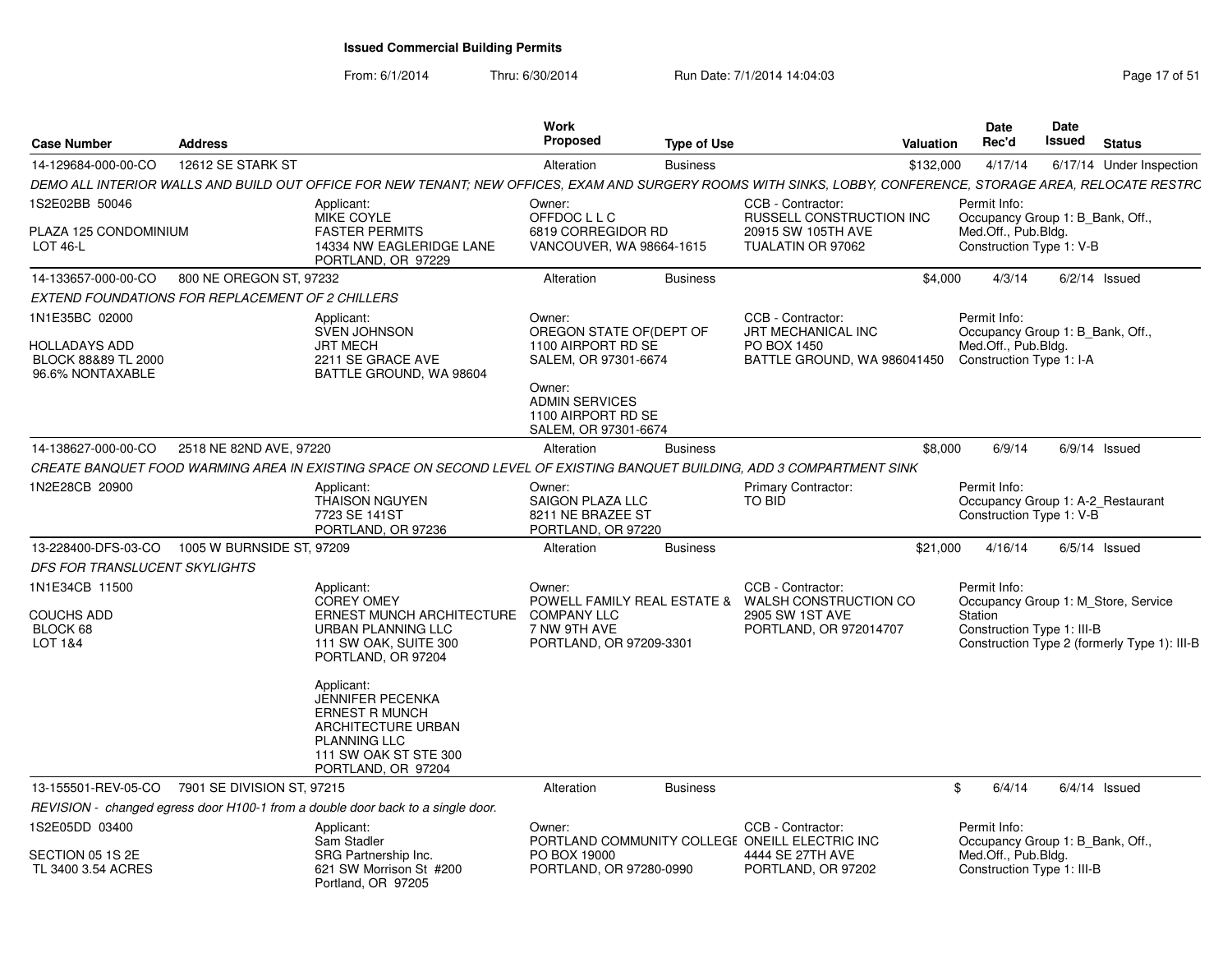From: 6/1/2014

Thru: 6/30/2014 Run Date: 7/1/2014 14:04:03 Research 2010 Rage 17 of 51

| <b>Case Number</b>                                                                | <b>Address</b>            |                                                                                                                                                               | Work<br><b>Proposed</b>                                                          | <b>Type of Use</b> |                                                                                                                     | <b>Valuation</b> | Date<br>Rec'd                                                                                       | Date<br>Issued | <b>Status</b>                                                                       |
|-----------------------------------------------------------------------------------|---------------------------|---------------------------------------------------------------------------------------------------------------------------------------------------------------|----------------------------------------------------------------------------------|--------------------|---------------------------------------------------------------------------------------------------------------------|------------------|-----------------------------------------------------------------------------------------------------|----------------|-------------------------------------------------------------------------------------|
| 14-129684-000-00-CO                                                               | 12612 SE STARK ST         |                                                                                                                                                               | Alteration                                                                       | <b>Business</b>    |                                                                                                                     | \$132,000        | 4/17/14                                                                                             |                | 6/17/14 Under Inspection                                                            |
|                                                                                   |                           | DEMO ALL INTERIOR WALLS AND BUILD OUT OFFICE FOR NEW TENANT; NEW OFFICES, EXAM AND SURGERY ROOMS WITH SINKS, LOBBY, CONFERENCE, STORAGE AREA, RELOCATE RESTRC |                                                                                  |                    |                                                                                                                     |                  |                                                                                                     |                |                                                                                     |
| 1S2E02BB 50046                                                                    |                           | Applicant:<br><b>MIKE COYLE</b>                                                                                                                               | Owner:<br>OFFDOC L L C                                                           |                    | CCB - Contractor:<br>RUSSELL CONSTRUCTION INC                                                                       |                  | Permit Info:<br>Occupancy Group 1: B_Bank, Off.,                                                    |                |                                                                                     |
| PLAZA 125 CONDOMINIUM<br><b>LOT 46-L</b>                                          |                           | <b>FASTER PERMITS</b><br>14334 NW EAGLERIDGE LANE<br>PORTLAND, OR 97229                                                                                       | 6819 CORREGIDOR RD<br>VANCOUVER, WA 98664-1615                                   |                    | 20915 SW 105TH AVE<br>TUALATIN OR 97062                                                                             |                  | Med.Off., Pub.Bldg.<br>Construction Type 1: V-B                                                     |                |                                                                                     |
| 14-133657-000-00-CO                                                               | 800 NE OREGON ST, 97232   |                                                                                                                                                               | Alteration                                                                       | <b>Business</b>    |                                                                                                                     | \$4.000          | 4/3/14                                                                                              |                | $6/2/14$ Issued                                                                     |
| EXTEND FOUNDATIONS FOR REPLACEMENT OF 2 CHILLERS                                  |                           |                                                                                                                                                               |                                                                                  |                    |                                                                                                                     |                  |                                                                                                     |                |                                                                                     |
| 1N1E35BC 02000<br><b>HOLLADAYS ADD</b><br>BLOCK 88&89 TL 2000<br>96.6% NONTAXABLE |                           | Applicant:<br>SVEN JOHNSON<br><b>JRT MECH</b><br>2211 SE GRACE AVE<br>BATTLE GROUND, WA 98604                                                                 | Owner:<br>OREGON STATE OF (DEPT OF<br>1100 AIRPORT RD SE<br>SALEM, OR 97301-6674 |                    | CCB - Contractor:<br>JRT MECHANICAL INC<br>PO BOX 1450<br>BATTLE GROUND, WA 986041450                               |                  | Permit Info:<br>Occupancy Group 1: B_Bank, Off.,<br>Med.Off., Pub.Bldg.<br>Construction Type 1: I-A |                |                                                                                     |
|                                                                                   |                           |                                                                                                                                                               | Owner:<br><b>ADMIN SERVICES</b><br>1100 AIRPORT RD SE<br>SALEM, OR 97301-6674    |                    |                                                                                                                     |                  |                                                                                                     |                |                                                                                     |
| 14-138627-000-00-CO                                                               | 2518 NE 82ND AVE, 97220   |                                                                                                                                                               | Alteration                                                                       | <b>Business</b>    |                                                                                                                     | \$8,000          | 6/9/14                                                                                              |                | $6/9/14$ Issued                                                                     |
|                                                                                   |                           | CREATE BANQUET FOOD WARMING AREA IN EXISTING SPACE ON SECOND LEVEL OF EXISTING BANQUET BUILDING, ADD 3 COMPARTMENT SINK                                       |                                                                                  |                    |                                                                                                                     |                  |                                                                                                     |                |                                                                                     |
| 1N2E28CB 20900                                                                    |                           | Applicant:<br><b>THAISON NGUYEN</b><br>7723 SE 141ST<br>PORTLAND, OR 97236                                                                                    | Owner:<br><b>SAIGON PLAZA LLC</b><br>8211 NE BRAZEE ST<br>PORTLAND, OR 97220     |                    | Primary Contractor:<br>TO BID                                                                                       |                  | Permit Info:<br>Occupancy Group 1: A-2_Restaurant<br>Construction Type 1: V-B                       |                |                                                                                     |
| 13-228400-DFS-03-CO                                                               | 1005 W BURNSIDE ST, 97209 |                                                                                                                                                               | Alteration                                                                       | <b>Business</b>    |                                                                                                                     | \$21,000         | 4/16/14                                                                                             |                | $6/5/14$ Issued                                                                     |
| <b>DFS FOR TRANSLUCENT SKYLIGHTS</b>                                              |                           |                                                                                                                                                               |                                                                                  |                    |                                                                                                                     |                  |                                                                                                     |                |                                                                                     |
| 1N1E34CB 11500<br><b>COUCHS ADD</b><br>BLOCK 68<br>LOT 1&4                        |                           | Applicant:<br><b>COREY OMEY</b><br>ERNEST MUNCH ARCHITECTURE<br>URBAN PLANNING LLC<br>111 SW OAK, SUITE 300<br>PORTLAND, OR 97204                             | Owner:<br><b>COMPANY LLC</b><br>7 NW 9TH AVE<br>PORTLAND, OR 97209-3301          |                    | CCB - Contractor:<br>POWELL FAMILY REAL ESTATE & WALSH CONSTRUCTION CO<br>2905 SW 1ST AVE<br>PORTLAND, OR 972014707 |                  | Permit Info:<br>Station<br>Construction Type 1: III-B                                               |                | Occupancy Group 1: M Store, Service<br>Construction Type 2 (formerly Type 1): III-B |
|                                                                                   |                           | Applicant:<br><b>JENNIFER PECENKA</b><br><b>ERNEST R MUNCH</b><br>ARCHITECTURE URBAN<br><b>PLANNING LLC</b><br>111 SW OAK ST STE 300<br>PORTLAND, OR 97204    |                                                                                  |                    |                                                                                                                     |                  |                                                                                                     |                |                                                                                     |
| 13-155501-REV-05-CO 7901 SE DIVISION ST, 97215                                    |                           |                                                                                                                                                               | Alteration                                                                       | <b>Business</b>    |                                                                                                                     |                  | 6/4/14<br>\$                                                                                        |                | $6/4/14$ Issued                                                                     |
|                                                                                   |                           | REVISION - changed egress door H100-1 from a double door back to a single door.                                                                               |                                                                                  |                    |                                                                                                                     |                  |                                                                                                     |                |                                                                                     |
| 1S2E05DD 03400                                                                    |                           | Applicant:<br>Sam Stadler                                                                                                                                     | Owner:                                                                           |                    | CCB - Contractor:<br>PORTLAND COMMUNITY COLLEGE ONEILL ELECTRIC INC                                                 |                  | Permit Info:<br>Occupancy Group 1: B Bank, Off.,                                                    |                |                                                                                     |
| SECTION 05 1S 2E<br>TL 3400 3.54 ACRES                                            |                           | SRG Partnership Inc.<br>621 SW Morrison St #200<br>Portland, OR 97205                                                                                         | PO BOX 19000<br>PORTLAND, OR 97280-0990                                          |                    | 4444 SE 27TH AVE<br>PORTLAND, OR 97202                                                                              |                  | Med.Off., Pub.Bldg.<br>Construction Type 1: III-B                                                   |                |                                                                                     |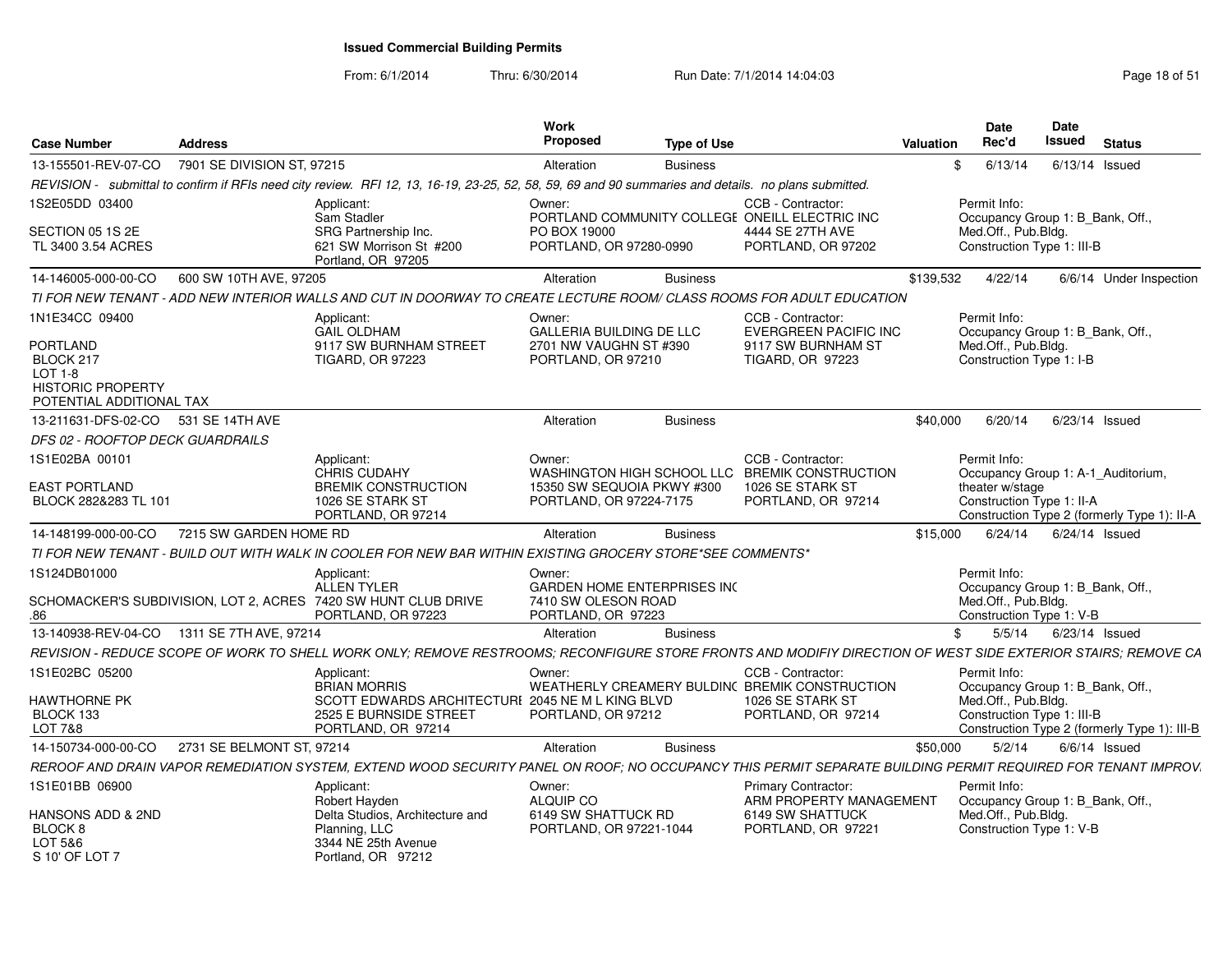From: 6/1/2014

Thru: 6/30/2014 Run Date: 7/1/2014 14:04:03 Research 2010 Rage 18 of 51

| <b>Case Number</b>                                                                                                       | <b>Address</b>             |                                                                                                                                                              | <b>Work</b><br><b>Proposed</b>                                                            | <b>Type of Use</b> |                                                                                                               | Valuation | <b>Date</b><br>Rec'd                                              | <b>Date</b><br>Issued<br><b>Status</b>                                            |
|--------------------------------------------------------------------------------------------------------------------------|----------------------------|--------------------------------------------------------------------------------------------------------------------------------------------------------------|-------------------------------------------------------------------------------------------|--------------------|---------------------------------------------------------------------------------------------------------------|-----------|-------------------------------------------------------------------|-----------------------------------------------------------------------------------|
| 13-155501-REV-07-CO                                                                                                      | 7901 SE DIVISION ST, 97215 |                                                                                                                                                              | Alteration                                                                                | <b>Business</b>    |                                                                                                               | \$        | 6/13/14                                                           | 6/13/14 Issued                                                                    |
|                                                                                                                          |                            | REVISION - submittal to confirm if RFIs need city review. RFI 12, 13, 16-19, 23-25, 52, 58, 59, 69 and 90 summaries and details. no plans submitted.         |                                                                                           |                    |                                                                                                               |           |                                                                   |                                                                                   |
| 1S2E05DD 03400                                                                                                           |                            | Applicant:<br>Sam Stadler                                                                                                                                    | Owner:                                                                                    |                    | CCB - Contractor:<br>PORTLAND COMMUNITY COLLEGE ONEILL ELECTRIC INC                                           |           | Permit Info:                                                      | Occupancy Group 1: B_Bank, Off.,                                                  |
| SECTION 05 1S 2E<br>TL 3400 3.54 ACRES                                                                                   |                            | SRG Partnership Inc.<br>621 SW Morrison St #200<br>Portland, OR 97205                                                                                        | PO BOX 19000<br>PORTLAND, OR 97280-0990                                                   |                    | 4444 SE 27TH AVE<br>PORTLAND, OR 97202                                                                        |           | Med.Off., Pub.Bldg.<br>Construction Type 1: III-B                 |                                                                                   |
| 14-146005-000-00-CO                                                                                                      | 600 SW 10TH AVE, 97205     |                                                                                                                                                              | Alteration                                                                                | <b>Business</b>    |                                                                                                               | \$139,532 | 4/22/14                                                           | 6/6/14 Under Inspection                                                           |
|                                                                                                                          |                            | TI FOR NEW TENANT - ADD NEW INTERIOR WALLS AND CUT IN DOORWAY TO CREATE LECTURE ROOM/ CLASS ROOMS FOR ADULT EDUCATION                                        |                                                                                           |                    |                                                                                                               |           |                                                                   |                                                                                   |
| 1N1E34CC 09400<br><b>PORTLAND</b><br>BLOCK 217<br><b>LOT 1-8</b><br><b>HISTORIC PROPERTY</b><br>POTENTIAL ADDITIONAL TAX |                            | Applicant:<br><b>GAIL OLDHAM</b><br>9117 SW BURNHAM STREET<br><b>TIGARD, OR 97223</b>                                                                        | Owner:<br>GALLERIA BUILDING DE LLC<br>2701 NW VAUGHN ST #390<br>PORTLAND, OR 97210        |                    | CCB - Contractor:<br><b>EVERGREEN PACIFIC INC</b><br>9117 SW BURNHAM ST<br><b>TIGARD, OR 97223</b>            |           | Permit Info:<br>Med.Off., Pub.Bldg.<br>Construction Type 1: I-B   | Occupancy Group 1: B_Bank, Off.,                                                  |
| 13-211631-DFS-02-CO                                                                                                      | 531 SE 14TH AVE            |                                                                                                                                                              | Alteration                                                                                | <b>Business</b>    |                                                                                                               | \$40,000  | 6/20/14                                                           | $6/23/14$ Issued                                                                  |
| DFS 02 - ROOFTOP DECK GUARDRAILS                                                                                         |                            |                                                                                                                                                              |                                                                                           |                    |                                                                                                               |           |                                                                   |                                                                                   |
| 1S1E02BA 00101                                                                                                           |                            | Applicant:                                                                                                                                                   | Owner:                                                                                    |                    | CCB - Contractor:                                                                                             |           | Permit Info:                                                      |                                                                                   |
| <b>EAST PORTLAND</b><br>BLOCK 282&283 TL 101                                                                             |                            | <b>CHRIS CUDAHY</b><br><b>BREMIK CONSTRUCTION</b><br>1026 SE STARK ST<br>PORTLAND, OR 97214                                                                  | WASHINGTON HIGH SCHOOL LLC<br>15350 SW SEQUOIA PKWY #300<br>PORTLAND, OR 97224-7175       |                    | <b>BREMIK CONSTRUCTION</b><br>1026 SE STARK ST<br>PORTLAND, OR 97214                                          |           | theater w/stage<br>Construction Type 1: II-A                      | Occupancy Group 1: A-1_Auditorium,<br>Construction Type 2 (formerly Type 1): II-A |
| 14-148199-000-00-CO                                                                                                      | 7215 SW GARDEN HOME RD     |                                                                                                                                                              | Alteration                                                                                | <b>Business</b>    |                                                                                                               | \$15,000  | 6/24/14                                                           | $6/24/14$ Issued                                                                  |
|                                                                                                                          |                            | TI FOR NEW TENANT - BUILD OUT WITH WALK IN COOLER FOR NEW BAR WITHIN EXISTING GROCERY STORE*SEE COMMENTS*                                                    |                                                                                           |                    |                                                                                                               |           |                                                                   |                                                                                   |
| 1S124DB01000<br>.86                                                                                                      |                            | Applicant:<br>ALLEN TYLER<br>SCHOMACKER'S SUBDIVISION, LOT 2, ACRES 7420 SW HUNT CLUB DRIVE<br>PORTLAND, OR 97223                                            | Owner:<br><b>GARDEN HOME ENTERPRISES INC</b><br>7410 SW OLESON ROAD<br>PORTLAND, OR 97223 |                    |                                                                                                               |           | Permit Info:<br>Med.Off., Pub.Bldg.<br>Construction Type 1: V-B   | Occupancy Group 1: B Bank, Off.,                                                  |
| 13-140938-REV-04-CO                                                                                                      | 1311 SE 7TH AVE, 97214     |                                                                                                                                                              | Alteration                                                                                | <b>Business</b>    |                                                                                                               | \$        | 5/5/14                                                            | $6/23/14$ Issued                                                                  |
|                                                                                                                          |                            | REVISION - REDUCE SCOPE OF WORK TO SHELL WORK ONLY; REMOVE RESTROOMS; RECONFIGURE STORE FRONTS AND MODIFIY DIRECTION OF WEST SIDE EXTERIOR STAIRS; REMOVE CA |                                                                                           |                    |                                                                                                               |           |                                                                   |                                                                                   |
| 1S1E02BC 05200<br><b>HAWTHORNE PK</b><br>BLOCK 133<br><b>LOT 7&amp;8</b>                                                 |                            | Applicant:<br><b>BRIAN MORRIS</b><br>SCOTT EDWARDS ARCHITECTURI 2045 NE M L KING BLVD<br>2525 E BURNSIDE STREET<br>PORTLAND, OR 97214                        | Owner:<br>PORTLAND, OR 97212                                                              |                    | CCB - Contractor:<br>WEATHERLY CREAMERY BULDIN( BREMIK CONSTRUCTION<br>1026 SE STARK ST<br>PORTLAND, OR 97214 |           | Permit Info:<br>Med.Off., Pub.Bldg.<br>Construction Type 1: III-B | Occupancy Group 1: B_Bank, Off.,<br>Construction Type 2 (formerly Type 1): III-B  |
| 14-150734-000-00-CO                                                                                                      | 2731 SE BELMONT ST, 97214  |                                                                                                                                                              | Alteration                                                                                | <b>Business</b>    |                                                                                                               | \$50,000  | 5/2/14                                                            | $6/6/14$ Issued                                                                   |
|                                                                                                                          |                            | REROOF AND DRAIN VAPOR REMEDIATION SYSTEM, EXTEND WOOD SECURITY PANEL ON ROOF; NO OCCUPANCY THIS PERMIT SEPARATE BUILDING PERMIT REQUIRED FOR TENANT IMPROV. |                                                                                           |                    |                                                                                                               |           |                                                                   |                                                                                   |
| 1S1E01BB 06900<br>HANSONS ADD & 2ND<br>BLOCK <sub>8</sub><br>LOT 5&6<br>S 10' OF LOT 7                                   |                            | Applicant:<br>Robert Hayden<br>Delta Studios, Architecture and<br>Planning, LLC<br>3344 NE 25th Avenue<br>Portland, OR 97212                                 | Owner:<br>ALQUIP CO<br>6149 SW SHATTUCK RD<br>PORTLAND, OR 97221-1044                     |                    | <b>Primary Contractor:</b><br>ARM PROPERTY MANAGEMENT<br>6149 SW SHATTUCK<br>PORTLAND, OR 97221               |           | Permit Info:<br>Med.Off., Pub.Bldg.<br>Construction Type 1: V-B   | Occupancy Group 1: B Bank, Off.,                                                  |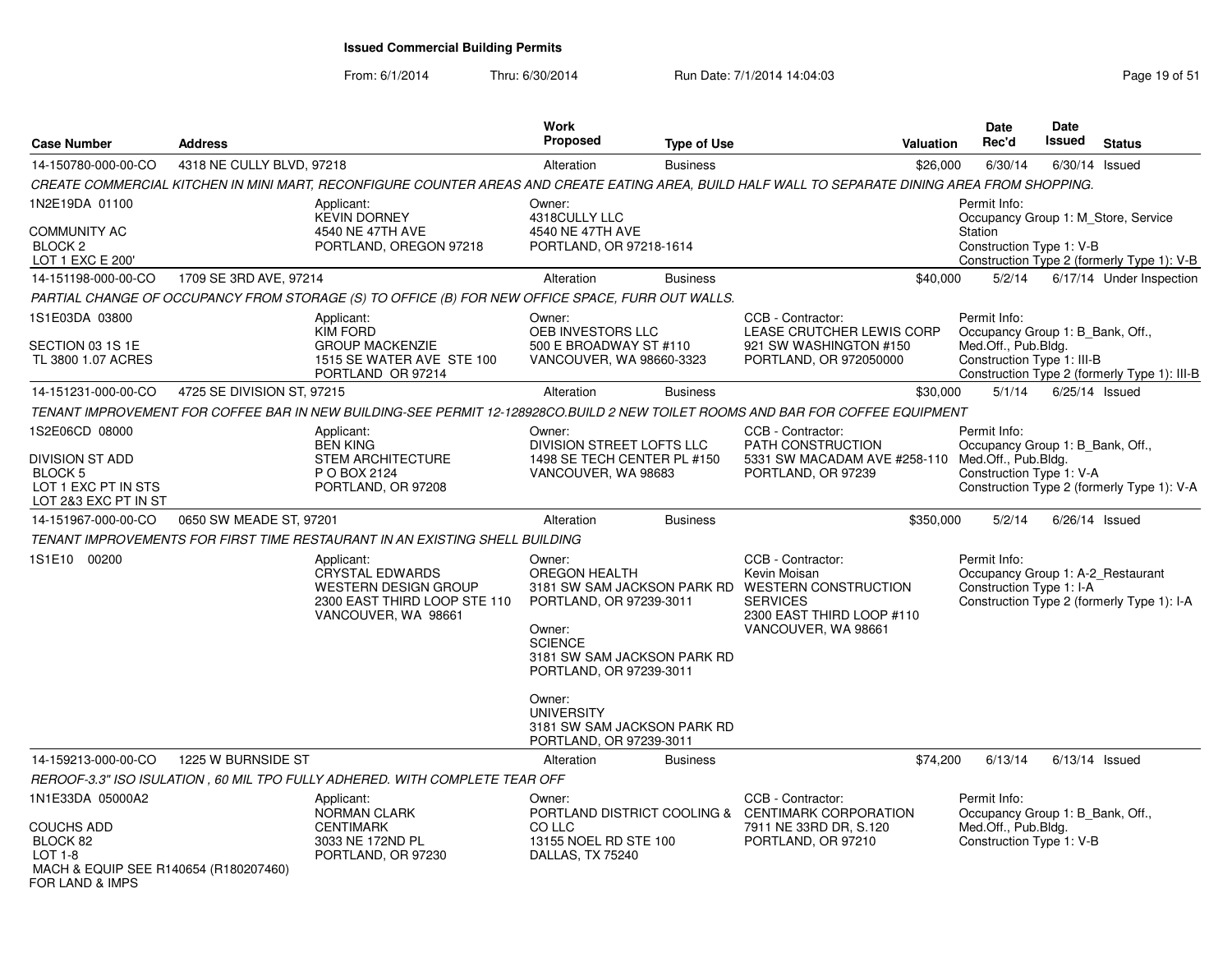From: 6/1/2014

Thru: 6/30/2014 Run Date: 7/1/2014 14:04:03 Research 2010 19:05 Page 19 of 51

| <b>Case Number</b>                                                                                 | <b>Address</b>             |                                                                                                                            | <b>Work</b><br>Proposed                                                                                                                  | <b>Type of Use</b> | <b>Valuation</b>                                                                                                                                             | <b>Date</b><br>Rec'd                                                                                  | <b>Date</b><br>Issued | <b>Status</b>                                |
|----------------------------------------------------------------------------------------------------|----------------------------|----------------------------------------------------------------------------------------------------------------------------|------------------------------------------------------------------------------------------------------------------------------------------|--------------------|--------------------------------------------------------------------------------------------------------------------------------------------------------------|-------------------------------------------------------------------------------------------------------|-----------------------|----------------------------------------------|
| 14-150780-000-00-CO                                                                                | 4318 NE CULLY BLVD, 97218  |                                                                                                                            | Alteration                                                                                                                               | <b>Business</b>    | \$26,000                                                                                                                                                     | 6/30/14                                                                                               | $6/30/14$ Issued      |                                              |
|                                                                                                    |                            |                                                                                                                            |                                                                                                                                          |                    | CREATE COMMERCIAL KITCHEN IN MINI MART, RECONFIGURE COUNTER AREAS AND CREATE EATING AREA, BUILD HALF WALL TO SEPARATE DINING AREA FROM SHOPPING.             |                                                                                                       |                       |                                              |
| 1N2E19DA 01100<br><b>COMMUNITY AC</b><br>BLOCK <sub>2</sub>                                        |                            | Applicant:<br><b>KEVIN DORNEY</b><br>4540 NE 47TH AVE<br>PORTLAND, OREGON 97218                                            | Owner:<br>4318CULLY LLC<br>4540 NE 47TH AVE<br>PORTLAND, OR 97218-1614                                                                   |                    |                                                                                                                                                              | Permit Info:<br>Occupancy Group 1: M Store, Service<br>Station<br>Construction Type 1: V-B            |                       |                                              |
| LOT 1 EXC E 200'                                                                                   |                            |                                                                                                                            |                                                                                                                                          |                    |                                                                                                                                                              |                                                                                                       |                       | Construction Type 2 (formerly Type 1): V-B   |
| 14-151198-000-00-CO                                                                                | 1709 SE 3RD AVE, 97214     |                                                                                                                            | Alteration                                                                                                                               | <b>Business</b>    | \$40,000                                                                                                                                                     | 5/2/14                                                                                                |                       | 6/17/14 Under Inspection                     |
|                                                                                                    |                            | PARTIAL CHANGE OF OCCUPANCY FROM STORAGE (S) TO OFFICE (B) FOR NEW OFFICE SPACE, FURR OUT WALLS.                           |                                                                                                                                          |                    |                                                                                                                                                              |                                                                                                       |                       |                                              |
| 1S1E03DA 03800<br>SECTION 03 1S 1E<br>TL 3800 1.07 ACRES                                           |                            | Applicant:<br><b>KIM FORD</b><br><b>GROUP MACKENZIE</b><br>1515 SE WATER AVE STE 100<br>PORTLAND OR 97214                  | Owner:<br>OEB INVESTORS LLC<br>500 E BROADWAY ST #110<br>VANCOUVER, WA 98660-3323                                                        |                    | CCB - Contractor:<br>LEASE CRUTCHER LEWIS CORP<br>921 SW WASHINGTON #150<br>PORTLAND, OR 972050000                                                           | Permit Info:<br>Occupancy Group 1: B_Bank, Off.,<br>Med.Off., Pub.Bldg.<br>Construction Type 1: III-B |                       | Construction Type 2 (formerly Type 1): III-B |
| 14-151231-000-00-CO                                                                                | 4725 SE DIVISION ST, 97215 |                                                                                                                            | Alteration                                                                                                                               | <b>Business</b>    | \$30,000                                                                                                                                                     | 5/1/14                                                                                                | $6/25/14$ Issued      |                                              |
|                                                                                                    |                            |                                                                                                                            |                                                                                                                                          |                    | TENANT IMPROVEMENT FOR COFFEE BAR IN NEW BUILDING-SEE PERMIT 12-128928CO.BUILD 2 NEW TOILET ROOMS AND BAR FOR COFFEE EQUIPMENT                               |                                                                                                       |                       |                                              |
| 1S2E06CD 08000<br><b>DIVISION ST ADD</b><br>BLOCK 5<br>LOT 1 EXC PT IN STS<br>LOT 2&3 EXC PT IN ST |                            | Applicant:<br><b>BEN KING</b><br><b>STEM ARCHITECTURE</b><br>P O BOX 2124<br>PORTLAND, OR 97208                            | Owner:<br>DIVISION STREET LOFTS LLC<br>1498 SE TECH CENTER PL #150<br>VANCOUVER, WA 98683                                                |                    | CCB - Contractor:<br>PATH CONSTRUCTION<br>5331 SW MACADAM AVE #258-110 Med.Off., Pub.Bldg.<br>PORTLAND, OR 97239                                             | Permit Info:<br>Occupancy Group 1: B_Bank, Off.,<br>Construction Type 1: V-A                          |                       | Construction Type 2 (formerly Type 1): V-A   |
| 14-151967-000-00-CO                                                                                | 0650 SW MEADE ST, 97201    |                                                                                                                            | Alteration                                                                                                                               | <b>Business</b>    | \$350,000                                                                                                                                                    | 5/2/14                                                                                                | $6/26/14$ Issued      |                                              |
|                                                                                                    |                            | TENANT IMPROVEMENTS FOR FIRST TIME RESTAURANT IN AN EXISTING SHELL BUILDING                                                |                                                                                                                                          |                    |                                                                                                                                                              |                                                                                                       |                       |                                              |
| 1S1E10 00200                                                                                       |                            | Applicant:<br><b>CRYSTAL EDWARDS</b><br><b>WESTERN DESIGN GROUP</b><br>2300 EAST THIRD LOOP STE 110<br>VANCOUVER, WA 98661 | Owner:<br>OREGON HEALTH<br>PORTLAND, OR 97239-3011<br>Owner:<br><b>SCIENCE</b><br>3181 SW SAM JACKSON PARK RD<br>PORTLAND, OR 97239-3011 |                    | CCB - Contractor:<br>Kevin Moisan<br>3181 SW SAM JACKSON PARK RD WESTERN CONSTRUCTION<br><b>SERVICES</b><br>2300 EAST THIRD LOOP #110<br>VANCOUVER, WA 98661 | Permit Info:<br>Occupancy Group 1: A-2_Restaurant<br>Construction Type 1: I-A                         |                       | Construction Type 2 (formerly Type 1): I-A   |
|                                                                                                    |                            |                                                                                                                            | Owner:<br><b>UNIVERSITY</b><br>3181 SW SAM JACKSON PARK RD<br>PORTLAND, OR 97239-3011                                                    |                    |                                                                                                                                                              |                                                                                                       |                       |                                              |
| 14-159213-000-00-CO                                                                                | 1225 W BURNSIDE ST         |                                                                                                                            | Alteration                                                                                                                               | <b>Business</b>    | \$74,200                                                                                                                                                     | 6/13/14                                                                                               | $6/13/14$ Issued      |                                              |
|                                                                                                    |                            | REROOF-3.3" ISO ISULATION, 60 MIL TPO FULLY ADHERED. WITH COMPLETE TEAR OFF                                                |                                                                                                                                          |                    |                                                                                                                                                              |                                                                                                       |                       |                                              |
| 1N1E33DA 05000A2<br><b>COUCHS ADD</b><br>BLOCK 82<br>$LOT 1-8$                                     |                            | Applicant:<br><b>NORMAN CLARK</b><br><b>CENTIMARK</b><br>3033 NE 172ND PL<br>PORTLAND, OR 97230                            | Owner:<br>CO LLC<br>13155 NOEL RD STE 100<br>DALLAS, TX 75240                                                                            |                    | CCB - Contractor:<br>PORTLAND DISTRICT COOLING & CENTIMARK CORPORATION<br>7911 NE 33RD DR, S.120<br>PORTLAND, OR 97210                                       | Permit Info:<br>Occupancy Group 1: B_Bank, Off.,<br>Med.Off., Pub.Bldg.<br>Construction Type 1: V-B   |                       |                                              |
| MACH & EQUIP SEE R140654 (R180207460)<br>FOR LAND & IMPS                                           |                            |                                                                                                                            |                                                                                                                                          |                    |                                                                                                                                                              |                                                                                                       |                       |                                              |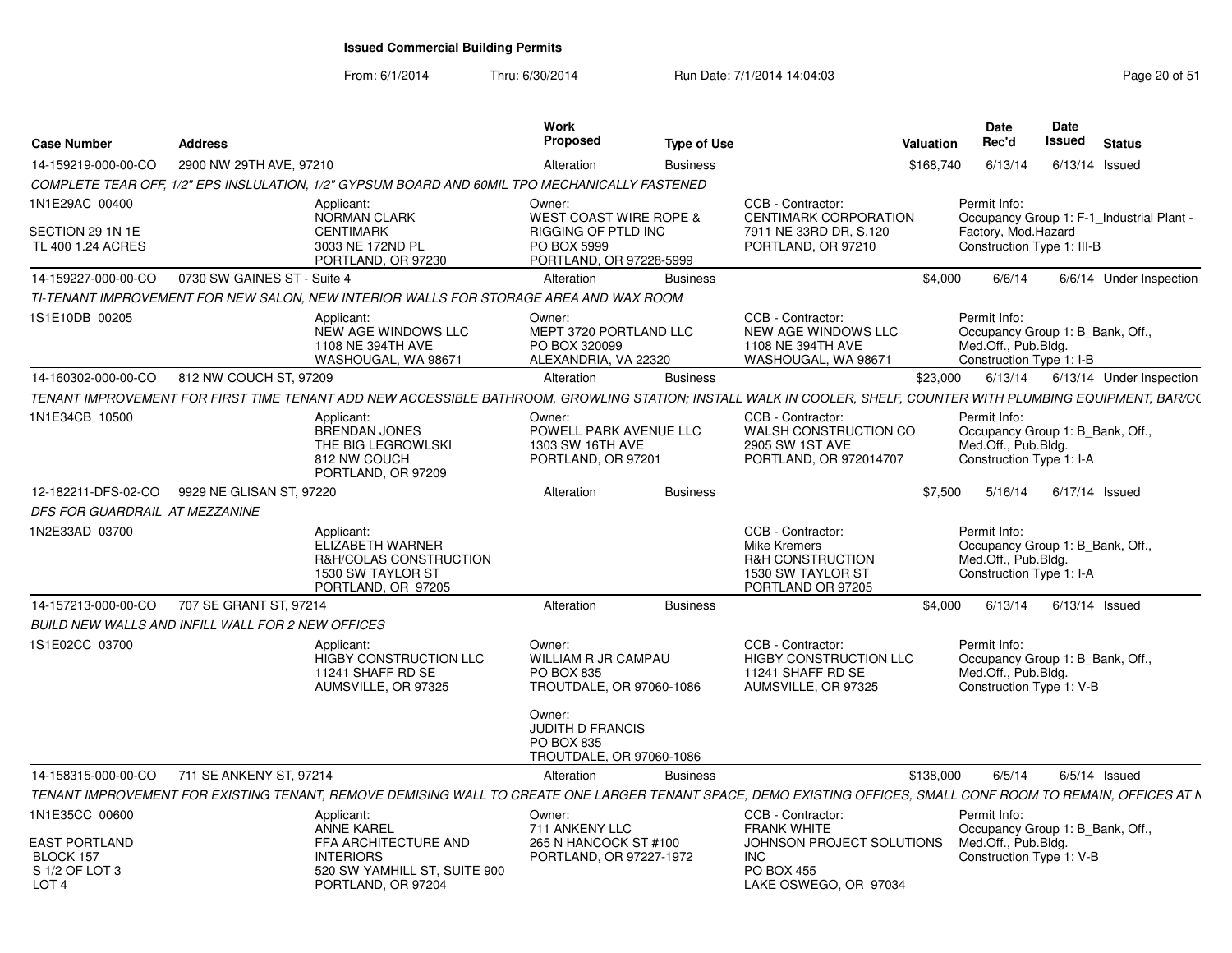From: 6/1/2014

Thru: 6/30/2014 Run Date: 7/1/2014 14:04:03 Research 20 of 51

| <b>Case Number</b>                                                      | Address                     |                                                                                                                                                                | Work<br><b>Proposed</b>                                                                                      | Type of Use     |                                                                                                                   | Valuation | Date<br>Rec'd                                                                                                  | <b>Date</b><br><b>Issued</b> | <b>Status</b>    |                          |
|-------------------------------------------------------------------------|-----------------------------|----------------------------------------------------------------------------------------------------------------------------------------------------------------|--------------------------------------------------------------------------------------------------------------|-----------------|-------------------------------------------------------------------------------------------------------------------|-----------|----------------------------------------------------------------------------------------------------------------|------------------------------|------------------|--------------------------|
| 14-159219-000-00-CO                                                     | 2900 NW 29TH AVE, 97210     |                                                                                                                                                                | Alteration                                                                                                   | <b>Business</b> |                                                                                                                   | \$168.740 | 6/13/14                                                                                                        |                              | $6/13/14$ Issued |                          |
|                                                                         |                             | COMPLETE TEAR OFF, 1/2" EPS INSLULATION, 1/2" GYPSUM BOARD AND 60MIL TPO MECHANICALLY FASTENED                                                                 |                                                                                                              |                 |                                                                                                                   |           |                                                                                                                |                              |                  |                          |
| 1N1E29AC 00400<br>SECTION 29 1N 1E<br>TL 400 1.24 ACRES                 |                             | Applicant:<br>NORMAN CLARK<br><b>CENTIMARK</b><br>3033 NE 172ND PL<br>PORTLAND, OR 97230                                                                       | Owner:<br><b>WEST COAST WIRE ROPE &amp;</b><br>RIGGING OF PTLD INC<br>PO BOX 5999<br>PORTLAND, OR 97228-5999 |                 | CCB - Contractor:<br><b>CENTIMARK CORPORATION</b><br>7911 NE 33RD DR, S.120<br>PORTLAND, OR 97210                 |           | Permit Info:<br>Occupancy Group 1: F-1_Industrial Plant -<br>Factory, Mod.Hazard<br>Construction Type 1: III-B |                              |                  |                          |
| 14-159227-000-00-CO                                                     | 0730 SW GAINES ST - Suite 4 |                                                                                                                                                                | Alteration                                                                                                   | <b>Business</b> |                                                                                                                   | \$4.000   | 6/6/14                                                                                                         |                              |                  | 6/6/14 Under Inspection  |
|                                                                         |                             | TI-TENANT IMPROVEMENT FOR NEW SALON. NEW INTERIOR WALLS FOR STORAGE AREA AND WAX ROOM                                                                          |                                                                                                              |                 |                                                                                                                   |           |                                                                                                                |                              |                  |                          |
| 1S1E10DB 00205                                                          |                             | Applicant<br>NEW AGE WINDOWS LLC<br>1108 NE 394TH AVE<br>WASHOUGAL, WA 98671                                                                                   | Owner:<br>MEPT 3720 PORTLAND LLC<br>PO BOX 320099<br>ALEXANDRIA, VA 22320                                    |                 | CCB - Contractor:<br>NEW AGE WINDOWS LLC<br>1108 NE 394TH AVE<br>WASHOUGAL, WA 98671                              |           | Permit Info:<br>Occupancy Group 1: B Bank, Off.,<br>Med.Off., Pub.Bldg.<br>Construction Type 1: I-B            |                              |                  |                          |
| 14-160302-000-00-CO                                                     | 812 NW COUCH ST, 97209      |                                                                                                                                                                | Alteration                                                                                                   | <b>Business</b> |                                                                                                                   | \$23,000  | 6/13/14                                                                                                        |                              |                  | 6/13/14 Under Inspection |
|                                                                         |                             | TENANT IMPROVEMENT FOR FIRST TIME TENANT ADD NEW ACCESSIBLE BATHROOM. GROWLING STATION: INSTALL WALK IN COOLER. SHELF. COUNTER WITH PLUMBING EQUIPMENT. BAR/C( |                                                                                                              |                 |                                                                                                                   |           |                                                                                                                |                              |                  |                          |
| 1N1E34CB 10500                                                          |                             | Applicant:<br><b>BRENDAN JONES</b><br>THE BIG LEGROWLSKI<br>812 NW COUCH<br>PORTLAND, OR 97209                                                                 | Owner:<br>POWELL PARK AVENUE LLC<br>1303 SW 16TH AVE<br>PORTLAND, OR 97201                                   |                 | CCB - Contractor:<br>WALSH CONSTRUCTION CO<br>2905 SW 1ST AVE<br>PORTLAND, OR 972014707                           |           | Permit Info:<br>Occupancy Group 1: B Bank, Off.,<br>Med.Off., Pub.Bldg.<br>Construction Type 1: I-A            |                              |                  |                          |
| 12-182211-DFS-02-CO                                                     | 9929 NE GLISAN ST, 97220    |                                                                                                                                                                | Alteration                                                                                                   | <b>Business</b> |                                                                                                                   | \$7.500   | 5/16/14                                                                                                        |                              | $6/17/14$ Issued |                          |
| DFS FOR GUARDRAIL AT MEZZANINE                                          |                             |                                                                                                                                                                |                                                                                                              |                 |                                                                                                                   |           |                                                                                                                |                              |                  |                          |
| 1N2E33AD 03700                                                          |                             | Applicant:<br>ELIZABETH WARNER<br>R&H/COLAS CONSTRUCTION<br>1530 SW TAYLOR ST<br>PORTLAND, OR 97205                                                            |                                                                                                              |                 | CCB - Contractor:<br><b>Mike Kremers</b><br><b>R&amp;H CONSTRUCTION</b><br>1530 SW TAYLOR ST<br>PORTLAND OR 97205 |           | Permit Info:<br>Occupancy Group 1: B Bank, Off.,<br>Med.Off., Pub.Bldg.<br>Construction Type 1: I-A            |                              |                  |                          |
| 14-157213-000-00-CO                                                     | 707 SE GRANT ST, 97214      |                                                                                                                                                                | Alteration                                                                                                   | <b>Business</b> |                                                                                                                   | \$4.000   | 6/13/14                                                                                                        |                              | $6/13/14$ Issued |                          |
| <b>BUILD NEW WALLS AND INFILL WALL FOR 2 NEW OFFICES</b>                |                             |                                                                                                                                                                |                                                                                                              |                 |                                                                                                                   |           |                                                                                                                |                              |                  |                          |
| 1S1E02CC 03700                                                          |                             | Applicant:<br><b>HIGBY CONSTRUCTION LLC</b><br>11241 SHAFF RD SE<br>AUMSVILLE, OR 97325                                                                        | Owner:<br><b>WILLIAM R JR CAMPAU</b><br><b>PO BOX 835</b><br>TROUTDALE, OR 97060-1086                        |                 | CCB - Contractor:<br><b>HIGBY CONSTRUCTION LLC</b><br>11241 SHAFF RD SE<br>AUMSVILLE, OR 97325                    |           | Permit Info:<br>Occupancy Group 1: B Bank, Off.,<br>Med.Off., Pub.Bldg.<br>Construction Type 1: V-B            |                              |                  |                          |
|                                                                         |                             |                                                                                                                                                                | Owner:<br><b>JUDITH D FRANCIS</b><br>PO BOX 835<br>TROUTDALE, OR 97060-1086                                  |                 |                                                                                                                   |           |                                                                                                                |                              |                  |                          |
| 14-158315-000-00-CO                                                     | 711 SE ANKENY ST, 97214     |                                                                                                                                                                | Alteration                                                                                                   | <b>Business</b> |                                                                                                                   | \$138,000 | 6/5/14                                                                                                         |                              | $6/5/14$ Issued  |                          |
|                                                                         |                             | TENANT IMPROVEMENT FOR EXISTING TENANT, REMOVE DEMISING WALL TO CREATE ONE LARGER TENANT SPACE, DEMO EXISTING OFFICES, SMALL CONF ROOM TO REMAIN, OFFICES AT N |                                                                                                              |                 |                                                                                                                   |           |                                                                                                                |                              |                  |                          |
| 1N1E35CC 00600                                                          |                             | Applicant:<br><b>ANNE KAREL</b>                                                                                                                                | Owner:<br>711 ANKENY LLC                                                                                     |                 | CCB - Contractor:<br><b>FRANK WHITE</b>                                                                           |           | Permit Info:<br>Occupancy Group 1: B Bank, Off.,<br>Med.Off., Pub.Bldg.                                        |                              |                  |                          |
| <b>EAST PORTLAND</b><br>BLOCK 157<br>S 1/2 OF LOT 3<br>LOT <sub>4</sub> |                             | FFA ARCHITECTURE AND<br><b>INTERIORS</b><br>520 SW YAMHILL ST, SUITE 900<br>PORTLAND, OR 97204                                                                 | 265 N HANCOCK ST #100<br>PORTLAND, OR 97227-1972                                                             |                 | JOHNSON PROJECT SOLUTIONS<br>INC.<br><b>PO BOX 455</b><br>LAKE OSWEGO, OR 97034                                   |           | Construction Type 1: V-B                                                                                       |                              |                  |                          |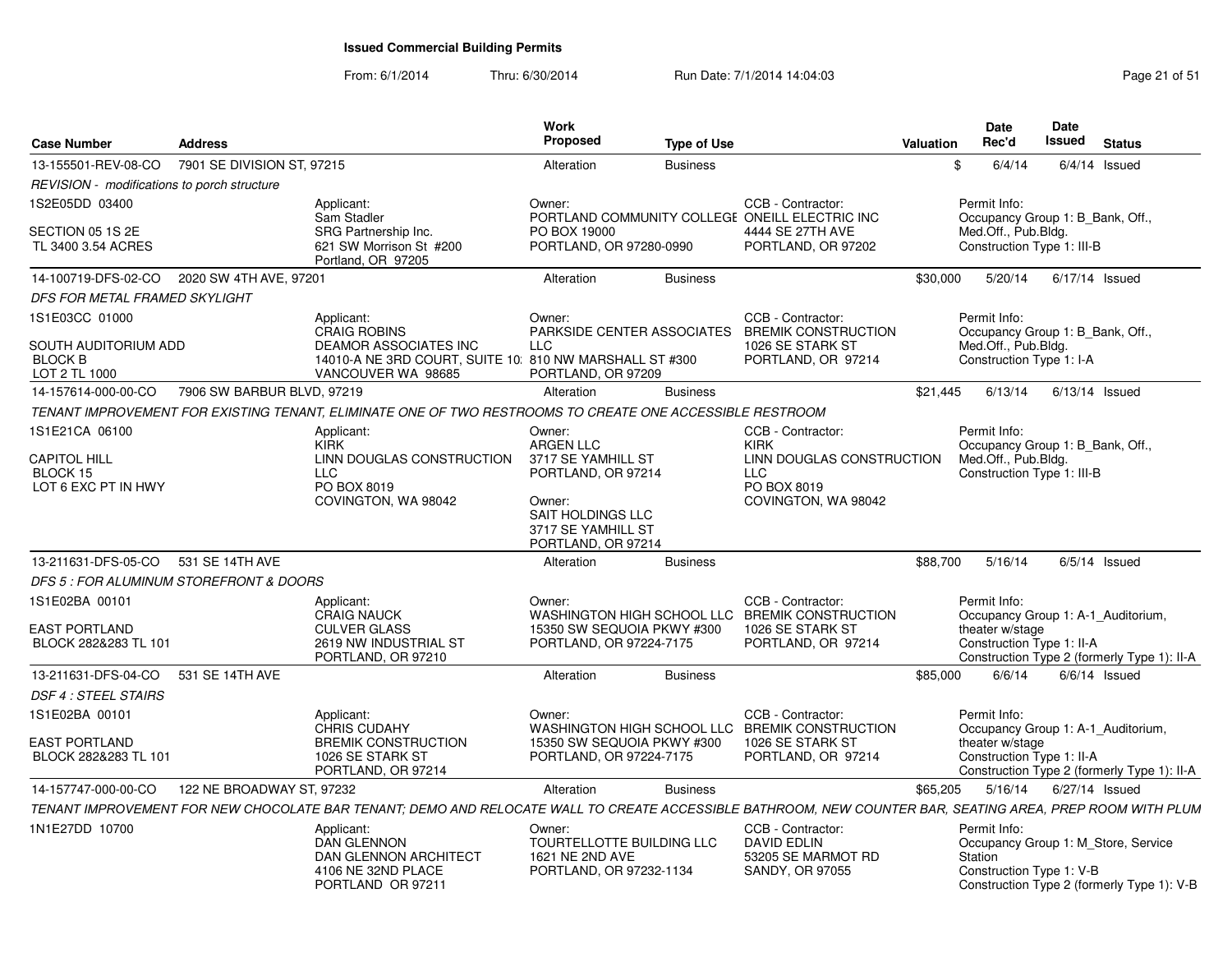#### From: 6/1/2014Thru: 6/30/2014 Run Date: 7/1/2014 14:04:03 Research 2010 151

| 13-155501-REV-08-CO<br>7901 SE DIVISION ST, 97215<br>6/4/14<br>Alteration<br><b>Business</b><br>$6/4/14$ Issued<br>.ፍ<br>REVISION - modifications to porch structure<br>1S2E05DD 03400<br>Applicant:<br>CCB - Contractor:<br>Permit Info:<br>Owner:<br>Sam Stadler<br>PORTLAND COMMUNITY COLLEGE ONEILL ELECTRIC INC<br>Occupancy Group 1: B Bank, Off.,<br>SRG Partnership Inc.<br>4444 SE 27TH AVE<br>Med.Off., Pub.Bldg.<br>SECTION 05 1S 2E<br>PO BOX 19000<br>621 SW Morrison St #200<br>Construction Type 1: III-B<br>TL 3400 3.54 ACRES<br>PORTLAND, OR 97280-0990<br>PORTLAND, OR 97202<br>Portland, OR 97205<br>2020 SW 4TH AVE, 97201<br>14-100719-DFS-02-CO<br><b>Business</b><br>\$30,000<br>5/20/14<br>6/17/14 Issued<br>Alteration<br>DFS FOR METAL FRAMED SKYLIGHT<br>1S1E03CC 01000<br>CCB - Contractor:<br>Permit Info:<br>Applicant:<br>Owner:<br><b>CRAIG ROBINS</b><br>PARKSIDE CENTER ASSOCIATES<br><b>BREMIK CONSTRUCTION</b><br>Occupancy Group 1: B_Bank, Off.,<br>Med.Off., Pub.Bldg.<br><b>DEAMOR ASSOCIATES INC</b><br>SOUTH AUDITORIUM ADD<br><b>LLC</b><br>1026 SE STARK ST<br><b>BLOCK B</b><br>14010-A NE 3RD COURT, SUITE 10, 810 NW MARSHALL ST #300<br>PORTLAND, OR 97214<br>Construction Type 1: I-A<br>LOT 2 TL 1000<br>VANCOUVER WA 98685<br>PORTLAND, OR 97209<br>7906 SW BARBUR BLVD, 97219<br>6/13/14<br>14-157614-000-00-CO<br><b>Business</b><br>\$21.445<br>$6/13/14$ Issued<br>Alteration<br>TENANT IMPROVEMENT FOR EXISTING TENANT, ELIMINATE ONE OF TWO RESTROOMS TO CREATE ONE ACCESSIBLE RESTROOM<br>1S1E21CA 06100<br>Applicant:<br>CCB - Contractor:<br>Permit Info:<br>Owner:<br>KIRK<br><b>ARGEN LLC</b><br>Occupancy Group 1: B_Bank, Off.,<br><b>KIRK</b><br>Med.Off., Pub.Bldg.<br><b>CAPITOL HILL</b><br>LINN DOUGLAS CONSTRUCTION<br>3717 SE YAMHILL ST<br>LINN DOUGLAS CONSTRUCTION<br><b>LLC</b><br>Construction Type 1: III-B<br>BLOCK 15<br>PORTLAND, OR 97214<br><b>LLC</b><br>LOT 6 EXC PT IN HWY<br>PO BOX 8019<br>PO BOX 8019<br>COVINGTON, WA 98042<br>Owner:<br>COVINGTON, WA 98042<br>SAIT HOLDINGS LLC<br>3717 SE YAMHILL ST<br>PORTLAND, OR 97214<br>13-211631-DFS-05-CO<br>531 SE 14TH AVE<br>\$88,700<br>5/16/14<br>$6/5/14$ Issued<br><b>Business</b><br>Alteration<br>DFS 5 : FOR ALUMINUM STOREFRONT & DOORS<br>1S1E02BA 00101<br>CCB - Contractor:<br>Permit Info:<br>Applicant:<br>Owner:<br><b>CRAIG NAUCK</b><br>WASHINGTON HIGH SCHOOL LLC BREMIK CONSTRUCTION<br>Occupancy Group 1: A-1 Auditorium,<br><b>EAST PORTLAND</b><br><b>CULVER GLASS</b><br>15350 SW SEQUOIA PKWY #300<br>1026 SE STARK ST<br>theater w/stage<br>2619 NW INDUSTRIAL ST<br>Construction Type 1: II-A<br>BLOCK 282&283 TL 101<br>PORTLAND, OR 97224-7175<br>PORTLAND, OR 97214<br>PORTLAND, OR 97210<br>Construction Type 2 (formerly Type 1): II-A<br>13-211631-DFS-04-CO<br>531 SE 14TH AVE<br>\$85,000<br>6/6/14<br>$6/6/14$ Issued<br>Alteration<br><b>Business</b><br><b>DSF 4 : STEEL STAIRS</b><br>1S1E02BA 00101<br>CCB - Contractor:<br>Applicant:<br>Owner:<br>Permit Info:<br><b>CHRIS CUDAHY</b><br>WASHINGTON HIGH SCHOOL LLC BREMIK CONSTRUCTION<br>Occupancy Group 1: A-1 Auditorium,<br>EAST PORTLAND<br><b>BREMIK CONSTRUCTION</b><br>15350 SW SEQUOIA PKWY #300<br>theater w/stage<br>1026 SE STARK ST<br>BLOCK 282&283 TL 101<br>1026 SE STARK ST<br>PORTLAND, OR 97224-7175<br>Construction Type 1: II-A<br>PORTLAND, OR 97214<br>PORTLAND, OR 97214<br>Construction Type 2 (formerly Type 1): II-A<br>14-157747-000-00-CO<br>122 NE BROADWAY ST. 97232<br>\$65,205<br>5/16/14<br>6/27/14 Issued<br>Alteration<br><b>Business</b><br>TENANT IMPROVEMENT FOR NEW CHOCOLATE BAR TENANT; DEMO AND RELOCATE WALL TO CREATE ACCESSIBLE BATHROOM, NEW COUNTER BAR, SEATING AREA, PREP ROOM WITH PLUM<br>1N1E27DD 10700<br>CCB - Contractor:<br>Applicant:<br>Owner:<br>Permit Info:<br><b>DAN GLENNON</b><br>TOURTELLOTTE BUILDING LLC<br>DAVID EDLIN<br>Occupancy Group 1: M Store, Service<br>DAN GLENNON ARCHITECT<br>1621 NE 2ND AVE<br>53205 SE MARMOT RD<br>Station<br>Construction Type 1: V-B<br>4106 NE 32ND PLACE<br>PORTLAND, OR 97232-1134<br>SANDY, OR 97055<br>Construction Type 2 (formerly Type 1): V-B | <b>Case Number</b> | <b>Address</b> |                   | Work<br><b>Proposed</b> | <b>Type of Use</b> | Valuation | <b>Date</b><br>Rec'd | Date<br>Issued | <b>Status</b> |  |
|------------------------------------------------------------------------------------------------------------------------------------------------------------------------------------------------------------------------------------------------------------------------------------------------------------------------------------------------------------------------------------------------------------------------------------------------------------------------------------------------------------------------------------------------------------------------------------------------------------------------------------------------------------------------------------------------------------------------------------------------------------------------------------------------------------------------------------------------------------------------------------------------------------------------------------------------------------------------------------------------------------------------------------------------------------------------------------------------------------------------------------------------------------------------------------------------------------------------------------------------------------------------------------------------------------------------------------------------------------------------------------------------------------------------------------------------------------------------------------------------------------------------------------------------------------------------------------------------------------------------------------------------------------------------------------------------------------------------------------------------------------------------------------------------------------------------------------------------------------------------------------------------------------------------------------------------------------------------------------------------------------------------------------------------------------------------------------------------------------------------------------------------------------------------------------------------------------------------------------------------------------------------------------------------------------------------------------------------------------------------------------------------------------------------------------------------------------------------------------------------------------------------------------------------------------------------------------------------------------------------------------------------------------------------------------------------------------------------------------------------------------------------------------------------------------------------------------------------------------------------------------------------------------------------------------------------------------------------------------------------------------------------------------------------------------------------------------------------------------------------------------------------------------------------------------------------------------------------------------------------------------------------------------------------------------------------------------------------------------------------------------------------------------------------------------------------------------------------------------------------------------------------------------------------------------------------------------------------------------------------------------------------------------------------------------------------------------------------------------------------------------------------------------------------------------------------------------------------------------------------------------------------------------------------------------------------------------------------------------------------------------------------------------------------------------------------------------------------------------------------------------------------------------------------------------------------|--------------------|----------------|-------------------|-------------------------|--------------------|-----------|----------------------|----------------|---------------|--|
|                                                                                                                                                                                                                                                                                                                                                                                                                                                                                                                                                                                                                                                                                                                                                                                                                                                                                                                                                                                                                                                                                                                                                                                                                                                                                                                                                                                                                                                                                                                                                                                                                                                                                                                                                                                                                                                                                                                                                                                                                                                                                                                                                                                                                                                                                                                                                                                                                                                                                                                                                                                                                                                                                                                                                                                                                                                                                                                                                                                                                                                                                                                                                                                                                                                                                                                                                                                                                                                                                                                                                                                                                                                                                                                                                                                                                                                                                                                                                                                                                                                                                                                                                                                                |                    |                |                   |                         |                    |           |                      |                |               |  |
|                                                                                                                                                                                                                                                                                                                                                                                                                                                                                                                                                                                                                                                                                                                                                                                                                                                                                                                                                                                                                                                                                                                                                                                                                                                                                                                                                                                                                                                                                                                                                                                                                                                                                                                                                                                                                                                                                                                                                                                                                                                                                                                                                                                                                                                                                                                                                                                                                                                                                                                                                                                                                                                                                                                                                                                                                                                                                                                                                                                                                                                                                                                                                                                                                                                                                                                                                                                                                                                                                                                                                                                                                                                                                                                                                                                                                                                                                                                                                                                                                                                                                                                                                                                                |                    |                |                   |                         |                    |           |                      |                |               |  |
|                                                                                                                                                                                                                                                                                                                                                                                                                                                                                                                                                                                                                                                                                                                                                                                                                                                                                                                                                                                                                                                                                                                                                                                                                                                                                                                                                                                                                                                                                                                                                                                                                                                                                                                                                                                                                                                                                                                                                                                                                                                                                                                                                                                                                                                                                                                                                                                                                                                                                                                                                                                                                                                                                                                                                                                                                                                                                                                                                                                                                                                                                                                                                                                                                                                                                                                                                                                                                                                                                                                                                                                                                                                                                                                                                                                                                                                                                                                                                                                                                                                                                                                                                                                                |                    |                |                   |                         |                    |           |                      |                |               |  |
|                                                                                                                                                                                                                                                                                                                                                                                                                                                                                                                                                                                                                                                                                                                                                                                                                                                                                                                                                                                                                                                                                                                                                                                                                                                                                                                                                                                                                                                                                                                                                                                                                                                                                                                                                                                                                                                                                                                                                                                                                                                                                                                                                                                                                                                                                                                                                                                                                                                                                                                                                                                                                                                                                                                                                                                                                                                                                                                                                                                                                                                                                                                                                                                                                                                                                                                                                                                                                                                                                                                                                                                                                                                                                                                                                                                                                                                                                                                                                                                                                                                                                                                                                                                                |                    |                |                   |                         |                    |           |                      |                |               |  |
|                                                                                                                                                                                                                                                                                                                                                                                                                                                                                                                                                                                                                                                                                                                                                                                                                                                                                                                                                                                                                                                                                                                                                                                                                                                                                                                                                                                                                                                                                                                                                                                                                                                                                                                                                                                                                                                                                                                                                                                                                                                                                                                                                                                                                                                                                                                                                                                                                                                                                                                                                                                                                                                                                                                                                                                                                                                                                                                                                                                                                                                                                                                                                                                                                                                                                                                                                                                                                                                                                                                                                                                                                                                                                                                                                                                                                                                                                                                                                                                                                                                                                                                                                                                                |                    |                |                   |                         |                    |           |                      |                |               |  |
|                                                                                                                                                                                                                                                                                                                                                                                                                                                                                                                                                                                                                                                                                                                                                                                                                                                                                                                                                                                                                                                                                                                                                                                                                                                                                                                                                                                                                                                                                                                                                                                                                                                                                                                                                                                                                                                                                                                                                                                                                                                                                                                                                                                                                                                                                                                                                                                                                                                                                                                                                                                                                                                                                                                                                                                                                                                                                                                                                                                                                                                                                                                                                                                                                                                                                                                                                                                                                                                                                                                                                                                                                                                                                                                                                                                                                                                                                                                                                                                                                                                                                                                                                                                                |                    |                |                   |                         |                    |           |                      |                |               |  |
|                                                                                                                                                                                                                                                                                                                                                                                                                                                                                                                                                                                                                                                                                                                                                                                                                                                                                                                                                                                                                                                                                                                                                                                                                                                                                                                                                                                                                                                                                                                                                                                                                                                                                                                                                                                                                                                                                                                                                                                                                                                                                                                                                                                                                                                                                                                                                                                                                                                                                                                                                                                                                                                                                                                                                                                                                                                                                                                                                                                                                                                                                                                                                                                                                                                                                                                                                                                                                                                                                                                                                                                                                                                                                                                                                                                                                                                                                                                                                                                                                                                                                                                                                                                                |                    |                |                   |                         |                    |           |                      |                |               |  |
|                                                                                                                                                                                                                                                                                                                                                                                                                                                                                                                                                                                                                                                                                                                                                                                                                                                                                                                                                                                                                                                                                                                                                                                                                                                                                                                                                                                                                                                                                                                                                                                                                                                                                                                                                                                                                                                                                                                                                                                                                                                                                                                                                                                                                                                                                                                                                                                                                                                                                                                                                                                                                                                                                                                                                                                                                                                                                                                                                                                                                                                                                                                                                                                                                                                                                                                                                                                                                                                                                                                                                                                                                                                                                                                                                                                                                                                                                                                                                                                                                                                                                                                                                                                                |                    |                |                   |                         |                    |           |                      |                |               |  |
|                                                                                                                                                                                                                                                                                                                                                                                                                                                                                                                                                                                                                                                                                                                                                                                                                                                                                                                                                                                                                                                                                                                                                                                                                                                                                                                                                                                                                                                                                                                                                                                                                                                                                                                                                                                                                                                                                                                                                                                                                                                                                                                                                                                                                                                                                                                                                                                                                                                                                                                                                                                                                                                                                                                                                                                                                                                                                                                                                                                                                                                                                                                                                                                                                                                                                                                                                                                                                                                                                                                                                                                                                                                                                                                                                                                                                                                                                                                                                                                                                                                                                                                                                                                                |                    |                |                   |                         |                    |           |                      |                |               |  |
|                                                                                                                                                                                                                                                                                                                                                                                                                                                                                                                                                                                                                                                                                                                                                                                                                                                                                                                                                                                                                                                                                                                                                                                                                                                                                                                                                                                                                                                                                                                                                                                                                                                                                                                                                                                                                                                                                                                                                                                                                                                                                                                                                                                                                                                                                                                                                                                                                                                                                                                                                                                                                                                                                                                                                                                                                                                                                                                                                                                                                                                                                                                                                                                                                                                                                                                                                                                                                                                                                                                                                                                                                                                                                                                                                                                                                                                                                                                                                                                                                                                                                                                                                                                                |                    |                |                   |                         |                    |           |                      |                |               |  |
|                                                                                                                                                                                                                                                                                                                                                                                                                                                                                                                                                                                                                                                                                                                                                                                                                                                                                                                                                                                                                                                                                                                                                                                                                                                                                                                                                                                                                                                                                                                                                                                                                                                                                                                                                                                                                                                                                                                                                                                                                                                                                                                                                                                                                                                                                                                                                                                                                                                                                                                                                                                                                                                                                                                                                                                                                                                                                                                                                                                                                                                                                                                                                                                                                                                                                                                                                                                                                                                                                                                                                                                                                                                                                                                                                                                                                                                                                                                                                                                                                                                                                                                                                                                                |                    |                |                   |                         |                    |           |                      |                |               |  |
|                                                                                                                                                                                                                                                                                                                                                                                                                                                                                                                                                                                                                                                                                                                                                                                                                                                                                                                                                                                                                                                                                                                                                                                                                                                                                                                                                                                                                                                                                                                                                                                                                                                                                                                                                                                                                                                                                                                                                                                                                                                                                                                                                                                                                                                                                                                                                                                                                                                                                                                                                                                                                                                                                                                                                                                                                                                                                                                                                                                                                                                                                                                                                                                                                                                                                                                                                                                                                                                                                                                                                                                                                                                                                                                                                                                                                                                                                                                                                                                                                                                                                                                                                                                                |                    |                |                   |                         |                    |           |                      |                |               |  |
|                                                                                                                                                                                                                                                                                                                                                                                                                                                                                                                                                                                                                                                                                                                                                                                                                                                                                                                                                                                                                                                                                                                                                                                                                                                                                                                                                                                                                                                                                                                                                                                                                                                                                                                                                                                                                                                                                                                                                                                                                                                                                                                                                                                                                                                                                                                                                                                                                                                                                                                                                                                                                                                                                                                                                                                                                                                                                                                                                                                                                                                                                                                                                                                                                                                                                                                                                                                                                                                                                                                                                                                                                                                                                                                                                                                                                                                                                                                                                                                                                                                                                                                                                                                                |                    |                |                   |                         |                    |           |                      |                |               |  |
|                                                                                                                                                                                                                                                                                                                                                                                                                                                                                                                                                                                                                                                                                                                                                                                                                                                                                                                                                                                                                                                                                                                                                                                                                                                                                                                                                                                                                                                                                                                                                                                                                                                                                                                                                                                                                                                                                                                                                                                                                                                                                                                                                                                                                                                                                                                                                                                                                                                                                                                                                                                                                                                                                                                                                                                                                                                                                                                                                                                                                                                                                                                                                                                                                                                                                                                                                                                                                                                                                                                                                                                                                                                                                                                                                                                                                                                                                                                                                                                                                                                                                                                                                                                                |                    |                |                   |                         |                    |           |                      |                |               |  |
|                                                                                                                                                                                                                                                                                                                                                                                                                                                                                                                                                                                                                                                                                                                                                                                                                                                                                                                                                                                                                                                                                                                                                                                                                                                                                                                                                                                                                                                                                                                                                                                                                                                                                                                                                                                                                                                                                                                                                                                                                                                                                                                                                                                                                                                                                                                                                                                                                                                                                                                                                                                                                                                                                                                                                                                                                                                                                                                                                                                                                                                                                                                                                                                                                                                                                                                                                                                                                                                                                                                                                                                                                                                                                                                                                                                                                                                                                                                                                                                                                                                                                                                                                                                                |                    |                |                   |                         |                    |           |                      |                |               |  |
|                                                                                                                                                                                                                                                                                                                                                                                                                                                                                                                                                                                                                                                                                                                                                                                                                                                                                                                                                                                                                                                                                                                                                                                                                                                                                                                                                                                                                                                                                                                                                                                                                                                                                                                                                                                                                                                                                                                                                                                                                                                                                                                                                                                                                                                                                                                                                                                                                                                                                                                                                                                                                                                                                                                                                                                                                                                                                                                                                                                                                                                                                                                                                                                                                                                                                                                                                                                                                                                                                                                                                                                                                                                                                                                                                                                                                                                                                                                                                                                                                                                                                                                                                                                                |                    |                |                   |                         |                    |           |                      |                |               |  |
|                                                                                                                                                                                                                                                                                                                                                                                                                                                                                                                                                                                                                                                                                                                                                                                                                                                                                                                                                                                                                                                                                                                                                                                                                                                                                                                                                                                                                                                                                                                                                                                                                                                                                                                                                                                                                                                                                                                                                                                                                                                                                                                                                                                                                                                                                                                                                                                                                                                                                                                                                                                                                                                                                                                                                                                                                                                                                                                                                                                                                                                                                                                                                                                                                                                                                                                                                                                                                                                                                                                                                                                                                                                                                                                                                                                                                                                                                                                                                                                                                                                                                                                                                                                                |                    |                |                   |                         |                    |           |                      |                |               |  |
|                                                                                                                                                                                                                                                                                                                                                                                                                                                                                                                                                                                                                                                                                                                                                                                                                                                                                                                                                                                                                                                                                                                                                                                                                                                                                                                                                                                                                                                                                                                                                                                                                                                                                                                                                                                                                                                                                                                                                                                                                                                                                                                                                                                                                                                                                                                                                                                                                                                                                                                                                                                                                                                                                                                                                                                                                                                                                                                                                                                                                                                                                                                                                                                                                                                                                                                                                                                                                                                                                                                                                                                                                                                                                                                                                                                                                                                                                                                                                                                                                                                                                                                                                                                                |                    |                |                   |                         |                    |           |                      |                |               |  |
|                                                                                                                                                                                                                                                                                                                                                                                                                                                                                                                                                                                                                                                                                                                                                                                                                                                                                                                                                                                                                                                                                                                                                                                                                                                                                                                                                                                                                                                                                                                                                                                                                                                                                                                                                                                                                                                                                                                                                                                                                                                                                                                                                                                                                                                                                                                                                                                                                                                                                                                                                                                                                                                                                                                                                                                                                                                                                                                                                                                                                                                                                                                                                                                                                                                                                                                                                                                                                                                                                                                                                                                                                                                                                                                                                                                                                                                                                                                                                                                                                                                                                                                                                                                                |                    |                |                   |                         |                    |           |                      |                |               |  |
|                                                                                                                                                                                                                                                                                                                                                                                                                                                                                                                                                                                                                                                                                                                                                                                                                                                                                                                                                                                                                                                                                                                                                                                                                                                                                                                                                                                                                                                                                                                                                                                                                                                                                                                                                                                                                                                                                                                                                                                                                                                                                                                                                                                                                                                                                                                                                                                                                                                                                                                                                                                                                                                                                                                                                                                                                                                                                                                                                                                                                                                                                                                                                                                                                                                                                                                                                                                                                                                                                                                                                                                                                                                                                                                                                                                                                                                                                                                                                                                                                                                                                                                                                                                                |                    |                |                   |                         |                    |           |                      |                |               |  |
|                                                                                                                                                                                                                                                                                                                                                                                                                                                                                                                                                                                                                                                                                                                                                                                                                                                                                                                                                                                                                                                                                                                                                                                                                                                                                                                                                                                                                                                                                                                                                                                                                                                                                                                                                                                                                                                                                                                                                                                                                                                                                                                                                                                                                                                                                                                                                                                                                                                                                                                                                                                                                                                                                                                                                                                                                                                                                                                                                                                                                                                                                                                                                                                                                                                                                                                                                                                                                                                                                                                                                                                                                                                                                                                                                                                                                                                                                                                                                                                                                                                                                                                                                                                                |                    |                |                   |                         |                    |           |                      |                |               |  |
|                                                                                                                                                                                                                                                                                                                                                                                                                                                                                                                                                                                                                                                                                                                                                                                                                                                                                                                                                                                                                                                                                                                                                                                                                                                                                                                                                                                                                                                                                                                                                                                                                                                                                                                                                                                                                                                                                                                                                                                                                                                                                                                                                                                                                                                                                                                                                                                                                                                                                                                                                                                                                                                                                                                                                                                                                                                                                                                                                                                                                                                                                                                                                                                                                                                                                                                                                                                                                                                                                                                                                                                                                                                                                                                                                                                                                                                                                                                                                                                                                                                                                                                                                                                                |                    |                |                   |                         |                    |           |                      |                |               |  |
|                                                                                                                                                                                                                                                                                                                                                                                                                                                                                                                                                                                                                                                                                                                                                                                                                                                                                                                                                                                                                                                                                                                                                                                                                                                                                                                                                                                                                                                                                                                                                                                                                                                                                                                                                                                                                                                                                                                                                                                                                                                                                                                                                                                                                                                                                                                                                                                                                                                                                                                                                                                                                                                                                                                                                                                                                                                                                                                                                                                                                                                                                                                                                                                                                                                                                                                                                                                                                                                                                                                                                                                                                                                                                                                                                                                                                                                                                                                                                                                                                                                                                                                                                                                                |                    |                |                   |                         |                    |           |                      |                |               |  |
|                                                                                                                                                                                                                                                                                                                                                                                                                                                                                                                                                                                                                                                                                                                                                                                                                                                                                                                                                                                                                                                                                                                                                                                                                                                                                                                                                                                                                                                                                                                                                                                                                                                                                                                                                                                                                                                                                                                                                                                                                                                                                                                                                                                                                                                                                                                                                                                                                                                                                                                                                                                                                                                                                                                                                                                                                                                                                                                                                                                                                                                                                                                                                                                                                                                                                                                                                                                                                                                                                                                                                                                                                                                                                                                                                                                                                                                                                                                                                                                                                                                                                                                                                                                                |                    |                | PORTLAND OR 97211 |                         |                    |           |                      |                |               |  |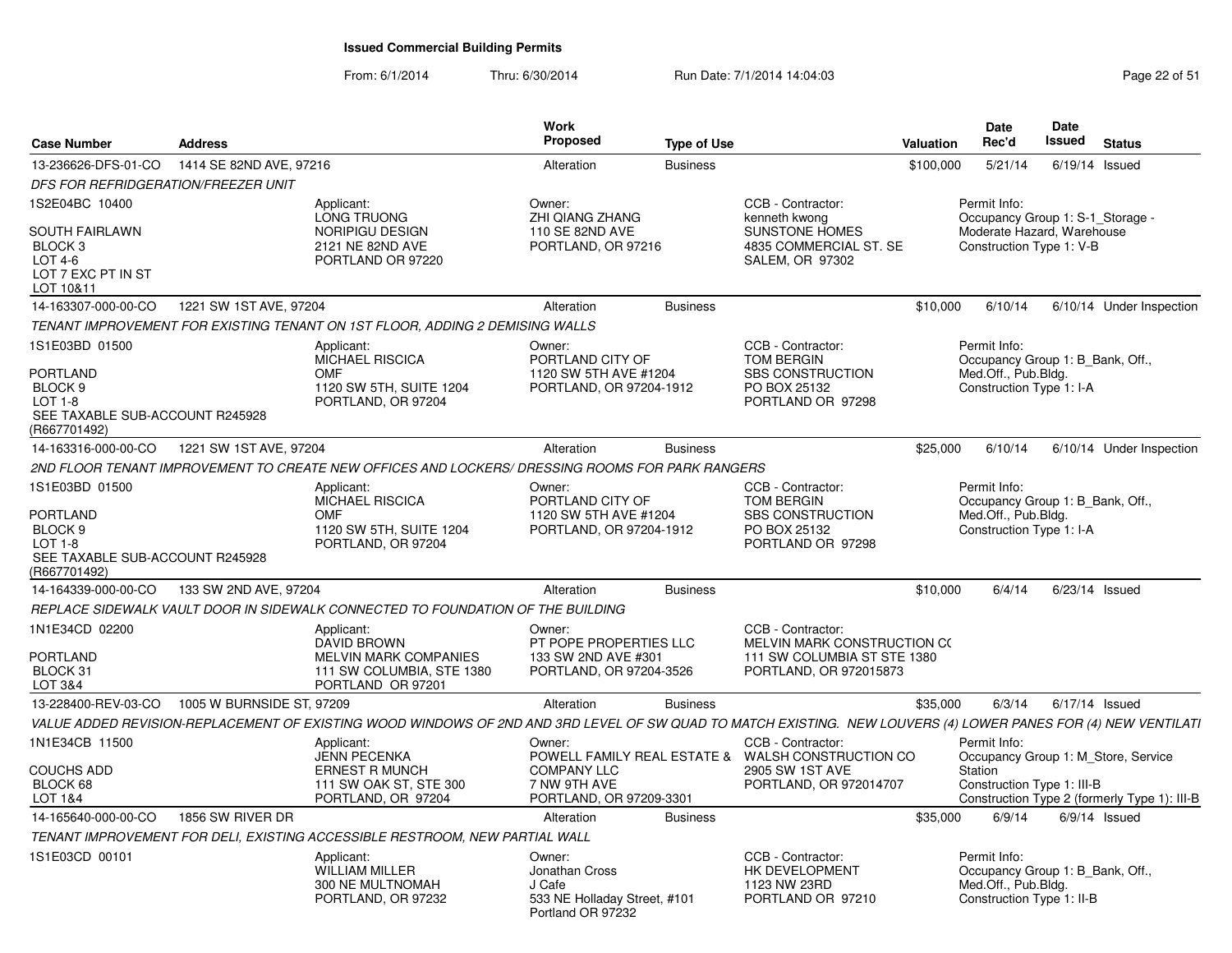From: 6/1/2014Thru: 6/30/2014 Run Date: 7/1/2014 14:04:03 Research 2010 Rage 22 of 51

| <b>Case Number</b>                                                                             | <b>Address</b>            |                                                                                                                                                                | <b>Work</b><br><b>Proposed</b>                                                          | <b>Type of Use</b> |                                                                                                           | <b>Valuation</b> | <b>Date</b><br>Rec'd                                                                                 | Date<br><b>Issued</b> | <b>Status</b>                                |
|------------------------------------------------------------------------------------------------|---------------------------|----------------------------------------------------------------------------------------------------------------------------------------------------------------|-----------------------------------------------------------------------------------------|--------------------|-----------------------------------------------------------------------------------------------------------|------------------|------------------------------------------------------------------------------------------------------|-----------------------|----------------------------------------------|
| 13-236626-DFS-01-CO                                                                            | 1414 SE 82ND AVE, 97216   |                                                                                                                                                                | Alteration                                                                              | <b>Business</b>    |                                                                                                           | \$100,000        | 5/21/14                                                                                              | $6/19/14$ Issued      |                                              |
| DFS FOR REFRIDGERATION/FREEZER UNIT                                                            |                           |                                                                                                                                                                |                                                                                         |                    |                                                                                                           |                  |                                                                                                      |                       |                                              |
| 1S2E04BC 10400                                                                                 |                           | Applicant:<br>LONG TRUONG                                                                                                                                      | Owner:<br><b>ZHI QIANG ZHANG</b>                                                        |                    | CCB - Contractor:<br>kenneth kwong                                                                        |                  | Permit Info:<br>Occupancy Group 1: S-1_Storage -                                                     |                       |                                              |
| <b>SOUTH FAIRLAWN</b><br>BLOCK 3<br>LOT 4-6<br>LOT 7 EXC PT IN ST<br>LOT 10&11                 |                           | <b>NORIPIGU DESIGN</b><br>2121 NE 82ND AVE<br>PORTLAND OR 97220                                                                                                | 110 SE 82ND AVE<br>PORTLAND, OR 97216                                                   |                    | <b>SUNSTONE HOMES</b><br>4835 COMMERCIAL ST. SE<br>SALEM, OR 97302                                        |                  | Moderate Hazard. Warehouse<br>Construction Type 1: V-B                                               |                       |                                              |
| 14-163307-000-00-CO                                                                            | 1221 SW 1ST AVE, 97204    |                                                                                                                                                                | Alteration                                                                              | <b>Business</b>    |                                                                                                           | \$10,000         | 6/10/14                                                                                              |                       | 6/10/14 Under Inspection                     |
|                                                                                                |                           | TENANT IMPROVEMENT FOR EXISTING TENANT ON 1ST FLOOR, ADDING 2 DEMISING WALLS                                                                                   |                                                                                         |                    |                                                                                                           |                  |                                                                                                      |                       |                                              |
| 1S1E03BD 01500                                                                                 |                           | Applicant:<br>MICHAEL RISCICA                                                                                                                                  | Owner:<br>PORTLAND CITY OF                                                              |                    | CCB - Contractor:<br><b>TOM BERGIN</b>                                                                    |                  | Permit Info:<br>Occupancy Group 1: B_Bank, Off.,                                                     |                       |                                              |
| PORTLAND<br>BLOCK <sub>9</sub><br>LOT $1-8$<br>SEE TAXABLE SUB-ACCOUNT R245928<br>(R667701492) |                           | <b>OMF</b><br>1120 SW 5TH, SUITE 1204<br>PORTLAND, OR 97204                                                                                                    | 1120 SW 5TH AVE #1204<br>PORTLAND, OR 97204-1912                                        |                    | <b>SBS CONSTRUCTION</b><br>PO BOX 25132<br>PORTLAND OR 97298                                              |                  | Med.Off., Pub.Bldg.<br>Construction Type 1: I-A                                                      |                       |                                              |
| 14-163316-000-00-CO                                                                            | 1221 SW 1ST AVE, 97204    |                                                                                                                                                                | Alteration                                                                              | <b>Business</b>    |                                                                                                           | \$25,000         | 6/10/14                                                                                              |                       | 6/10/14 Under Inspection                     |
|                                                                                                |                           | 2ND FLOOR TENANT IMPROVEMENT TO CREATE NEW OFFICES AND LOCKERS/ DRESSING ROOMS FOR PARK RANGERS                                                                |                                                                                         |                    |                                                                                                           |                  |                                                                                                      |                       |                                              |
| 1S1E03BD 01500                                                                                 |                           | Applicant:<br><b>MICHAEL RISCICA</b>                                                                                                                           | Owner:<br>PORTLAND CITY OF                                                              |                    | CCB - Contractor:<br><b>TOM BERGIN</b>                                                                    |                  | Permit Info:<br>Occupancy Group 1: B_Bank, Off.,                                                     |                       |                                              |
| PORTLAND<br>BLOCK <sub>9</sub><br>$LOT 1-8$<br>SEE TAXABLE SUB-ACCOUNT R245928<br>(R667701492) |                           | <b>OMF</b><br>1120 SW 5TH, SUITE 1204<br>PORTLAND, OR 97204                                                                                                    | 1120 SW 5TH AVE #1204<br>PORTLAND, OR 97204-1912                                        |                    | <b>SBS CONSTRUCTION</b><br>PO BOX 25132<br>PORTLAND OR 97298                                              |                  | Med.Off., Pub.Bldg.<br>Construction Type 1: I-A                                                      |                       |                                              |
| 14-164339-000-00-CO                                                                            | 133 SW 2ND AVE, 97204     |                                                                                                                                                                | Alteration                                                                              | <b>Business</b>    |                                                                                                           | \$10,000         | 6/4/14                                                                                               | $6/23/14$ Issued      |                                              |
|                                                                                                |                           | REPLACE SIDEWALK VAULT DOOR IN SIDEWALK CONNECTED TO FOUNDATION OF THE BUILDING                                                                                |                                                                                         |                    |                                                                                                           |                  |                                                                                                      |                       |                                              |
| 1N1E34CD 02200<br>PORTLAND<br>BLOCK 31<br>LOT 3&4                                              |                           | Applicant:<br>DAVID BROWN<br><b>MELVIN MARK COMPANIES</b><br>111 SW COLUMBIA, STE 1380<br>PORTLAND OR 97201                                                    | Owner:<br>PT POPE PROPERTIES LLC<br>133 SW 2ND AVE #301<br>PORTLAND, OR 97204-3526      |                    | CCB - Contractor:<br>MELVIN MARK CONSTRUCTION CO<br>111 SW COLUMBIA ST STE 1380<br>PORTLAND, OR 972015873 |                  |                                                                                                      |                       |                                              |
| 13-228400-REV-03-CO                                                                            | 1005 W BURNSIDE ST, 97209 |                                                                                                                                                                | Alteration                                                                              | <b>Business</b>    |                                                                                                           | \$35,000         | 6/3/14                                                                                               | $6/17/14$ Issued      |                                              |
|                                                                                                |                           | VALUE ADDED REVISION-REPLACEMENT OF EXISTING WOOD WINDOWS OF 2ND AND 3RD LEVEL OF SW QUAD TO MATCH EXISTING. NEW LOUVERS (4) LOWER PANES FOR (4) NEW VENTILATI |                                                                                         |                    |                                                                                                           |                  |                                                                                                      |                       |                                              |
| 1N1E34CB 11500                                                                                 |                           | Applicant:<br><b>JENN PECENKA</b>                                                                                                                              | Owner:                                                                                  |                    | CCB - Contractor:<br>POWELL FAMILY REAL ESTATE & WALSH CONSTRUCTION CO                                    |                  | Permit Info:                                                                                         |                       | Occupancy Group 1: M Store, Service          |
| <b>COUCHS ADD</b>                                                                              |                           | <b>ERNEST R MUNCH</b>                                                                                                                                          | <b>COMPANY LLC</b>                                                                      |                    | 2905 SW 1ST AVE                                                                                           |                  | Station                                                                                              |                       |                                              |
| BLOCK 68<br>LOT 1&4                                                                            |                           | 111 SW OAK ST, STE 300<br>PORTLAND, OR 97204                                                                                                                   | 7 NW 9TH AVE<br>PORTLAND, OR 97209-3301                                                 |                    | PORTLAND, OR 972014707                                                                                    |                  | Construction Type 1: III-B                                                                           |                       | Construction Type 2 (formerly Type 1): III-B |
| 14-165640-000-00-CO                                                                            | 1856 SW RIVER DR          |                                                                                                                                                                | Alteration                                                                              | <b>Business</b>    |                                                                                                           | \$35,000         | 6/9/14                                                                                               |                       | $6/9/14$ Issued                              |
|                                                                                                |                           | TENANT IMPROVEMENT FOR DELI, EXISTING ACCESSIBLE RESTROOM, NEW PARTIAL WALL                                                                                    |                                                                                         |                    |                                                                                                           |                  |                                                                                                      |                       |                                              |
| 1S1E03CD 00101                                                                                 |                           | Applicant:<br><b>WILLIAM MILLER</b><br>300 NE MULTNOMAH<br>PORTLAND, OR 97232                                                                                  | Owner:<br>Jonathan Cross<br>J Cafe<br>533 NE Holladay Street, #101<br>Portland OR 97232 |                    | CCB - Contractor:<br>HK DEVELOPMENT<br>1123 NW 23RD<br>PORTLAND OR 97210                                  |                  | Permit Info:<br>Occupancy Group 1: B Bank, Off.,<br>Med.Off., Pub.Bldg.<br>Construction Type 1: II-B |                       |                                              |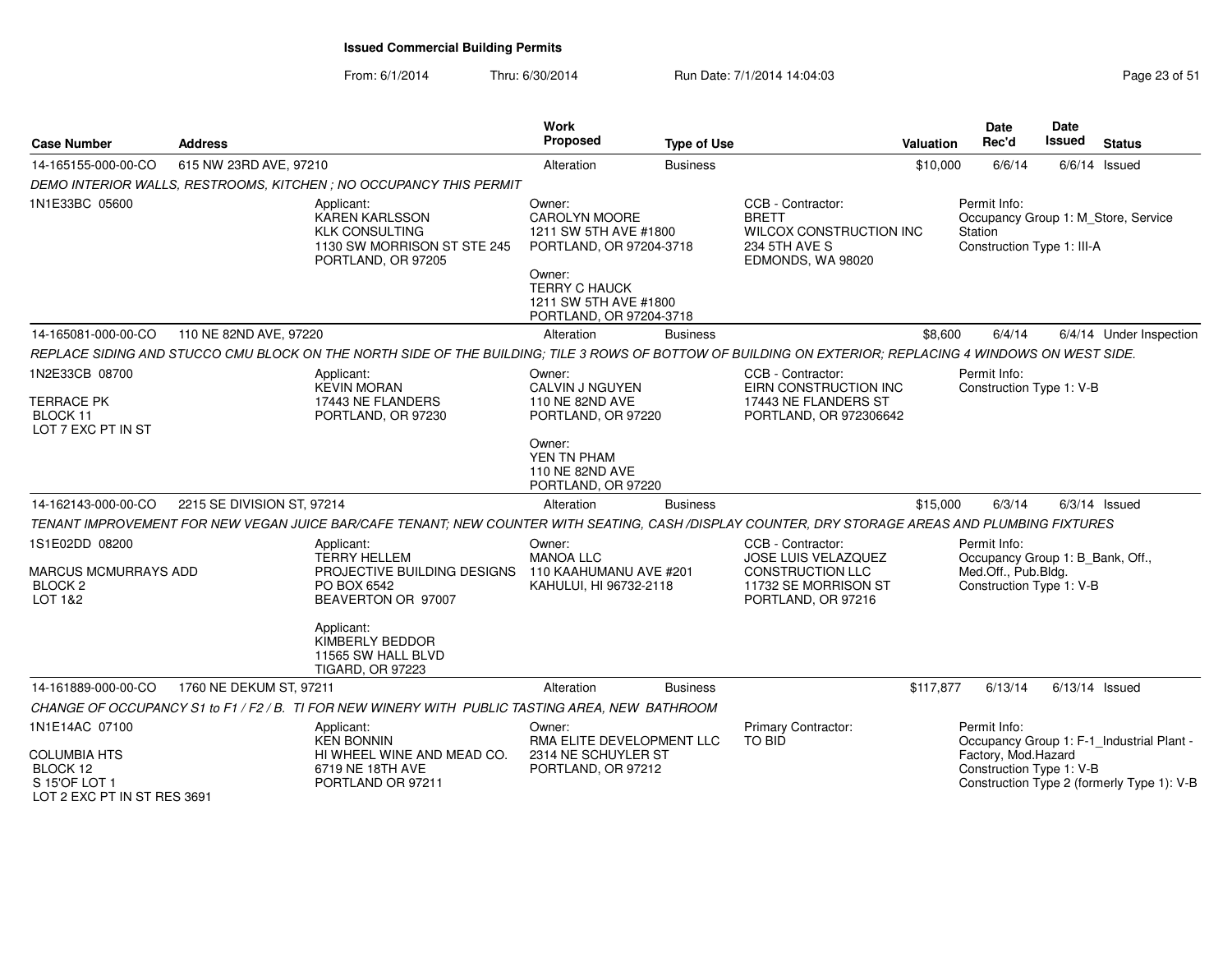From: 6/1/2014Thru: 6/30/2014 Run Date: 7/1/2014 14:04:03 Research 2010 Rage 23 of 51

| <b>Case Number</b>                                                              | <b>Address</b>             |                                                                                                                                                         | Work<br>Proposed                                                                      | <b>Type of Use</b> |                                                                                                    | <b>Valuation</b> | Date<br>Rec'd                                         | Date<br>Issued   | <b>Status</b>                              |
|---------------------------------------------------------------------------------|----------------------------|---------------------------------------------------------------------------------------------------------------------------------------------------------|---------------------------------------------------------------------------------------|--------------------|----------------------------------------------------------------------------------------------------|------------------|-------------------------------------------------------|------------------|--------------------------------------------|
| 14-165155-000-00-CO                                                             | 615 NW 23RD AVE, 97210     |                                                                                                                                                         | Alteration                                                                            | <b>Business</b>    |                                                                                                    | \$10,000         | 6/6/14                                                |                  | $6/6/14$ Issued                            |
|                                                                                 |                            | DEMO INTERIOR WALLS, RESTROOMS, KITCHEN ; NO OCCUPANCY THIS PERMIT                                                                                      |                                                                                       |                    |                                                                                                    |                  |                                                       |                  |                                            |
| 1N1E33BC 05600                                                                  |                            | Applicant:<br><b>KAREN KARLSSON</b><br><b>KLK CONSULTING</b><br>1130 SW MORRISON ST STE 245<br>PORTLAND, OR 97205                                       | Owner:<br>CAROLYN MOORE<br>1211 SW 5TH AVE #1800<br>PORTLAND, OR 97204-3718<br>Owner: |                    | CCB - Contractor:<br><b>BRETT</b><br>WILCOX CONSTRUCTION INC<br>234 5TH AVE S<br>EDMONDS, WA 98020 |                  | Permit Info:<br>Station<br>Construction Type 1: III-A |                  | Occupancy Group 1: M Store, Service        |
|                                                                                 |                            |                                                                                                                                                         | <b>TERRY C HAUCK</b><br>1211 SW 5TH AVE #1800<br>PORTLAND, OR 97204-3718              |                    |                                                                                                    |                  |                                                       |                  |                                            |
| 14-165081-000-00-CO                                                             | 110 NE 82ND AVE, 97220     |                                                                                                                                                         | Alteration                                                                            | <b>Business</b>    |                                                                                                    | \$8,600          | 6/4/14                                                |                  | 6/4/14 Under Inspection                    |
|                                                                                 |                            | REPLACE SIDING AND STUCCO CMU BLOCK ON THE NORTH SIDE OF THE BUILDING; TILE 3 ROWS OF BOTTOW OF BUILDING ON EXTERIOR; REPLACING 4 WINDOWS ON WEST SIDE. |                                                                                       |                    |                                                                                                    |                  |                                                       |                  |                                            |
| 1N2E33CB 08700                                                                  |                            | Applicant:<br><b>KEVIN MORAN</b>                                                                                                                        | Owner:<br>CALVIN J NGUYEN                                                             |                    | CCB - Contractor:<br>EIRN CONSTRUCTION INC                                                         |                  | Permit Info:<br>Construction Type 1: V-B              |                  |                                            |
| <b>TERRACE PK</b><br>BLOCK 11<br>LOT 7 EXC PT IN ST                             |                            | 17443 NE FLANDERS<br>PORTLAND, OR 97230                                                                                                                 | 110 NE 82ND AVE<br>PORTLAND, OR 97220                                                 |                    | 17443 NE FLANDERS ST<br>PORTLAND, OR 972306642                                                     |                  |                                                       |                  |                                            |
|                                                                                 |                            |                                                                                                                                                         | Owner:<br>YEN TN PHAM<br>110 NE 82ND AVE<br>PORTLAND, OR 97220                        |                    |                                                                                                    |                  |                                                       |                  |                                            |
| 14-162143-000-00-CO                                                             | 2215 SE DIVISION ST, 97214 |                                                                                                                                                         | Alteration                                                                            | <b>Business</b>    |                                                                                                    | \$15,000         | 6/3/14                                                |                  | $6/3/14$ Issued                            |
|                                                                                 |                            | TENANT IMPROVEMENT FOR NEW VEGAN JUICE BAR/CAFE TENANT; NEW COUNTER WITH SEATING, CASH /DISPLAY COUNTER, DRY STORAGE AREAS AND PLUMBING FIXTURES        |                                                                                       |                    |                                                                                                    |                  |                                                       |                  |                                            |
| 1S1E02DD 08200                                                                  |                            | Applicant:<br><b>TERRY HELLEM</b>                                                                                                                       | Owner:<br><b>MANOA LLC</b>                                                            |                    | CCB - Contractor:<br>JOSE LUIS VELAZQUEZ                                                           |                  | Permit Info:<br>Occupancy Group 1: B_Bank, Off.,      |                  |                                            |
| <b>MARCUS MCMURRAYS ADD</b><br>BLOCK <sub>2</sub><br><b>LOT 1&amp;2</b>         |                            | PROJECTIVE BUILDING DESIGNS<br>PO BOX 6542<br>BEAVERTON OR 97007                                                                                        | 110 KAAHUMANU AVE #201<br>KAHULUI, HI 96732-2118                                      |                    | <b>CONSTRUCTION LLC</b><br>11732 SE MORRISON ST<br>PORTLAND, OR 97216                              |                  | Med.Off., Pub.Bldg.<br>Construction Type 1: V-B       |                  |                                            |
|                                                                                 |                            | Applicant:<br>KIMBERLY BEDDOR<br>11565 SW HALL BLVD<br><b>TIGARD, OR 97223</b>                                                                          |                                                                                       |                    |                                                                                                    |                  |                                                       |                  |                                            |
| 14-161889-000-00-CO                                                             | 1760 NE DEKUM ST, 97211    |                                                                                                                                                         | Alteration                                                                            | <b>Business</b>    |                                                                                                    | \$117,877        | 6/13/14                                               | $6/13/14$ Issued |                                            |
|                                                                                 |                            | CHANGE OF OCCUPANCY S1 to F1 / F2 / B. TI FOR NEW WINERY WITH PUBLIC TASTING AREA, NEW BATHROOM                                                         |                                                                                       |                    |                                                                                                    |                  |                                                       |                  |                                            |
| 1N1E14AC 07100                                                                  |                            | Applicant:<br><b>KEN BONNIN</b>                                                                                                                         | Owner:<br>RMA ELITE DEVELOPMENT LLC                                                   |                    | Primary Contractor:<br><b>TO BID</b>                                                               |                  | Permit Info:                                          |                  | Occupancy Group 1: F-1_Industrial Plant -  |
| <b>COLUMBIA HTS</b><br>BLOCK 12<br>S 15'OF LOT 1<br>LOT 2 EXC PT IN ST RES 3691 |                            | HI WHEEL WINE AND MEAD CO.<br>6719 NE 18TH AVE<br>PORTLAND OR 97211                                                                                     | 2314 NE SCHUYLER ST<br>PORTLAND, OR 97212                                             |                    |                                                                                                    |                  | Factory, Mod.Hazard<br>Construction Type 1: V-B       |                  | Construction Type 2 (formerly Type 1): V-B |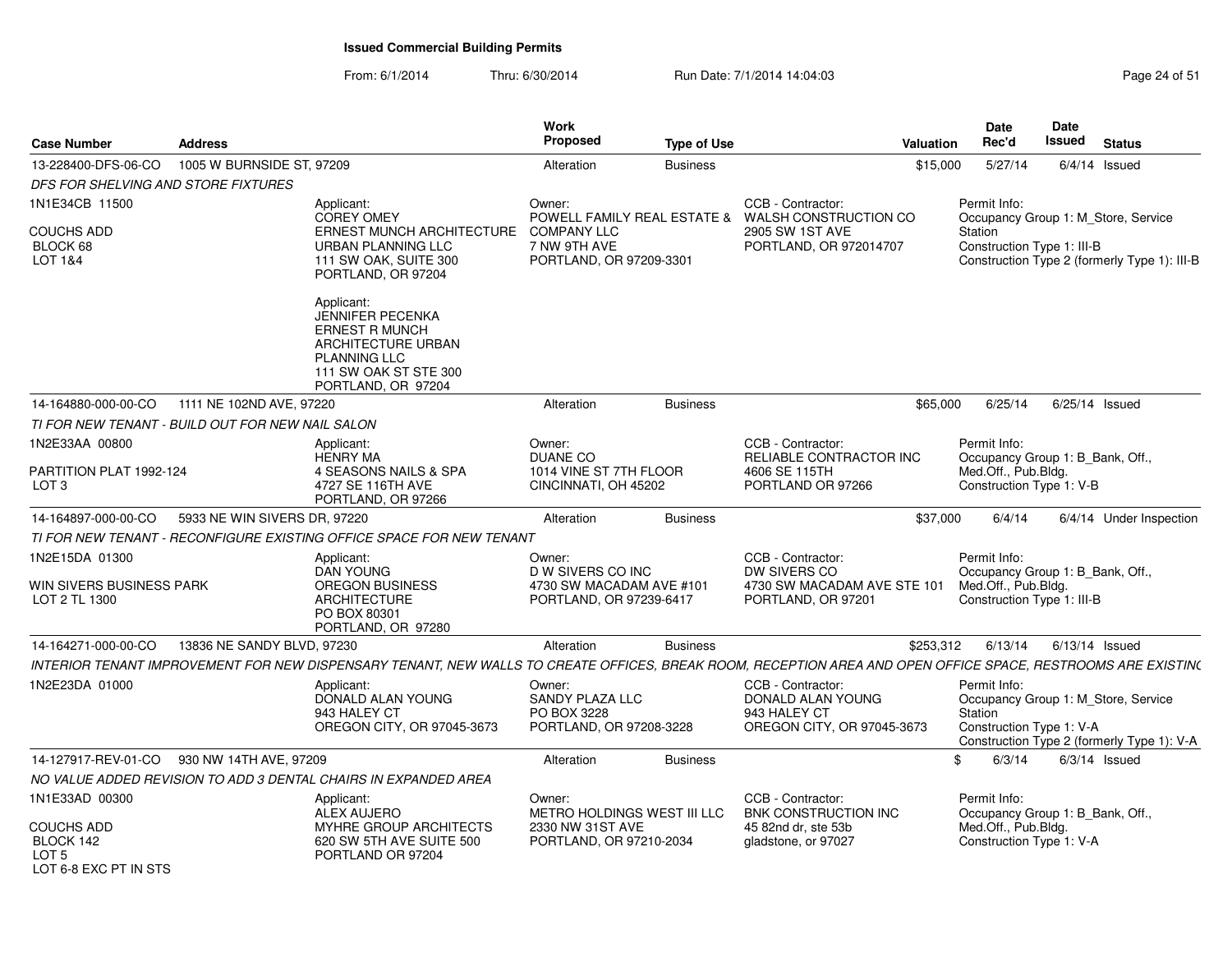From: 6/1/2014Thru: 6/30/2014 Run Date: 7/1/2014 14:04:03 Research 2010 Rage 24 of 51

| <b>Case Number</b>                                                   | <b>Address</b>                                   |                                                                                                                                                              | Work<br>Proposed                                                           | <b>Type of Use</b> | Valuation                                                                            |           | <b>Date</b><br>Rec'd                                                                  | <b>Date</b><br>Issued | <b>Status</b>                                                                     |
|----------------------------------------------------------------------|--------------------------------------------------|--------------------------------------------------------------------------------------------------------------------------------------------------------------|----------------------------------------------------------------------------|--------------------|--------------------------------------------------------------------------------------|-----------|---------------------------------------------------------------------------------------|-----------------------|-----------------------------------------------------------------------------------|
| 13-228400-DFS-06-CO                                                  | 1005 W BURNSIDE ST, 97209                        |                                                                                                                                                              | Alteration                                                                 | <b>Business</b>    |                                                                                      | \$15,000  | 5/27/14                                                                               |                       | $6/4/14$ Issued                                                                   |
| DFS FOR SHELVING AND STORE FIXTURES                                  |                                                  |                                                                                                                                                              |                                                                            |                    |                                                                                      |           |                                                                                       |                       |                                                                                   |
| 1N1E34CB 11500                                                       |                                                  | Applicant:<br><b>COREY OMEY</b>                                                                                                                              | Owner:                                                                     |                    | CCB - Contractor:<br>POWELL FAMILY REAL ESTATE & WALSH CONSTRUCTION CO               |           | Permit Info:                                                                          |                       | Occupancy Group 1: M Store, Service                                               |
| <b>COUCHS ADD</b><br>BLOCK 68<br>LOT 1&4                             |                                                  | ERNEST MUNCH ARCHITECTURE<br>URBAN PLANNING LLC<br>111 SW OAK, SUITE 300<br>PORTLAND, OR 97204                                                               | <b>COMPANY LLC</b><br>7 NW 9TH AVE<br>PORTLAND, OR 97209-3301              |                    | 2905 SW 1ST AVE<br>PORTLAND, OR 972014707                                            |           | Station<br>Construction Type 1: III-B                                                 |                       | Construction Type 2 (formerly Type 1): III-B                                      |
|                                                                      |                                                  | Applicant:<br>JENNIFER PECENKA<br><b>ERNEST R MUNCH</b><br>ARCHITECTURE URBAN<br><b>PLANNING LLC</b><br>111 SW OAK ST STE 300<br>PORTLAND, OR 97204          |                                                                            |                    |                                                                                      |           |                                                                                       |                       |                                                                                   |
| 14-164880-000-00-CO                                                  | 1111 NE 102ND AVE, 97220                         |                                                                                                                                                              | Alteration                                                                 | <b>Business</b>    |                                                                                      | \$65,000  | 6/25/14                                                                               |                       | $6/25/14$ Issued                                                                  |
|                                                                      | TI FOR NEW TENANT - BUILD OUT FOR NEW NAIL SALON |                                                                                                                                                              |                                                                            |                    |                                                                                      |           |                                                                                       |                       |                                                                                   |
| 1N2E33AA 00800                                                       |                                                  | Applicant:                                                                                                                                                   | Owner:                                                                     |                    | CCB - Contractor:                                                                    |           | Permit Info:                                                                          |                       |                                                                                   |
| PARTITION PLAT 1992-124<br>LOT <sub>3</sub>                          |                                                  | <b>HENRY MA</b><br>4 SEASONS NAILS & SPA<br>4727 SE 116TH AVE<br>PORTLAND, OR 97266                                                                          | <b>DUANE CO</b><br>1014 VINE ST 7TH FLOOR<br>CINCINNATI, OH 45202          |                    | RELIABLE CONTRACTOR INC<br>4606 SE 115TH<br>PORTLAND OR 97266                        |           | Occupancy Group 1: B_Bank, Off.,<br>Med.Off., Pub.Bldg.<br>Construction Type 1: V-B   |                       |                                                                                   |
| 14-164897-000-00-CO                                                  | 5933 NE WIN SIVERS DR, 97220                     |                                                                                                                                                              | Alteration                                                                 | <b>Business</b>    |                                                                                      | \$37,000  | 6/4/14                                                                                |                       | 6/4/14 Under Inspection                                                           |
|                                                                      |                                                  | TI FOR NEW TENANT - RECONFIGURE EXISTING OFFICE SPACE FOR NEW TENANT                                                                                         |                                                                            |                    |                                                                                      |           |                                                                                       |                       |                                                                                   |
| 1N2E15DA 01300                                                       |                                                  | Applicant:                                                                                                                                                   | Owner:                                                                     |                    | CCB - Contractor:                                                                    |           | Permit Info:                                                                          |                       |                                                                                   |
| WIN SIVERS BUSINESS PARK<br>LOT 2 TL 1300                            |                                                  | <b>DAN YOUNG</b><br><b>OREGON BUSINESS</b><br><b>ARCHITECTURE</b><br>PO BOX 80301<br>PORTLAND, OR 97280                                                      | D W SIVERS CO INC<br>4730 SW MACADAM AVE #101<br>PORTLAND, OR 97239-6417   |                    | DW SIVERS CO<br>4730 SW MACADAM AVE STE 101<br>PORTLAND, OR 97201                    |           | Occupancy Group 1: B_Bank, Off.,<br>Med.Off., Pub.Bldg.<br>Construction Type 1: III-B |                       |                                                                                   |
| 14-164271-000-00-CO                                                  | 13836 NE SANDY BLVD, 97230                       |                                                                                                                                                              | Alteration                                                                 | <b>Business</b>    |                                                                                      | \$253,312 | 6/13/14                                                                               |                       | $6/13/14$ Issued                                                                  |
|                                                                      |                                                  | INTERIOR TENANT IMPROVEMENT FOR NEW DISPENSARY TENANT, NEW WALLS TO CREATE OFFICES, BREAK ROOM, RECEPTION AREA AND OPEN OFFICE SPACE, RESTROOMS ARE EXISTIN( |                                                                            |                    |                                                                                      |           |                                                                                       |                       |                                                                                   |
| 1N2E23DA 01000                                                       |                                                  | Applicant:<br>DONALD ALAN YOUNG<br>943 HALEY CT<br>OREGON CITY, OR 97045-3673                                                                                | Owner:<br><b>SANDY PLAZA LLC</b><br>PO BOX 3228<br>PORTLAND, OR 97208-3228 |                    | CCB - Contractor:<br>DONALD ALAN YOUNG<br>943 HALEY CT<br>OREGON CITY, OR 97045-3673 |           | Permit Info:<br>Station<br>Construction Type 1: V-A                                   |                       | Occupancy Group 1: M Store, Service<br>Construction Type 2 (formerly Type 1): V-A |
| 14-127917-REV-01-CO                                                  | 930 NW 14TH AVE, 97209                           |                                                                                                                                                              | Alteration                                                                 | <b>Business</b>    |                                                                                      | \$        | 6/3/14                                                                                |                       | $6/3/14$ Issued                                                                   |
|                                                                      |                                                  | NO VALUE ADDED REVISION TO ADD 3 DENTAL CHAIRS IN EXPANDED AREA                                                                                              |                                                                            |                    |                                                                                      |           |                                                                                       |                       |                                                                                   |
| 1N1E33AD 00300                                                       |                                                  | Applicant:                                                                                                                                                   | Owner:                                                                     |                    | CCB - Contractor:                                                                    |           | Permit Info:                                                                          |                       |                                                                                   |
| COUCHS ADD<br>BLOCK 142<br>LOT <sub>5</sub><br>LOT 6-8 FXC PT IN STS |                                                  | <b>ALEX AUJERO</b><br>MYHRE GROUP ARCHITECTS<br>620 SW 5TH AVE SUITE 500<br>PORTLAND OR 97204                                                                | METRO HOLDINGS WEST III LLC<br>2330 NW 31ST AVE<br>PORTLAND, OR 97210-2034 |                    | BNK CONSTRUCTION INC<br>45 82nd dr. ste 53b<br>gladstone, or 97027                   |           | Occupancy Group 1: B_Bank, Off.,<br>Med.Off., Pub.Bldg.<br>Construction Type 1: V-A   |                       |                                                                                   |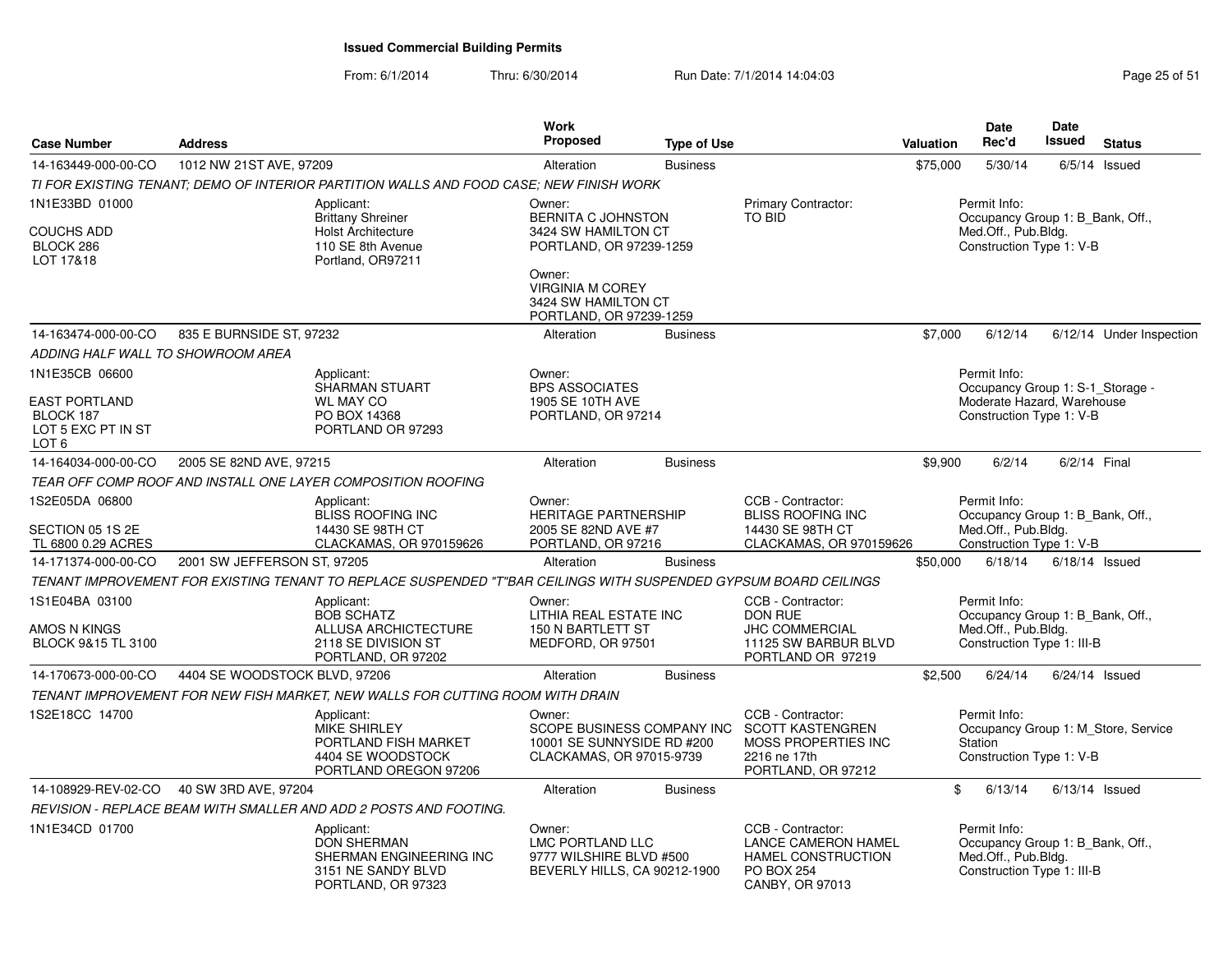From: 6/1/2014Thru: 6/30/2014 **Run Date: 7/1/2014 14:04:03** Page 25 of 51

| <b>Case Number</b>                                                        | <b>Address</b>                |                                                                                                                  | <b>Work</b><br><b>Proposed</b>                                                                 | <b>Type of Use</b> |                                                                                                                      | Valuation    | Date<br>Rec'd                                                                                              | Date<br><b>Issued</b> | <b>Status</b>                       |
|---------------------------------------------------------------------------|-------------------------------|------------------------------------------------------------------------------------------------------------------|------------------------------------------------------------------------------------------------|--------------------|----------------------------------------------------------------------------------------------------------------------|--------------|------------------------------------------------------------------------------------------------------------|-----------------------|-------------------------------------|
| 14-163449-000-00-CO                                                       | 1012 NW 21ST AVE, 97209       |                                                                                                                  | Alteration                                                                                     | <b>Business</b>    |                                                                                                                      | \$75,000     | 5/30/14                                                                                                    |                       | $6/5/14$ Issued                     |
|                                                                           |                               | TI FOR EXISTING TENANT: DEMO OF INTERIOR PARTITION WALLS AND FOOD CASE: NEW FINISH WORK                          |                                                                                                |                    |                                                                                                                      |              |                                                                                                            |                       |                                     |
| 1N1E33BD 01000<br><b>COUCHS ADD</b><br>BLOCK 286<br>LOT 17&18             |                               | Applicant:<br><b>Brittany Shreiner</b><br><b>Holst Architecture</b><br>110 SE 8th Avenue<br>Portland, OR97211    | Owner:<br>BERNITA C JOHNSTON<br>3424 SW HAMILTON CT<br>PORTLAND, OR 97239-1259<br>Owner:       |                    | Primary Contractor:<br><b>TO BID</b>                                                                                 |              | Permit Info:<br>Occupancy Group 1: B Bank, Off.,<br>Med.Off., Pub.Bldg.<br>Construction Type 1: V-B        |                       |                                     |
|                                                                           |                               |                                                                                                                  | <b>VIRGINIA M COREY</b><br>3424 SW HAMILTON CT<br>PORTLAND, OR 97239-1259                      |                    |                                                                                                                      |              |                                                                                                            |                       |                                     |
| 14-163474-000-00-CO                                                       | 835 E BURNSIDE ST, 97232      |                                                                                                                  | Alteration                                                                                     | <b>Business</b>    |                                                                                                                      | \$7.000      | 6/12/14                                                                                                    |                       | 6/12/14 Under Inspection            |
| ADDING HALF WALL TO SHOWROOM AREA                                         |                               |                                                                                                                  |                                                                                                |                    |                                                                                                                      |              |                                                                                                            |                       |                                     |
| 1N1E35CB 06600<br><b>EAST PORTLAND</b><br>BLOCK 187<br>LOT 5 EXC PT IN ST |                               | Applicant:<br>SHARMAN STUART<br><b>WL MAY CO</b><br>PO BOX 14368<br>PORTLAND OR 97293                            | Owner:<br><b>BPS ASSOCIATES</b><br>1905 SE 10TH AVE<br>PORTLAND, OR 97214                      |                    |                                                                                                                      |              | Permit Info:<br>Occupancy Group 1: S-1_Storage -<br>Moderate Hazard, Warehouse<br>Construction Type 1: V-B |                       |                                     |
| LOT 6<br>14-164034-000-00-CO                                              | 2005 SE 82ND AVE, 97215       |                                                                                                                  | Alteration                                                                                     | <b>Business</b>    |                                                                                                                      | \$9,900      | 6/2/14                                                                                                     | 6/2/14 Final          |                                     |
|                                                                           |                               | TEAR OFF COMP ROOF AND INSTALL ONE LAYER COMPOSITION ROOFING                                                     |                                                                                                |                    |                                                                                                                      |              |                                                                                                            |                       |                                     |
| 1S2E05DA 06800                                                            |                               | Applicant:                                                                                                       | Owner:                                                                                         |                    | CCB - Contractor:                                                                                                    |              | Permit Info:                                                                                               |                       |                                     |
| SECTION 05 1S 2E<br>TL 6800 0.29 ACRES                                    |                               | BLISS ROOFING INC<br>14430 SE 98TH CT<br>CLACKAMAS, OR 970159626                                                 | <b>HERITAGE PARTNERSHIP</b><br>2005 SE 82ND AVE #7<br>PORTLAND, OR 97216                       |                    | <b>BLISS ROOFING INC</b><br>14430 SE 98TH CT<br>CLACKAMAS, OR 970159626                                              |              | Occupancy Group 1: B_Bank, Off.,<br>Med.Off., Pub.Bldg.<br>Construction Type 1: V-B                        |                       |                                     |
| 14-171374-000-00-CO                                                       | 2001 SW JEFFERSON ST, 97205   |                                                                                                                  | Alteration                                                                                     | <b>Business</b>    |                                                                                                                      | \$50,000     | 6/18/14                                                                                                    | $6/18/14$ Issued      |                                     |
|                                                                           |                               | TENANT IMPROVEMENT FOR EXISTING TENANT TO REPLACE SUSPENDED "T"BAR CEILINGS WITH SUSPENDED GYPSUM BOARD CEILINGS |                                                                                                |                    |                                                                                                                      |              |                                                                                                            |                       |                                     |
| 1S1E04BA 03100<br>AMOS N KINGS                                            |                               | Applicant:<br><b>BOB SCHATZ</b><br>ALLUSA ARCHICTECTURE                                                          | Owner:<br><b>LITHIA REAL ESTATE INC</b><br>150 N BARTLETT ST                                   |                    | CCB - Contractor:<br><b>DON RUE</b><br><b>JHC COMMERCIAL</b>                                                         |              | Permit Info:<br>Occupancy Group 1: B_Bank, Off.,<br>Med.Off., Pub.Bldg.                                    |                       |                                     |
| BLOCK 9&15 TL 3100                                                        |                               | 2118 SE DIVISION ST<br>PORTLAND, OR 97202                                                                        | MEDFORD, OR 97501                                                                              |                    | 11125 SW BARBUR BLVD<br>PORTLAND OR 97219                                                                            |              | Construction Type 1: III-B                                                                                 |                       |                                     |
| 14-170673-000-00-CO                                                       | 4404 SE WOODSTOCK BLVD, 97206 |                                                                                                                  | Alteration                                                                                     | <b>Business</b>    |                                                                                                                      | \$2,500      | 6/24/14                                                                                                    | $6/24/14$ Issued      |                                     |
|                                                                           |                               | TENANT IMPROVEMENT FOR NEW FISH MARKET, NEW WALLS FOR CUTTING ROOM WITH DRAIN                                    |                                                                                                |                    |                                                                                                                      |              |                                                                                                            |                       |                                     |
| 1S2E18CC 14700                                                            |                               | Applicant:<br><b>MIKE SHIRLEY</b><br>PORTLAND FISH MARKET<br>4404 SE WOODSTOCK<br>PORTLAND OREGON 97206          | Owner:<br>SCOPE BUSINESS COMPANY INC<br>10001 SE SUNNYSIDE RD #200<br>CLACKAMAS, OR 97015-9739 |                    | CCB - Contractor:<br><b>SCOTT KASTENGREN</b><br>MOSS PROPERTIES INC<br>2216 ne 17th<br>PORTLAND, OR 97212            |              | Permit Info:<br><b>Station</b><br>Construction Type 1: V-B                                                 |                       | Occupancy Group 1: M Store, Service |
| 14-108929-REV-02-CO                                                       | 40 SW 3RD AVE, 97204          |                                                                                                                  | Alteration                                                                                     | <b>Business</b>    |                                                                                                                      | $\mathbb{S}$ | 6/13/14                                                                                                    | $6/13/14$ Issued      |                                     |
|                                                                           |                               | REVISION - REPLACE BEAM WITH SMALLER AND ADD 2 POSTS AND FOOTING.                                                |                                                                                                |                    |                                                                                                                      |              |                                                                                                            |                       |                                     |
| 1N1E34CD 01700                                                            |                               | Applicant:<br><b>DON SHERMAN</b><br>SHERMAN ENGINEERING INC<br>3151 NE SANDY BLVD<br>PORTLAND, OR 97323          | Owner:<br>LMC PORTLAND LLC<br>9777 WILSHIRE BLVD #500<br>BEVERLY HILLS, CA 90212-1900          |                    | CCB - Contractor:<br><b>LANCE CAMERON HAMEL</b><br><b>HAMEL CONSTRUCTION</b><br><b>PO BOX 254</b><br>CANBY, OR 97013 |              | Permit Info:<br>Occupancy Group 1: B Bank, Off.,<br>Med.Off., Pub.Bldg.<br>Construction Type 1: III-B      |                       |                                     |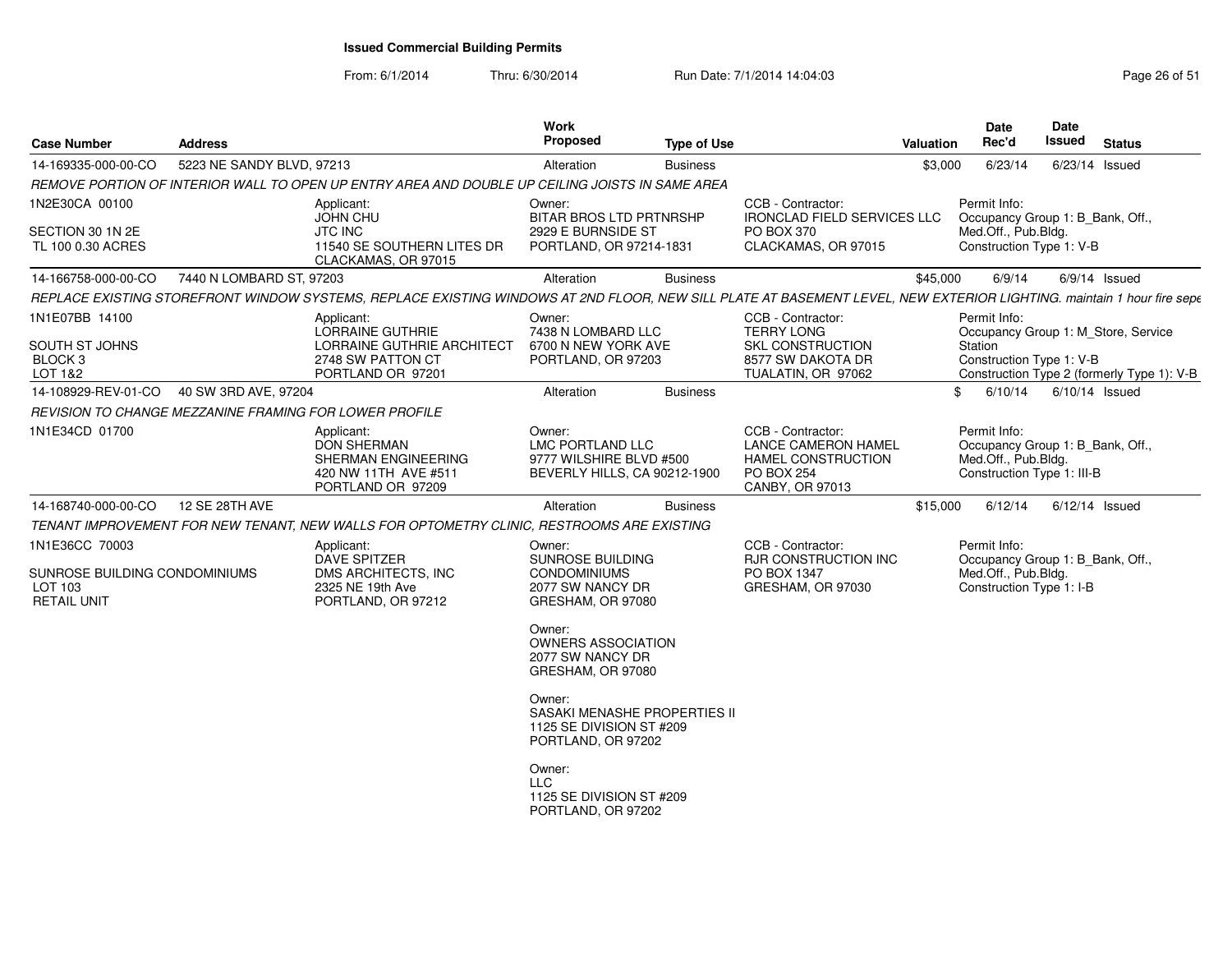From: 6/1/2014

Thru: 6/30/2014 Run Date: 7/1/2014 14:04:03 Research 2010 Rage 26 of 51

| <b>Case Number</b>                                                               | <b>Address</b>            |                                                                                                                                                                       | Work<br><b>Proposed</b>                                                                                                                                                                                                                                                       | <b>Type of Use</b> |                                                                                                               | <b>Valuation</b> | <b>Date</b><br>Rec'd                                                                                  | <b>Date</b><br>Issued | <b>Status</b>                              |
|----------------------------------------------------------------------------------|---------------------------|-----------------------------------------------------------------------------------------------------------------------------------------------------------------------|-------------------------------------------------------------------------------------------------------------------------------------------------------------------------------------------------------------------------------------------------------------------------------|--------------------|---------------------------------------------------------------------------------------------------------------|------------------|-------------------------------------------------------------------------------------------------------|-----------------------|--------------------------------------------|
| 14-169335-000-00-CO                                                              | 5223 NE SANDY BLVD, 97213 |                                                                                                                                                                       | Alteration                                                                                                                                                                                                                                                                    | <b>Business</b>    |                                                                                                               | \$3,000          | 6/23/14                                                                                               | 6/23/14 Issued        |                                            |
|                                                                                  |                           | REMOVE PORTION OF INTERIOR WALL TO OPEN UP ENTRY AREA AND DOUBLE UP CEILING JOISTS IN SAME AREA                                                                       |                                                                                                                                                                                                                                                                               |                    |                                                                                                               |                  |                                                                                                       |                       |                                            |
| 1N2E30CA 00100<br>SECTION 30 1N 2E<br>TL 100 0.30 ACRES                          |                           | Applicant:<br><b>JOHN CHU</b><br><b>JTC INC</b><br>11540 SE SOUTHERN LITES DR<br>CLACKAMAS, OR 97015                                                                  | Owner:<br><b>BITAR BROS LTD PRTNRSHP</b><br>2929 E BURNSIDE ST<br>PORTLAND, OR 97214-1831                                                                                                                                                                                     |                    | CCB - Contractor:<br><b>IRONCLAD FIELD SERVICES LLC</b><br>PO BOX 370<br>CLACKAMAS, OR 97015                  |                  | Permit Info:<br>Occupancy Group 1: B Bank, Off.,<br>Med.Off., Pub.Bldg.<br>Construction Type 1: V-B   |                       |                                            |
| 14-166758-000-00-CO                                                              | 7440 N LOMBARD ST, 97203  |                                                                                                                                                                       | Alteration                                                                                                                                                                                                                                                                    | <b>Business</b>    |                                                                                                               | \$45,000         | 6/9/14                                                                                                | 6/9/14 Issued         |                                            |
|                                                                                  |                           | REPLACE EXISTING STOREFRONT WINDOW SYSTEMS, REPLACE EXISTING WINDOWS AT 2ND FLOOR, NEW SILL PLATE AT BASEMENT LEVEL, NEW EXTERIOR LIGHTING. maintain 1 hour fire sepe |                                                                                                                                                                                                                                                                               |                    |                                                                                                               |                  |                                                                                                       |                       |                                            |
| 1N1E07BB 14100<br>SOUTH ST JOHNS<br>BLOCK <sub>3</sub><br>LOT 1&2                |                           | Applicant:<br><b>LORRAINE GUTHRIE</b><br>LORRAINE GUTHRIE ARCHITECT<br>2748 SW PATTON CT<br>PORTLAND OR 97201                                                         | Owner:<br>7438 N LOMBARD LLC<br>6700 N NEW YORK AVE<br>PORTLAND, OR 97203                                                                                                                                                                                                     |                    | CCB - Contractor:<br><b>TERRY LONG</b><br><b>SKL CONSTRUCTION</b><br>8577 SW DAKOTA DR<br>TUALATIN, OR 97062  |                  | Permit Info:<br>Occupancy Group 1: M_Store, Service<br>Station<br>Construction Type 1: V-B            |                       | Construction Type 2 (formerly Type 1): V-B |
| 14-108929-REV-01-CO  40 SW 3RD AVE, 97204                                        |                           |                                                                                                                                                                       | Alteration                                                                                                                                                                                                                                                                    | <b>Business</b>    |                                                                                                               | \$               | 6/10/14                                                                                               | 6/10/14 Issued        |                                            |
| REVISION TO CHANGE MEZZANINE FRAMING FOR LOWER PROFILE                           |                           |                                                                                                                                                                       |                                                                                                                                                                                                                                                                               |                    |                                                                                                               |                  |                                                                                                       |                       |                                            |
| 1N1E34CD 01700                                                                   |                           | Applicant:<br><b>DON SHERMAN</b><br>SHERMAN ENGINEERING<br>420 NW 11TH AVE #511<br>PORTLAND OR 97209                                                                  | Owner:<br>LMC PORTLAND LLC<br>9777 WILSHIRE BLVD #500<br>BEVERLY HILLS, CA 90212-1900                                                                                                                                                                                         |                    | CCB - Contractor:<br><b>LANCE CAMERON HAMEL</b><br>HAMEL CONSTRUCTION<br><b>PO BOX 254</b><br>CANBY, OR 97013 |                  | Permit Info:<br>Occupancy Group 1: B_Bank, Off.,<br>Med.Off., Pub.Bldg.<br>Construction Type 1: III-B |                       |                                            |
| 14-168740-000-00-CO                                                              | 12 SE 28TH AVE            |                                                                                                                                                                       | Alteration                                                                                                                                                                                                                                                                    | <b>Business</b>    |                                                                                                               | \$15,000         | 6/12/14                                                                                               | $6/12/14$ Issued      |                                            |
|                                                                                  |                           | TENANT IMPROVEMENT FOR NEW TENANT, NEW WALLS FOR OPTOMETRY CLINIC, RESTROOMS ARE EXISTING                                                                             |                                                                                                                                                                                                                                                                               |                    |                                                                                                               |                  |                                                                                                       |                       |                                            |
| 1N1E36CC 70003<br>SUNROSE BUILDING CONDOMINIUMS<br>LOT 103<br><b>RETAIL UNIT</b> |                           | Applicant:<br><b>DAVE SPITZER</b><br>DMS ARCHITECTS, INC<br>2325 NE 19th Ave<br>PORTLAND, OR 97212                                                                    | Owner:<br><b>SUNROSE BUILDING</b><br><b>CONDOMINIUMS</b><br>2077 SW NANCY DR<br>GRESHAM, OR 97080<br>Owner:<br><b>OWNERS ASSOCIATION</b><br>2077 SW NANCY DR<br>GRESHAM, OR 97080<br>Owner:<br>SASAKI MENASHE PROPERTIES II<br>1125 SE DIVISION ST #209<br>PORTLAND, OR 97202 |                    | CCB - Contractor:<br>RJR CONSTRUCTION INC<br>PO BOX 1347<br>GRESHAM, OR 97030                                 |                  | Permit Info:<br>Occupancy Group 1: B_Bank, Off.,<br>Med.Off., Pub.Bldg.<br>Construction Type 1: I-B   |                       |                                            |
|                                                                                  |                           |                                                                                                                                                                       | Owner:<br>LLC<br>1125 SE DIVISION ST #209<br>PORTLAND, OR 97202                                                                                                                                                                                                               |                    |                                                                                                               |                  |                                                                                                       |                       |                                            |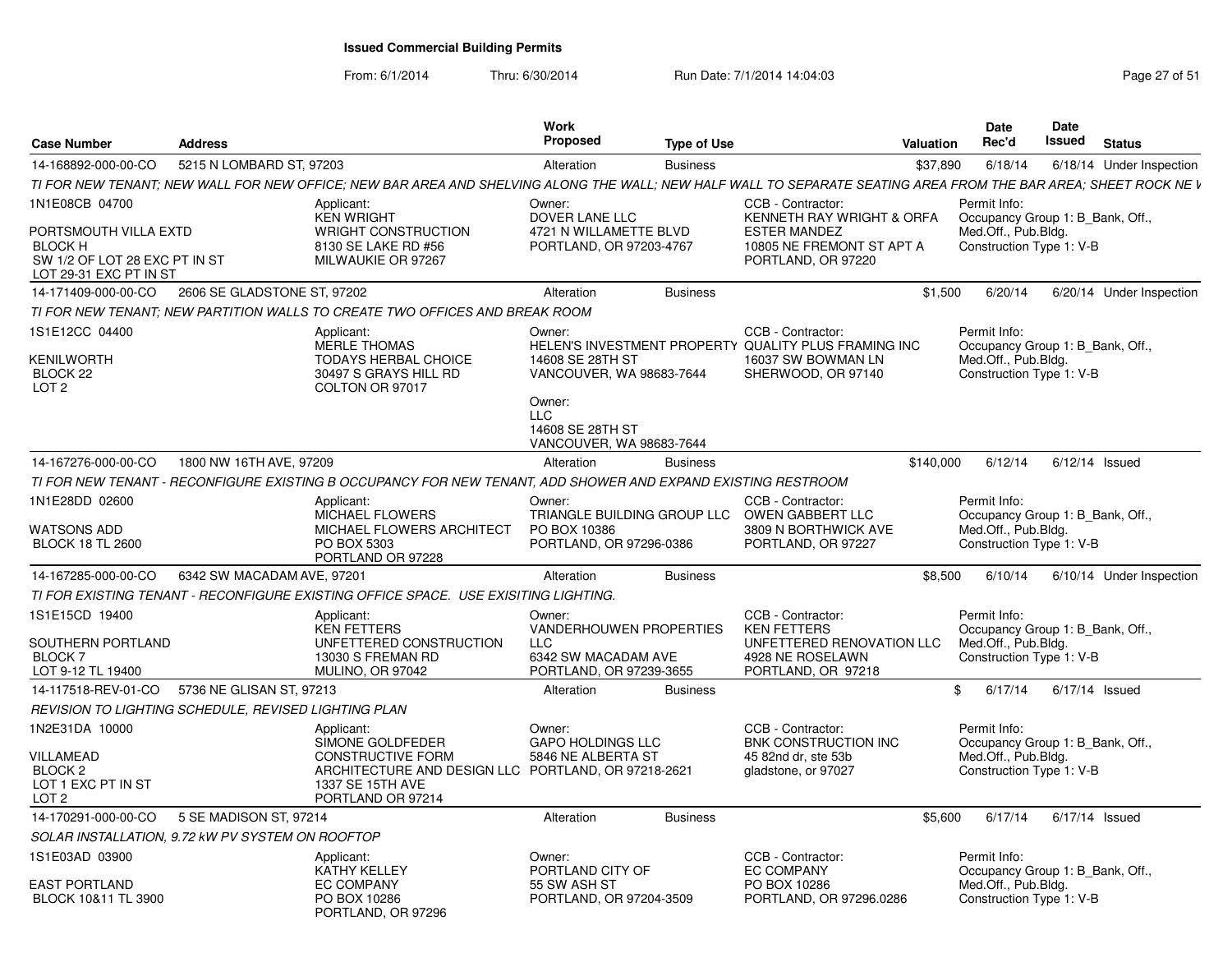From: 6/1/2014Thru: 6/30/2014 Run Date: 7/1/2014 14:04:03 Research 2010 Rage 27 of 51

| Case Number                                                                                        | <b>Address</b>              |                                                                                                                                                                 | Work<br>Proposed                                                     | <b>Type of Use</b> |                                                                                                                       | <b>Valuation</b> | Date<br>Rec'd                                                                                       | <b>Date</b><br>Issued | <b>Status</b>            |
|----------------------------------------------------------------------------------------------------|-----------------------------|-----------------------------------------------------------------------------------------------------------------------------------------------------------------|----------------------------------------------------------------------|--------------------|-----------------------------------------------------------------------------------------------------------------------|------------------|-----------------------------------------------------------------------------------------------------|-----------------------|--------------------------|
| 14-168892-000-00-CO                                                                                | 5215 N LOMBARD ST, 97203    |                                                                                                                                                                 | Alteration                                                           | <b>Business</b>    |                                                                                                                       | \$37,890         | 6/18/14                                                                                             |                       | 6/18/14 Under Inspection |
|                                                                                                    |                             | TI FOR NEW TENANT; NEW WALL FOR NEW OFFICE; NEW BAR AREA AND SHELVING ALONG THE WALL; NEW HALF WALL TO SEPARATE SEATING AREA FROM THE BAR AREA; SHEET ROCK NE V |                                                                      |                    |                                                                                                                       |                  |                                                                                                     |                       |                          |
| 1N1E08CB 04700                                                                                     |                             | Applicant:<br><b>KEN WRIGHT</b>                                                                                                                                 | Owner:<br>DOVER LANE LLC                                             |                    | CCB - Contractor:<br>KENNETH RAY WRIGHT & ORFA                                                                        |                  | Permit Info:<br>Occupancy Group 1: B_Bank, Off.,                                                    |                       |                          |
| PORTSMOUTH VILLA EXTD<br><b>BLOCK H</b><br>SW 1/2 OF LOT 28 EXC PT IN ST<br>LOT 29-31 EXC PT IN ST |                             | <b>WRIGHT CONSTRUCTION</b><br>8130 SE LAKE RD #56<br>MILWAUKIE OR 97267                                                                                         | 4721 N WILLAMETTE BLVD<br>PORTLAND, OR 97203-4767                    |                    | <b>ESTER MANDEZ</b><br>10805 NE FREMONT ST APT A<br>PORTLAND, OR 97220                                                |                  | Med.Off., Pub.Bldg.<br>Construction Type 1: V-B                                                     |                       |                          |
| 14-171409-000-00-CO                                                                                | 2606 SE GLADSTONE ST, 97202 |                                                                                                                                                                 | Alteration                                                           | <b>Business</b>    |                                                                                                                       | \$1,500          | 6/20/14                                                                                             |                       | 6/20/14 Under Inspection |
|                                                                                                    |                             | TI FOR NEW TENANT: NEW PARTITION WALLS TO CREATE TWO OFFICES AND BREAK ROOM                                                                                     |                                                                      |                    |                                                                                                                       |                  |                                                                                                     |                       |                          |
| IS1E12CC 04400<br>KENILWORTH<br>BLOCK 22<br>LOT <sub>2</sub>                                       |                             | Applicant:<br><b>MERLE THOMAS</b><br><b>TODAYS HERBAL CHOICE</b><br>30497 S GRAYS HILL RD<br>COLTON OR 97017                                                    | Owner:<br>14608 SE 28TH ST<br>VANCOUVER, WA 98683-7644               |                    | CCB - Contractor:<br>HELEN'S INVESTMENT PROPERTY QUALITY PLUS FRAMING INC<br>16037 SW BOWMAN LN<br>SHERWOOD, OR 97140 |                  | Permit Info:<br>Occupancy Group 1: B Bank, Off.,<br>Med.Off., Pub.Bldg.<br>Construction Type 1: V-B |                       |                          |
|                                                                                                    |                             |                                                                                                                                                                 | Owner:<br><b>LLC</b><br>14608 SE 28TH ST<br>VANCOUVER, WA 98683-7644 |                    |                                                                                                                       |                  |                                                                                                     |                       |                          |
| 14-167276-000-00-CO                                                                                | 1800 NW 16TH AVE, 97209     |                                                                                                                                                                 | Alteration                                                           | <b>Business</b>    |                                                                                                                       | \$140,000        | 6/12/14                                                                                             | $6/12/14$ Issued      |                          |
|                                                                                                    |                             | TI FOR NEW TENANT - RECONFIGURE EXISTING B OCCUPANCY FOR NEW TENANT, ADD SHOWER AND EXPAND EXISTING RESTROOM                                                    |                                                                      |                    |                                                                                                                       |                  |                                                                                                     |                       |                          |
| 1N1E28DD 02600<br>WATSONS ADD<br><b>BLOCK 18 TL 2600</b>                                           |                             | Applicant:<br><b>MICHAEL FLOWERS</b><br>MICHAEL FLOWERS ARCHITECT<br>PO BOX 5303<br>PORTLAND OR 97228                                                           | Owner:<br>PO BOX 10386<br>PORTLAND, OR 97296-0386                    |                    | CCB - Contractor:<br>TRIANGLE BUILDING GROUP LLC OWEN GABBERT LLC<br>3809 N BORTHWICK AVE<br>PORTLAND, OR 97227       |                  | Permit Info:<br>Occupancy Group 1: B Bank, Off.,<br>Med.Off., Pub.Bldg.<br>Construction Type 1: V-B |                       |                          |
| 14-167285-000-00-CO                                                                                | 6342 SW MACADAM AVE, 97201  |                                                                                                                                                                 | Alteration                                                           | <b>Business</b>    |                                                                                                                       | \$8,500          | 6/10/14                                                                                             |                       | 6/10/14 Under Inspection |
|                                                                                                    |                             | TI FOR EXISTING TENANT - RECONFIGURE EXISTING OFFICE SPACE. USE EXISITING LIGHTING.                                                                             |                                                                      |                    |                                                                                                                       |                  |                                                                                                     |                       |                          |
| 1S1E15CD 19400                                                                                     |                             | Applicant:<br>KEN FETTERS                                                                                                                                       | Owner:<br><b>VANDERHOUWEN PROPERTIES</b>                             |                    | CCB - Contractor:<br><b>KEN FETTERS</b>                                                                               |                  | Permit Info:<br>Occupancy Group 1: B Bank, Off.,                                                    |                       |                          |
| SOUTHERN PORTLAND<br>BLOCK <sub>7</sub><br>LOT 9-12 TL 19400                                       |                             | UNFETTERED CONSTRUCTION<br>13030 S FREMAN RD<br>MULINO, OR 97042                                                                                                | <b>LLC</b><br>6342 SW MACADAM AVE<br>PORTLAND, OR 97239-3655         |                    | UNFETTERED RENOVATION LLC<br>4928 NE ROSELAWN<br>PORTLAND, OR 97218                                                   |                  | Med.Off., Pub.Bldg.<br>Construction Type 1: V-B                                                     |                       |                          |
| 14-117518-REV-01-CO                                                                                | 5736 NE GLISAN ST, 97213    |                                                                                                                                                                 | Alteration                                                           | <b>Business</b>    |                                                                                                                       | \$               | 6/17/14                                                                                             | 6/17/14 Issued        |                          |
| REVISION TO LIGHTING SCHEDULE, REVISED LIGHTING PLAN                                               |                             |                                                                                                                                                                 |                                                                      |                    |                                                                                                                       |                  |                                                                                                     |                       |                          |
| 1N2E31DA 10000                                                                                     |                             | Applicant:<br>SIMONE GOLDFEDER                                                                                                                                  | Owner:<br><b>GAPO HOLDINGS LLC</b>                                   |                    | CCB - Contractor:<br>BNK CONSTRUCTION INC                                                                             |                  | Permit Info:<br>Occupancy Group 1: B_Bank, Off.,                                                    |                       |                          |
| VILLAMEAD<br>BLOCK <sub>2</sub><br>LOT 1 EXC PT IN ST<br>LOT 2                                     |                             | <b>CONSTRUCTIVE FORM</b><br>ARCHITECTURE AND DESIGN LLC PORTLAND, OR 97218-2621<br>1337 SE 15TH AVE<br>PORTLAND OR 97214                                        | 5846 NE ALBERTA ST                                                   |                    | 45 82nd dr. ste 53b<br>gladstone, or 97027                                                                            |                  | Med.Off., Pub.Bldg.<br>Construction Type 1: V-B                                                     |                       |                          |
| 14-170291-000-00-CO                                                                                | 5 SE MADISON ST, 97214      |                                                                                                                                                                 | Alteration                                                           | <b>Business</b>    |                                                                                                                       | \$5,600          | 6/17/14                                                                                             | 6/17/14 Issued        |                          |
| SOLAR INSTALLATION, 9.72 kW PV SYSTEM ON ROOFTOP                                                   |                             |                                                                                                                                                                 |                                                                      |                    |                                                                                                                       |                  |                                                                                                     |                       |                          |
| IS1E03AD 03900                                                                                     |                             | Applicant:<br><b>KATHY KELLEY</b>                                                                                                                               | Owner:<br>PORTLAND CITY OF                                           |                    | CCB - Contractor:<br><b>EC COMPANY</b>                                                                                |                  | Permit Info:<br>Occupancy Group 1: B Bank, Off.,                                                    |                       |                          |
| EAST PORTLAND<br>BLOCK 10&11 TL 3900                                                               |                             | <b>EC COMPANY</b><br>PO BOX 10286<br>PORTLAND, OR 97296                                                                                                         | 55 SW ASH ST<br>PORTLAND, OR 97204-3509                              |                    | PO BOX 10286<br>PORTLAND, OR 97296.0286                                                                               |                  | Med.Off., Pub.Bldg.<br>Construction Type 1: V-B                                                     |                       |                          |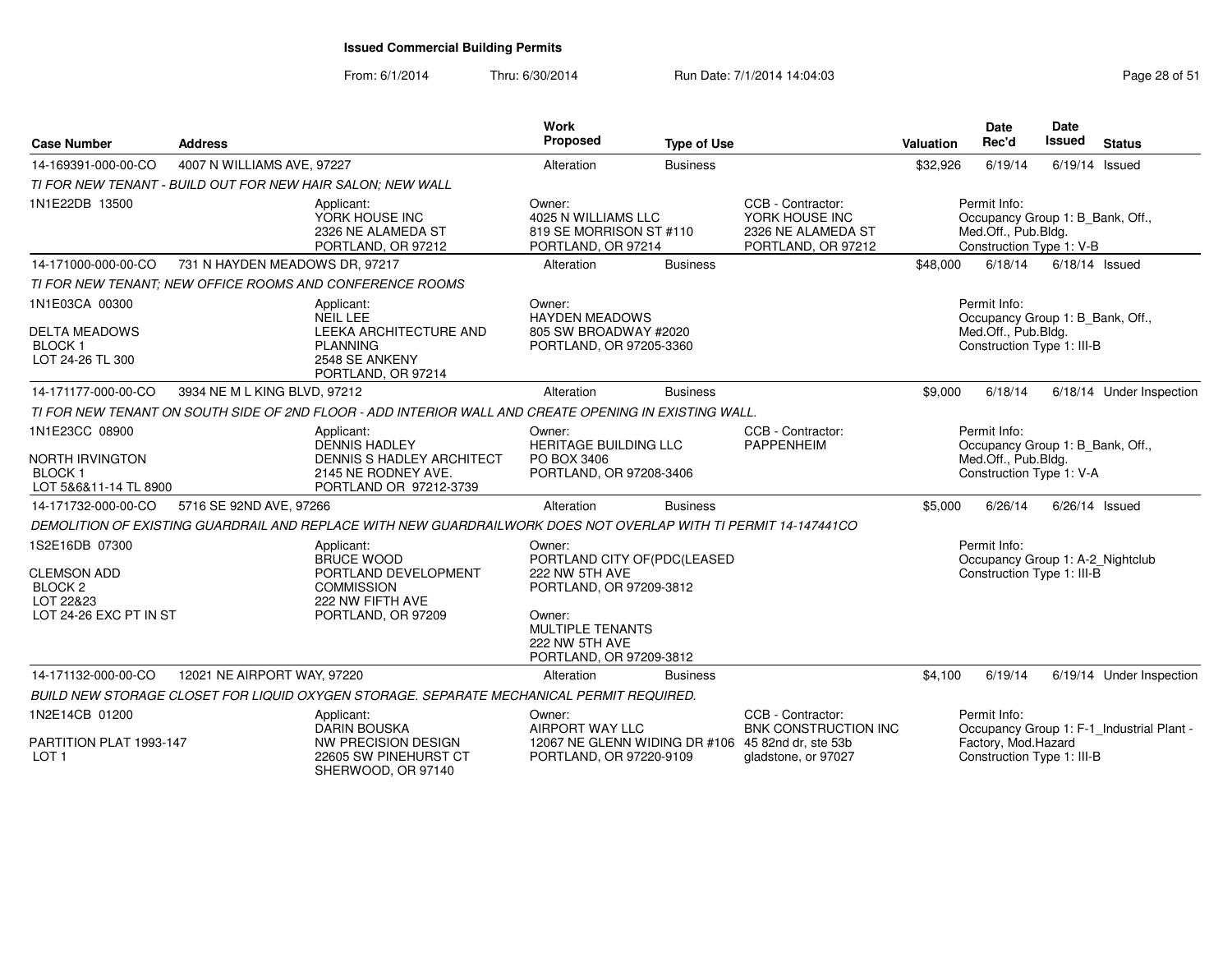From: 6/1/2014Thru: 6/30/2014 Run Date: 7/1/2014 14:04:03 Research 2010 Rage 28 of 51

| <b>Case Number</b>                                                                            | <b>Address</b>                 |                                                                                                                        | Work<br>Proposed                                                                                                                                                     | <b>Type of Use</b> |                                                                                 | Valuation | <b>Date</b><br>Rec'd                                                                                  | <b>Date</b><br><b>Issued</b> | <b>Status</b>                             |
|-----------------------------------------------------------------------------------------------|--------------------------------|------------------------------------------------------------------------------------------------------------------------|----------------------------------------------------------------------------------------------------------------------------------------------------------------------|--------------------|---------------------------------------------------------------------------------|-----------|-------------------------------------------------------------------------------------------------------|------------------------------|-------------------------------------------|
| 14-169391-000-00-CO                                                                           | 4007 N WILLIAMS AVE, 97227     |                                                                                                                        | Alteration                                                                                                                                                           | <b>Business</b>    |                                                                                 | \$32,926  | 6/19/14                                                                                               | $6/19/14$ Issued             |                                           |
|                                                                                               |                                | TI FOR NEW TENANT - BUILD OUT FOR NEW HAIR SALON: NEW WALL                                                             |                                                                                                                                                                      |                    |                                                                                 |           |                                                                                                       |                              |                                           |
| 1N1E22DB 13500                                                                                |                                | Applicant:<br>YORK HOUSE INC<br>2326 NE ALAMEDA ST<br>PORTLAND, OR 97212                                               | Owner:<br>4025 N WILLIAMS LLC<br>819 SE MORRISON ST #110<br>PORTLAND, OR 97214                                                                                       |                    | CCB - Contractor:<br>YORK HOUSE INC<br>2326 NE ALAMEDA ST<br>PORTLAND, OR 97212 |           | Permit Info:<br>Occupancy Group 1: B Bank, Off.,<br>Med.Off., Pub.Bldg.<br>Construction Type 1: V-B   |                              |                                           |
| 14-171000-000-00-CO                                                                           | 731 N HAYDEN MEADOWS DR, 97217 |                                                                                                                        | Alteration                                                                                                                                                           | <b>Business</b>    |                                                                                 | \$48,000  | 6/18/14                                                                                               |                              | $6/18/14$ Issued                          |
|                                                                                               |                                | TI FOR NEW TENANT: NEW OFFICE ROOMS AND CONFERENCE ROOMS                                                               |                                                                                                                                                                      |                    |                                                                                 |           |                                                                                                       |                              |                                           |
| 1N1E03CA 00300<br><b>DELTA MEADOWS</b><br><b>BLOCK1</b><br>LOT 24-26 TL 300                   |                                | Applicant:<br>NEIL LEE<br><b>LEEKA ARCHITECTURE AND</b><br><b>PLANNING</b><br>2548 SE ANKENY<br>PORTLAND, OR 97214     | Owner:<br><b>HAYDEN MEADOWS</b><br>805 SW BROADWAY #2020<br>PORTLAND, OR 97205-3360                                                                                  |                    |                                                                                 |           | Permit Info:<br>Occupancy Group 1: B Bank, Off.,<br>Med.Off., Pub.Bldg.<br>Construction Type 1: III-B |                              |                                           |
| 14-171177-000-00-CO                                                                           | 3934 NE M L KING BLVD, 97212   |                                                                                                                        | Alteration                                                                                                                                                           | <b>Business</b>    |                                                                                 | \$9,000   | 6/18/14                                                                                               |                              | 6/18/14 Under Inspection                  |
|                                                                                               |                                | TI FOR NEW TENANT ON SOUTH SIDE OF 2ND FLOOR - ADD INTERIOR WALL AND CREATE OPENING IN EXISTING WALL.                  |                                                                                                                                                                      |                    |                                                                                 |           |                                                                                                       |                              |                                           |
| 1N1E23CC 08900<br>NORTH IRVINGTON<br><b>BLOCK1</b><br>LOT 5&6&11-14 TL 8900                   |                                | Applicant:<br><b>DENNIS HADLEY</b><br>DENNIS S HADLEY ARCHITECT<br>2145 NE RODNEY AVE.<br>PORTLAND OR 97212-3739       | Owner:<br><b>HERITAGE BUILDING LLC</b><br>PO BOX 3406<br>PORTLAND, OR 97208-3406                                                                                     |                    | CCB - Contractor:<br><b>PAPPENHEIM</b>                                          |           | Permit Info:<br>Occupancy Group 1: B_Bank, Off.,<br>Med.Off., Pub.Bldg.<br>Construction Type 1: V-A   |                              |                                           |
| 14-171732-000-00-CO                                                                           | 5716 SE 92ND AVE, 97266        |                                                                                                                        | Alteration                                                                                                                                                           | <b>Business</b>    |                                                                                 | \$5,000   | 6/26/14                                                                                               |                              | $6/26/14$ Issued                          |
|                                                                                               |                                | DEMOLITION OF EXISTING GUARDRAIL AND REPLACE WITH NEW GUARDRAILWORK DOES NOT OVERLAP WITH TI PERMIT 14-147441CO        |                                                                                                                                                                      |                    |                                                                                 |           |                                                                                                       |                              |                                           |
| 1S2E16DB 07300<br><b>CLEMSON ADD</b><br><b>BLOCK 2</b><br>LOT 22&23<br>LOT 24-26 EXC PT IN ST |                                | Applicant:<br><b>BRUCE WOOD</b><br>PORTLAND DEVELOPMENT<br><b>COMMISSION</b><br>222 NW FIFTH AVE<br>PORTLAND, OR 97209 | Owner:<br>PORTLAND CITY OF(PDC(LEASED<br>222 NW 5TH AVE<br>PORTLAND, OR 97209-3812<br>Owner:<br><b>MULTIPLE TENANTS</b><br>222 NW 5TH AVE<br>PORTLAND, OR 97209-3812 |                    |                                                                                 |           | Permit Info:<br>Occupancy Group 1: A-2_Nightclub<br>Construction Type 1: III-B                        |                              |                                           |
| 14-171132-000-00-CO                                                                           | 12021 NE AIRPORT WAY, 97220    |                                                                                                                        | Alteration                                                                                                                                                           | <b>Business</b>    |                                                                                 | \$4,100   | 6/19/14                                                                                               |                              | 6/19/14 Under Inspection                  |
|                                                                                               |                                | BUILD NEW STORAGE CLOSET FOR LIQUID OXYGEN STORAGE. SEPARATE MECHANICAL PERMIT REQUIRED.                               |                                                                                                                                                                      |                    |                                                                                 |           |                                                                                                       |                              |                                           |
| 1N2E14CB 01200<br>PARTITION PLAT 1993-147                                                     |                                | Applicant:<br><b>DARIN BOUSKA</b><br><b>NW PRECISION DESIGN</b>                                                        | Owner:<br>AIRPORT WAY LLC<br>12067 NE GLENN WIDING DR #106 45 82nd dr, ste 53b                                                                                       |                    | CCB - Contractor:<br><b>BNK CONSTRUCTION INC</b>                                |           | Permit Info:<br>Factory, Mod. Hazard                                                                  |                              | Occupancy Group 1: F-1_Industrial Plant - |
| LOT <sub>1</sub>                                                                              |                                | 22605 SW PINEHURST CT<br>SHERWOOD, OR 97140                                                                            | PORTLAND, OR 97220-9109                                                                                                                                              |                    | gladstone, or 97027                                                             |           | Construction Type 1: III-B                                                                            |                              |                                           |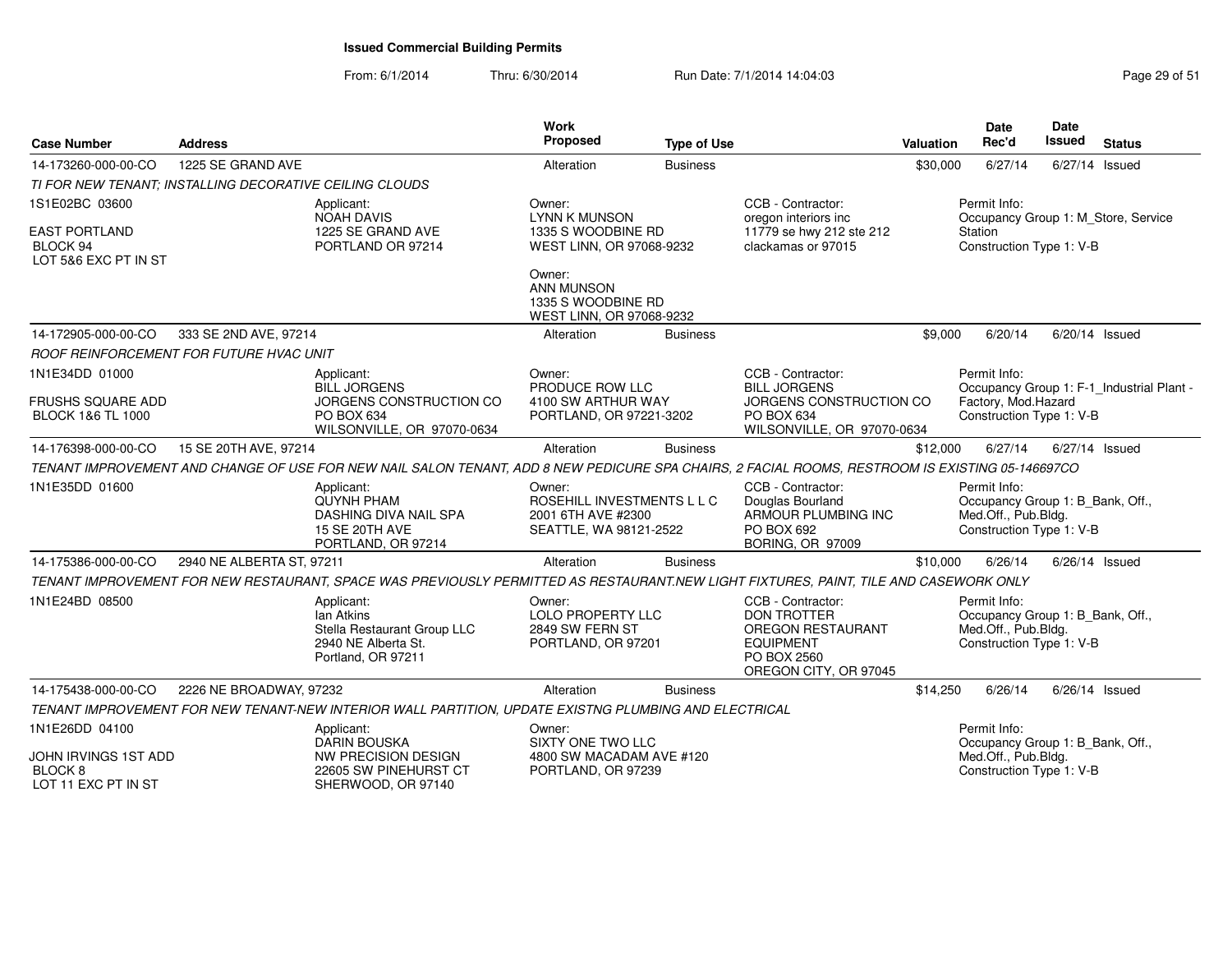From: 6/1/2014Thru: 6/30/2014 Run Date: 7/1/2014 14:04:03 Research 2010 Rage 29 of 51

| <b>Case Number</b>                                                         | <b>Address</b>            |                                                                                                                                                 | <b>Work</b><br>Proposed                                                              | <b>Type of Use</b> |                                                                                                                                 | <b>Valuation</b> | <b>Date</b><br>Rec'd                                                                                | Date<br><b>Issued</b> | <b>Status</b>                             |
|----------------------------------------------------------------------------|---------------------------|-------------------------------------------------------------------------------------------------------------------------------------------------|--------------------------------------------------------------------------------------|--------------------|---------------------------------------------------------------------------------------------------------------------------------|------------------|-----------------------------------------------------------------------------------------------------|-----------------------|-------------------------------------------|
| 14-173260-000-00-CO                                                        | 1225 SE GRAND AVE         |                                                                                                                                                 | Alteration                                                                           | <b>Business</b>    |                                                                                                                                 | \$30,000         | 6/27/14                                                                                             | 6/27/14 Issued        |                                           |
| TI FOR NEW TENANT; INSTALLING DECORATIVE CEILING CLOUDS                    |                           |                                                                                                                                                 |                                                                                      |                    |                                                                                                                                 |                  |                                                                                                     |                       |                                           |
| 1S1E02BC 03600<br><b>EAST PORTLAND</b><br>BLOCK 94<br>LOT 5&6 EXC PT IN ST |                           | Applicant:<br><b>NOAH DAVIS</b><br>1225 SE GRAND AVE<br>PORTLAND OR 97214                                                                       | Owner:<br><b>LYNN K MUNSON</b><br>1335 S WOODBINE RD<br>WEST LINN, OR 97068-9232     |                    | CCB - Contractor:<br>oregon interiors inc<br>11779 se hwy 212 ste 212<br>clackamas or 97015                                     |                  | Permit Info:<br>Occupancy Group 1: M_Store, Service<br>Station<br>Construction Type 1: V-B          |                       |                                           |
|                                                                            |                           |                                                                                                                                                 | Owner:<br><b>ANN MUNSON</b><br>1335 S WOODBINE RD<br>WEST LINN, OR 97068-9232        |                    |                                                                                                                                 |                  |                                                                                                     |                       |                                           |
| 14-172905-000-00-CO                                                        | 333 SE 2ND AVE, 97214     |                                                                                                                                                 | Alteration                                                                           | <b>Business</b>    |                                                                                                                                 | \$9,000          | 6/20/14                                                                                             | 6/20/14 Issued        |                                           |
| ROOF REINFORCEMENT FOR FUTURE HVAC UNIT                                    |                           |                                                                                                                                                 |                                                                                      |                    |                                                                                                                                 |                  |                                                                                                     |                       |                                           |
| 1N1E34DD 01000<br>FRUSHS SQUARE ADD<br><b>BLOCK 1&amp;6 TL 1000</b>        |                           | Applicant:<br><b>BILL JORGENS</b><br>JORGENS CONSTRUCTION CO<br>PO BOX 634                                                                      | Owner:<br>PRODUCE ROW LLC<br>4100 SW ARTHUR WAY<br>PORTLAND, OR 97221-3202           |                    | CCB - Contractor:<br><b>BILL JORGENS</b><br>JORGENS CONSTRUCTION CO<br>PO BOX 634                                               |                  | Permit Info:<br>Factory, Mod.Hazard<br>Construction Type 1: V-B                                     |                       | Occupancy Group 1: F-1_Industrial Plant - |
|                                                                            |                           | WILSONVILLE, OR 97070-0634                                                                                                                      |                                                                                      |                    | WILSONVILLE, OR 97070-0634                                                                                                      |                  |                                                                                                     |                       |                                           |
| 14-176398-000-00-CO                                                        | 15 SE 20TH AVE, 97214     |                                                                                                                                                 | Alteration                                                                           | <b>Business</b>    |                                                                                                                                 | \$12,000         | 6/27/14                                                                                             | 6/27/14 Issued        |                                           |
|                                                                            |                           | TENANT IMPROVEMENT AND CHANGE OF USE FOR NEW NAIL SALON TENANT, ADD 8 NEW PEDICURE SPA CHAIRS, 2 FACIAL ROOMS, RESTROOM IS EXISTING 05-146697CO |                                                                                      |                    |                                                                                                                                 |                  |                                                                                                     |                       |                                           |
| 1N1E35DD 01600                                                             |                           | Applicant:<br><b>QUYNH PHAM</b><br>DASHING DIVA NAIL SPA<br>15 SE 20TH AVE<br>PORTLAND, OR 97214                                                | Owner:<br>ROSEHILL INVESTMENTS L L C<br>2001 6TH AVE #2300<br>SEATTLE, WA 98121-2522 |                    | CCB - Contractor:<br>Douglas Bourland<br>ARMOUR PLUMBING INC<br>PO BOX 692<br><b>BORING, OR 97009</b>                           |                  | Permit Info:<br>Occupancy Group 1: B Bank, Off.,<br>Med.Off., Pub.Bldg.<br>Construction Type 1: V-B |                       |                                           |
| 14-175386-000-00-CO                                                        | 2940 NE ALBERTA ST, 97211 |                                                                                                                                                 | Alteration                                                                           | <b>Business</b>    |                                                                                                                                 | \$10,000         | 6/26/14                                                                                             | 6/26/14 Issued        |                                           |
|                                                                            |                           | TENANT IMPROVEMENT FOR NEW RESTAURANT, SPACE WAS PREVIOUSLY PERMITTED AS RESTAURANT.NEW LIGHT FIXTURES, PAINT, TILE AND CASEWORK ONLY           |                                                                                      |                    |                                                                                                                                 |                  |                                                                                                     |                       |                                           |
| 1N1E24BD 08500                                                             |                           | Applicant:<br>Ian Atkins<br>Stella Restaurant Group LLC<br>2940 NE Alberta St.<br>Portland, OR 97211                                            | Owner:<br><b>LOLO PROPERTY LLC</b><br>2849 SW FERN ST<br>PORTLAND, OR 97201          |                    | CCB - Contractor:<br><b>DON TROTTER</b><br><b>OREGON RESTAURANT</b><br><b>EQUIPMENT</b><br>PO BOX 2560<br>OREGON CITY, OR 97045 |                  | Permit Info:<br>Occupancy Group 1: B_Bank, Off.,<br>Med.Off., Pub.Bldg.<br>Construction Type 1: V-B |                       |                                           |
| 14-175438-000-00-CO                                                        | 2226 NE BROADWAY, 97232   |                                                                                                                                                 | Alteration                                                                           | <b>Business</b>    |                                                                                                                                 | \$14,250         | 6/26/14                                                                                             | $6/26/14$ Issued      |                                           |
|                                                                            |                           | TENANT IMPROVEMENT FOR NEW TENANT-NEW INTERIOR WALL PARTITION, UPDATE EXISTNG PLUMBING AND ELECTRICAL                                           |                                                                                      |                    |                                                                                                                                 |                  |                                                                                                     |                       |                                           |
| 1N1E26DD 04100<br>JOHN IRVINGS 1ST ADD                                     |                           | Applicant:<br><b>DARIN BOUSKA</b><br>NW PRECISION DESIGN                                                                                        | Owner:<br>SIXTY ONE TWO LLC<br>4800 SW MACADAM AVE #120                              |                    |                                                                                                                                 |                  | Permit Info:<br>Occupancy Group 1: B_Bank, Off.,<br>Med.Off., Pub.Bldg.                             |                       |                                           |
| BLOCK <sub>8</sub><br>LOT 11 EXC PT IN ST                                  |                           | 22605 SW PINEHURST CT<br>SHERWOOD, OR 97140                                                                                                     | PORTLAND, OR 97239                                                                   |                    |                                                                                                                                 |                  | Construction Type 1: V-B                                                                            |                       |                                           |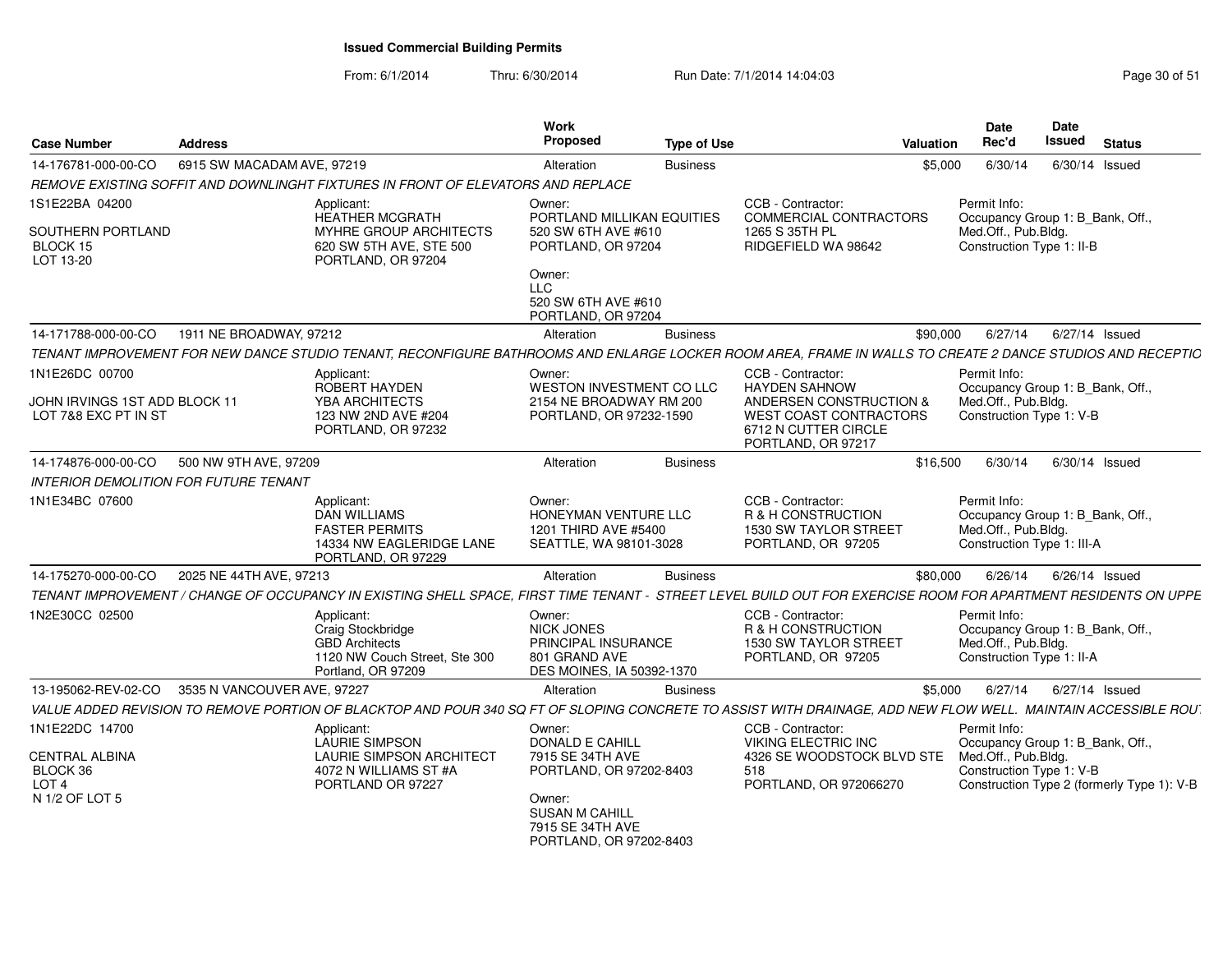From: 6/1/2014Thru: 6/30/2014 Run Date: 7/1/2014 14:04:03 Research 2010 151

| <b>Case Number</b>                                    | <b>Address</b>              |                                                                                                                                                                | <b>Work</b><br><b>Proposed</b>                                                                   | <b>Type of Use</b> | <b>Valuation</b>                                                                       |          | <b>Date</b><br>Rec'd                                                                                  | Date<br><b>Issued</b> | <b>Status</b>                              |
|-------------------------------------------------------|-----------------------------|----------------------------------------------------------------------------------------------------------------------------------------------------------------|--------------------------------------------------------------------------------------------------|--------------------|----------------------------------------------------------------------------------------|----------|-------------------------------------------------------------------------------------------------------|-----------------------|--------------------------------------------|
| 14-176781-000-00-CO                                   | 6915 SW MACADAM AVE, 97219  |                                                                                                                                                                | Alteration                                                                                       | <b>Business</b>    |                                                                                        | \$5,000  | 6/30/14                                                                                               |                       | $6/30/14$ Issued                           |
|                                                       |                             | REMOVE EXISTING SOFFIT AND DOWNLINGHT FIXTURES IN FRONT OF ELEVATORS AND REPLACE                                                                               |                                                                                                  |                    |                                                                                        |          |                                                                                                       |                       |                                            |
| 1S1E22BA 04200                                        |                             | Applicant:<br><b>HEATHER MCGRATH</b>                                                                                                                           | Owner:<br>PORTLAND MILLIKAN EQUITIES                                                             |                    | CCB - Contractor:<br>COMMERCIAL CONTRACTORS                                            |          | Permit Info:<br>Occupancy Group 1: B_Bank, Off.,                                                      |                       |                                            |
| SOUTHERN PORTLAND<br>BLOCK 15<br>LOT 13-20            |                             | MYHRE GROUP ARCHITECTS<br>620 SW 5TH AVE, STE 500<br>PORTLAND, OR 97204                                                                                        | 520 SW 6TH AVE #610<br>PORTLAND, OR 97204                                                        |                    | 1265 S 35TH PL<br>RIDGEFIELD WA 98642                                                  |          | Med.Off., Pub.Bldg.<br>Construction Type 1: II-B                                                      |                       |                                            |
|                                                       |                             |                                                                                                                                                                | Owner:<br><b>LLC</b><br>520 SW 6TH AVE #610<br>PORTLAND, OR 97204                                |                    |                                                                                        |          |                                                                                                       |                       |                                            |
| 14-171788-000-00-CO                                   | 1911 NE BROADWAY, 97212     |                                                                                                                                                                | Alteration                                                                                       | <b>Business</b>    |                                                                                        | \$90,000 | 6/27/14                                                                                               |                       | $6/27/14$ Issued                           |
|                                                       |                             | TENANT IMPROVEMENT FOR NEW DANCE STUDIO TENANT, RECONFIGURE BATHROOMS AND ENLARGE LOCKER ROOM AREA, FRAME IN WALLS TO CREATE 2 DANCE STUDIOS AND RECEPTIC      |                                                                                                  |                    |                                                                                        |          |                                                                                                       |                       |                                            |
| 1N1E26DC 00700<br>JOHN IRVINGS 1ST ADD BLOCK 11       |                             | Applicant:<br><b>ROBERT HAYDEN</b><br><b>YBA ARCHITECTS</b>                                                                                                    | Owner:<br><b>WESTON INVESTMENT CO LLC</b><br>2154 NE BROADWAY RM 200                             |                    | CCB - Contractor:<br><b>HAYDEN SAHNOW</b><br>ANDERSEN CONSTRUCTION &                   |          | Permit Info:<br>Occupancy Group 1: B_Bank, Off.,<br>Med.Off., Pub.Bldg.                               |                       |                                            |
| LOT 7&8 EXC PT IN ST                                  |                             | 123 NW 2ND AVE #204<br>PORTLAND, OR 97232                                                                                                                      | PORTLAND, OR 97232-1590                                                                          |                    | <b>WEST COAST CONTRACTORS</b><br>6712 N CUTTER CIRCLE<br>PORTLAND, OR 97217            |          | Construction Type 1: V-B                                                                              |                       |                                            |
| 14-174876-000-00-CO                                   | 500 NW 9TH AVE, 97209       |                                                                                                                                                                | Alteration                                                                                       | <b>Business</b>    |                                                                                        | \$16,500 | 6/30/14                                                                                               |                       | $6/30/14$ Issued                           |
| INTERIOR DEMOLITION FOR FUTURE TENANT                 |                             |                                                                                                                                                                |                                                                                                  |                    |                                                                                        |          |                                                                                                       |                       |                                            |
| 1N1E34BC 07600                                        |                             | Applicant:<br><b>DAN WILLIAMS</b><br><b>FASTER PERMITS</b><br>14334 NW EAGLERIDGE LANE<br>PORTLAND, OR 97229                                                   | Owner:<br>HONEYMAN VENTURE LLC<br>1201 THIRD AVE #5400<br>SEATTLE, WA 98101-3028                 |                    | CCB - Contractor:<br>R & H CONSTRUCTION<br>1530 SW TAYLOR STREET<br>PORTLAND, OR 97205 |          | Permit Info:<br>Occupancy Group 1: B_Bank, Off.,<br>Med.Off., Pub.Bldg.<br>Construction Type 1: III-A |                       |                                            |
| 14-175270-000-00-CO                                   | 2025 NE 44TH AVE, 97213     |                                                                                                                                                                | Alteration                                                                                       | <b>Business</b>    |                                                                                        | \$80,000 | 6/26/14                                                                                               |                       | $6/26/14$ Issued                           |
|                                                       |                             | TENANT IMPROVEMENT / CHANGE OF OCCUPANCY IN EXISTING SHELL SPACE, FIRST TIME TENANT - STREET LEVEL BUILD OUT FOR EXERCISE ROOM FOR APARTMENT RESIDENTS ON UPPE |                                                                                                  |                    |                                                                                        |          |                                                                                                       |                       |                                            |
| 1N2E30CC 02500                                        |                             | Applicant:<br>Craig Stockbridge<br><b>GBD Architects</b><br>1120 NW Couch Street, Ste 300<br>Portland, OR 97209                                                | Owner:<br><b>NICK JONES</b><br>PRINCIPAL INSURANCE<br>801 GRAND AVE<br>DES MOINES, IA 50392-1370 |                    | CCB - Contractor:<br>R & H CONSTRUCTION<br>1530 SW TAYLOR STREET<br>PORTLAND, OR 97205 |          | Permit Info:<br>Occupancy Group 1: B_Bank, Off.,<br>Med.Off., Pub.Bldg.<br>Construction Type 1: II-A  |                       |                                            |
| 13-195062-REV-02-CO                                   | 3535 N VANCOUVER AVE, 97227 |                                                                                                                                                                | Alteration                                                                                       | <b>Business</b>    |                                                                                        | \$5,000  | 6/27/14                                                                                               |                       | $6/27/14$ Issued                           |
|                                                       |                             | VALUE ADDED REVISION TO REMOVE PORTION OF BLACKTOP AND POUR 340 SQ FT OF SLOPING CONCRETE TO ASSIST WITH DRAINAGE, ADD NEW FLOW WELL. MAINTAIN ACCESSIBLE ROU  |                                                                                                  |                    |                                                                                        |          |                                                                                                       |                       |                                            |
| 1N1E22DC 14700                                        |                             | Applicant:<br>LAURIE SIMPSON                                                                                                                                   | Owner:<br>DONALD E CAHILL                                                                        |                    | CCB - Contractor:<br><b>VIKING ELECTRIC INC</b>                                        |          | Permit Info:<br>Occupancy Group 1: B Bank, Off.,                                                      |                       |                                            |
| <b>CENTRAL ALBINA</b><br>BLOCK 36<br>LOT <sub>4</sub> |                             | <b>LAURIE SIMPSON ARCHITECT</b><br>4072 N WILLIAMS ST #A<br>PORTLAND OR 97227                                                                                  | 7915 SE 34TH AVE<br>PORTLAND, OR 97202-8403                                                      |                    | 4326 SE WOODSTOCK BLVD STE<br>518<br>PORTLAND, OR 972066270                            |          | Med.Off., Pub.Bldg.<br>Construction Type 1: V-B                                                       |                       | Construction Type 2 (formerly Type 1): V-B |
| N 1/2 OF LOT 5                                        |                             |                                                                                                                                                                | Owner:<br><b>SUSAN M CAHILL</b><br>7915 SE 34TH AVE<br>PORTLAND, OR 97202-8403                   |                    |                                                                                        |          |                                                                                                       |                       |                                            |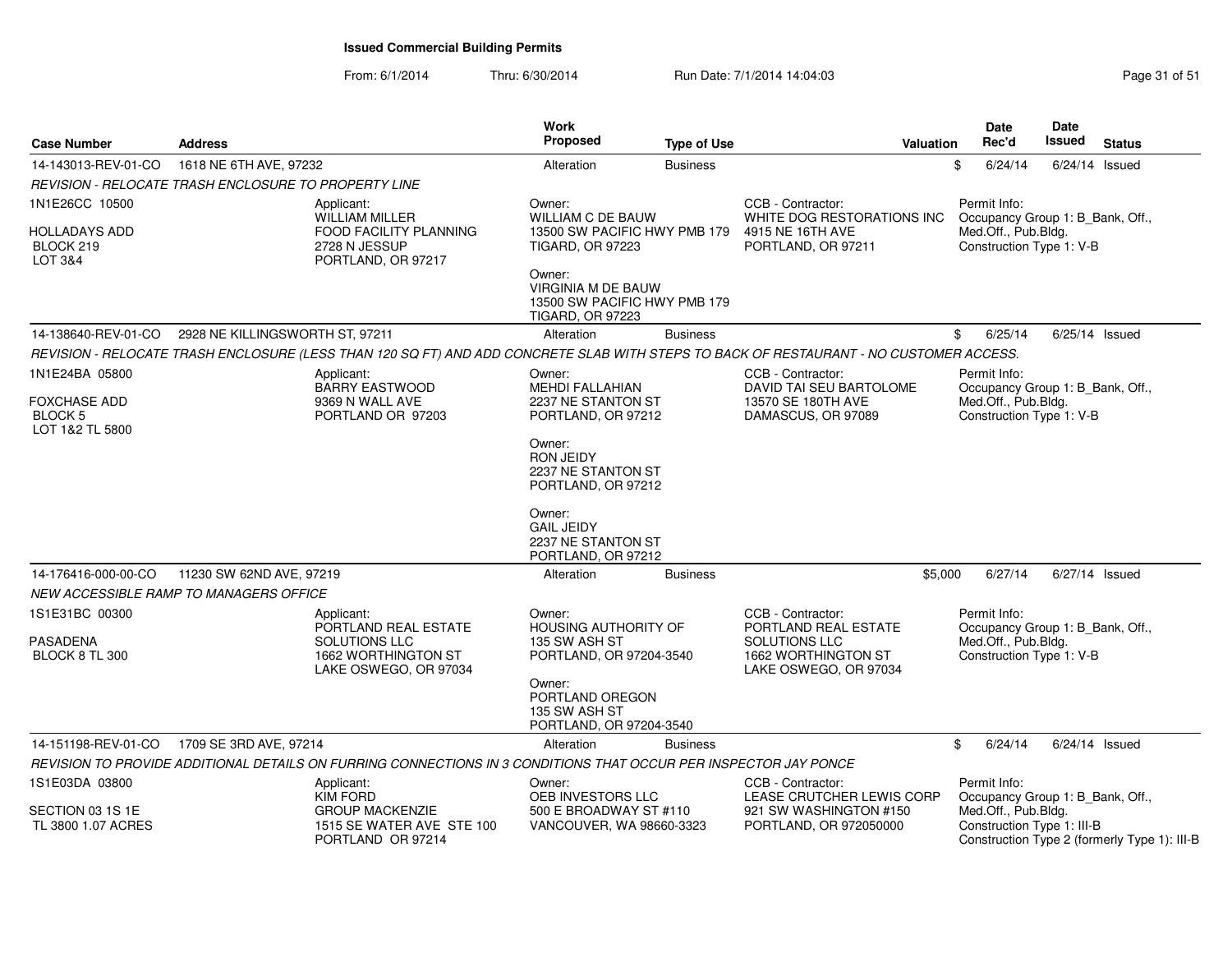**Case Number**

**Address**

From: 6/1/2014Thru: 6/30/2014 Run Date: 7/1/2014 14:04:03 Research 2010 Rage 31 of 51

**Type of Use**

 **ValuationWork Proposed**

14-143013-REV-01-CO 1618 NE 6TH AVE, 97232 **Alteration** Alteration Business Business \$ 6/24/14 6/24/14 Issued

| REVISION - RELOCATE TRASH ENCLOSURE TO PROPERTY LINE           |                                 |                                                                                                                  |                                                                                                |                 |                                                                                                                                        |                                                                 |                                              |
|----------------------------------------------------------------|---------------------------------|------------------------------------------------------------------------------------------------------------------|------------------------------------------------------------------------------------------------|-----------------|----------------------------------------------------------------------------------------------------------------------------------------|-----------------------------------------------------------------|----------------------------------------------|
| 1N1E26CC 10500<br><b>HOLLADAYS ADD</b><br>BLOCK 219<br>LOT 3&4 |                                 | Applicant:<br><b>WILLIAM MILLER</b><br>FOOD FACILITY PLANNING<br>2728 N JESSUP<br>PORTLAND, OR 97217             | Owner:<br><b>WILLIAM C DE BAUW</b><br>13500 SW PACIFIC HWY PMB 179<br><b>TIGARD, OR 97223</b>  |                 | CCB - Contractor:<br>WHITE DOG RESTORATIONS INC<br>4915 NE 16TH AVE<br>PORTLAND, OR 97211                                              | Permit Info:<br>Med.Off., Pub.Bldg.<br>Construction Type 1: V-B | Occupancy Group 1: B Bank, Off.,             |
|                                                                |                                 |                                                                                                                  | Owner:<br><b>VIRGINIA M DE BAUW</b><br>13500 SW PACIFIC HWY PMB 179<br><b>TIGARD, OR 97223</b> |                 |                                                                                                                                        |                                                                 |                                              |
| 14-138640-REV-01-CO                                            | 2928 NE KILLINGSWORTH ST. 97211 |                                                                                                                  | Alteration                                                                                     | <b>Business</b> |                                                                                                                                        | \$<br>6/25/14                                                   | 6/25/14 Issued                               |
|                                                                |                                 |                                                                                                                  |                                                                                                |                 | REVISION - RELOCATE TRASH ENCLOSURE (LESS THAN 120 SQ FT) AND ADD CONCRETE SLAB WITH STEPS TO BACK OF RESTAURANT - NO CUSTOMER ACCESS. |                                                                 |                                              |
| 1N1E24BA 05800                                                 |                                 | Applicant:<br><b>BARRY EASTWOOD</b>                                                                              | Owner:<br>MEHDI FALLAHIAN                                                                      |                 | CCB - Contractor:<br>DAVID TAI SEU BARTOLOME                                                                                           | Permit Info:                                                    | Occupancy Group 1: B_Bank, Off.,             |
| <b>FOXCHASE ADD</b><br><b>BLOCK 5</b><br>LOT 1&2 TL 5800       |                                 | 9369 N WALL AVE<br>PORTLAND OR 97203                                                                             | 2237 NE STANTON ST<br>PORTLAND, OR 97212                                                       |                 | 13570 SE 180TH AVE<br>DAMASCUS, OR 97089                                                                                               | Med.Off., Pub.Bldg.<br>Construction Type 1: V-B                 |                                              |
|                                                                |                                 |                                                                                                                  | Owner:<br><b>RON JEIDY</b><br>2237 NE STANTON ST<br>PORTLAND, OR 97212                         |                 |                                                                                                                                        |                                                                 |                                              |
|                                                                |                                 |                                                                                                                  | Owner:<br><b>GAIL JEIDY</b><br>2237 NE STANTON ST<br>PORTLAND, OR 97212                        |                 |                                                                                                                                        |                                                                 |                                              |
| 14-176416-000-00-CO                                            | 11230 SW 62ND AVE, 97219        |                                                                                                                  | Alteration                                                                                     | <b>Business</b> | \$5,000                                                                                                                                | 6/27/14                                                         | 6/27/14 Issued                               |
| <b>NEW ACCESSIBLE RAMP TO MANAGERS OFFICE</b>                  |                                 |                                                                                                                  |                                                                                                |                 |                                                                                                                                        |                                                                 |                                              |
| 1S1E31BC 00300<br><b>PASADENA</b><br>BLOCK 8 TL 300            |                                 | Applicant:<br>PORTLAND REAL ESTATE<br>SOLUTIONS LLC<br>1662 WORTHINGTON ST<br>LAKE OSWEGO, OR 97034              | Owner:<br><b>HOUSING AUTHORITY OF</b><br>135 SW ASH ST<br>PORTLAND, OR 97204-3540              |                 | CCB - Contractor:<br>PORTLAND REAL ESTATE<br>SOLUTIONS LLC<br>1662 WORTHINGTON ST<br>LAKE OSWEGO, OR 97034                             | Permit Info:<br>Med.Off., Pub.Bldg.<br>Construction Type 1: V-B | Occupancy Group 1: B_Bank, Off.,             |
|                                                                |                                 |                                                                                                                  | Owner:<br>PORTLAND OREGON<br>135 SW ASH ST<br>PORTLAND, OR 97204-3540                          |                 |                                                                                                                                        |                                                                 |                                              |
| 14-151198-REV-01-CO                                            | 1709 SE 3RD AVE, 97214          |                                                                                                                  | Alteration                                                                                     | <b>Business</b> |                                                                                                                                        | \$<br>6/24/14                                                   | 6/24/14 Issued                               |
|                                                                |                                 | REVISION TO PROVIDE ADDITIONAL DETAILS ON FURRING CONNECTIONS IN 3 CONDITIONS THAT OCCUR PER INSPECTOR JAY PONCE |                                                                                                |                 |                                                                                                                                        |                                                                 |                                              |
| 1S1E03DA 03800<br>SECTION 03 1S 1E                             |                                 | Applicant:<br><b>KIM FORD</b><br><b>GROUP MACKENZIE</b>                                                          | Owner:<br>OEB INVESTORS LLC                                                                    |                 | CCB - Contractor:<br>LEASE CRUTCHER LEWIS CORP                                                                                         | Permit Info:                                                    | Occupancy Group 1: B_Bank, Off.,             |
| TL 3800 1.07 ACRES                                             |                                 | 1515 SE WATER AVE STE 100<br>PORTLAND OR 97214                                                                   | 500 E BROADWAY ST #110<br>VANCOUVER, WA 98660-3323                                             |                 | 921 SW WASHINGTON #150<br>PORTLAND, OR 972050000                                                                                       | Med.Off., Pub.Bldg.<br>Construction Type 1: III-B               | Construction Type 2 (formerly Type 1): III-B |

**Status**

**DateIssued** 

**Date Rec'd Issued**  $6/24/14$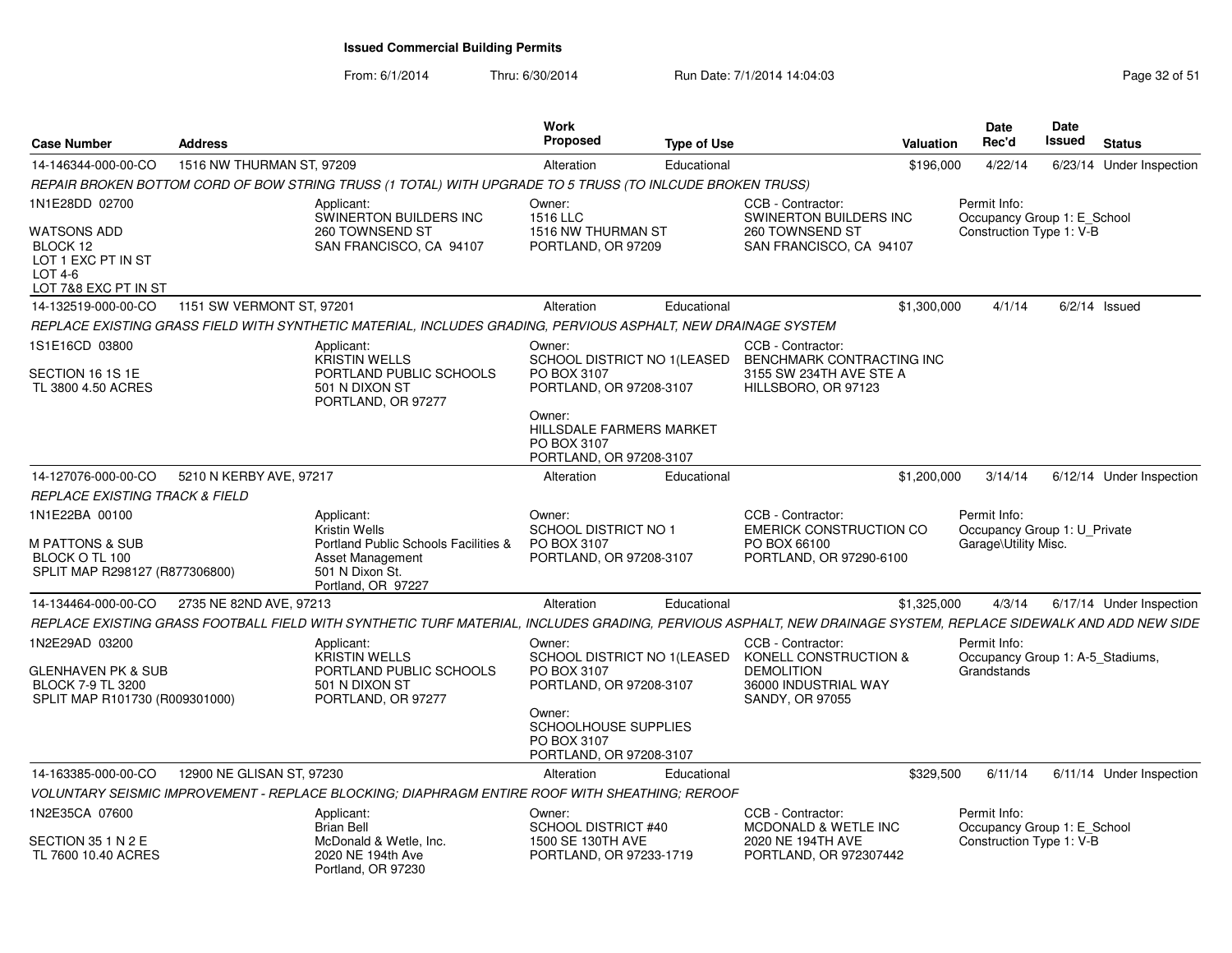From: 6/1/2014Thru: 6/30/2014 Run Date: 7/1/2014 14:04:03 Research 2010 Rage 32 of 51

| <b>Case Number</b>                                                               | <b>Address</b>            |                                                                                                                                                                | Work<br>Proposed                                                                 | <b>Type of Use</b> |                                                                                                  | Valuation   | <b>Date</b><br>Rec'd                                                 | Date<br>Issued | <b>Status</b>            |
|----------------------------------------------------------------------------------|---------------------------|----------------------------------------------------------------------------------------------------------------------------------------------------------------|----------------------------------------------------------------------------------|--------------------|--------------------------------------------------------------------------------------------------|-------------|----------------------------------------------------------------------|----------------|--------------------------|
| 14-146344-000-00-CO                                                              | 1516 NW THURMAN ST, 97209 |                                                                                                                                                                | Alteration                                                                       | Educational        |                                                                                                  | \$196,000   | 4/22/14                                                              |                | 6/23/14 Under Inspection |
|                                                                                  |                           | REPAIR BROKEN BOTTOM CORD OF BOW STRING TRUSS (1 TOTAL) WITH UPGRADE TO 5 TRUSS (TO INLCUDE BROKEN TRUSS)                                                      |                                                                                  |                    |                                                                                                  |             |                                                                      |                |                          |
| 1N1E28DD 02700                                                                   |                           | Applicant:<br>SWINERTON BUILDERS INC                                                                                                                           | Owner:<br>1516 LLC                                                               |                    | CCB - Contractor:<br><b>SWINERTON BUILDERS INC</b>                                               |             | Permit Info:<br>Occupancy Group 1: E School                          |                |                          |
| WATSONS ADD<br>BLOCK 12<br>LOT 1 EXC PT IN ST<br>LOT 4-6<br>LOT 7&8 EXC PT IN ST |                           | 260 TOWNSEND ST<br>SAN FRANCISCO, CA 94107                                                                                                                     | 1516 NW THURMAN ST<br>PORTLAND, OR 97209                                         |                    | 260 TOWNSEND ST<br>SAN FRANCISCO, CA 94107                                                       |             | Construction Type 1: V-B                                             |                |                          |
| 14-132519-000-00-CO                                                              | 1151 SW VERMONT ST, 97201 |                                                                                                                                                                | Alteration                                                                       | Educational        |                                                                                                  | \$1,300,000 | 4/1/14                                                               |                | $6/2/14$ Issued          |
|                                                                                  |                           | REPLACE EXISTING GRASS FIELD WITH SYNTHETIC MATERIAL, INCLUDES GRADING, PERVIOUS ASPHALT, NEW DRAINAGE SYSTEM                                                  |                                                                                  |                    |                                                                                                  |             |                                                                      |                |                          |
| 1S1E16CD 03800<br>SECTION 16 1S 1E<br>TL 3800 4.50 ACRES                         |                           | Applicant:<br><b>KRISTIN WELLS</b><br>PORTLAND PUBLIC SCHOOLS<br>501 N DIXON ST<br>PORTLAND, OR 97277                                                          | Owner:<br>SCHOOL DISTRICT NO 1 (LEASED<br>PO BOX 3107<br>PORTLAND, OR 97208-3107 |                    | CCB - Contractor:<br>BENCHMARK CONTRACTING INC<br>3155 SW 234TH AVE STE A<br>HILLSBORO, OR 97123 |             |                                                                      |                |                          |
|                                                                                  |                           |                                                                                                                                                                | Owner:<br>HILLSDALE FARMERS MARKET<br>PO BOX 3107<br>PORTLAND, OR 97208-3107     |                    |                                                                                                  |             |                                                                      |                |                          |
| 14-127076-000-00-CO                                                              | 5210 N KERBY AVE, 97217   |                                                                                                                                                                | Alteration                                                                       | Educational        |                                                                                                  | \$1,200,000 | 3/14/14                                                              |                | 6/12/14 Under Inspection |
| <b>REPLACE EXISTING TRACK &amp; FIELD</b>                                        |                           |                                                                                                                                                                |                                                                                  |                    |                                                                                                  |             |                                                                      |                |                          |
| 1N1E22BA 00100<br>M PATTONS & SUB                                                |                           | Applicant:<br><b>Kristin Wells</b><br>Portland Public Schools Facilities &                                                                                     | Owner:<br>SCHOOL DISTRICT NO 1<br>PO BOX 3107                                    |                    | CCB - Contractor:<br><b>EMERICK CONSTRUCTION CO</b><br>PO BOX 66100                              |             | Permit Info:<br>Occupancy Group 1: U_Private<br>Garage\Utility Misc. |                |                          |
| BLOCK O TL 100<br>SPLIT MAP R298127 (R877306800)                                 |                           | <b>Asset Management</b><br>501 N Dixon St.<br>Portland, OR 97227                                                                                               | PORTLAND, OR 97208-3107                                                          |                    | PORTLAND, OR 97290-6100                                                                          |             |                                                                      |                |                          |
| 14-134464-000-00-CO                                                              | 2735 NE 82ND AVE, 97213   |                                                                                                                                                                | Alteration                                                                       | Educational        |                                                                                                  | \$1,325,000 | 4/3/14                                                               |                | 6/17/14 Under Inspection |
|                                                                                  |                           | REPLACE EXISTING GRASS FOOTBALL FIELD WITH SYNTHETIC TURF MATERIAL, INCLUDES GRADING, PERVIOUS ASPHALT, NEW DRAINAGE SYSTEM, REPLACE SIDEWALK AND ADD NEW SIDE |                                                                                  |                    |                                                                                                  |             |                                                                      |                |                          |
| 1N2E29AD 03200                                                                   |                           | Applicant:<br><b>KRISTIN WELLS</b>                                                                                                                             | Owner:<br>SCHOOL DISTRICT NO 1(LEASED                                            |                    | CCB - Contractor:<br>KONELL CONSTRUCTION &                                                       |             | Permit Info:<br>Occupancy Group 1: A-5 Stadiums,                     |                |                          |
| GLENHAVEN PK & SUB<br><b>BLOCK 7-9 TL 3200</b><br>SPLIT MAP R101730 (R009301000) |                           | PORTLAND PUBLIC SCHOOLS<br>501 N DIXON ST<br>PORTLAND, OR 97277                                                                                                | PO BOX 3107<br>PORTLAND, OR 97208-3107                                           |                    | <b>DEMOLITION</b><br>36000 INDUSTRIAL WAY<br>SANDY, OR 97055                                     |             | Grandstands                                                          |                |                          |
|                                                                                  |                           |                                                                                                                                                                | Owner:<br>SCHOOLHOUSE SUPPLIES<br>PO BOX 3107<br>PORTLAND, OR 97208-3107         |                    |                                                                                                  |             |                                                                      |                |                          |
| 14-163385-000-00-CO                                                              | 12900 NE GLISAN ST. 97230 |                                                                                                                                                                | Alteration                                                                       | Educational        |                                                                                                  | \$329,500   | 6/11/14                                                              |                | 6/11/14 Under Inspection |
|                                                                                  |                           | VOLUNTARY SEISMIC IMPROVEMENT - REPLACE BLOCKING: DIAPHRAGM ENTIRE ROOF WITH SHEATHING: REROOF                                                                 |                                                                                  |                    |                                                                                                  |             |                                                                      |                |                          |
| 1N2E35CA 07600                                                                   |                           | Applicant:<br><b>Brian Bell</b>                                                                                                                                | Owner:<br>SCHOOL DISTRICT #40                                                    |                    | CCB - Contractor:<br><b>MCDONALD &amp; WETLE INC</b>                                             |             | Permit Info:<br>Occupancy Group 1: E School                          |                |                          |
| SECTION 35 1 N 2 E<br>TL 7600 10.40 ACRES                                        |                           | McDonald & Wetle, Inc.<br>2020 NE 194th Ave<br>Portland, OR 97230                                                                                              | 1500 SE 130TH AVE<br>PORTLAND, OR 97233-1719                                     |                    | 2020 NE 194TH AVE<br>PORTLAND, OR 972307442                                                      |             | Construction Type 1: V-B                                             |                |                          |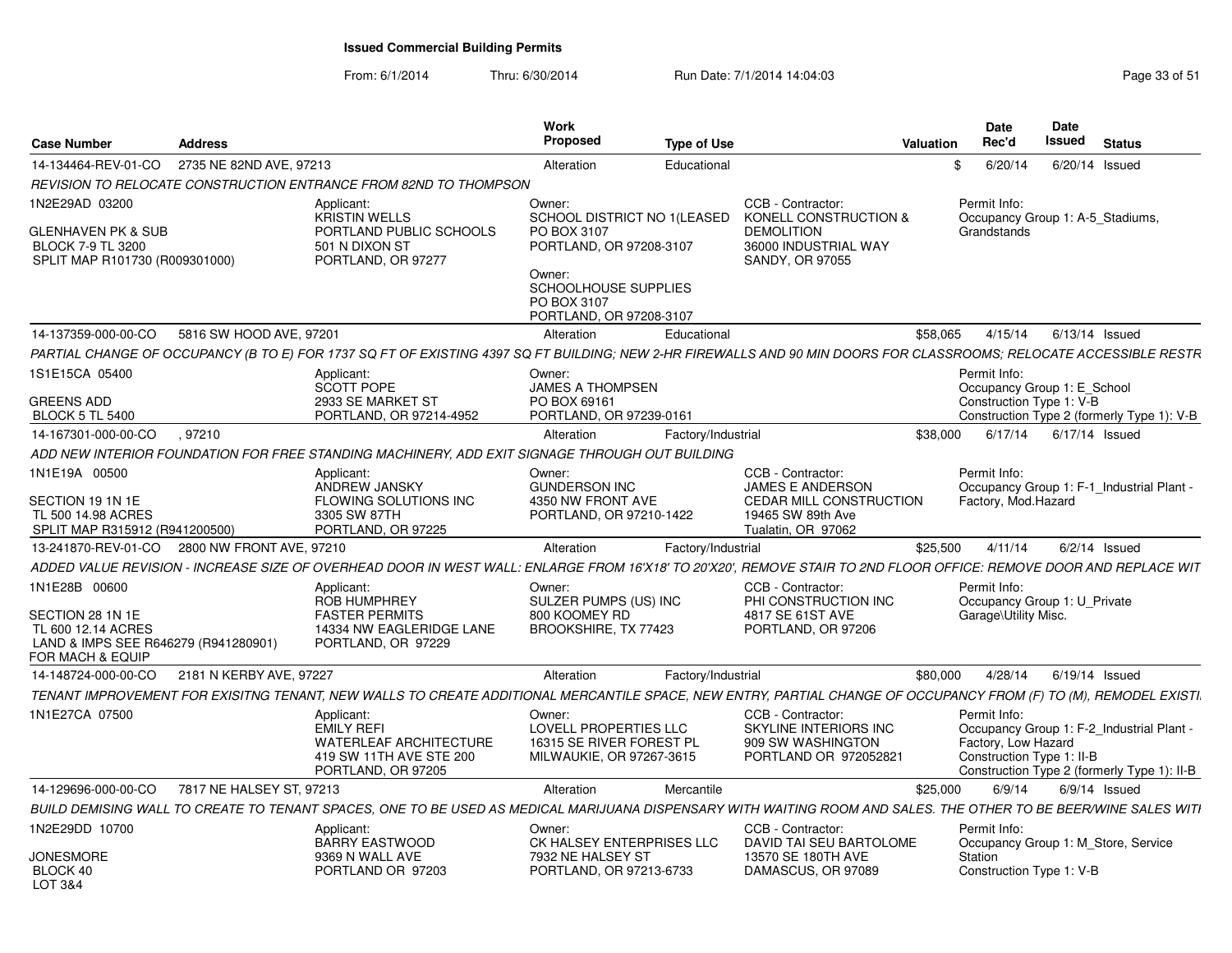From: 6/1/2014Thru: 6/30/2014 Run Date: 7/1/2014 14:04:03 Research 2010 Rage 33 of 51

| <b>Case Number</b>                                                                                                             | <b>Address</b>           |                                                                                                                                                                    | Work<br><b>Proposed</b>                                                                                                          | <b>Type of Use</b> |                                                                                                                           | <b>Valuation</b> | <b>Date</b><br>Rec'd                                                    | Date<br><b>Issued</b> | <b>Status</b>                                                                          |
|--------------------------------------------------------------------------------------------------------------------------------|--------------------------|--------------------------------------------------------------------------------------------------------------------------------------------------------------------|----------------------------------------------------------------------------------------------------------------------------------|--------------------|---------------------------------------------------------------------------------------------------------------------------|------------------|-------------------------------------------------------------------------|-----------------------|----------------------------------------------------------------------------------------|
| 14-134464-REV-01-CO                                                                                                            | 2735 NE 82ND AVE, 97213  |                                                                                                                                                                    | Alteration                                                                                                                       | Educational        |                                                                                                                           |                  | 6/20/14<br>\$                                                           |                       | $6/20/14$ Issued                                                                       |
|                                                                                                                                |                          | REVISION TO RELOCATE CONSTRUCTION ENTRANCE FROM 82ND TO THOMPSON                                                                                                   |                                                                                                                                  |                    |                                                                                                                           |                  |                                                                         |                       |                                                                                        |
| 1N2E29AD 03200<br>GLENHAVEN PK & SUB<br>BLOCK 7-9 TL 3200<br>SPLIT MAP R101730 (R009301000)                                    |                          | Applicant:<br><b>KRISTIN WELLS</b><br>PORTLAND PUBLIC SCHOOLS<br>501 N DIXON ST<br>PORTLAND, OR 97277                                                              | Owner:<br>SCHOOL DISTRICT NO 1(LEASED<br>PO BOX 3107<br>PORTLAND, OR 97208-3107<br>Owner:<br>SCHOOLHOUSE SUPPLIES<br>PO BOX 3107 |                    | CCB - Contractor:<br>KONELL CONSTRUCTION &<br><b>DEMOLITION</b><br>36000 INDUSTRIAL WAY<br>SANDY, OR 97055                |                  | Permit Info:<br>Occupancy Group 1: A-5 Stadiums,<br>Grandstands         |                       |                                                                                        |
|                                                                                                                                |                          |                                                                                                                                                                    | PORTLAND, OR 97208-3107                                                                                                          |                    |                                                                                                                           |                  |                                                                         |                       |                                                                                        |
| 14-137359-000-00-CO                                                                                                            | 5816 SW HOOD AVE, 97201  |                                                                                                                                                                    | Alteration                                                                                                                       | Educational        |                                                                                                                           | \$58,065         | 4/15/14                                                                 |                       | $6/13/14$ Issued                                                                       |
|                                                                                                                                |                          | PARTIAL CHANGE OF OCCUPANCY (B TO E) FOR 1737 SQ FT OF EXISTING 4397 SQ FT BUILDING; NEW 2-HR FIREWALLS AND 90 MIN DOORS FOR CLASSROOMS; RELOCATE ACCESSIBLE RESTR |                                                                                                                                  |                    |                                                                                                                           |                  |                                                                         |                       |                                                                                        |
| 1S1E15CA 05400<br><b>GREENS ADD</b><br><b>BLOCK 5 TL 5400</b>                                                                  |                          | Applicant:<br><b>SCOTT POPE</b><br>2933 SE MARKET ST<br>PORTLAND, OR 97214-4952                                                                                    | Owner:<br><b>JAMES A THOMPSEN</b><br>PO BOX 69161<br>PORTLAND, OR 97239-0161                                                     |                    |                                                                                                                           |                  | Permit Info:<br>Occupancy Group 1: E School<br>Construction Type 1: V-B |                       | Construction Type 2 (formerly Type 1): V-B                                             |
| 14-167301-000-00-CO                                                                                                            | .97210                   |                                                                                                                                                                    | Alteration                                                                                                                       | Factory/Industrial |                                                                                                                           | \$38,000         | 6/17/14                                                                 |                       | 6/17/14 Issued                                                                         |
|                                                                                                                                |                          | ADD NEW INTERIOR FOUNDATION FOR FREE STANDING MACHINERY, ADD EXIT SIGNAGE THROUGH OUT BUILDING                                                                     |                                                                                                                                  |                    |                                                                                                                           |                  |                                                                         |                       |                                                                                        |
| 1N1E19A 00500<br>SECTION 19 1N 1E<br>TL 500 14.98 ACRES<br>SPLIT MAP R315912 (R941200500)                                      |                          | Applicant:<br>ANDREW JANSKY<br>FLOWING SOLUTIONS INC<br>3305 SW 87TH<br>PORTLAND, OR 97225                                                                         | Owner:<br><b>GUNDERSON INC</b><br>4350 NW FRONT AVE<br>PORTLAND, OR 97210-1422                                                   |                    | CCB - Contractor:<br><b>JAMES E ANDERSON</b><br><b>CEDAR MILL CONSTRUCTION</b><br>19465 SW 89th Ave<br>Tualatin, OR 97062 |                  | Permit Info:<br>Factory, Mod.Hazard                                     |                       | Occupancy Group 1: F-1 Industrial Plant -                                              |
| 13-241870-REV-01-CO                                                                                                            | 2800 NW FRONT AVE, 97210 |                                                                                                                                                                    | Alteration                                                                                                                       | Factory/Industrial |                                                                                                                           | \$25,500         | 4/11/14                                                                 |                       | $6/2/14$ Issued                                                                        |
|                                                                                                                                |                          | ADDED VALUE REVISION - INCREASE SIZE OF OVERHEAD DOOR IN WEST WALL: ENLARGE FROM 16'X18' TO 20'X20'. REMOVE STAIR TO 2ND FLOOR OFFICE: REMOVE DOOR AND REPLACE WIT |                                                                                                                                  |                    |                                                                                                                           |                  |                                                                         |                       |                                                                                        |
| 1N1E28B 00600<br>SECTION 28 1N 1E<br>TL 600 12.14 ACRES<br>LAND & IMPS SEE R646279 (R941280901)<br><b>FOR MACH &amp; EQUIP</b> |                          | Applicant:<br>ROB HUMPHREY<br><b>FASTER PERMITS</b><br>14334 NW EAGLERIDGE LANE<br>PORTLAND, OR 97229                                                              | Owner:<br>SULZER PUMPS (US) INC<br>800 KOOMEY RD<br>BROOKSHIRE, TX 77423                                                         |                    | CCB - Contractor:<br>PHI CONSTRUCTION INC<br>4817 SE 61ST AVE<br>PORTLAND, OR 97206                                       |                  | Permit Info:<br>Occupancy Group 1: U Private<br>Garage\Utility Misc.    |                       |                                                                                        |
| 14-148724-000-00-CO                                                                                                            | 2181 N KERBY AVE, 97227  |                                                                                                                                                                    | Alteration                                                                                                                       | Factory/Industrial |                                                                                                                           | \$80,000         | 4/28/14                                                                 |                       | $6/19/14$ Issued                                                                       |
|                                                                                                                                |                          | TENANT IMPROVEMENT FOR EXISITNG TENANT, NEW WALLS TO CREATE ADDITIONAL MERCANTILE SPACE, NEW ENTRY, PARTIAL CHANGE OF OCCUPANCY FROM (F) TO (M), REMODEL EXISTI.   |                                                                                                                                  |                    |                                                                                                                           |                  |                                                                         |                       |                                                                                        |
| 1N1E27CA 07500                                                                                                                 |                          | Applicant:<br><b>EMILY REFI</b><br><b>WATERLEAF ARCHITECTURE</b><br>419 SW 11TH AVE STE 200<br>PORTLAND, OR 97205                                                  | Owner:<br>LOVELL PROPERTIES LLC<br>16315 SE RIVER FOREST PL<br>MILWAUKIE, OR 97267-3615                                          |                    | CCB - Contractor:<br>SKYLINE INTERIORS INC<br>909 SW WASHINGTON<br>PORTLAND OR 972052821                                  |                  | Permit Info:<br>Factory, Low Hazard<br>Construction Type 1: II-B        |                       | Occupancy Group 1: F-2 Industrial Plant<br>Construction Type 2 (formerly Type 1): II-B |
| 14-129696-000-00-CO                                                                                                            | 7817 NE HALSEY ST. 97213 |                                                                                                                                                                    | Alteration                                                                                                                       | Mercantile         |                                                                                                                           | \$25,000         | 6/9/14                                                                  |                       | $6/9/14$ Issued                                                                        |
|                                                                                                                                |                          | BUILD DEMISING WALL TO CREATE TO TENANT SPACES. ONE TO BE USED AS MEDICAL MARIJUANA DISPENSARY WITH WAITING ROOM AND SALES. THE OTHER TO BE BEER/WINE SALES WITI   |                                                                                                                                  |                    |                                                                                                                           |                  |                                                                         |                       |                                                                                        |
| 1N2E29DD 10700                                                                                                                 |                          | Applicant:<br><b>BARRY EASTWOOD</b>                                                                                                                                | Owner:<br>CK HALSEY ENTERPRISES LLC                                                                                              |                    | CCB - Contractor:<br>DAVID TAI SEU BARTOLOME                                                                              |                  | Permit Info:                                                            |                       | Occupancy Group 1: M Store, Service                                                    |
| JONESMORE<br>BLOCK 40<br>LOT 3&4                                                                                               |                          | 9369 N WALL AVE<br>PORTLAND OR 97203                                                                                                                               | 7932 NE HALSEY ST<br>PORTLAND, OR 97213-6733                                                                                     |                    | 13570 SE 180TH AVE<br>DAMASCUS, OR 97089                                                                                  |                  | Station<br>Construction Type 1: V-B                                     |                       |                                                                                        |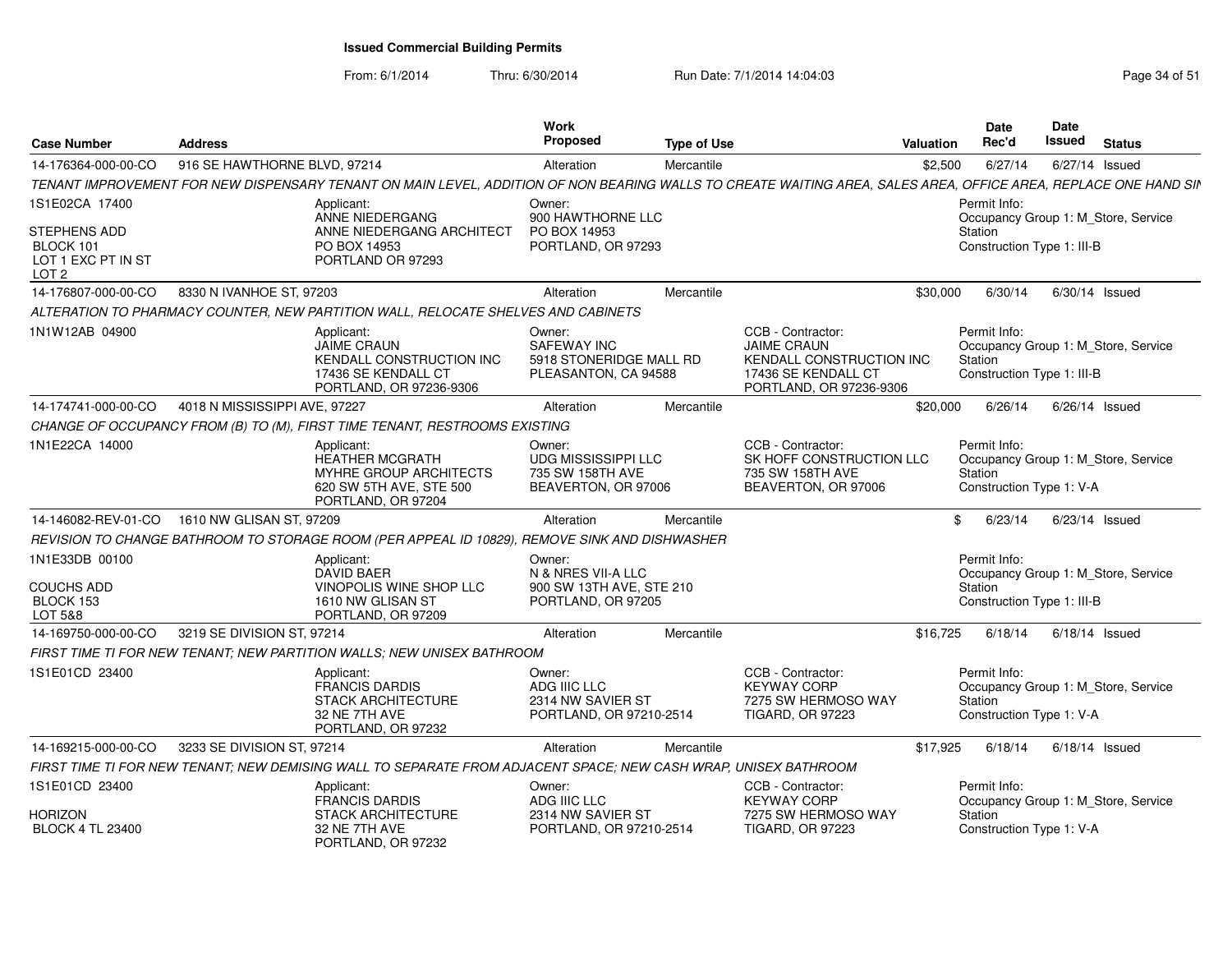From: 6/1/2014Thru: 6/30/2014 Run Date: 7/1/2014 14:04:03 Research 2010 Rage 34 of 51

| <b>Case Number</b>                                                  | <b>Address</b>                |                                                                                                                                                                 | Work<br><b>Proposed</b>                                                         | <b>Type of Use</b> |                                                                                                                       | <b>Valuation</b> | <b>Date</b><br>Rec'd                                  | Date<br><b>Issued</b> | <b>Status</b>                       |
|---------------------------------------------------------------------|-------------------------------|-----------------------------------------------------------------------------------------------------------------------------------------------------------------|---------------------------------------------------------------------------------|--------------------|-----------------------------------------------------------------------------------------------------------------------|------------------|-------------------------------------------------------|-----------------------|-------------------------------------|
| 14-176364-000-00-CO                                                 | 916 SE HAWTHORNE BLVD, 97214  |                                                                                                                                                                 | Alteration                                                                      | Mercantile         |                                                                                                                       | \$2.500          | 6/27/14                                               | 6/27/14 Issued        |                                     |
|                                                                     |                               | TENANT IMPROVEMENT FOR NEW DISPENSARY TENANT ON MAIN LEVEL, ADDITION OF NON BEARING WALLS TO CREATE WAITING AREA, SALES AREA, OFFICE AREA, REPLACE ONE HAND SIN |                                                                                 |                    |                                                                                                                       |                  |                                                       |                       |                                     |
| 1S1E02CA 17400                                                      |                               | Applicant:<br>ANNE NIEDERGANG                                                                                                                                   | Owner:<br>900 HAWTHORNE LLC                                                     |                    |                                                                                                                       |                  | Permit Info:                                          |                       | Occupancy Group 1: M_Store, Service |
| STEPHENS ADD<br>BLOCK 101<br>LOT 1 EXC PT IN ST<br>LOT <sub>2</sub> |                               | ANNE NIEDERGANG ARCHITECT<br>PO BOX 14953<br>PORTLAND OR 97293                                                                                                  | PO BOX 14953<br>PORTLAND, OR 97293                                              |                    |                                                                                                                       |                  | Station<br>Construction Type 1: III-B                 |                       |                                     |
| 14-176807-000-00-CO                                                 | 8330 N IVANHOE ST, 97203      |                                                                                                                                                                 | Alteration                                                                      | Mercantile         |                                                                                                                       | \$30,000         | 6/30/14                                               |                       | $6/30/14$ Issued                    |
|                                                                     |                               | ALTERATION TO PHARMACY COUNTER, NEW PARTITION WALL, RELOCATE SHELVES AND CABINETS                                                                               |                                                                                 |                    |                                                                                                                       |                  |                                                       |                       |                                     |
| 1N1W12AB 04900                                                      |                               | Applicant:<br><b>JAIME CRAUN</b><br>KENDALL CONSTRUCTION INC<br>17436 SE KENDALL CT<br>PORTLAND, OR 97236-9306                                                  | Owner:<br>SAFEWAY INC<br>5918 STONERIDGE MALL RD<br>PLEASANTON, CA 94588        |                    | CCB - Contractor:<br><b>JAIME CRAUN</b><br>KENDALL CONSTRUCTION INC<br>17436 SE KENDALL CT<br>PORTLAND, OR 97236-9306 |                  | Permit Info:<br>Station<br>Construction Type 1: III-B |                       | Occupancy Group 1: M_Store, Service |
| 14-174741-000-00-CO                                                 | 4018 N MISSISSIPPI AVE, 97227 |                                                                                                                                                                 | Alteration                                                                      | Mercantile         |                                                                                                                       | \$20,000         | 6/26/14                                               | $6/26/14$ Issued      |                                     |
|                                                                     |                               | CHANGE OF OCCUPANCY FROM (B) TO (M), FIRST TIME TENANT, RESTROOMS EXISTING                                                                                      |                                                                                 |                    |                                                                                                                       |                  |                                                       |                       |                                     |
| 1N1E22CA 14000                                                      |                               | Applicant:<br><b>HEATHER MCGRATH</b><br>MYHRE GROUP ARCHITECTS<br>620 SW 5TH AVE, STE 500<br>PORTLAND, OR 97204                                                 | Owner:<br><b>UDG MISSISSIPPI LLC</b><br>735 SW 158TH AVE<br>BEAVERTON, OR 97006 |                    | CCB - Contractor:<br>SK HOFF CONSTRUCTION LLC<br>735 SW 158TH AVE<br>BEAVERTON, OR 97006                              |                  | Permit Info:<br>Station<br>Construction Type 1: V-A   |                       | Occupancy Group 1: M_Store, Service |
| 14-146082-REV-01-CO 1610 NW GLISAN ST, 97209                        |                               |                                                                                                                                                                 | Alteration                                                                      | Mercantile         |                                                                                                                       | \$               | 6/23/14                                               | $6/23/14$ Issued      |                                     |
|                                                                     |                               | REVISION TO CHANGE BATHROOM TO STORAGE ROOM (PER APPEAL ID 10829), REMOVE SINK AND DISHWASHER                                                                   |                                                                                 |                    |                                                                                                                       |                  |                                                       |                       |                                     |
| 1N1E33DB 00100<br><b>COUCHS ADD</b>                                 |                               | Applicant:<br><b>DAVID BAER</b><br>VINOPOLIS WINE SHOP LLC                                                                                                      | Owner:<br>N & NRES VII-A LLC<br>900 SW 13TH AVE, STE 210                        |                    |                                                                                                                       |                  | Permit Info:<br>Station                               |                       | Occupancy Group 1: M Store, Service |
| BLOCK 153<br>LOT 5&8                                                |                               | 1610 NW GLISAN ST<br>PORTLAND, OR 97209                                                                                                                         | PORTLAND, OR 97205                                                              |                    |                                                                                                                       |                  | Construction Type 1: III-B                            |                       |                                     |
| 14-169750-000-00-CO                                                 | 3219 SE DIVISION ST, 97214    |                                                                                                                                                                 | Alteration                                                                      | Mercantile         |                                                                                                                       | \$16,725         | 6/18/14                                               |                       | $6/18/14$ Issued                    |
|                                                                     |                               | FIRST TIME TI FOR NEW TENANT: NEW PARTITION WALLS: NEW UNISEX BATHROOM                                                                                          |                                                                                 |                    |                                                                                                                       |                  |                                                       |                       |                                     |
| 1S1E01CD 23400                                                      |                               | Applicant:<br><b>FRANCIS DARDIS</b><br><b>STACK ARCHITECTURE</b><br>32 NE 7TH AVE<br>PORTLAND, OR 97232                                                         | Owner:<br>ADG IIIC LLC<br>2314 NW SAVIER ST<br>PORTLAND, OR 97210-2514          |                    | CCB - Contractor:<br><b>KEYWAY CORP</b><br>7275 SW HERMOSO WAY<br><b>TIGARD, OR 97223</b>                             |                  | Permit Info:<br>Station<br>Construction Type 1: V-A   |                       | Occupancy Group 1: M_Store, Service |
| 14-169215-000-00-CO                                                 | 3233 SE DIVISION ST, 97214    |                                                                                                                                                                 | Alteration                                                                      | Mercantile         |                                                                                                                       | \$17,925         | 6/18/14                                               | $6/18/14$ Issued      |                                     |
|                                                                     |                               | FIRST TIME TI FOR NEW TENANT; NEW DEMISING WALL TO SEPARATE FROM ADJACENT SPACE; NEW CASH WRAP, UNISEX BATHROOM                                                 |                                                                                 |                    |                                                                                                                       |                  |                                                       |                       |                                     |
| 1S1E01CD 23400                                                      |                               | Applicant:<br><b>FRANCIS DARDIS</b>                                                                                                                             | Owner:<br>ADG IIIC LLC                                                          |                    | CCB - Contractor:<br><b>KEYWAY CORP</b>                                                                               |                  | Permit Info:                                          |                       | Occupancy Group 1: M_Store, Service |
| <b>HORIZON</b><br><b>BLOCK 4 TL 23400</b>                           |                               | <b>STACK ARCHITECTURE</b><br>32 NE 7TH AVE<br>PORTLAND, OR 97232                                                                                                | 2314 NW SAVIER ST<br>PORTLAND, OR 97210-2514                                    |                    | 7275 SW HERMOSO WAY<br><b>TIGARD, OR 97223</b>                                                                        |                  | Station<br>Construction Type 1: V-A                   |                       |                                     |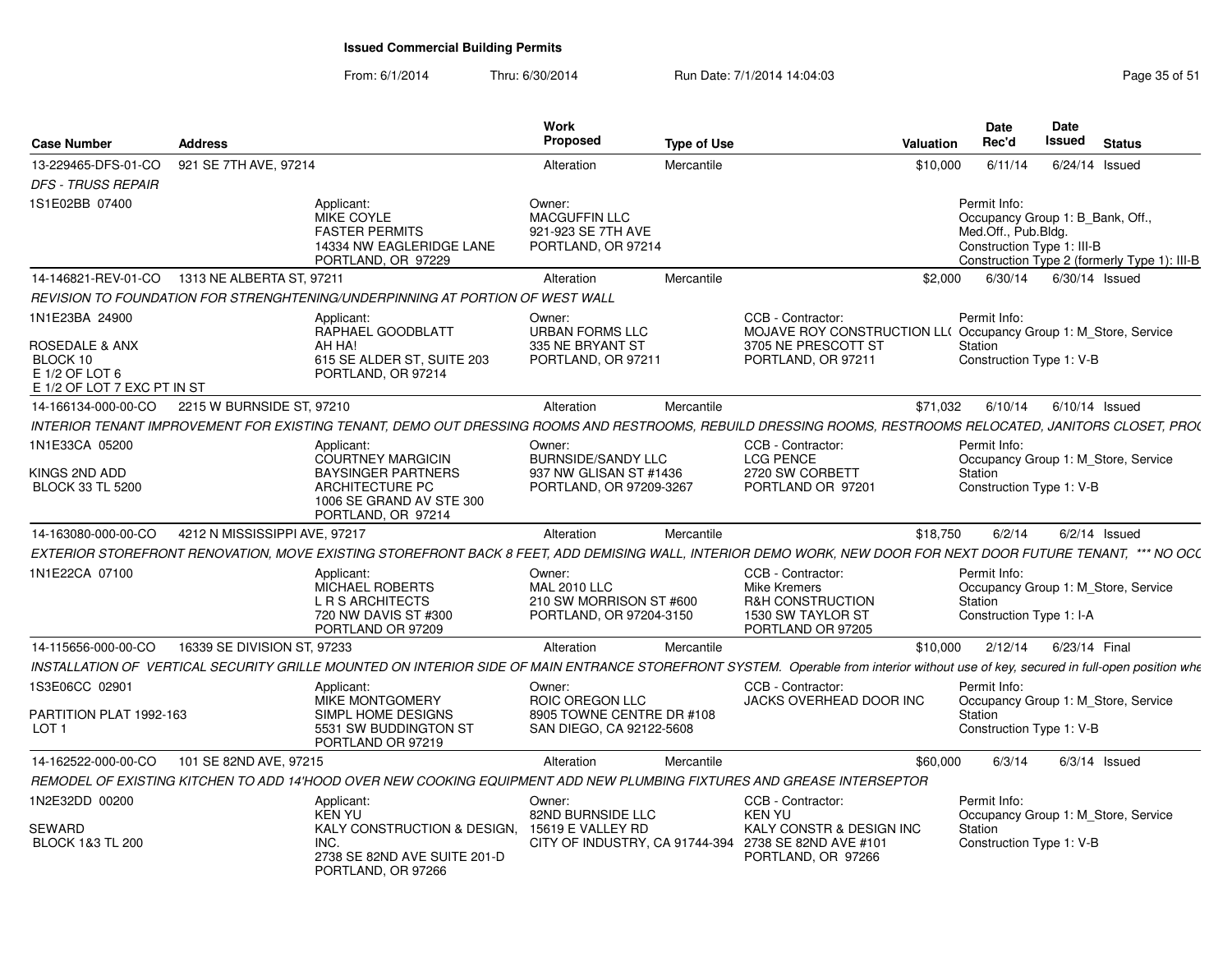#### From: 6/1/2014Thru: 6/30/2014 Run Date: 7/1/2014 14:04:03 Research 2010 Rage 35 of 51

| <b>Case Number</b>                                                                                       | <b>Address</b>                                |                                                                                                                                                                                                                                                                        | Work<br>Proposed                                                                         | <b>Type of Use</b> |                                                                                                                                   | <b>Valuation</b> | <b>Date</b><br>Rec'd                                                                                  | Date<br><b>Issued</b> | <b>Status</b>                                |
|----------------------------------------------------------------------------------------------------------|-----------------------------------------------|------------------------------------------------------------------------------------------------------------------------------------------------------------------------------------------------------------------------------------------------------------------------|------------------------------------------------------------------------------------------|--------------------|-----------------------------------------------------------------------------------------------------------------------------------|------------------|-------------------------------------------------------------------------------------------------------|-----------------------|----------------------------------------------|
| 13-229465-DFS-01-CO                                                                                      | 921 SE 7TH AVE, 97214                         |                                                                                                                                                                                                                                                                        | Alteration                                                                               | Mercantile         |                                                                                                                                   | \$10,000         | 6/11/14                                                                                               |                       | $6/24/14$ Issued                             |
| <b>DFS - TRUSS REPAIR</b>                                                                                |                                               |                                                                                                                                                                                                                                                                        |                                                                                          |                    |                                                                                                                                   |                  |                                                                                                       |                       |                                              |
| 1S1E02BB 07400                                                                                           |                                               | Applicant:<br><b>MIKE COYLE</b><br><b>FASTER PERMITS</b><br>14334 NW EAGLERIDGE LANE<br>PORTLAND, OR 97229                                                                                                                                                             | Owner:<br><b>MACGUFFIN LLC</b><br>921-923 SE 7TH AVE<br>PORTLAND, OR 97214               |                    |                                                                                                                                   |                  | Permit Info:<br>Occupancy Group 1: B Bank, Off.,<br>Med.Off., Pub.Bldg.<br>Construction Type 1: III-B |                       | Construction Type 2 (formerly Type 1): III-B |
|                                                                                                          | 14-146821-REV-01-CO 1313 NE ALBERTA ST, 97211 |                                                                                                                                                                                                                                                                        | Alteration                                                                               | Mercantile         |                                                                                                                                   | \$2,000          | 6/30/14                                                                                               |                       | 6/30/14 Issued                               |
|                                                                                                          |                                               | REVISION TO FOUNDATION FOR STRENGHTENING/UNDERPINNING AT PORTION OF WEST WALL                                                                                                                                                                                          |                                                                                          |                    |                                                                                                                                   |                  |                                                                                                       |                       |                                              |
| 1N1E23BA 24900<br><b>ROSEDALE &amp; ANX</b><br>BLOCK 10<br>E 1/2 OF LOT 6<br>E 1/2 OF LOT 7 EXC PT IN ST |                                               | Applicant:<br>RAPHAEL GOODBLATT<br>AH HA!<br>615 SE ALDER ST, SUITE 203<br>PORTLAND, OR 97214                                                                                                                                                                          | Owner:<br><b>URBAN FORMS LLC</b><br>335 NE BRYANT ST<br>PORTLAND, OR 97211               |                    | CCB - Contractor:<br>MOJAVE ROY CONSTRUCTION LL( Occupancy Group 1: M_Store, Service<br>3705 NE PRESCOTT ST<br>PORTLAND, OR 97211 |                  | Permit Info:<br>Station<br>Construction Type 1: V-B                                                   |                       |                                              |
| 14-166134-000-00-CO                                                                                      | 2215 W BURNSIDE ST, 97210                     |                                                                                                                                                                                                                                                                        | Alteration                                                                               | Mercantile         |                                                                                                                                   | \$71.032         | 6/10/14                                                                                               |                       | $6/10/14$ Issued                             |
|                                                                                                          |                                               | INTERIOR TENANT IMPROVEMENT FOR EXISTING TENANT, DEMO OUT DRESSING ROOMS AND RESTROOMS, REBUILD DRESSING ROOMS, RESTROOMS RELOCATED, JANITORS CLOSET, PRO(                                                                                                             |                                                                                          |                    |                                                                                                                                   |                  |                                                                                                       |                       |                                              |
| 1N1E33CA 05200<br>KINGS 2ND ADD<br><b>BLOCK 33 TL 5200</b>                                               |                                               | Applicant:<br>COURTNEY MARGICIN<br><b>BAYSINGER PARTNERS</b><br>ARCHITECTURE PC                                                                                                                                                                                        | Owner:<br><b>BURNSIDE/SANDY LLC</b><br>937 NW GLISAN ST #1436<br>PORTLAND, OR 97209-3267 |                    | CCB - Contractor:<br><b>LCG PENCE</b><br>2720 SW CORBETT<br>PORTLAND OR 97201                                                     |                  | Permit Info:<br>Station<br>Construction Type 1: V-B                                                   |                       | Occupancy Group 1: M Store, Service          |
|                                                                                                          |                                               | 1006 SE GRAND AV STE 300<br>PORTLAND, OR 97214                                                                                                                                                                                                                         |                                                                                          |                    |                                                                                                                                   |                  |                                                                                                       |                       |                                              |
| 14-163080-000-00-CO                                                                                      | 4212 N MISSISSIPPI AVE, 97217                 |                                                                                                                                                                                                                                                                        | Alteration                                                                               | Mercantile         |                                                                                                                                   | \$18,750         | 6/2/14                                                                                                |                       | $6/2/14$ Issued                              |
| 1N1E22CA 07100                                                                                           |                                               | EXTERIOR STOREFRONT RENOVATION, MOVE EXISTING STOREFRONT BACK 8 FEET, ADD DEMISING WALL, INTERIOR DEMO WORK, NEW DOOR FOR NEXT DOOR FUTURE TENANT, *** NO OCL<br>Applicant:<br><b>MICHAEL ROBERTS</b><br>L R S ARCHITECTS<br>720 NW DAVIS ST #300<br>PORTLAND OR 97209 | Owner:<br><b>MAL 2010 LLC</b><br>210 SW MORRISON ST #600<br>PORTLAND, OR 97204-3150      |                    | CCB - Contractor:<br><b>Mike Kremers</b><br><b>R&amp;H CONSTRUCTION</b><br>1530 SW TAYLOR ST<br>PORTLAND OR 97205                 |                  | Permit Info:<br>Station<br>Construction Type 1: I-A                                                   |                       | Occupancy Group 1: M_Store, Service          |
| 14-115656-000-00-CO                                                                                      | 16339 SE DIVISION ST, 97233                   |                                                                                                                                                                                                                                                                        | Alteration                                                                               | Mercantile         |                                                                                                                                   | \$10,000         | 2/12/14                                                                                               | 6/23/14 Final         |                                              |
|                                                                                                          |                                               | INSTALLATION OF VERTICAL SECURITY GRILLE MOUNTED ON INTERIOR SIDE OF MAIN ENTRANCE STOREFRONT SYSTEM. Operable from interior without use of key, secured in full-open position whe                                                                                     |                                                                                          |                    |                                                                                                                                   |                  |                                                                                                       |                       |                                              |
| 1S3E06CC 02901                                                                                           |                                               | Applicant:<br>MIKE MONTGOMERY                                                                                                                                                                                                                                          | Owner:<br>ROIC OREGON LLC                                                                |                    | CCB - Contractor:<br>JACKS OVERHEAD DOOR INC                                                                                      |                  | Permit Info:                                                                                          |                       | Occupancy Group 1: M_Store, Service          |
| PARTITION PLAT 1992-163<br>LOT <sub>1</sub>                                                              |                                               | SIMPL HOME DESIGNS<br>5531 SW BUDDINGTON ST<br>PORTLAND OR 97219                                                                                                                                                                                                       | 8905 TOWNE CENTRE DR #108<br>SAN DIEGO, CA 92122-5608                                    |                    |                                                                                                                                   |                  | Station<br>Construction Type 1: V-B                                                                   |                       |                                              |
| 14-162522-000-00-CO                                                                                      | 101 SE 82ND AVE, 97215                        |                                                                                                                                                                                                                                                                        | Alteration                                                                               | Mercantile         |                                                                                                                                   | \$60,000         | 6/3/14                                                                                                |                       | $6/3/14$ Issued                              |
|                                                                                                          |                                               | REMODEL OF EXISTING KITCHEN TO ADD 14'HOOD OVER NEW COOKING EQUIPMENT ADD NEW PLUMBING FIXTURES AND GREASE INTERSEPTOR                                                                                                                                                 |                                                                                          |                    |                                                                                                                                   |                  |                                                                                                       |                       |                                              |
| 1N2E32DD 00200                                                                                           |                                               | Applicant:<br>KEN YU                                                                                                                                                                                                                                                   | Owner:<br>82ND BURNSIDE LLC                                                              |                    | CCB - Contractor:<br>KEN YU                                                                                                       |                  | Permit Info:                                                                                          |                       | Occupancy Group 1: M Store, Service          |
| SEWARD<br><b>BLOCK 1&amp;3 TL 200</b>                                                                    |                                               | KALY CONSTRUCTION & DESIGN. 15619 E VALLEY RD<br>INC.<br>2738 SE 82ND AVE SUITE 201-D<br>PORTLAND, OR 97266                                                                                                                                                            |                                                                                          |                    | <b>KALY CONSTR &amp; DESIGN INC</b><br>CITY OF INDUSTRY, CA 91744-394 2738 SE 82ND AVE #101<br>PORTLAND, OR 97266                 |                  | Station<br>Construction Type 1: V-B                                                                   |                       |                                              |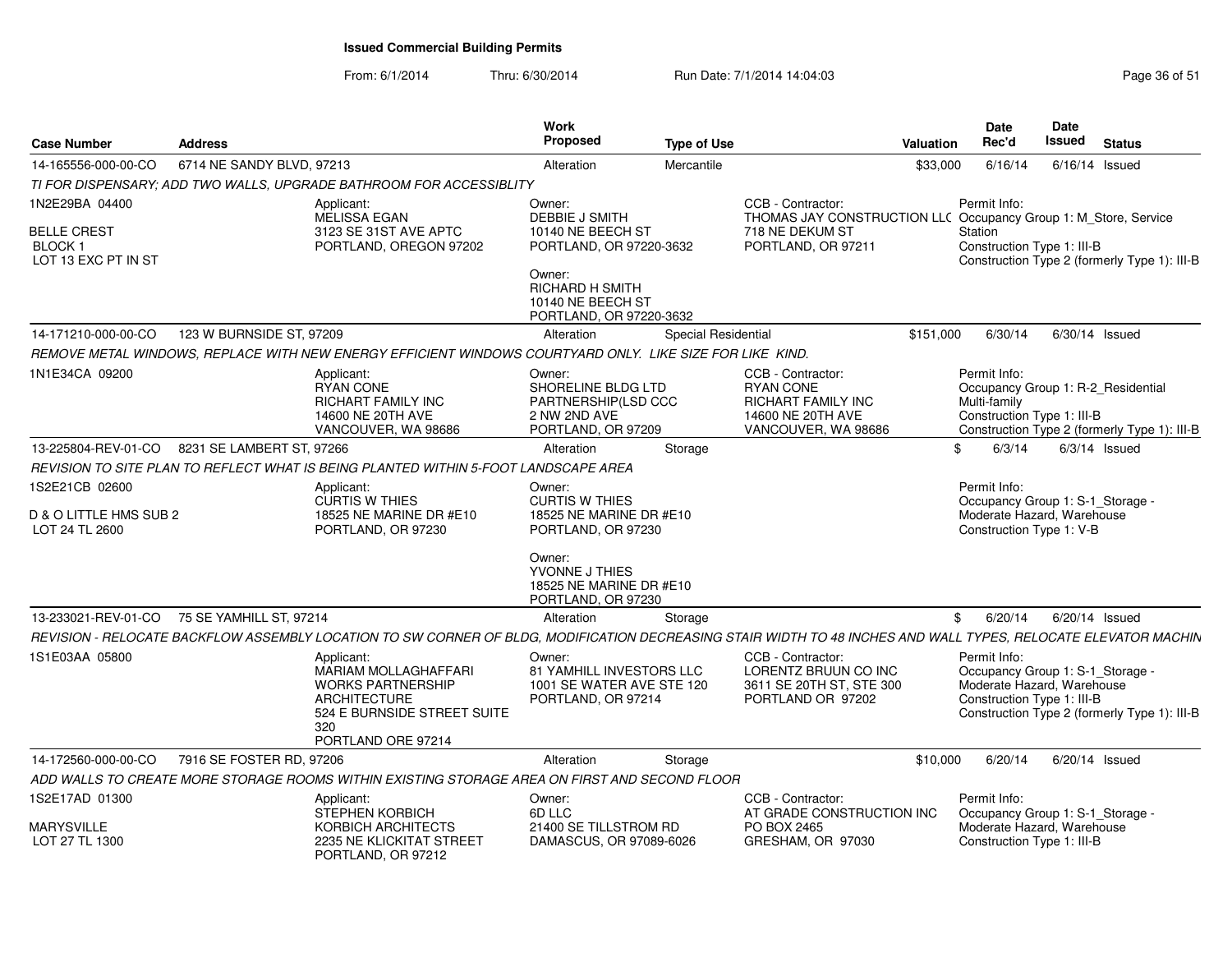From: 6/1/2014Thru: 6/30/2014 Run Date: 7/1/2014 14:04:03 Research 2010 Rage 36 of 51

| <b>Case Number</b>                                  | <b>Address</b>            |                                                                                                                                                                | Work<br><b>Proposed</b>                                                                      | <b>Type of Use</b>  |                                                                                                         | Valuation | <b>Date</b><br>Rec'd                                                                                         | <b>Date</b><br>Issued | <b>Status</b>                                |
|-----------------------------------------------------|---------------------------|----------------------------------------------------------------------------------------------------------------------------------------------------------------|----------------------------------------------------------------------------------------------|---------------------|---------------------------------------------------------------------------------------------------------|-----------|--------------------------------------------------------------------------------------------------------------|-----------------------|----------------------------------------------|
| 14-165556-000-00-CO                                 | 6714 NE SANDY BLVD, 97213 |                                                                                                                                                                | Alteration                                                                                   | Mercantile          |                                                                                                         | \$33,000  | 6/16/14                                                                                                      |                       | $6/16/14$ Issued                             |
|                                                     |                           | TI FOR DISPENSARY; ADD TWO WALLS, UPGRADE BATHROOM FOR ACCESSIBLITY                                                                                            |                                                                                              |                     |                                                                                                         |           |                                                                                                              |                       |                                              |
| 1N2E29BA 04400                                      |                           | Applicant:<br><b>MELISSA EGAN</b>                                                                                                                              | Owner:<br><b>DEBBIE J SMITH</b>                                                              |                     | CCB - Contractor:<br>THOMAS JAY CONSTRUCTION LLC Occupancy Group 1: M_Store, Service                    |           | Permit Info:                                                                                                 |                       |                                              |
| BELLE CREST<br><b>BLOCK1</b><br>LOT 13 EXC PT IN ST |                           | 3123 SE 31ST AVE APTC<br>PORTLAND, OREGON 97202                                                                                                                | 10140 NE BEECH ST<br>PORTLAND, OR 97220-3632<br>Owner:                                       |                     | 718 NE DEKUM ST<br>PORTLAND, OR 97211                                                                   |           | Station<br>Construction Type 1: III-B                                                                        |                       | Construction Type 2 (formerly Type 1): III-B |
|                                                     |                           |                                                                                                                                                                | RICHARD H SMITH<br>10140 NE BEECH ST<br>PORTLAND, OR 97220-3632                              |                     |                                                                                                         |           |                                                                                                              |                       |                                              |
| 14-171210-000-00-CO                                 | 123 W BURNSIDE ST, 97209  |                                                                                                                                                                | Alteration                                                                                   | Special Residential |                                                                                                         | \$151,000 | 6/30/14                                                                                                      |                       | $6/30/14$ Issued                             |
|                                                     |                           | REMOVE METAL WINDOWS. REPLACE WITH NEW ENERGY EFFICIENT WINDOWS COURTYARD ONLY.  LIKE SIZE FOR LIKE  KIND.                                                     |                                                                                              |                     |                                                                                                         |           |                                                                                                              |                       |                                              |
| 1N1E34CA 09200                                      |                           | Applicant:<br><b>RYAN CONE</b><br>RICHART FAMILY INC<br>14600 NE 20TH AVE<br>VANCOUVER, WA 98686                                                               | Owner:<br>SHORELINE BLDG LTD<br>PARTNERSHIP(LSD CCC<br>2 NW 2ND AVE<br>PORTLAND, OR 97209    |                     | CCB - Contractor:<br><b>RYAN CONE</b><br>RICHART FAMILY INC<br>14600 NE 20TH AVE<br>VANCOUVER, WA 98686 |           | Permit Info:<br>Occupancy Group 1: R-2 Residential<br>Multi-family<br>Construction Type 1: III-B             |                       | Construction Type 2 (formerly Type 1): III-B |
| 13-225804-REV-01-CO                                 | 8231 SE LAMBERT ST, 97266 |                                                                                                                                                                | Alteration                                                                                   | Storage             |                                                                                                         | \$        | 6/3/14                                                                                                       |                       | $6/3/14$ Issued                              |
|                                                     |                           | REVISION TO SITE PLAN TO REFLECT WHAT IS BEING PLANTED WITHIN 5-FOOT LANDSCAPE AREA                                                                            |                                                                                              |                     |                                                                                                         |           |                                                                                                              |                       |                                              |
| 1S2E21CB 02600                                      |                           | Applicant:<br><b>CURTIS W THIES</b>                                                                                                                            | Owner:<br><b>CURTIS W THIES</b>                                                              |                     |                                                                                                         |           | Permit Info:<br>Occupancy Group 1: S-1 Storage -                                                             |                       |                                              |
| D & O LITTLE HMS SUB 2<br>LOT 24 TL 2600            |                           | 18525 NE MARINE DR #E10<br>PORTLAND, OR 97230                                                                                                                  | 18525 NE MARINE DR #E10<br>PORTLAND, OR 97230                                                |                     |                                                                                                         |           | Moderate Hazard, Warehouse<br>Construction Type 1: V-B                                                       |                       |                                              |
|                                                     |                           |                                                                                                                                                                | Owner:<br>YVONNE J THIES<br>18525 NE MARINE DR #E10<br>PORTLAND, OR 97230                    |                     |                                                                                                         |           |                                                                                                              |                       |                                              |
| 13-233021-REV-01-CO                                 | 75 SE YAMHILL ST. 97214   |                                                                                                                                                                | Alteration                                                                                   | Storage             |                                                                                                         | \$        | 6/20/14                                                                                                      |                       | $6/20/14$ Issued                             |
|                                                     |                           | REVISION - RELOCATE BACKFLOW ASSEMBLY LOCATION TO SW CORNER OF BLDG, MODIFICATION DECREASING STAIR WIDTH TO 48 INCHES AND WALL TYPES, RELOCATE ELEVATOR MACHIN |                                                                                              |                     |                                                                                                         |           |                                                                                                              |                       |                                              |
| 1S1E03AA 05800                                      |                           | Applicant:<br><b>MARIAM MOLLAGHAFFARI</b><br><b>WORKS PARTNERSHIP</b><br><b>ARCHITECTURE</b><br>524 E BURNSIDE STREET SUITE<br>320<br>PORTLAND ORE 97214       | Owner:<br><b>81 YAMHILL INVESTORS LLC</b><br>1001 SE WATER AVE STE 120<br>PORTLAND, OR 97214 |                     | CCB - Contractor:<br>LORENTZ BRUUN CO INC<br>3611 SE 20TH ST, STE 300<br>PORTLAND OR 97202              |           | Permit Info:<br>Occupancy Group 1: S-1_Storage -<br>Moderate Hazard, Warehouse<br>Construction Type 1: III-B |                       | Construction Type 2 (formerly Type 1): III-B |
| 14-172560-000-00-CO                                 | 7916 SE FOSTER RD, 97206  |                                                                                                                                                                | Alteration                                                                                   | Storage             |                                                                                                         | \$10,000  | 6/20/14                                                                                                      |                       | $6/20/14$ Issued                             |
|                                                     |                           | ADD WALLS TO CREATE MORE STORAGE ROOMS WITHIN EXISTING STORAGE AREA ON FIRST AND SECOND FLOOR                                                                  |                                                                                              |                     |                                                                                                         |           |                                                                                                              |                       |                                              |
| 1S2E17AD 01300                                      |                           | Applicant:<br>STEPHEN KORBICH                                                                                                                                  | Owner:<br>6D LLC                                                                             |                     | CCB - Contractor:<br>AT GRADE CONSTRUCTION INC                                                          |           | Permit Info:<br>Occupancy Group 1: S-1_Storage -                                                             |                       |                                              |
| <b>MARYSVILLE</b><br>LOT 27 TL 1300                 |                           | KORBICH ARCHITECTS<br>2235 NE KLICKITAT STREET<br>PORTLAND, OR 97212                                                                                           | 21400 SE TILLSTROM RD<br>DAMASCUS, OR 97089-6026                                             |                     | PO BOX 2465<br>GRESHAM, OR 97030                                                                        |           | Moderate Hazard, Warehouse<br>Construction Type 1: III-B                                                     |                       |                                              |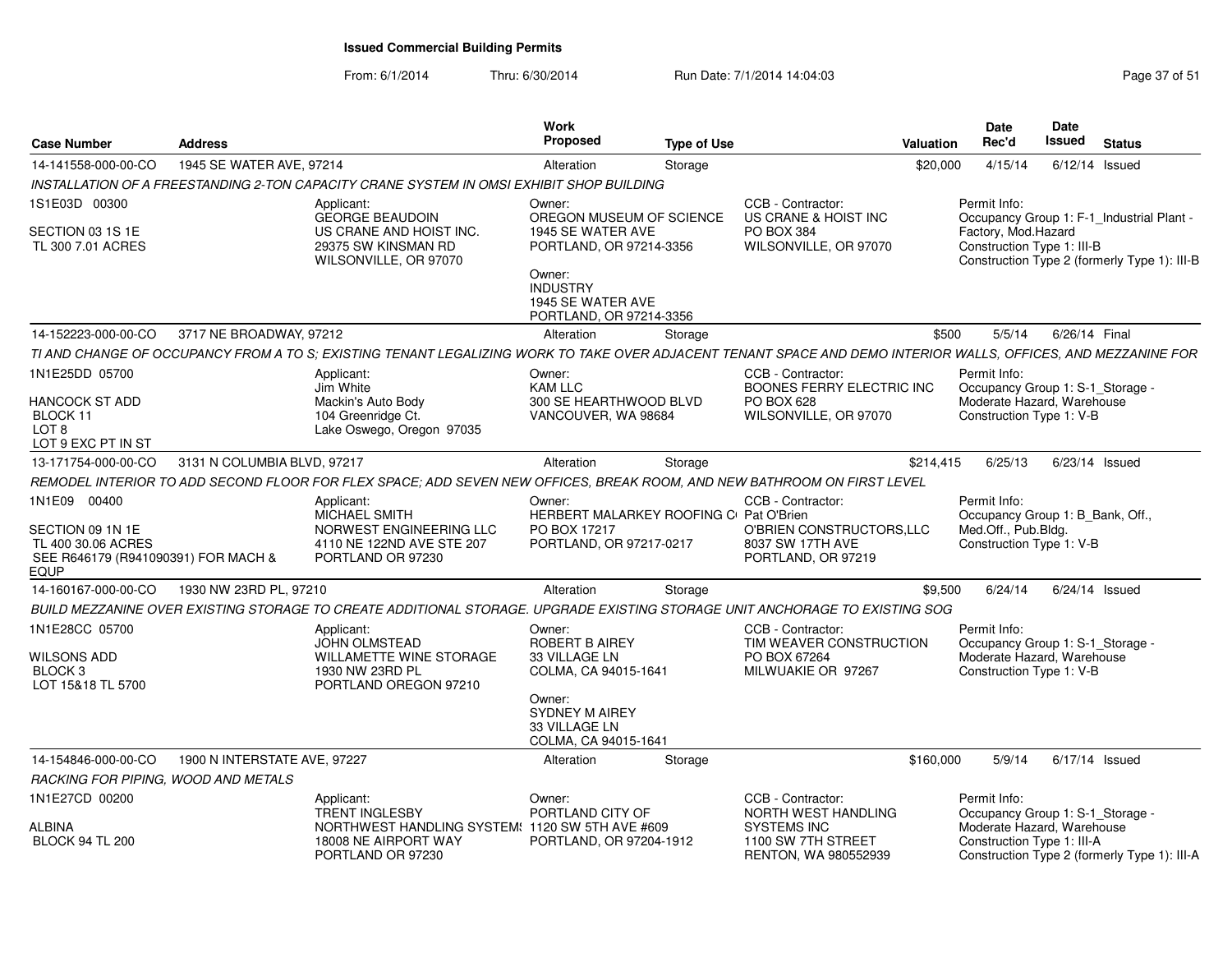From: 6/1/2014Thru: 6/30/2014 Run Date: 7/1/2014 14:04:03 Research 2010 Rage 37 of 51

| <b>Case Number</b>                                                                                           | <b>Address</b>               |                                                                                                                                                                | Work<br>Proposed                                                                                                          | <b>Type of Use</b> |                                                                                              | Valuation | Date<br>Rec'd                                                                                              | Date<br><b>Issued</b> | <b>Status</b>                                |
|--------------------------------------------------------------------------------------------------------------|------------------------------|----------------------------------------------------------------------------------------------------------------------------------------------------------------|---------------------------------------------------------------------------------------------------------------------------|--------------------|----------------------------------------------------------------------------------------------|-----------|------------------------------------------------------------------------------------------------------------|-----------------------|----------------------------------------------|
| 14-141558-000-00-CO                                                                                          | 1945 SE WATER AVE, 97214     |                                                                                                                                                                | Alteration                                                                                                                | Storage            |                                                                                              | \$20,000  | 4/15/14                                                                                                    | $6/12/14$ Issued      |                                              |
|                                                                                                              |                              | INSTALLATION OF A FREESTANDING 2-TON CAPACITY CRANE SYSTEM IN OMSI EXHIBIT SHOP BUILDING                                                                       |                                                                                                                           |                    |                                                                                              |           |                                                                                                            |                       |                                              |
| 1S1E03D 00300                                                                                                |                              | Applicant:<br><b>GEORGE BEAUDOIN</b>                                                                                                                           | Owner:<br>OREGON MUSEUM OF SCIENCE                                                                                        |                    | CCB - Contractor:<br>US CRANE & HOIST INC                                                    |           | Permit Info:                                                                                               |                       | Occupancy Group 1: F-1_Industrial Plant -    |
| SECTION 03 1S 1E<br>TL 300 7.01 ACRES                                                                        |                              | US CRANE AND HOIST INC.<br>29375 SW KINSMAN RD<br>WILSONVILLE, OR 97070                                                                                        | 1945 SE WATER AVE<br>PORTLAND, OR 97214-3356<br>Owner:<br><b>INDUSTRY</b><br>1945 SE WATER AVE<br>PORTLAND, OR 97214-3356 |                    | PO BOX 384<br>WILSONVILLE, OR 97070                                                          |           | Factory, Mod.Hazard<br>Construction Type 1: III-B                                                          |                       | Construction Type 2 (formerly Type 1): III-B |
| 14-152223-000-00-CO                                                                                          | 3717 NE BROADWAY, 97212      |                                                                                                                                                                | Alteration                                                                                                                | Storage            |                                                                                              | \$500     | 5/5/14                                                                                                     | 6/26/14 Final         |                                              |
|                                                                                                              |                              | TI AND CHANGE OF OCCUPANCY FROM A TO S; EXISTING TENANT LEGALIZING WORK TO TAKE OVER ADJACENT TENANT SPACE AND DEMO INTERIOR WALLS, OFFICES, AND MEZZANINE FOR |                                                                                                                           |                    |                                                                                              |           |                                                                                                            |                       |                                              |
| 1N1E25DD 05700<br>HANCOCK ST ADD<br>BLOCK 11<br>LOT <sub>8</sub><br>LOT 9 EXC PT IN ST                       |                              | Applicant:<br>Jim White<br>Mackin's Auto Body<br>104 Greenridge Ct.<br>Lake Oswego, Oregon 97035                                                               | Owner:<br><b>KAM LLC</b><br>300 SE HEARTHWOOD BLVD<br>VANCOUVER, WA 98684                                                 |                    | CCB - Contractor:<br>BOONES FERRY ELECTRIC INC<br><b>PO BOX 628</b><br>WILSONVILLE, OR 97070 |           | Permit Info:<br>Occupancy Group 1: S-1_Storage -<br>Moderate Hazard, Warehouse<br>Construction Type 1: V-B |                       |                                              |
| 13-171754-000-00-CO                                                                                          | 3131 N COLUMBIA BLVD, 97217  |                                                                                                                                                                | Alteration                                                                                                                | Storage            |                                                                                              | \$214,415 | 6/25/13                                                                                                    |                       | $6/23/14$ Issued                             |
|                                                                                                              |                              | REMODEL INTERIOR TO ADD SECOND FLOOR FOR FLEX SPACE; ADD SEVEN NEW OFFICES, BREAK ROOM, AND NEW BATHROOM ON FIRST LEVEL                                        |                                                                                                                           |                    |                                                                                              |           |                                                                                                            |                       |                                              |
| 1N1E09 00400<br>SECTION 09 1N 1E<br>TL 400 30.06 ACRES<br>SEE R646179 (R941090391) FOR MACH &<br><b>EQUP</b> |                              | Applicant:<br><b>MICHAEL SMITH</b><br>NORWEST ENGINEERING LLC<br>4110 NE 122ND AVE STE 207<br>PORTLAND OR 97230                                                | Owner:<br>HERBERT MALARKEY ROOFING C Pat O'Brien<br>PO BOX 17217<br>PORTLAND, OR 97217-0217                               |                    | CCB - Contractor:<br>O'BRIEN CONSTRUCTORS, LLC<br>8037 SW 17TH AVE<br>PORTLAND, OR 97219     |           | Permit Info:<br>Occupancy Group 1: B_Bank, Off.,<br>Med.Off., Pub.Bldg.<br>Construction Type 1: V-B        |                       |                                              |
| 14-160167-000-00-CO                                                                                          | 1930 NW 23RD PL, 97210       |                                                                                                                                                                | Alteration                                                                                                                | Storage            |                                                                                              | \$9,500   | 6/24/14                                                                                                    |                       | $6/24/14$ Issued                             |
|                                                                                                              |                              | BUILD MEZZANINE OVER EXISTING STORAGE TO CREATE ADDITIONAL STORAGE. UPGRADE EXISTING STORAGE UNIT ANCHORAGE TO EXISTING SOG                                    |                                                                                                                           |                    |                                                                                              |           |                                                                                                            |                       |                                              |
| 1N1E28CC 05700<br>WILSONS ADD<br>BLOCK <sub>3</sub><br>LOT 15&18 TL 5700                                     |                              | Applicant:<br><b>JOHN OLMSTEAD</b><br>WILLAMETTE WINE STORAGE<br>1930 NW 23RD PL<br>PORTLAND OREGON 97210                                                      | Owner:<br>ROBERT B AIREY<br>33 VILLAGE LN<br>COLMA, CA 94015-1641                                                         |                    | CCB - Contractor:<br>TIM WEAVER CONSTRUCTION<br>PO BOX 67264<br>MILWUAKIE OR 97267           |           | Permit Info:<br>Occupancy Group 1: S-1_Storage -<br>Moderate Hazard, Warehouse<br>Construction Type 1: V-B |                       |                                              |
|                                                                                                              |                              |                                                                                                                                                                | Owner:<br><b>SYDNEY M AIREY</b><br>33 VILLAGE LN<br>COLMA, CA 94015-1641                                                  |                    |                                                                                              |           |                                                                                                            |                       |                                              |
| 14-154846-000-00-CO                                                                                          | 1900 N INTERSTATE AVE, 97227 |                                                                                                                                                                | Alteration                                                                                                                | Storage            |                                                                                              | \$160,000 | 5/9/14                                                                                                     | 6/17/14 Issued        |                                              |
| RACKING FOR PIPING, WOOD AND METALS                                                                          |                              |                                                                                                                                                                |                                                                                                                           |                    |                                                                                              |           |                                                                                                            |                       |                                              |
| 1N1E27CD 00200                                                                                               |                              | Applicant:<br><b>TRENT INGLESBY</b>                                                                                                                            | Owner:<br>PORTLAND CITY OF                                                                                                |                    | CCB - Contractor:<br>NORTH WEST HANDLING                                                     |           | Permit Info:<br>Occupancy Group 1: S-1_Storage -                                                           |                       |                                              |
| ALBINA<br><b>BLOCK 94 TL 200</b>                                                                             |                              | NORTHWEST HANDLING SYSTEM: 1120 SW 5TH AVE #609<br>18008 NE AIRPORT WAY<br>PORTLAND OR 97230                                                                   | PORTLAND, OR 97204-1912                                                                                                   |                    | <b>SYSTEMS INC</b><br>1100 SW 7TH STREET<br>RENTON, WA 980552939                             |           | Moderate Hazard, Warehouse<br>Construction Type 1: III-A                                                   |                       | Construction Type 2 (formerly Type 1): III-A |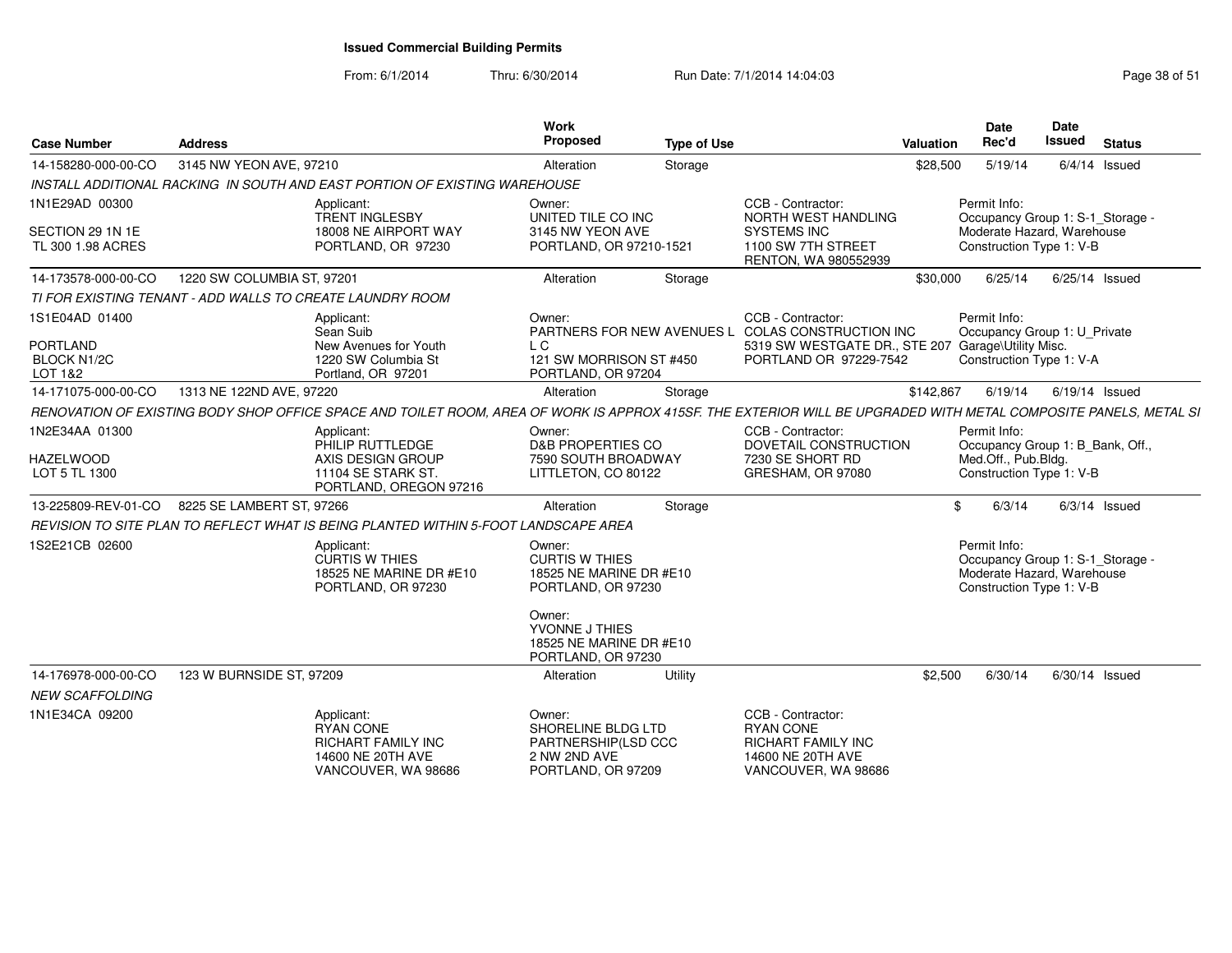From: 6/1/2014Thru: 6/30/2014 Run Date: 7/1/2014 14:04:03 Research 2010 Rage 38 of 51

| <b>Case Number</b>                                          | <b>Address</b>                                                                                                                                                   | Work<br><b>Proposed</b>                                                                    | <b>Type of Use</b> |                                                                                                                                                        | Valuation | Date<br>Rec'd                                                                                              | Date<br><b>Issued</b> | <b>Status</b>   |
|-------------------------------------------------------------|------------------------------------------------------------------------------------------------------------------------------------------------------------------|--------------------------------------------------------------------------------------------|--------------------|--------------------------------------------------------------------------------------------------------------------------------------------------------|-----------|------------------------------------------------------------------------------------------------------------|-----------------------|-----------------|
| 14-158280-000-00-CO                                         | 3145 NW YEON AVE, 97210                                                                                                                                          | Alteration                                                                                 | Storage            |                                                                                                                                                        | \$28,500  | 5/19/14                                                                                                    |                       | $6/4/14$ Issued |
|                                                             | INSTALL ADDITIONAL RACKING IN SOUTH AND EAST PORTION OF EXISTING WAREHOUSE                                                                                       |                                                                                            |                    |                                                                                                                                                        |           |                                                                                                            |                       |                 |
| 1N1E29AD 00300<br>SECTION 29 1N 1E<br>TL 300 1.98 ACRES     | Applicant:<br>TRENT INGLESBY<br>18008 NE AIRPORT WAY<br>PORTLAND, OR 97230                                                                                       | Owner:<br>UNITED TILE CO INC<br>3145 NW YEON AVE<br>PORTLAND, OR 97210-1521                |                    | CCB - Contractor:<br>NORTH WEST HANDLING<br><b>SYSTEMS INC</b><br>1100 SW 7TH STREET                                                                   |           | Permit Info:<br>Occupancy Group 1: S-1_Storage -<br>Moderate Hazard, Warehouse<br>Construction Type 1: V-B |                       |                 |
|                                                             |                                                                                                                                                                  |                                                                                            |                    | RENTON, WA 980552939                                                                                                                                   |           |                                                                                                            |                       |                 |
| 14-173578-000-00-CO                                         | 1220 SW COLUMBIA ST, 97201                                                                                                                                       | Alteration                                                                                 | Storage            |                                                                                                                                                        | \$30,000  | 6/25/14                                                                                                    |                       | 6/25/14 Issued  |
|                                                             | TI FOR EXISTING TENANT - ADD WALLS TO CREATE LAUNDRY ROOM                                                                                                        |                                                                                            |                    |                                                                                                                                                        |           |                                                                                                            |                       |                 |
| 1S1E04AD 01400<br>PORTLAND<br><b>BLOCK N1/2C</b><br>LOT 1&2 | Applicant:<br>Sean Suib<br>New Avenues for Youth<br>1220 SW Columbia St<br>Portland, OR 97201                                                                    | Owner:<br>L C<br>121 SW MORRISON ST #450<br>PORTLAND, OR 97204                             |                    | CCB - Contractor:<br>PARTNERS FOR NEW AVENUES L COLAS CONSTRUCTION INC<br>5319 SW WESTGATE DR., STE 207 Garage\Utility Misc.<br>PORTLAND OR 97229-7542 |           | Permit Info:<br>Occupancy Group 1: U_Private<br>Construction Type 1: V-A                                   |                       |                 |
| 14-171075-000-00-CO                                         | 1313 NE 122ND AVE, 97220                                                                                                                                         | Alteration                                                                                 | Storage            |                                                                                                                                                        | \$142,867 | 6/19/14                                                                                                    |                       | 6/19/14 Issued  |
|                                                             | RENOVATION OF EXISTING BODY SHOP OFFICE SPACE AND TOILET ROOM, AREA OF WORK IS APPROX 415SF. THE EXTERIOR WILL BE UPGRADED WITH METAL COMPOSITE PANELS, METAL SI |                                                                                            |                    |                                                                                                                                                        |           |                                                                                                            |                       |                 |
| 1N2E34AA 01300<br><b>HAZELWOOD</b><br>LOT 5 TL 1300         | Applicant:<br>PHILIP RUTTLEDGE<br>AXIS DESIGN GROUP<br>11104 SE STARK ST.<br>PORTLAND, OREGON 97216                                                              | Owner:<br><b>D&amp;B PROPERTIES CO</b><br>7590 SOUTH BROADWAY<br>LITTLETON, CO 80122       |                    | CCB - Contractor:<br>DOVETAIL CONSTRUCTION<br>7230 SE SHORT RD<br>GRESHAM, OR 97080                                                                    |           | Permit Info:<br>Occupancy Group 1: B_Bank, Off.,<br>Med.Off., Pub.Bldg.<br>Construction Type 1: V-B        |                       |                 |
| 13-225809-REV-01-CO                                         | 8225 SE LAMBERT ST, 97266                                                                                                                                        | Alteration                                                                                 | Storage            |                                                                                                                                                        | \$        | 6/3/14                                                                                                     |                       | $6/3/14$ Issued |
|                                                             | REVISION TO SITE PLAN TO REFLECT WHAT IS BEING PLANTED WITHIN 5-FOOT LANDSCAPE AREA                                                                              |                                                                                            |                    |                                                                                                                                                        |           |                                                                                                            |                       |                 |
| 1S2E21CB 02600                                              | Applicant:<br><b>CURTIS W THIES</b><br>18525 NE MARINE DR #E10<br>PORTLAND, OR 97230                                                                             | Owner:<br><b>CURTIS W THIES</b><br>18525 NE MARINE DR #E10<br>PORTLAND, OR 97230<br>Owner: |                    |                                                                                                                                                        |           | Permit Info:<br>Occupancy Group 1: S-1_Storage -<br>Moderate Hazard, Warehouse<br>Construction Type 1: V-B |                       |                 |
|                                                             |                                                                                                                                                                  | YVONNE J THIES<br>18525 NE MARINE DR #E10<br>PORTLAND, OR 97230                            |                    |                                                                                                                                                        |           |                                                                                                            |                       |                 |
| 14-176978-000-00-CO<br><b>NEW SCAFFOLDING</b>               | 123 W BURNSIDE ST, 97209                                                                                                                                         | Alteration                                                                                 | Utility            |                                                                                                                                                        | \$2,500   | 6/30/14                                                                                                    |                       | 6/30/14 Issued  |
| 1N1E34CA 09200                                              | Applicant:<br>RYAN CONE<br><b>RICHART FAMILY INC</b><br>14600 NE 20TH AVE<br>VANCOUVER, WA 98686                                                                 | Owner:<br>SHORELINE BLDG LTD<br>PARTNERSHIP(LSD CCC<br>2 NW 2ND AVE<br>PORTLAND, OR 97209  |                    | CCB - Contractor:<br><b>RYAN CONE</b><br><b>RICHART FAMILY INC</b><br>14600 NE 20TH AVE<br>VANCOUVER, WA 98686                                         |           |                                                                                                            |                       |                 |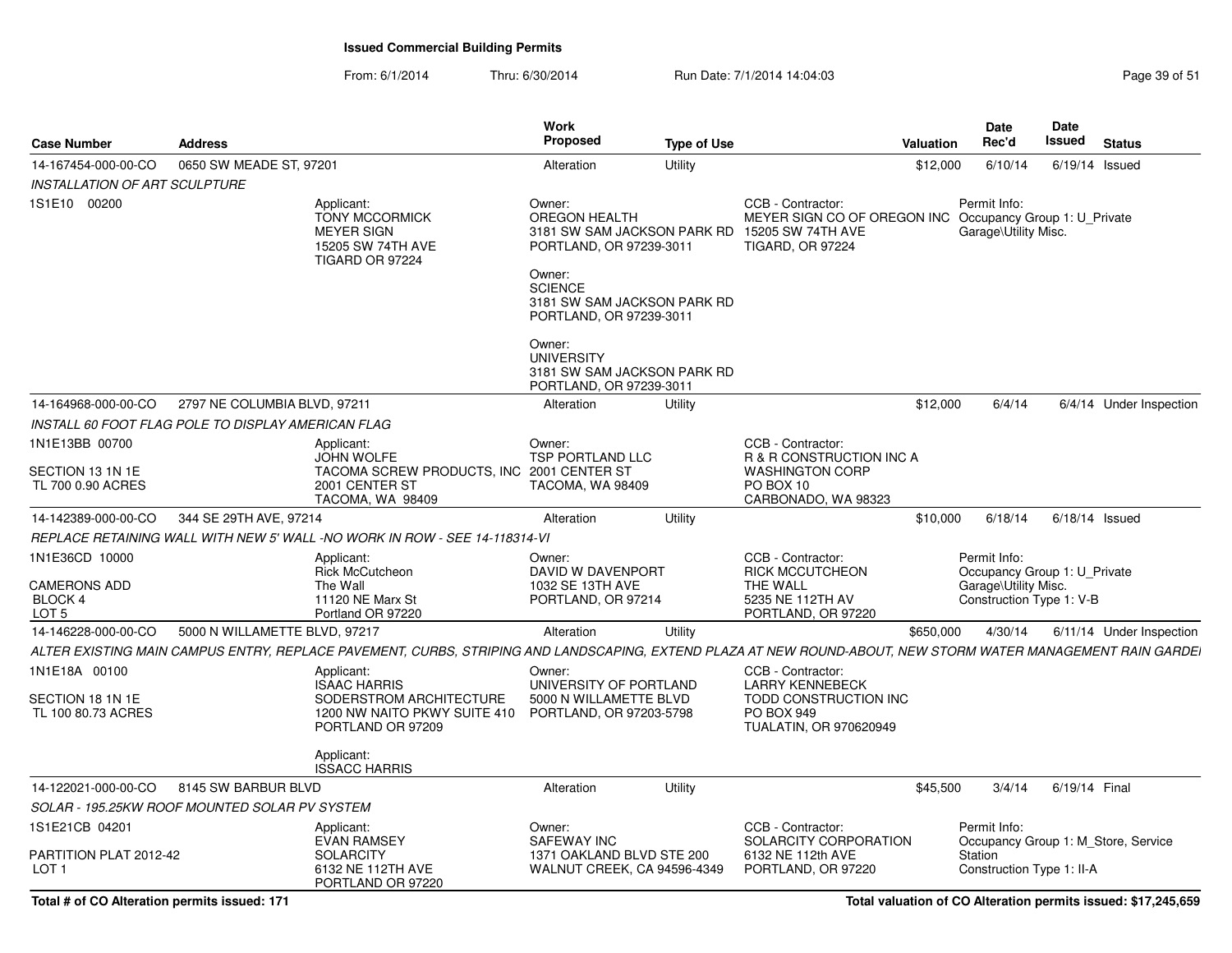From: 6/1/2014Thru: 6/30/2014 Run Date: 7/1/2014 14:04:03 Research 2010 Rage 39 of 51

| <b>Case Number</b>                         | <b>Address</b>                                     |                                                                                                                                                             | Work<br><b>Proposed</b>                                                                                       | <b>Type of Use</b> |                                                                                                  | Valuation | <b>Date</b><br>Rec'd                                                 | <b>Date</b><br>Issued | <b>Status</b>                       |
|--------------------------------------------|----------------------------------------------------|-------------------------------------------------------------------------------------------------------------------------------------------------------------|---------------------------------------------------------------------------------------------------------------|--------------------|--------------------------------------------------------------------------------------------------|-----------|----------------------------------------------------------------------|-----------------------|-------------------------------------|
| 14-167454-000-00-CO                        | 0650 SW MEADE ST, 97201                            |                                                                                                                                                             | Alteration                                                                                                    | Utility            |                                                                                                  | \$12,000  | 6/10/14                                                              |                       | 6/19/14 Issued                      |
| <b>INSTALLATION OF ART SCULPTURE</b>       |                                                    |                                                                                                                                                             |                                                                                                               |                    |                                                                                                  |           |                                                                      |                       |                                     |
| 1S1E10 00200                               |                                                    | Applicant:<br><b>TONY MCCORMICK</b><br><b>MEYER SIGN</b><br>15205 SW 74TH AVE<br>TIGARD OR 97224                                                            | Owner:<br>OREGON HEALTH<br>3181 SW SAM JACKSON PARK RD<br>PORTLAND, OR 97239-3011<br>Owner:<br><b>SCIENCE</b> |                    | CCB - Contractor:<br>MEYER SIGN CO OF OREGON INC<br>15205 SW 74TH AVE<br><b>TIGARD, OR 97224</b> |           | Permit Info:<br>Occupancy Group 1: U Private<br>Garage\Utility Misc. |                       |                                     |
|                                            |                                                    |                                                                                                                                                             | 3181 SW SAM JACKSON PARK RD<br>PORTLAND, OR 97239-3011                                                        |                    |                                                                                                  |           |                                                                      |                       |                                     |
|                                            |                                                    |                                                                                                                                                             | Owner:<br><b>UNIVERSITY</b><br>3181 SW SAM JACKSON PARK RD<br>PORTLAND, OR 97239-3011                         |                    |                                                                                                  |           |                                                                      |                       |                                     |
| 14-164968-000-00-CO                        | 2797 NE COLUMBIA BLVD, 97211                       |                                                                                                                                                             | Alteration                                                                                                    | Utility            |                                                                                                  | \$12,000  | 6/4/14                                                               |                       | 6/4/14 Under Inspection             |
|                                            | INSTALL 60 FOOT FLAG POLE TO DISPLAY AMERICAN FLAG |                                                                                                                                                             |                                                                                                               |                    |                                                                                                  |           |                                                                      |                       |                                     |
| 1N1E13BB 00700                             |                                                    | Applicant:<br><b>JOHN WOLFE</b>                                                                                                                             | Owner:<br>TSP PORTLAND LLC                                                                                    |                    | CCB - Contractor:<br>R & R CONSTRUCTION INC A                                                    |           |                                                                      |                       |                                     |
| SECTION 13 1N 1E<br>TL 700 0.90 ACRES      |                                                    | TACOMA SCREW PRODUCTS, INC 2001 CENTER ST<br>2001 CENTER ST<br>TACOMA, WA 98409                                                                             | TACOMA, WA 98409                                                                                              |                    | <b>WASHINGTON CORP</b><br>PO BOX 10<br>CARBONADO, WA 98323                                       |           |                                                                      |                       |                                     |
| 14-142389-000-00-CO                        | 344 SE 29TH AVE, 97214                             |                                                                                                                                                             | Alteration                                                                                                    | Utility            |                                                                                                  | \$10,000  | 6/18/14                                                              |                       | $6/18/14$ Issued                    |
|                                            |                                                    | REPLACE RETAINING WALL WITH NEW 5' WALL -NO WORK IN ROW - SEE 14-118314-VI                                                                                  |                                                                                                               |                    |                                                                                                  |           |                                                                      |                       |                                     |
| 1N1E36CD 10000                             |                                                    | Applicant:                                                                                                                                                  | Owner:                                                                                                        |                    | CCB - Contractor:                                                                                |           | Permit Info:                                                         |                       |                                     |
| <b>CAMERONS ADD</b>                        |                                                    | Rick McCutcheon<br>The Wall                                                                                                                                 | DAVID W DAVENPORT<br>1032 SE 13TH AVE                                                                         |                    | <b>RICK MCCUTCHEON</b><br>THE WALL                                                               |           | Occupancy Group 1: U Private<br>Garage\Utility Misc.                 |                       |                                     |
| BLOCK 4                                    |                                                    | 11120 NE Marx St                                                                                                                                            | PORTLAND, OR 97214                                                                                            |                    | 5235 NE 112TH AV                                                                                 |           | Construction Type 1: V-B                                             |                       |                                     |
| LOT <sub>5</sub>                           |                                                    | Portland OR 97220                                                                                                                                           |                                                                                                               |                    | PORTLAND, OR 97220                                                                               |           |                                                                      |                       |                                     |
| 14-146228-000-00-CO                        | 5000 N WILLAMETTE BLVD, 97217                      |                                                                                                                                                             | Alteration                                                                                                    | Utility            |                                                                                                  | \$650,000 | 4/30/14                                                              |                       | 6/11/14 Under Inspection            |
|                                            |                                                    | ALTER EXISTING MAIN CAMPUS ENTRY, REPLACE PAVEMENT, CURBS, STRIPING AND LANDSCAPING, EXTEND PLAZA AT NEW ROUND-ABOUT, NEW STORM WATER MANAGEMENT RAIN GARDE |                                                                                                               |                    |                                                                                                  |           |                                                                      |                       |                                     |
| 1N1E18A 00100                              |                                                    | Applicant:<br><b>ISAAC HARRIS</b>                                                                                                                           | Owner:<br>UNIVERSITY OF PORTLAND                                                                              |                    | CCB - Contractor:<br><b>LARRY KENNEBECK</b>                                                      |           |                                                                      |                       |                                     |
| SECTION 18 1N 1E<br>TL 100 80.73 ACRES     |                                                    | SODERSTROM ARCHITECTURE<br>1200 NW NAITO PKWY SUITE 410 PORTLAND, OR 97203-5798<br>PORTLAND OR 97209                                                        | 5000 N WILLAMETTE BLVD                                                                                        |                    | TODD CONSTRUCTION INC<br>PO BOX 949<br><b>TUALATIN, OR 970620949</b>                             |           |                                                                      |                       |                                     |
|                                            |                                                    | Applicant:<br><b>ISSACC HARRIS</b>                                                                                                                          |                                                                                                               |                    |                                                                                                  |           |                                                                      |                       |                                     |
| 14-122021-000-00-CO                        | 8145 SW BARBUR BLVD                                |                                                                                                                                                             | Alteration                                                                                                    | Utility            |                                                                                                  | \$45,500  | 3/4/14                                                               | 6/19/14 Final         |                                     |
|                                            | SOLAR - 195.25KW ROOF MOUNTED SOLAR PV SYSTEM      |                                                                                                                                                             |                                                                                                               |                    |                                                                                                  |           |                                                                      |                       |                                     |
| 1S1E21CB 04201                             |                                                    | Applicant:<br><b>EVAN RAMSEY</b>                                                                                                                            | Owner:<br><b>SAFEWAY INC</b>                                                                                  |                    | CCB - Contractor:<br>SOLARCITY CORPORATION                                                       |           | Permit Info:                                                         |                       | Occupancy Group 1: M Store, Service |
| PARTITION PLAT 2012-42<br>LOT <sub>1</sub> |                                                    | <b>SOLARCITY</b><br>6132 NE 112TH AVE<br>PORTLAND OR 97220                                                                                                  | 1371 OAKLAND BLVD STE 200<br>WALNUT CREEK, CA 94596-4349                                                      |                    | 6132 NE 112th AVE<br>PORTLAND, OR 97220                                                          |           | Station<br>Construction Type 1: II-A                                 |                       |                                     |

**Total valuation of CO Alteration permits issued: \$17,245,659**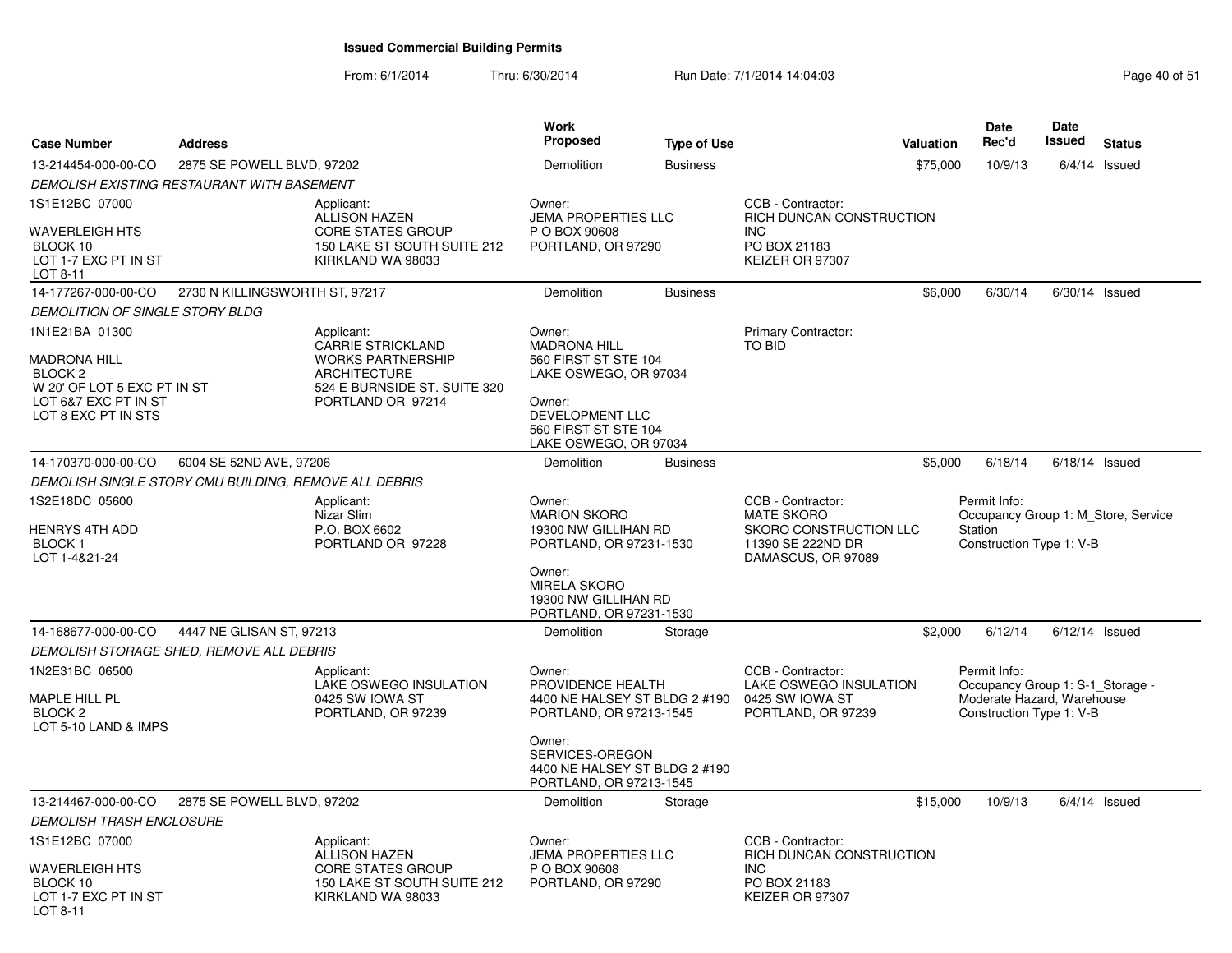From: 6/1/2014Thru: 6/30/2014 Run Date: 7/1/2014 14:04:03 Research 2010 151

| <b>Case Number</b>                                                       | <b>Address</b>                                        |                                                                                 | <b>Work</b><br><b>Proposed</b>                                                        | <b>Type of Use</b> |                                                                                        | <b>Valuation</b> | Date<br>Rec'd                                                              | <b>Date</b><br>Issued | <b>Status</b>   |
|--------------------------------------------------------------------------|-------------------------------------------------------|---------------------------------------------------------------------------------|---------------------------------------------------------------------------------------|--------------------|----------------------------------------------------------------------------------------|------------------|----------------------------------------------------------------------------|-----------------------|-----------------|
| 13-214454-000-00-CO                                                      | 2875 SE POWELL BLVD, 97202                            |                                                                                 | Demolition                                                                            | <b>Business</b>    |                                                                                        | \$75,000         | 10/9/13                                                                    | 6/4/14                | Issued          |
|                                                                          | DEMOLISH EXISTING RESTAURANT WITH BASEMENT            |                                                                                 |                                                                                       |                    |                                                                                        |                  |                                                                            |                       |                 |
| 1S1E12BC 07000                                                           |                                                       | Applicant:<br><b>ALLISON HAZEN</b>                                              | Owner:<br><b>JEMA PROPERTIES LLC</b>                                                  |                    | CCB - Contractor:<br>RICH DUNCAN CONSTRUCTION                                          |                  |                                                                            |                       |                 |
| WAVERLEIGH HTS<br>BLOCK 10<br>LOT 1-7 EXC PT IN ST<br>LOT 8-11           |                                                       | <b>CORE STATES GROUP</b><br>150 LAKE ST SOUTH SUITE 212<br>KIRKLAND WA 98033    | P O BOX 90608<br>PORTLAND, OR 97290                                                   |                    | <b>INC</b><br>PO BOX 21183<br>KEIZER OR 97307                                          |                  |                                                                            |                       |                 |
| 14-177267-000-00-CO                                                      | 2730 N KILLINGSWORTH ST, 97217                        |                                                                                 | Demolition                                                                            | <b>Business</b>    |                                                                                        | \$6,000          | 6/30/14                                                                    | $6/30/14$ Issued      |                 |
| <b>DEMOLITION OF SINGLE STORY BLDG</b>                                   |                                                       |                                                                                 |                                                                                       |                    |                                                                                        |                  |                                                                            |                       |                 |
| 1N1E21BA 01300                                                           |                                                       | Applicant:<br><b>CARRIE STRICKLAND</b>                                          | Owner:<br><b>MADRONA HILL</b>                                                         |                    | Primary Contractor:<br><b>TO BID</b>                                                   |                  |                                                                            |                       |                 |
| <b>MADRONA HILL</b><br>BLOCK <sub>2</sub><br>W 20' OF LOT 5 EXC PT IN ST |                                                       | <b>WORKS PARTNERSHIP</b><br><b>ARCHITECTURE</b><br>524 E BURNSIDE ST. SUITE 320 | 560 FIRST ST STE 104<br>LAKE OSWEGO, OR 97034                                         |                    |                                                                                        |                  |                                                                            |                       |                 |
| LOT 6&7 EXC PT IN ST<br>LOT 8 EXC PT IN STS                              |                                                       | PORTLAND OR 97214                                                               | Owner:<br>DEVELOPMENT LLC<br>560 FIRST ST STE 104<br>LAKE OSWEGO, OR 97034            |                    |                                                                                        |                  |                                                                            |                       |                 |
| 14-170370-000-00-CO                                                      | 6004 SE 52ND AVE, 97206                               |                                                                                 | Demolition                                                                            | <b>Business</b>    |                                                                                        | \$5,000          | 6/18/14                                                                    | $6/18/14$ Issued      |                 |
|                                                                          | DEMOLISH SINGLE STORY CMU BUILDING, REMOVE ALL DEBRIS |                                                                                 |                                                                                       |                    |                                                                                        |                  |                                                                            |                       |                 |
| 1S2E18DC 05600                                                           |                                                       | Applicant:                                                                      | Owner:                                                                                |                    | CCB - Contractor:                                                                      |                  | Permit Info:                                                               |                       |                 |
| HENRYS 4TH ADD<br><b>BLOCK1</b><br>LOT 1-4&21-24                         |                                                       | Nizar Slim<br>P.O. BOX 6602<br>PORTLAND OR 97228                                | <b>MARION SKORO</b><br>19300 NW GILLIHAN RD<br>PORTLAND, OR 97231-1530                |                    | <b>MATE SKORO</b><br>SKORO CONSTRUCTION LLC<br>11390 SE 222ND DR<br>DAMASCUS, OR 97089 |                  | Occupancy Group 1: M Store, Service<br>Station<br>Construction Type 1: V-B |                       |                 |
|                                                                          |                                                       |                                                                                 | Owner:<br><b>MIRELA SKORO</b><br>19300 NW GILLIHAN RD<br>PORTLAND, OR 97231-1530      |                    |                                                                                        |                  |                                                                            |                       |                 |
| 14-168677-000-00-CO                                                      | 4447 NE GLISAN ST, 97213                              |                                                                                 | Demolition                                                                            | Storage            |                                                                                        | \$2,000          | 6/12/14                                                                    | $6/12/14$ Issued      |                 |
|                                                                          | DEMOLISH STORAGE SHED, REMOVE ALL DEBRIS              |                                                                                 |                                                                                       |                    |                                                                                        |                  |                                                                            |                       |                 |
| 1N2E31BC 06500                                                           |                                                       | Applicant:<br>LAKE OSWEGO INSULATION                                            | Owner:<br>PROVIDENCE HEALTH                                                           |                    | CCB - Contractor:<br>LAKE OSWEGO INSULATION                                            |                  | Permit Info:<br>Occupancy Group 1: S-1_Storage -                           |                       |                 |
| MAPLE HILL PL<br>BLOCK <sub>2</sub><br>LOT 5-10 LAND & IMPS              |                                                       | 0425 SW IOWA ST<br>PORTLAND, OR 97239                                           | 4400 NE HALSEY ST BLDG 2 #190<br>PORTLAND, OR 97213-1545                              |                    | 0425 SW IOWA ST<br>PORTLAND, OR 97239                                                  |                  | Moderate Hazard, Warehouse<br>Construction Type 1: V-B                     |                       |                 |
|                                                                          |                                                       |                                                                                 | Owner:<br>SERVICES-OREGON<br>4400 NE HALSEY ST BLDG 2 #190<br>PORTLAND, OR 97213-1545 |                    |                                                                                        |                  |                                                                            |                       |                 |
| 13-214467-000-00-CO                                                      | 2875 SE POWELL BLVD, 97202                            |                                                                                 | Demolition                                                                            | Storage            |                                                                                        | \$15,000         | 10/9/13                                                                    |                       | $6/4/14$ Issued |
| <b>DEMOLISH TRASH ENCLOSURE</b>                                          |                                                       |                                                                                 |                                                                                       |                    |                                                                                        |                  |                                                                            |                       |                 |
| 1S1E12BC 07000                                                           |                                                       | Applicant:<br><b>ALLISON HAZEN</b>                                              | Owner:<br><b>JEMA PROPERTIES LLC</b>                                                  |                    | CCB - Contractor:<br>RICH DUNCAN CONSTRUCTION                                          |                  |                                                                            |                       |                 |
| WAVERLEIGH HTS<br>BLOCK 10<br>LOT 1-7 EXC PT IN ST<br>LOT 8-11           |                                                       | <b>CORE STATES GROUP</b><br>150 LAKE ST SOUTH SUITE 212<br>KIRKLAND WA 98033    | P O BOX 90608<br>PORTLAND, OR 97290                                                   |                    | <b>INC</b><br>PO BOX 21183<br>KEIZER OR 97307                                          |                  |                                                                            |                       |                 |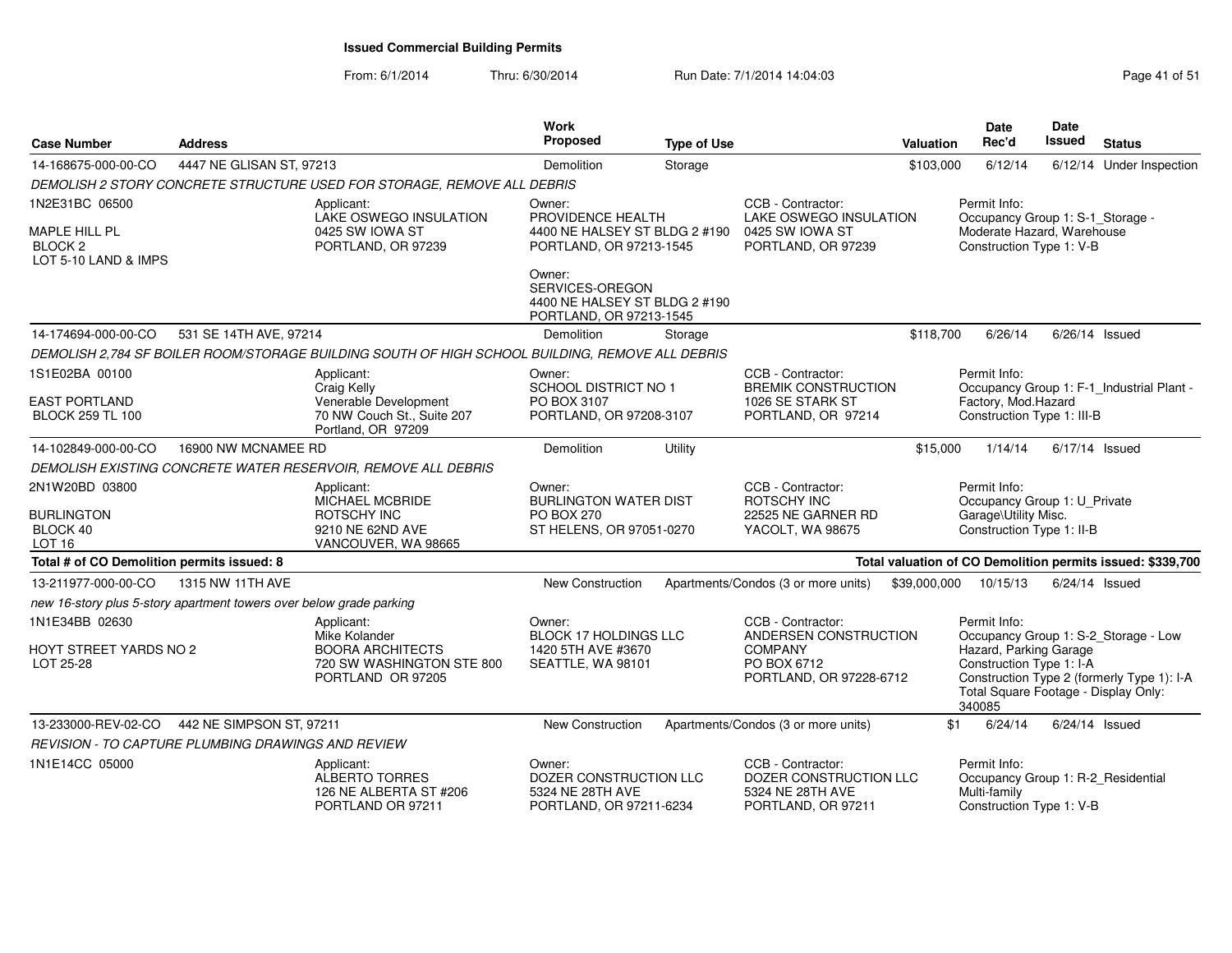From: 6/1/2014Thru: 6/30/2014 Run Date: 7/1/2014 14:04:03 Research 2010 Rage 41 of 51

| <b>Case Number</b>                                                  | <b>Address</b>           |                                                                                                 | <b>Work</b><br>Proposed                                                                 | <b>Type of Use</b> |                                                                                       | Valuation    | <b>Date</b><br>Rec'd                                                                                 | <b>Date</b><br><b>Issued</b> | <b>Status</b>                                              |
|---------------------------------------------------------------------|--------------------------|-------------------------------------------------------------------------------------------------|-----------------------------------------------------------------------------------------|--------------------|---------------------------------------------------------------------------------------|--------------|------------------------------------------------------------------------------------------------------|------------------------------|------------------------------------------------------------|
| 14-168675-000-00-CO                                                 | 4447 NE GLISAN ST, 97213 |                                                                                                 | Demolition                                                                              | Storage            |                                                                                       | \$103,000    | 6/12/14                                                                                              |                              | 6/12/14 Under Inspection                                   |
|                                                                     |                          | DEMOLISH 2 STORY CONCRETE STRUCTURE USED FOR STORAGE, REMOVE ALL DEBRIS                         |                                                                                         |                    |                                                                                       |              |                                                                                                      |                              |                                                            |
| 1N2E31BC 06500                                                      |                          | Applicant:<br>LAKE OSWEGO INSULATION                                                            | Owner:<br>PROVIDENCE HEALTH                                                             |                    | CCB - Contractor:<br>LAKE OSWEGO INSULATION                                           |              | Permit Info:<br>Occupancy Group 1: S-1_Storage -                                                     |                              |                                                            |
| MAPLE HILL PL<br>BLOCK <sub>2</sub><br>LOT 5-10 LAND & IMPS         |                          | 0425 SW IOWA ST<br>PORTLAND, OR 97239                                                           | 4400 NE HALSEY ST BLDG 2 #190<br>PORTLAND, OR 97213-1545                                |                    | 0425 SW IOWA ST<br>PORTLAND, OR 97239                                                 |              | Moderate Hazard, Warehouse<br>Construction Type 1: V-B                                               |                              |                                                            |
|                                                                     |                          |                                                                                                 | Owner:<br>SERVICES-OREGON<br>4400 NE HALSEY ST BLDG 2 #190<br>PORTLAND, OR 97213-1545   |                    |                                                                                       |              |                                                                                                      |                              |                                                            |
| 14-174694-000-00-CO                                                 | 531 SE 14TH AVE, 97214   |                                                                                                 | Demolition                                                                              | Storage            |                                                                                       | \$118,700    | 6/26/14                                                                                              | $6/26/14$ Issued             |                                                            |
|                                                                     |                          | DEMOLISH 2,784 SF BOILER ROOM/STORAGE BUILDING SOUTH OF HIGH SCHOOL BUILDING, REMOVE ALL DEBRIS |                                                                                         |                    |                                                                                       |              |                                                                                                      |                              |                                                            |
| 1S1E02BA 00100                                                      |                          | Applicant:<br>Craig Kelly                                                                       | Owner:<br><b>SCHOOL DISTRICT NO 1</b>                                                   |                    | CCB - Contractor:<br><b>BREMIK CONSTRUCTION</b>                                       |              | Permit Info:                                                                                         |                              | Occupancy Group 1: F-1_Industrial Plant -                  |
| <b>EAST PORTLAND</b><br><b>BLOCK 259 TL 100</b>                     |                          | Venerable Development<br>70 NW Couch St., Suite 207<br>Portland, OR 97209                       | PO BOX 3107<br>PORTLAND, OR 97208-3107                                                  |                    | 1026 SE STARK ST<br>PORTLAND, OR 97214                                                |              | Factory, Mod.Hazard<br>Construction Type 1: III-B                                                    |                              |                                                            |
| 14-102849-000-00-CO                                                 | 16900 NW MCNAMEE RD      |                                                                                                 | Demolition                                                                              | Utility            |                                                                                       | \$15,000     | 1/14/14                                                                                              |                              | $6/17/14$ Issued                                           |
|                                                                     |                          | DEMOLISH EXISTING CONCRETE WATER RESERVOIR, REMOVE ALL DEBRIS                                   |                                                                                         |                    |                                                                                       |              |                                                                                                      |                              |                                                            |
| 2N1W20BD 03800<br><b>BURLINGTON</b><br>BLOCK 40<br><b>LOT 16</b>    |                          | Applicant:<br><b>MICHAEL MCBRIDE</b><br>ROTSCHY INC<br>9210 NE 62ND AVE<br>VANCOUVER, WA 98665  | Owner:<br><b>BURLINGTON WATER DIST</b><br><b>PO BOX 270</b><br>ST HELENS, OR 97051-0270 |                    | CCB - Contractor:<br>ROTSCHY INC<br>22525 NE GARNER RD<br>YACOLT, WA 98675            |              | Permit Info:<br>Occupancy Group 1: U_Private<br>Garage\Utility Misc.<br>Construction Type 1: II-B    |                              |                                                            |
| Total # of CO Demolition permits issued: 8                          |                          |                                                                                                 |                                                                                         |                    |                                                                                       |              |                                                                                                      |                              | Total valuation of CO Demolition permits issued: \$339,700 |
| 13-211977-000-00-CO                                                 | 1315 NW 11TH AVE         |                                                                                                 | <b>New Construction</b>                                                                 |                    | Apartments/Condos (3 or more units)                                                   | \$39,000,000 | 10/15/13                                                                                             | $6/24/14$ Issued             |                                                            |
| new 16-story plus 5-story apartment towers over below grade parking |                          |                                                                                                 |                                                                                         |                    |                                                                                       |              |                                                                                                      |                              |                                                            |
| 1N1E34BB 02630                                                      |                          | Applicant:<br>Mike Kolander                                                                     | Owner:<br><b>BLOCK 17 HOLDINGS LLC</b>                                                  |                    | CCB - Contractor:<br>ANDERSEN CONSTRUCTION                                            |              | Permit Info:                                                                                         |                              | Occupancy Group 1: S-2_Storage - Low                       |
| HOYT STREET YARDS NO 2<br>LOT 25-28                                 |                          | <b>BOORA ARCHITECTS</b><br>720 SW WASHINGTON STE 800<br>PORTLAND OR 97205                       | 1420 5TH AVE #3670<br>SEATTLE, WA 98101                                                 |                    | <b>COMPANY</b><br>PO BOX 6712<br>PORTLAND, OR 97228-6712                              |              | Hazard, Parking Garage<br>Construction Type 1: I-A<br>Total Square Footage - Display Only:<br>340085 |                              | Construction Type 2 (formerly Type 1): I-A                 |
| 13-233000-REV-02-CO                                                 | 442 NE SIMPSON ST, 97211 |                                                                                                 | New Construction                                                                        |                    | Apartments/Condos (3 or more units)                                                   | \$1          | 6/24/14                                                                                              | 6/24/14 Issued               |                                                            |
| <b>REVISION - TO CAPTURE PLUMBING DRAWINGS AND REVIEW</b>           |                          |                                                                                                 |                                                                                         |                    |                                                                                       |              |                                                                                                      |                              |                                                            |
| 1N1E14CC 05000                                                      |                          | Applicant:<br>ALBERTO TORRES<br>126 NE ALBERTA ST #206<br>PORTLAND OR 97211                     | Owner:<br>DOZER CONSTRUCTION LLC<br>5324 NE 28TH AVE<br>PORTLAND, OR 97211-6234         |                    | CCB - Contractor:<br>DOZER CONSTRUCTION LLC<br>5324 NE 28TH AVE<br>PORTLAND, OR 97211 |              | Permit Info:<br>Occupancy Group 1: R-2 Residential<br>Multi-family<br>Construction Type 1: V-B       |                              |                                                            |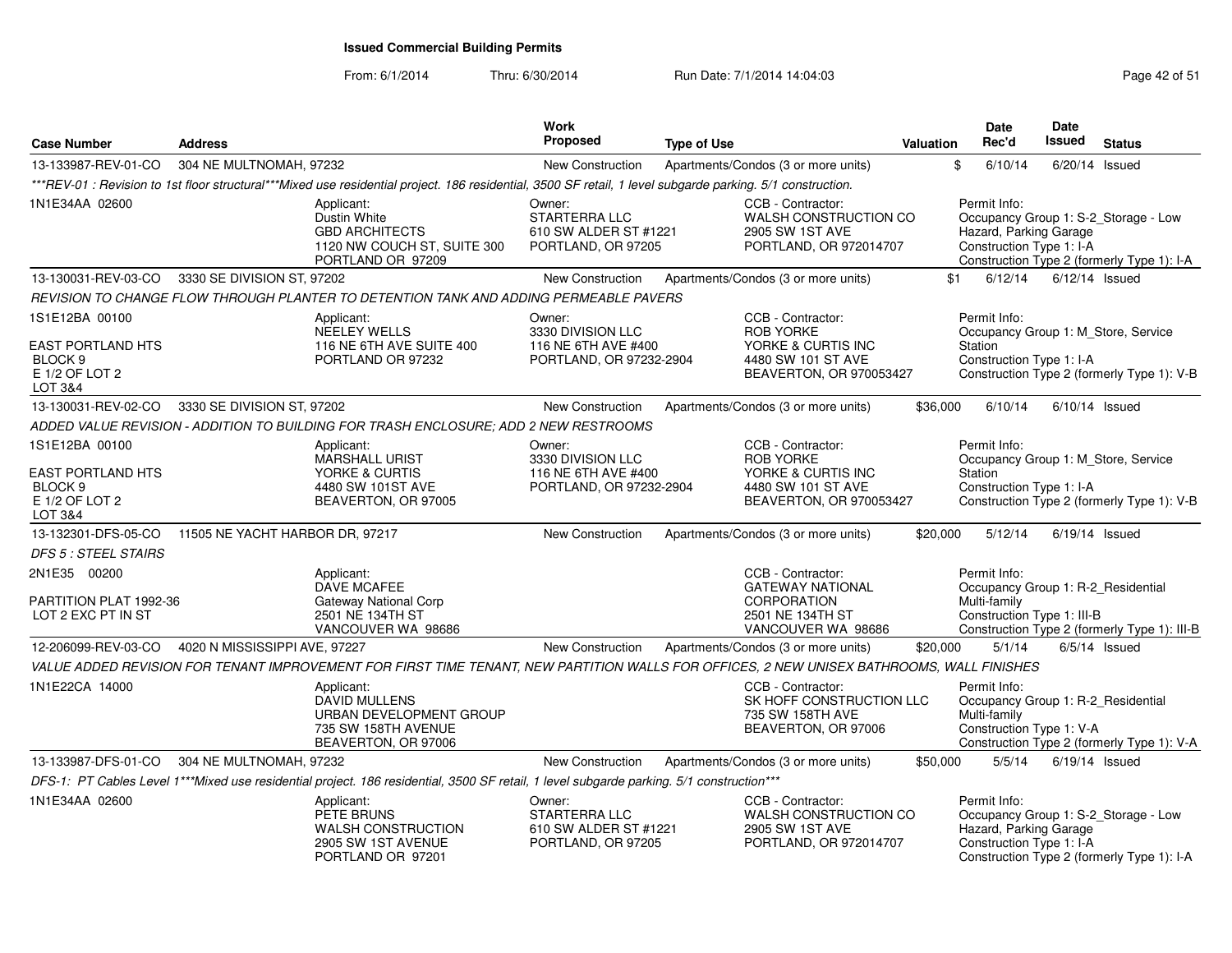From: 6/1/2014

Thru: 6/30/2014 Run Date: 7/1/2014 14:04:03 Research 2010 Rage 42 of 51

| <b>Case Number</b>                                                                     | <b>Address</b>                  |                                                                                                                                                            | Work<br>Proposed                                                              | <b>Type of Use</b> |                                                                                                              | <b>Valuation</b> | <b>Date</b><br>Rec'd                                                                             | <b>Date</b><br>Issued | <b>Status</b>                                                                      |
|----------------------------------------------------------------------------------------|---------------------------------|------------------------------------------------------------------------------------------------------------------------------------------------------------|-------------------------------------------------------------------------------|--------------------|--------------------------------------------------------------------------------------------------------------|------------------|--------------------------------------------------------------------------------------------------|-----------------------|------------------------------------------------------------------------------------|
| 13-133987-REV-01-CO                                                                    | 304 NE MULTNOMAH, 97232         |                                                                                                                                                            | New Construction                                                              |                    | Apartments/Condos (3 or more units)                                                                          |                  | \$<br>6/10/14                                                                                    |                       | $6/20/14$ Issued                                                                   |
|                                                                                        |                                 | ***REV-01 : Revision to 1st floor structural***Mixed use residential project. 186 residential, 3500 SF retail, 1 level subgarde parking. 5/1 construction. |                                                                               |                    |                                                                                                              |                  |                                                                                                  |                       |                                                                                    |
| 1N1E34AA 02600                                                                         |                                 | Applicant:<br>Dustin White<br><b>GBD ARCHITECTS</b><br>1120 NW COUCH ST, SUITE 300<br>PORTLAND OR 97209                                                    | Owner:<br><b>STARTERRA LLC</b><br>610 SW ALDER ST #1221<br>PORTLAND, OR 97205 |                    | CCB - Contractor:<br>WALSH CONSTRUCTION CO<br>2905 SW 1ST AVE<br>PORTLAND, OR 972014707                      |                  | Permit Info:<br>Hazard, Parking Garage<br>Construction Type 1: I-A                               |                       | Occupancy Group 1: S-2_Storage - Low<br>Construction Type 2 (formerly Type 1): I-A |
| 13-130031-REV-03-CO                                                                    | 3330 SE DIVISION ST, 97202      |                                                                                                                                                            | New Construction                                                              |                    | Apartments/Condos (3 or more units)                                                                          |                  | 6/12/14<br>\$1                                                                                   |                       | $6/12/14$ Issued                                                                   |
|                                                                                        |                                 | REVISION TO CHANGE FLOW THROUGH PLANTER TO DETENTION TANK AND ADDING PERMEABLE PAVERS                                                                      |                                                                               |                    |                                                                                                              |                  |                                                                                                  |                       |                                                                                    |
| 1S1E12BA 00100<br>EAST PORTLAND HTS<br>BLOCK <sub>9</sub><br>E 1/2 OF LOT 2<br>LOT 3&4 |                                 | Applicant:<br><b>NEELEY WELLS</b><br>116 NE 6TH AVE SUITE 400<br>PORTLAND OR 97232                                                                         | Owner:<br>3330 DIVISION LLC<br>116 NE 6TH AVE #400<br>PORTLAND, OR 97232-2904 |                    | CCB - Contractor:<br><b>ROB YORKE</b><br>YORKE & CURTIS INC<br>4480 SW 101 ST AVE<br>BEAVERTON, OR 970053427 |                  | Permit Info:<br>Station<br>Construction Type 1: I-A                                              |                       | Occupancy Group 1: M_Store, Service<br>Construction Type 2 (formerly Type 1): V-B  |
| 13-130031-REV-02-CO                                                                    | 3330 SE DIVISION ST, 97202      |                                                                                                                                                            | New Construction                                                              |                    | Apartments/Condos (3 or more units)                                                                          | \$36,000         | 6/10/14                                                                                          |                       | $6/10/14$ Issued                                                                   |
|                                                                                        |                                 | ADDED VALUE REVISION - ADDITION TO BUILDING FOR TRASH ENCLOSURE; ADD 2 NEW RESTROOMS                                                                       |                                                                               |                    |                                                                                                              |                  |                                                                                                  |                       |                                                                                    |
| 1S1E12BA 00100<br>EAST PORTLAND HTS                                                    |                                 | Applicant:<br>MARSHALL URIST<br>YORKE & CURTIS                                                                                                             | Owner:<br>3330 DIVISION LLC<br>116 NE 6TH AVE #400                            |                    | CCB - Contractor:<br><b>ROB YORKE</b><br>YORKE & CURTIS INC                                                  |                  | Permit Info:<br>Station                                                                          |                       | Occupancy Group 1: M_Store, Service                                                |
| BLOCK <sub>9</sub><br>E 1/2 OF LOT 2<br>LOT 3&4                                        |                                 | 4480 SW 101ST AVE<br>BEAVERTON, OR 97005                                                                                                                   | PORTLAND, OR 97232-2904                                                       |                    | 4480 SW 101 ST AVE<br>BEAVERTON, OR 970053427                                                                |                  | Construction Type 1: I-A                                                                         |                       | Construction Type 2 (formerly Type 1): V-B                                         |
| 13-132301-DFS-05-CO                                                                    | 11505 NE YACHT HARBOR DR, 97217 |                                                                                                                                                            | <b>New Construction</b>                                                       |                    | Apartments/Condos (3 or more units)                                                                          | \$20,000         | 5/12/14                                                                                          |                       | $6/19/14$ Issued                                                                   |
| DFS 5 : STEEL STAIRS                                                                   |                                 |                                                                                                                                                            |                                                                               |                    |                                                                                                              |                  |                                                                                                  |                       |                                                                                    |
| 2N1E35 00200<br>PARTITION PLAT 1992-36<br>LOT 2 EXC PT IN ST                           |                                 | Applicant:<br>DAVE MCAFEE<br><b>Gateway National Corp</b><br>2501 NE 134TH ST<br>VANCOUVER WA 98686                                                        |                                                                               |                    | CCB - Contractor:<br><b>GATEWAY NATIONAL</b><br><b>CORPORATION</b><br>2501 NE 134TH ST<br>VANCOUVER WA 98686 |                  | Permit Info:<br>Occupancy Group 1: R-2_Residential<br>Multi-family<br>Construction Type 1: III-B |                       | Construction Type 2 (formerly Type 1): III-B                                       |
| 12-206099-REV-03-CO                                                                    | 4020 N MISSISSIPPI AVE, 97227   |                                                                                                                                                            | New Construction                                                              |                    | Apartments/Condos (3 or more units)                                                                          | \$20,000         | 5/1/14                                                                                           |                       | $6/5/14$ Issued                                                                    |
|                                                                                        |                                 | VALUE ADDED REVISION FOR TENANT IMPROVEMENT FOR FIRST TIME TENANT, NEW PARTITION WALLS FOR OFFICES, 2 NEW UNISEX BATHROOMS, WALL FINISHES                  |                                                                               |                    |                                                                                                              |                  |                                                                                                  |                       |                                                                                    |
| 1N1E22CA 14000                                                                         |                                 | Applicant:<br><b>DAVID MULLENS</b><br>URBAN DEVELOPMENT GROUP<br>735 SW 158TH AVENUE<br>BEAVERTON, OR 97006                                                |                                                                               |                    | CCB - Contractor:<br>SK HOFF CONSTRUCTION LLC<br>735 SW 158TH AVE<br>BEAVERTON, OR 97006                     |                  | Permit Info:<br>Occupancy Group 1: R-2_Residential<br>Multi-family<br>Construction Type 1: V-A   |                       | Construction Type 2 (formerly Type 1): V-A                                         |
| 13-133987-DFS-01-CO                                                                    | 304 NE MULTNOMAH, 97232         |                                                                                                                                                            | <b>New Construction</b>                                                       |                    | Apartments/Condos (3 or more units)                                                                          | \$50,000         | 5/5/14                                                                                           |                       | $6/19/14$ Issued                                                                   |
|                                                                                        |                                 | DFS-1: PT Cables Level 1***Mixed use residential project. 186 residential, 3500 SF retail, 1 level subgarde parking. 5/1 construction***                   |                                                                               |                    |                                                                                                              |                  |                                                                                                  |                       |                                                                                    |
| 1N1E34AA 02600                                                                         |                                 | Applicant:<br>PETE BRUNS<br>WALSH CONSTRUCTION<br>2905 SW 1ST AVENUE<br>PORTLAND OR 97201                                                                  | Owner:<br>STARTERRA LLC<br>610 SW ALDER ST #1221<br>PORTLAND, OR 97205        |                    | CCB - Contractor:<br>WALSH CONSTRUCTION CO<br>2905 SW 1ST AVE<br>PORTLAND, OR 972014707                      |                  | Permit Info:<br>Hazard, Parking Garage<br>Construction Type 1: I-A                               |                       | Occupancy Group 1: S-2_Storage - Low<br>Construction Type 2 (formerly Type 1): I-A |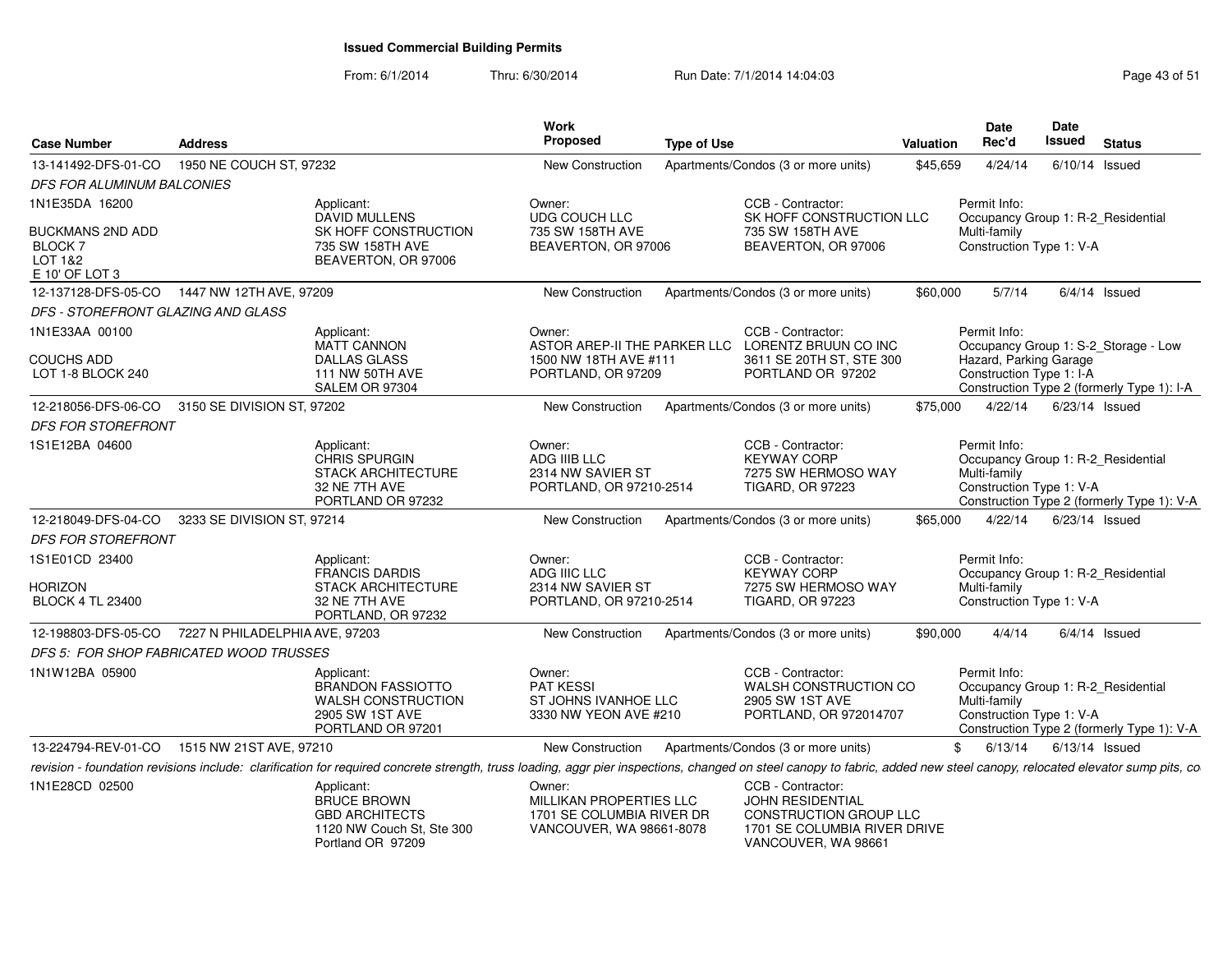From: 6/1/2014Thru: 6/30/2014 Run Date: 7/1/2014 14:04:03 Research 2010 Rage 43 of 51

| <b>Case Number</b>                                              | <b>Address</b>                                                                                                                                                                                                           | Work<br>Proposed<br><b>Type of Use</b>                                                     |                                                                                                 | Valuation | Date<br>Rec'd                                            | Date<br>Issued   | <b>Status</b>                                                                    |
|-----------------------------------------------------------------|--------------------------------------------------------------------------------------------------------------------------------------------------------------------------------------------------------------------------|--------------------------------------------------------------------------------------------|-------------------------------------------------------------------------------------------------|-----------|----------------------------------------------------------|------------------|----------------------------------------------------------------------------------|
| 13-141492-DFS-01-CO                                             | 1950 NE COUCH ST, 97232                                                                                                                                                                                                  | New Construction                                                                           | Apartments/Condos (3 or more units)                                                             | \$45,659  | 4/24/14                                                  | $6/10/14$ Issued |                                                                                  |
| <b>DFS FOR ALUMINUM BALCONIES</b>                               |                                                                                                                                                                                                                          |                                                                                            |                                                                                                 |           |                                                          |                  |                                                                                  |
| 1N1E35DA 16200                                                  | Applicant:<br><b>DAVID MULLENS</b>                                                                                                                                                                                       | Owner:<br>UDG COUCH LLC                                                                    | CCB - Contractor:<br>SK HOFF CONSTRUCTION LLC                                                   |           | Permit Info:                                             |                  | Occupancy Group 1: R-2 Residential                                               |
| <b>BUCKMANS 2ND ADD</b><br>BLOCK 7<br>LOT 1&2<br>E 10' OF LOT 3 | SK HOFF CONSTRUCTION<br>735 SW 158TH AVE<br>BEAVERTON, OR 97006                                                                                                                                                          | 735 SW 158TH AVE<br>BEAVERTON, OR 97006                                                    | 735 SW 158TH AVE<br>BEAVERTON, OR 97006                                                         |           | Multi-family<br>Construction Type 1: V-A                 |                  |                                                                                  |
| 12-137128-DFS-05-CO                                             | 1447 NW 12TH AVE, 97209                                                                                                                                                                                                  | New Construction                                                                           | Apartments/Condos (3 or more units)                                                             | \$60,000  | 5/7/14                                                   |                  | $6/4/14$ Issued                                                                  |
| DFS - STOREFRONT GLAZING AND GLASS                              |                                                                                                                                                                                                                          |                                                                                            |                                                                                                 |           |                                                          |                  |                                                                                  |
| 1N1E33AA 00100                                                  | Applicant:<br><b>MATT CANNON</b>                                                                                                                                                                                         | Owner:<br>ASTOR AREP-II THE PARKER LLC LORENTZ BRUUN CO INC                                | CCB - Contractor:                                                                               |           | Permit Info:                                             |                  | Occupancy Group 1: S-2 Storage - Low                                             |
| <b>COUCHS ADD</b><br>LOT 1-8 BLOCK 240                          | <b>DALLAS GLASS</b><br>111 NW 50TH AVE<br>SALEM OR 97304                                                                                                                                                                 | 1500 NW 18TH AVE #111<br>PORTLAND, OR 97209                                                | 3611 SE 20TH ST, STE 300<br>PORTLAND OR 97202                                                   |           | Hazard, Parking Garage<br>Construction Type 1: I-A       |                  | Construction Type 2 (formerly Type 1): I-A                                       |
|                                                                 | 12-218056-DFS-06-CO 3150 SE DIVISION ST, 97202                                                                                                                                                                           | New Construction                                                                           | Apartments/Condos (3 or more units)                                                             | \$75,000  | 4/22/14                                                  | 6/23/14 Issued   |                                                                                  |
| <b>DFS FOR STOREFRONT</b>                                       |                                                                                                                                                                                                                          |                                                                                            |                                                                                                 |           |                                                          |                  |                                                                                  |
| 1S1E12BA 04600                                                  | Applicant:<br>CHRIS SPURGIN<br><b>STACK ARCHITECTURE</b><br>32 NE 7TH AVE<br>PORTLAND OR 97232                                                                                                                           | Owner:<br>ADG IIIB LLC<br>2314 NW SAVIER ST<br>PORTLAND, OR 97210-2514                     | CCB - Contractor:<br><b>KEYWAY CORP</b><br>7275 SW HERMOSO WAY<br><b>TIGARD, OR 97223</b>       |           | Permit Info:<br>Multi-family<br>Construction Type 1: V-A |                  | Occupancy Group 1: R-2_Residential<br>Construction Type 2 (formerly Type 1): V-A |
| 12-218049-DFS-04-CO                                             | 3233 SE DIVISION ST, 97214                                                                                                                                                                                               | New Construction                                                                           | Apartments/Condos (3 or more units)                                                             | \$65,000  | 4/22/14                                                  | $6/23/14$ Issued |                                                                                  |
| <b>DFS FOR STOREFRONT</b>                                       |                                                                                                                                                                                                                          |                                                                                            |                                                                                                 |           |                                                          |                  |                                                                                  |
| 1S1E01CD 23400                                                  | Applicant:<br><b>FRANCIS DARDIS</b>                                                                                                                                                                                      | Owner:<br>ADG IIIC LLC                                                                     | CCB - Contractor:<br><b>KEYWAY CORP</b>                                                         |           | Permit Info:                                             |                  | Occupancy Group 1: R-2_Residential                                               |
| HORIZON<br><b>BLOCK 4 TL 23400</b>                              | <b>STACK ARCHITECTURE</b><br>32 NE 7TH AVE<br>PORTLAND, OR 97232                                                                                                                                                         | 2314 NW SAVIER ST<br>PORTLAND, OR 97210-2514                                               | 7275 SW HERMOSO WAY<br><b>TIGARD, OR 97223</b>                                                  |           | Multi-family<br>Construction Type 1: V-A                 |                  |                                                                                  |
|                                                                 | 12-198803-DFS-05-CO 7227 N PHILADELPHIA AVE, 97203                                                                                                                                                                       | New Construction                                                                           | Apartments/Condos (3 or more units)                                                             | \$90,000  | 4/4/14                                                   |                  | $6/4/14$ Issued                                                                  |
|                                                                 | DFS 5: FOR SHOP FABRICATED WOOD TRUSSES                                                                                                                                                                                  |                                                                                            |                                                                                                 |           |                                                          |                  |                                                                                  |
| 1N1W12BA 05900                                                  | Applicant:<br><b>BRANDON FASSIOTTO</b><br>WALSH CONSTRUCTION<br>2905 SW 1ST AVE<br>PORTLAND OR 97201                                                                                                                     | Owner:<br><b>PAT KESSI</b><br>ST JOHNS IVANHOE LLC<br>3330 NW YEON AVE #210                | CCB - Contractor:<br>WALSH CONSTRUCTION CO<br>2905 SW 1ST AVE<br>PORTLAND, OR 972014707         |           | Permit Info:<br>Multi-family<br>Construction Type 1: V-A |                  | Occupancy Group 1: R-2_Residential<br>Construction Type 2 (formerly Type 1): V-A |
| 13-224794-REV-01-CO                                             | 1515 NW 21ST AVE, 97210                                                                                                                                                                                                  | New Construction                                                                           | Apartments/Condos (3 or more units)                                                             | \$        | 6/13/14                                                  | $6/13/14$ Issued |                                                                                  |
|                                                                 | revision - foundation revisions include: clarification for required concrete strength, truss loading, aggr pier inspections, changed on steel canopy to fabric, added new steel canopy, relocated elevator sump pits, co |                                                                                            |                                                                                                 |           |                                                          |                  |                                                                                  |
| 1N1E28CD 02500                                                  | Applicant:<br><b>BRUCE BROWN</b><br><b>GBD ARCHITECTS</b><br>1120 NW Couch St, Ste 300                                                                                                                                   | Owner:<br>MILLIKAN PROPERTIES LLC<br>1701 SE COLUMBIA RIVER DR<br>VANCOUVER, WA 98661-8078 | CCB - Contractor:<br>JOHN RESIDENTIAL<br>CONSTRUCTION GROUP LLC<br>1701 SE COLUMBIA RIVER DRIVE |           |                                                          |                  |                                                                                  |

1120 NW Couch St, Ste 300 Portland OR 97209

1701 SE COLUMBIA RIVER DRIVE VANCOUVER, WA 98661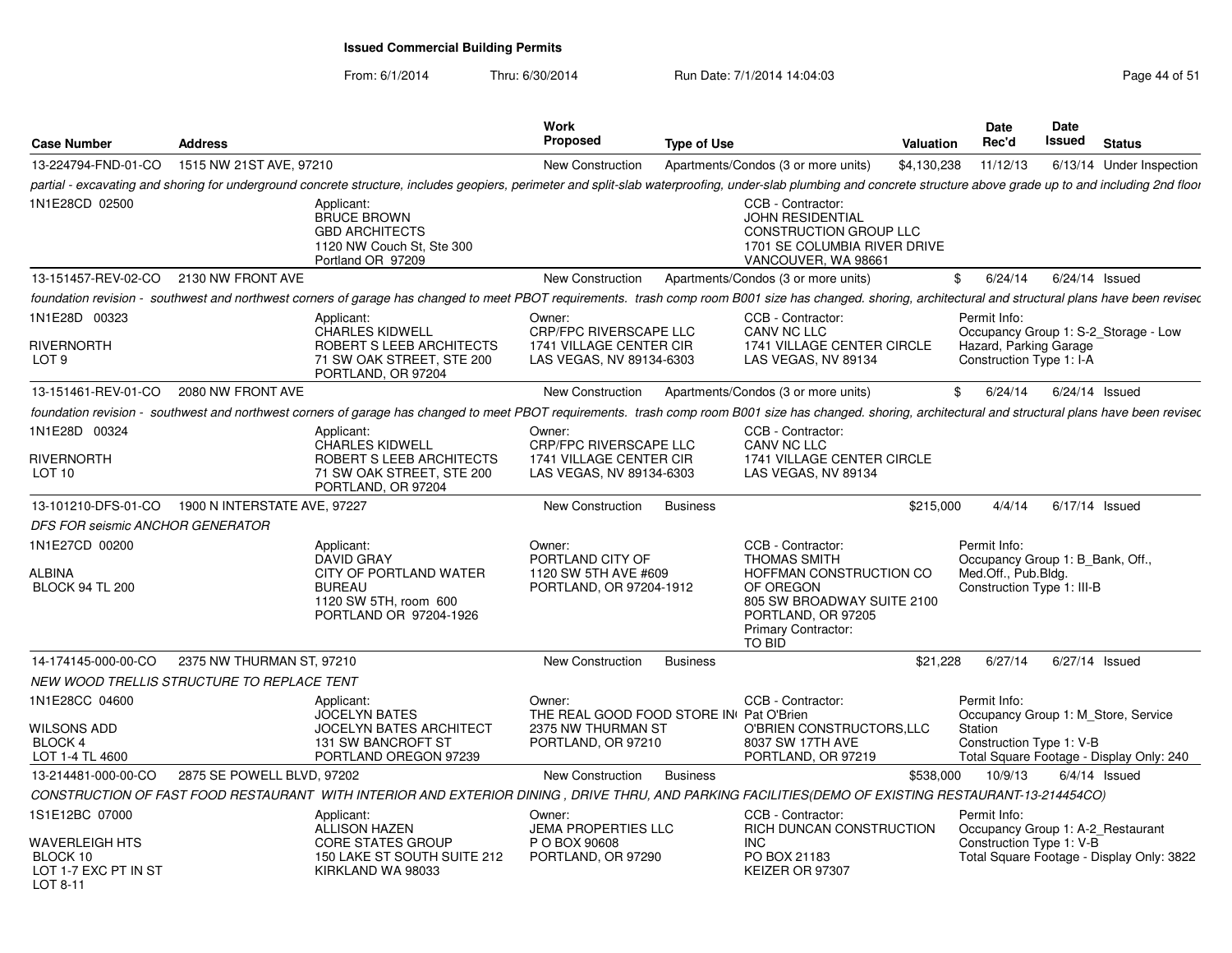From: 6/1/2014

Thru: 6/30/2014 Run Date: 7/1/2014 14:04:03 Research 2010 Rage 44 of 51

| <b>Case Number</b>                                                    | <b>Address</b>                                                                                                                                                                                                       | Work<br><b>Proposed</b>                             | <b>Type of Use</b> |                                                                                                                                         | Valuation   | <b>Date</b><br>Rec'd                               | Date<br>Issued | <b>Status</b>                             |
|-----------------------------------------------------------------------|----------------------------------------------------------------------------------------------------------------------------------------------------------------------------------------------------------------------|-----------------------------------------------------|--------------------|-----------------------------------------------------------------------------------------------------------------------------------------|-------------|----------------------------------------------------|----------------|-------------------------------------------|
| 13-224794-FND-01-CO                                                   | 1515 NW 21ST AVE, 97210                                                                                                                                                                                              | New Construction                                    |                    | Apartments/Condos (3 or more units)                                                                                                     | \$4,130,238 | 11/12/13                                           |                | 6/13/14 Under Inspection                  |
|                                                                       | partial - excavating and shoring for underground concrete structure, includes geopiers, perimeter and split-slab waterproofing, under-slab plumbing and concrete structure above grade up to and including 2nd floor |                                                     |                    |                                                                                                                                         |             |                                                    |                |                                           |
| 1N1E28CD 02500                                                        | Applicant:<br><b>BRUCE BROWN</b><br><b>GBD ARCHITECTS</b><br>1120 NW Couch St, Ste 300<br>Portland OR 97209                                                                                                          |                                                     |                    | CCB - Contractor:<br><b>JOHN RESIDENTIAL</b><br>CONSTRUCTION GROUP LLC<br>1701 SE COLUMBIA RIVER DRIVE<br>VANCOUVER, WA 98661           |             |                                                    |                |                                           |
| 13-151457-REV-02-CO                                                   | 2130 NW FRONT AVE                                                                                                                                                                                                    | New Construction                                    |                    | Apartments/Condos (3 or more units)                                                                                                     |             | 6/24/14<br>\$                                      |                | $6/24/14$ Issued                          |
|                                                                       | foundation revision - southwest and northwest corners of garage has changed to meet PBOT requirements. trash comp room B001 size has changed. shoring, architectural and structural plans have been revised          |                                                     |                    |                                                                                                                                         |             |                                                    |                |                                           |
| 1N1E28D 00323                                                         | Applicant:<br><b>CHARLES KIDWELL</b>                                                                                                                                                                                 | Owner:<br><b>CRP/FPC RIVERSCAPE LLC</b>             |                    | CCB - Contractor:<br>CANV NC LLC                                                                                                        |             | Permit Info:                                       |                | Occupancy Group 1: S-2_Storage - Low      |
| RIVERNORTH<br>LOT <sub>9</sub>                                        | ROBERT S LEEB ARCHITECTS<br>71 SW OAK STREET, STE 200<br>PORTLAND, OR 97204                                                                                                                                          | 1741 VILLAGE CENTER CIR<br>LAS VEGAS, NV 89134-6303 |                    | 1741 VILLAGE CENTER CIRCLE<br>LAS VEGAS, NV 89134                                                                                       |             | Hazard, Parking Garage<br>Construction Type 1: I-A |                |                                           |
| 13-151461-REV-01-CO                                                   | 2080 NW FRONT AVE                                                                                                                                                                                                    | New Construction                                    |                    | Apartments/Condos (3 or more units)                                                                                                     |             | \$<br>6/24/14                                      |                | $6/24/14$ Issued                          |
|                                                                       | foundation revision - southwest and northwest corners of garage has changed to meet PBOT requirements. trash comp room B001 size has changed. shoring, architectural and structural plans have been revised          |                                                     |                    |                                                                                                                                         |             |                                                    |                |                                           |
| 1N1E28D 00324                                                         | Applicant:<br><b>CHARLES KIDWELL</b>                                                                                                                                                                                 | Owner:<br><b>CRP/FPC RIVERSCAPE LLC</b>             |                    | CCB - Contractor:<br>CANV NC LLC                                                                                                        |             |                                                    |                |                                           |
| <b>RIVERNORTH</b><br>LOT 10                                           | ROBERT S LEEB ARCHITECTS<br>71 SW OAK STREET, STE 200<br>PORTLAND, OR 97204                                                                                                                                          | 1741 VILLAGE CENTER CIR<br>LAS VEGAS, NV 89134-6303 |                    | 1741 VILLAGE CENTER CIRCLE<br>LAS VEGAS, NV 89134                                                                                       |             |                                                    |                |                                           |
| 13-101210-DFS-01-CO                                                   | 1900 N INTERSTATE AVE, 97227                                                                                                                                                                                         | New Construction                                    | <b>Business</b>    |                                                                                                                                         | \$215,000   | 4/4/14                                             |                | $6/17/14$ Issued                          |
| DFS FOR seismic ANCHOR GENERATOR                                      |                                                                                                                                                                                                                      |                                                     |                    |                                                                                                                                         |             |                                                    |                |                                           |
| 1N1E27CD 00200                                                        | Applicant:<br><b>DAVID GRAY</b>                                                                                                                                                                                      | Owner:<br>PORTLAND CITY OF                          |                    | CCB - Contractor:<br><b>THOMAS SMITH</b>                                                                                                |             | Permit Info:<br>Occupancy Group 1: B Bank, Off.,   |                |                                           |
| <b>ALBINA</b><br><b>BLOCK 94 TL 200</b>                               | CITY OF PORTLAND WATER<br><b>BUREAU</b><br>1120 SW 5TH, room 600<br>PORTLAND OR 97204-1926                                                                                                                           | 1120 SW 5TH AVE #609<br>PORTLAND, OR 97204-1912     |                    | HOFFMAN CONSTRUCTION CO<br>OF OREGON<br>805 SW BROADWAY SUITE 2100<br>PORTLAND, OR 97205<br><b>Primary Contractor:</b><br><b>TO BID</b> |             | Med.Off., Pub.Bldg.<br>Construction Type 1: III-B  |                |                                           |
| 14-174145-000-00-CO                                                   | 2375 NW THURMAN ST, 97210                                                                                                                                                                                            | New Construction                                    | <b>Business</b>    |                                                                                                                                         | \$21.228    | 6/27/14                                            |                | 6/27/14 Issued                            |
|                                                                       | NEW WOOD TRELLIS STRUCTURE TO REPLACE TENT                                                                                                                                                                           |                                                     |                    |                                                                                                                                         |             |                                                    |                |                                           |
| 1N1E28CC 04600                                                        | Applicant:<br><b>JOCELYN BATES</b>                                                                                                                                                                                   | Owner:<br>THE REAL GOOD FOOD STORE IN Pat O'Brien   |                    | CCB - Contractor:                                                                                                                       |             | Permit Info:                                       |                | Occupancy Group 1: M Store, Service       |
| <b>WILSONS ADD</b><br><b>BLOCK 4</b>                                  | <b>JOCELYN BATES ARCHITECT</b><br>131 SW BANCROFT ST                                                                                                                                                                 | 2375 NW THURMAN ST<br>PORTLAND, OR 97210            |                    | O'BRIEN CONSTRUCTORS, LLC<br>8037 SW 17TH AVE                                                                                           |             | Station<br>Construction Type 1: V-B                |                |                                           |
| LOT 1-4 TL 4600                                                       | PORTLAND OREGON 97239                                                                                                                                                                                                |                                                     |                    | PORTLAND, OR 97219                                                                                                                      |             |                                                    |                | Total Square Footage - Display Only: 240  |
| 13-214481-000-00-CO                                                   | 2875 SE POWELL BLVD, 97202                                                                                                                                                                                           | New Construction                                    | <b>Business</b>    |                                                                                                                                         | \$538,000   | 10/9/13                                            |                | $6/4/14$ Issued                           |
|                                                                       | CONSTRUCTION OF FAST FOOD RESTAURANT WITH INTERIOR AND EXTERIOR DINING, DRIVE THRU, AND PARKING FACILITIES(DEMO OF EXISTING RESTAURANT-13-214454CO)                                                                  |                                                     |                    |                                                                                                                                         |             |                                                    |                |                                           |
| 1S1E12BC 07000                                                        | Applicant:<br><b>ALLISON HAZEN</b>                                                                                                                                                                                   | Owner:<br><b>JEMA PROPERTIES LLC</b>                |                    | CCB - Contractor:<br>RICH DUNCAN CONSTRUCTION                                                                                           |             | Permit Info:<br>Occupancy Group 1: A-2 Restaurant  |                |                                           |
| <b>WAVERLEIGH HTS</b><br>BLOCK 10<br>LOT 1-7 EXC PT IN ST<br>LOT 8-11 | CORE STATES GROUP<br>150 LAKE ST SOUTH SUITE 212<br>KIRKLAND WA 98033                                                                                                                                                | P O BOX 90608<br>PORTLAND, OR 97290                 |                    | <b>INC</b><br>PO BOX 21183<br>KEIZER OR 97307                                                                                           |             | Construction Type 1: V-B                           |                | Total Square Footage - Display Only: 3822 |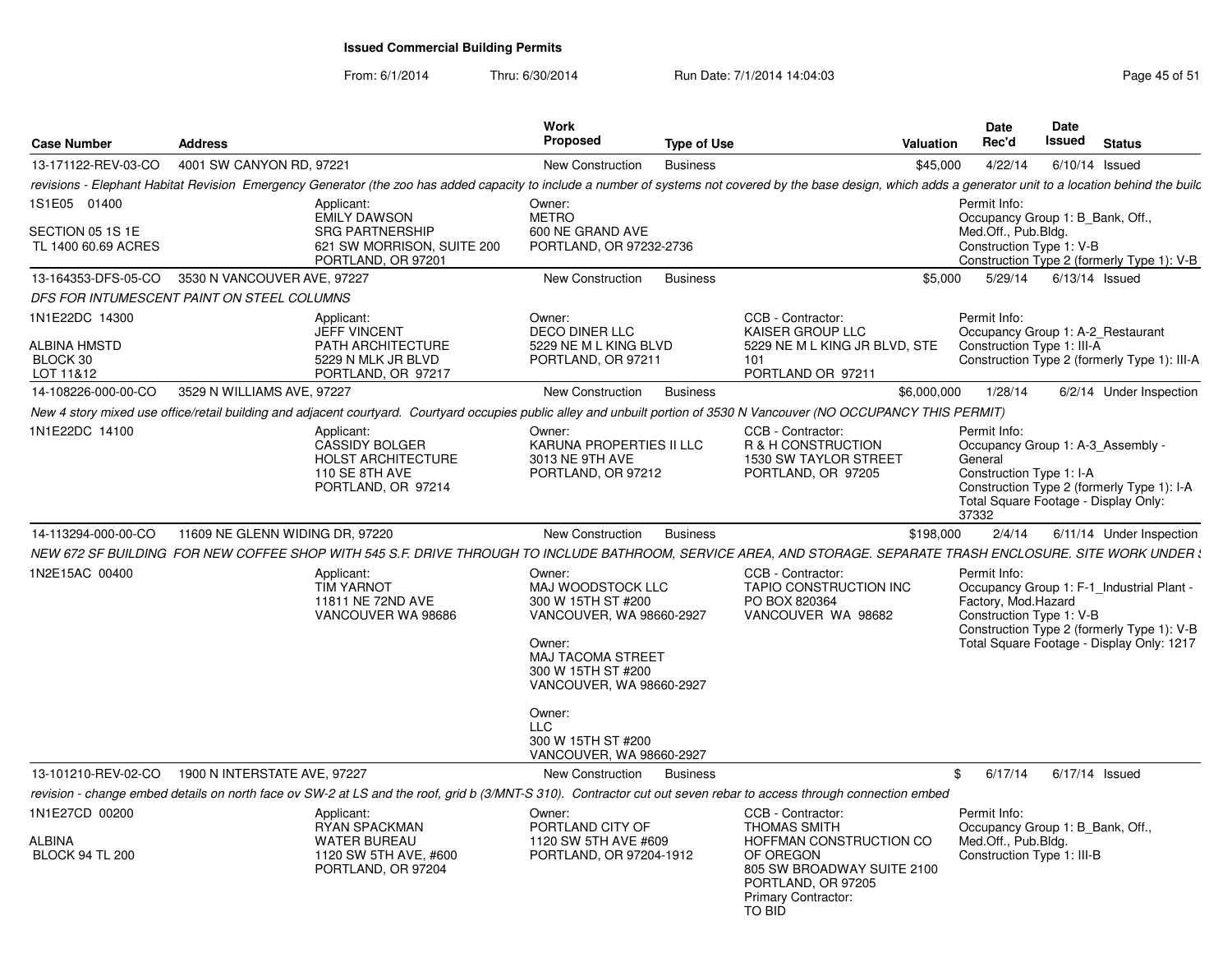From: 6/1/2014

Thru: 6/30/2014 Run Date: 7/1/2014 14:04:03 Research 2010 Rage 45 of 51

| <b>Case Number</b>                                      | <b>Address</b>                                                                                                                                                                                                  |                                                                                                   | Work<br><b>Proposed</b>                                                                                                                                                                                                                  | <b>Type of Use</b> |                                                                                                                                                                              | <b>Valuation</b> | <b>Date</b><br>Rec'd                                                                                  | Date<br>Issued   | <b>Status</b>                                                                                                                        |
|---------------------------------------------------------|-----------------------------------------------------------------------------------------------------------------------------------------------------------------------------------------------------------------|---------------------------------------------------------------------------------------------------|------------------------------------------------------------------------------------------------------------------------------------------------------------------------------------------------------------------------------------------|--------------------|------------------------------------------------------------------------------------------------------------------------------------------------------------------------------|------------------|-------------------------------------------------------------------------------------------------------|------------------|--------------------------------------------------------------------------------------------------------------------------------------|
| 13-171122-REV-03-CO                                     | 4001 SW CANYON RD, 97221                                                                                                                                                                                        |                                                                                                   | New Construction                                                                                                                                                                                                                         | <b>Business</b>    |                                                                                                                                                                              | \$45,000         | 4/22/14                                                                                               | $6/10/14$ Issued |                                                                                                                                      |
|                                                         | revisions - Elephant Habitat Revision Emergency Generator (the zoo has added capacity to include a number of systems not covered by the base design, which adds a generator unit to a location behind the builc |                                                                                                   |                                                                                                                                                                                                                                          |                    |                                                                                                                                                                              |                  |                                                                                                       |                  |                                                                                                                                      |
| 1S1E05 01400<br>SECTION 05 1S 1E<br>TL 1400 60.69 ACRES | Applicant:                                                                                                                                                                                                      | <b>EMILY DAWSON</b><br><b>SRG PARTNERSHIP</b><br>621 SW MORRISON, SUITE 200<br>PORTLAND, OR 97201 | Owner:<br><b>METRO</b><br>600 NE GRAND AVE<br>PORTLAND, OR 97232-2736                                                                                                                                                                    |                    |                                                                                                                                                                              |                  | Permit Info:<br>Occupancy Group 1: B_Bank, Off.,<br>Med.Off., Pub.Bldg.<br>Construction Type 1: V-B   |                  | Construction Type 2 (formerly Type 1): V-B                                                                                           |
| 13-164353-DFS-05-CO                                     | 3530 N VANCOUVER AVE, 97227                                                                                                                                                                                     |                                                                                                   | New Construction                                                                                                                                                                                                                         | <b>Business</b>    |                                                                                                                                                                              | \$5,000          | 5/29/14                                                                                               | $6/13/14$ Issued |                                                                                                                                      |
|                                                         | DFS FOR INTUMESCENT PAINT ON STEEL COLUMNS                                                                                                                                                                      |                                                                                                   |                                                                                                                                                                                                                                          |                    |                                                                                                                                                                              |                  |                                                                                                       |                  |                                                                                                                                      |
| 1N1E22DC 14300<br>ALBINA HMSTD<br>BLOCK 30              | Applicant:                                                                                                                                                                                                      | <b>JEFF VINCENT</b><br>PATH ARCHITECTURE<br>5229 N MLK JR BLVD                                    | Owner:<br>DECO DINER LLC<br>5229 NE M L KING BLVD<br>PORTLAND, OR 97211                                                                                                                                                                  |                    | CCB - Contractor:<br><b>KAISER GROUP LLC</b><br>5229 NE M L KING JR BLVD, STE<br>101                                                                                         |                  | Permit Info:<br>Occupancy Group 1: A-2_Restaurant<br>Construction Type 1: III-A                       |                  | Construction Type 2 (formerly Type 1): III-A                                                                                         |
| LOT 11&12                                               |                                                                                                                                                                                                                 | PORTLAND, OR 97217                                                                                |                                                                                                                                                                                                                                          |                    | PORTLAND OR 97211                                                                                                                                                            |                  |                                                                                                       |                  |                                                                                                                                      |
| 14-108226-000-00-CO                                     | 3529 N WILLIAMS AVE, 97227                                                                                                                                                                                      |                                                                                                   | New Construction                                                                                                                                                                                                                         | <b>Business</b>    |                                                                                                                                                                              | \$6,000,000      | 1/28/14                                                                                               |                  | 6/2/14 Under Inspection                                                                                                              |
| 1N1E22DC 14100                                          | New 4 story mixed use office/retail building and adjacent courtyard. Courtyard occupies public alley and unbuilt portion of 3530 N Vancouver (NO OCCUPANCY THIS PERMIT)<br>Applicant:                           | <b>CASSIDY BOLGER</b><br><b>HOLST ARCHITECTURE</b><br>110 SE 8TH AVE<br>PORTLAND, OR 97214        | Owner:<br>KARUNA PROPERTIES II LLC<br>3013 NE 9TH AVE<br>PORTLAND, OR 97212                                                                                                                                                              |                    | CCB - Contractor:<br>R & H CONSTRUCTION<br>1530 SW TAYLOR STREET<br>PORTLAND, OR 97205                                                                                       |                  | Permit Info:<br>General<br>Construction Type 1: I-A<br>Total Square Footage - Display Only:<br>37332  |                  | Occupancy Group 1: A-3 Assembly -<br>Construction Type 2 (formerly Type 1): I-A                                                      |
| 14-113294-000-00-CO                                     | 11609 NE GLENN WIDING DR, 97220                                                                                                                                                                                 |                                                                                                   | New Construction                                                                                                                                                                                                                         | <b>Business</b>    |                                                                                                                                                                              | \$198,000        | 2/4/14                                                                                                |                  | 6/11/14 Under Inspection                                                                                                             |
|                                                         | NEW 672 SF BUILDING  FOR NEW COFFEE SHOP WITH 545 S.F. DRIVE THROUGH TO INCLUDE BATHROOM, SERVICE AREA, AND STORAGE. SEPARATE TRASH ENCLOSURE. SITE WORK UNDER :                                                |                                                                                                   |                                                                                                                                                                                                                                          |                    |                                                                                                                                                                              |                  |                                                                                                       |                  |                                                                                                                                      |
| 1N2E15AC 00400                                          | Applicant:                                                                                                                                                                                                      | <b>TIM YARNOT</b><br>11811 NE 72ND AVE<br>VANCOUVER WA 98686                                      | Owner:<br>MAJ WOODSTOCK LLC<br>300 W 15TH ST #200<br>VANCOUVER, WA 98660-2927<br>Owner:<br><b>MAJ TACOMA STREET</b><br>300 W 15TH ST #200<br>VANCOUVER, WA 98660-2927<br>Owner:<br>LLC<br>300 W 15TH ST #200<br>VANCOUVER, WA 98660-2927 |                    | CCB - Contractor:<br>TAPIO CONSTRUCTION INC<br>PO BOX 820364<br>VANCOUVER WA 98682                                                                                           |                  | Permit Info:<br>Factory, Mod.Hazard<br>Construction Type 1: V-B                                       |                  | Occupancy Group 1: F-1_Industrial Plant -<br>Construction Type 2 (formerly Type 1): V-B<br>Total Square Footage - Display Only: 1217 |
| 13-101210-REV-02-CO                                     | 1900 N INTERSTATE AVE, 97227                                                                                                                                                                                    |                                                                                                   | New Construction                                                                                                                                                                                                                         | <b>Business</b>    |                                                                                                                                                                              | \$               | 6/17/14                                                                                               | $6/17/14$ Issued |                                                                                                                                      |
|                                                         | revision - change embed details on north face ov SW-2 at LS and the roof, grid b (3/MNT-S 310). Contractor cut out seven rebar to access through connection embed                                               |                                                                                                   |                                                                                                                                                                                                                                          |                    |                                                                                                                                                                              |                  |                                                                                                       |                  |                                                                                                                                      |
| 1N1E27CD 00200<br>ALBINA<br><b>BLOCK 94 TL 200</b>      | Applicant:                                                                                                                                                                                                      | <b>RYAN SPACKMAN</b><br><b>WATER BUREAU</b><br>1120 SW 5TH AVE, #600<br>PORTLAND, OR 97204        | Owner:<br>PORTLAND CITY OF<br>1120 SW 5TH AVE #609<br>PORTLAND, OR 97204-1912                                                                                                                                                            |                    | CCB - Contractor:<br><b>THOMAS SMITH</b><br>HOFFMAN CONSTRUCTION CO<br>OF OREGON<br>805 SW BROADWAY SUITE 2100<br>PORTLAND, OR 97205<br><b>Primary Contractor:</b><br>TO BID |                  | Permit Info:<br>Occupancy Group 1: B Bank, Off.,<br>Med.Off., Pub.Bldg.<br>Construction Type 1: III-B |                  |                                                                                                                                      |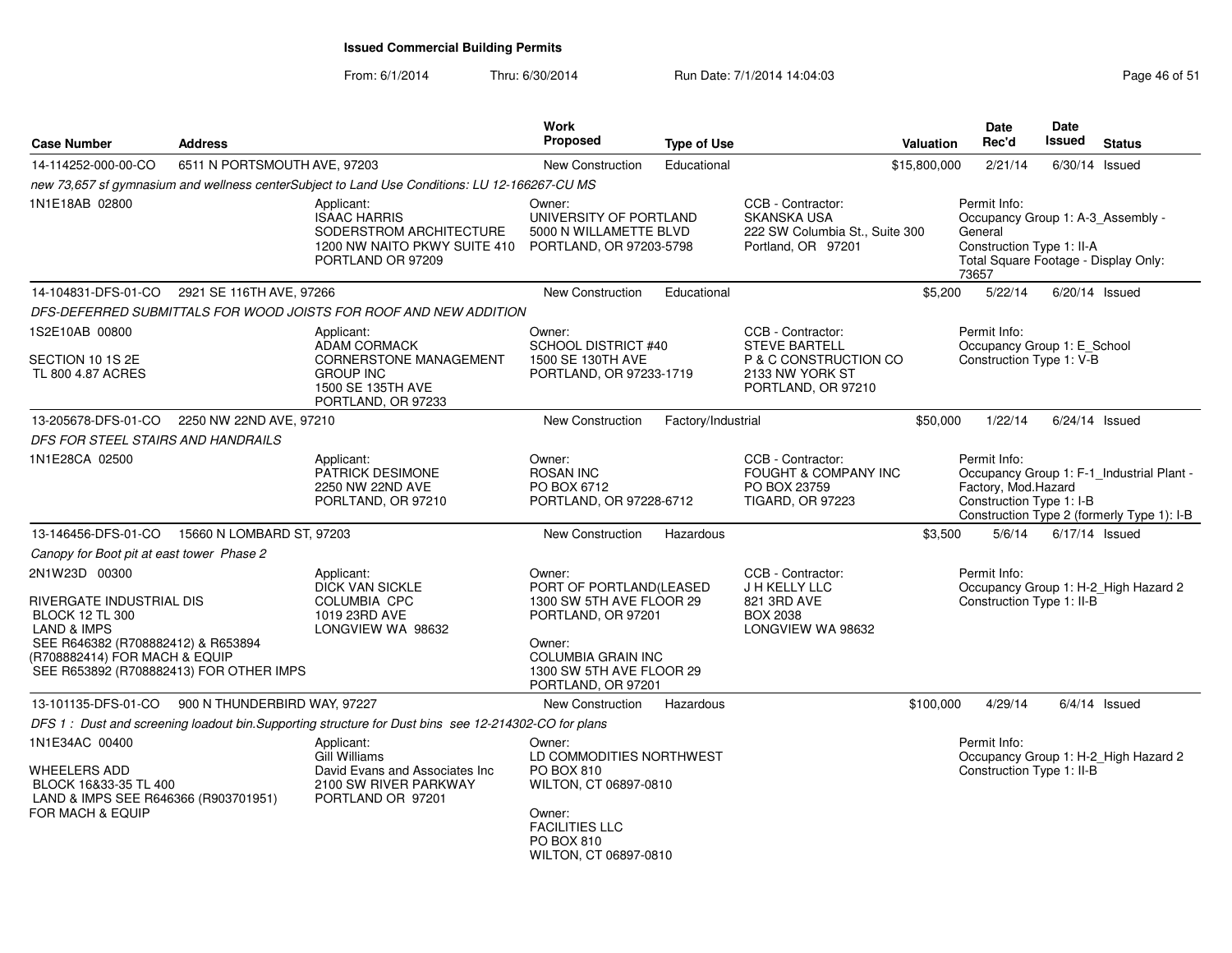From: 6/1/2014

Thru: 6/30/2014 Run Date: 7/1/2014 14:04:03 Research 2010 Rage 46 of 51

| <b>Case Number</b>                                                                                                         | <b>Address</b>                                   |                                                                                                                   | Work<br>Proposed                                                                                                                                    | <b>Type of Use</b> |                                                                                                 | Valuation    | Date<br>Rec'd                                                   | Date<br><b>Issued</b> | <b>Status</b>                                                                           |
|----------------------------------------------------------------------------------------------------------------------------|--------------------------------------------------|-------------------------------------------------------------------------------------------------------------------|-----------------------------------------------------------------------------------------------------------------------------------------------------|--------------------|-------------------------------------------------------------------------------------------------|--------------|-----------------------------------------------------------------|-----------------------|-----------------------------------------------------------------------------------------|
| 14-114252-000-00-CO                                                                                                        | 6511 N PORTSMOUTH AVE, 97203                     |                                                                                                                   | <b>New Construction</b>                                                                                                                             | Educational        |                                                                                                 | \$15,800,000 | 2/21/14                                                         |                       | $6/30/14$ Issued                                                                        |
|                                                                                                                            |                                                  | new 73,657 sf gymnasium and wellness centerSubject to Land Use Conditions: LU 12-166267-CU MS                     |                                                                                                                                                     |                    |                                                                                                 |              |                                                                 |                       |                                                                                         |
| 1N1E18AB 02800                                                                                                             |                                                  | Applicant:<br><b>ISAAC HARRIS</b><br>SODERSTROM ARCHITECTURE<br>1200 NW NAITO PKWY SUITE 410<br>PORTLAND OR 97209 | Owner:<br>UNIVERSITY OF PORTLAND<br>5000 N WILLAMETTE BLVD<br>PORTLAND, OR 97203-5798                                                               |                    | CCB - Contractor:<br><b>SKANSKA USA</b><br>222 SW Columbia St., Suite 300<br>Portland, OR 97201 |              | Permit Info:<br>General<br>Construction Type 1: II-A<br>73657   |                       | Occupancy Group 1: A-3_Assembly -<br>Total Square Footage - Display Only:               |
| 14-104831-DFS-01-CO                                                                                                        | 2921 SE 116TH AVE, 97266                         |                                                                                                                   | <b>New Construction</b>                                                                                                                             | Educational        |                                                                                                 | \$5,200      | 5/22/14                                                         |                       | $6/20/14$ Issued                                                                        |
|                                                                                                                            |                                                  | DFS-DEFERRED SUBMITTALS FOR WOOD JOISTS FOR ROOF AND NEW ADDITION                                                 |                                                                                                                                                     |                    |                                                                                                 |              |                                                                 |                       |                                                                                         |
| 1S2E10AB 00800                                                                                                             |                                                  | Applicant:                                                                                                        | Owner:                                                                                                                                              |                    | CCB - Contractor:                                                                               |              | Permit Info:                                                    |                       |                                                                                         |
| SECTION 10 1S 2E<br>TL 800 4.87 ACRES                                                                                      |                                                  | <b>ADAM CORMACK</b><br>CORNERSTONE MANAGEMENT<br><b>GROUP INC</b><br>1500 SE 135TH AVE<br>PORTLAND, OR 97233      | <b>SCHOOL DISTRICT #40</b><br>1500 SE 130TH AVE<br>PORTLAND, OR 97233-1719                                                                          |                    | <b>STEVE BARTELL</b><br>P & C CONSTRUCTION CO<br>2133 NW YORK ST<br>PORTLAND, OR 97210          |              | Occupancy Group 1: E_School<br>Construction Type 1: V-B         |                       |                                                                                         |
| 13-205678-DFS-01-CO                                                                                                        | 2250 NW 22ND AVE, 97210                          |                                                                                                                   | <b>New Construction</b>                                                                                                                             | Factory/Industrial |                                                                                                 | \$50,000     | 1/22/14                                                         |                       | 6/24/14 Issued                                                                          |
| DFS FOR STEEL STAIRS AND HANDRAILS                                                                                         |                                                  |                                                                                                                   |                                                                                                                                                     |                    |                                                                                                 |              |                                                                 |                       |                                                                                         |
| 1N1E28CA 02500                                                                                                             |                                                  | Applicant:<br><b>PATRICK DESIMONE</b><br>2250 NW 22ND AVE<br>PORLTAND, OR 97210                                   | Owner:<br><b>ROSAN INC</b><br>PO BOX 6712<br>PORTLAND, OR 97228-6712                                                                                |                    | CCB - Contractor:<br><b>FOUGHT &amp; COMPANY INC</b><br>PO BOX 23759<br><b>TIGARD, OR 97223</b> |              | Permit Info:<br>Factory, Mod.Hazard<br>Construction Type 1: I-B |                       | Occupancy Group 1: F-1_Industrial Plant -<br>Construction Type 2 (formerly Type 1): I-B |
| 13-146456-DFS-01-CO                                                                                                        | 15660 N LOMBARD ST, 97203                        |                                                                                                                   | <b>New Construction</b>                                                                                                                             | Hazardous          |                                                                                                 | \$3,500      | 5/6/14                                                          |                       | 6/17/14 Issued                                                                          |
| Canopy for Boot pit at east tower Phase 2                                                                                  |                                                  |                                                                                                                   |                                                                                                                                                     |                    |                                                                                                 |              |                                                                 |                       |                                                                                         |
| 2N1W23D 00300<br>RIVERGATE INDUSTRIAL DIS<br><b>BLOCK 12 TL 300</b>                                                        |                                                  | Applicant:<br><b>DICK VAN SICKLE</b><br><b>COLUMBIA CPC</b><br>1019 23RD AVE                                      | Owner:<br>PORT OF PORTLAND(LEASED<br>1300 SW 5TH AVE FLOOR 29<br>PORTLAND, OR 97201                                                                 |                    | CCB - Contractor:<br>J H KELLY LLC<br>821 3RD AVE<br><b>BOX 2038</b>                            |              | Permit Info:<br>Construction Type 1: II-B                       |                       | Occupancy Group 1: H-2 High Hazard 2                                                    |
| LAND & IMPS<br>SEE R646382 (R708882412) & R653894<br>(R708882414) FOR MACH & EQUIP                                         | SEE R653892 (R708882413) FOR OTHER IMPS          | LONGVIEW WA 98632                                                                                                 | Owner:<br><b>COLUMBIA GRAIN INC</b><br>1300 SW 5TH AVE FLOOR 29<br>PORTLAND, OR 97201                                                               |                    | LONGVIEW WA 98632                                                                               |              |                                                                 |                       |                                                                                         |
|                                                                                                                            | 13-101135-DFS-01-CO 900 N THUNDERBIRD WAY, 97227 |                                                                                                                   | New Construction                                                                                                                                    | Hazardous          |                                                                                                 | \$100,000    | 4/29/14                                                         |                       | $6/4/14$ Issued                                                                         |
|                                                                                                                            |                                                  | DFS 1: Dust and screening loadout bin. Supporting structure for Dust bins see 12-214302-CO for plans              |                                                                                                                                                     |                    |                                                                                                 |              |                                                                 |                       |                                                                                         |
| 1N1E34AC 00400<br><b>WHEELERS ADD</b><br>BLOCK 16&33-35 TL 400<br>LAND & IMPS SEE R646366 (R903701951)<br>FOR MACH & EQUIP |                                                  | Applicant:<br>Gill Williams<br>David Evans and Associates Inc<br>2100 SW RIVER PARKWAY<br>PORTLAND OR 97201       | Owner:<br>LD COMMODITIES NORTHWEST<br>PO BOX 810<br>WILTON, CT 06897-0810<br>Owner:<br><b>FACILITIES LLC</b><br>PO BOX 810<br>WILTON, CT 06897-0810 |                    |                                                                                                 |              | Permit Info:<br>Construction Type 1: II-B                       |                       | Occupancy Group 1: H-2_High Hazard 2                                                    |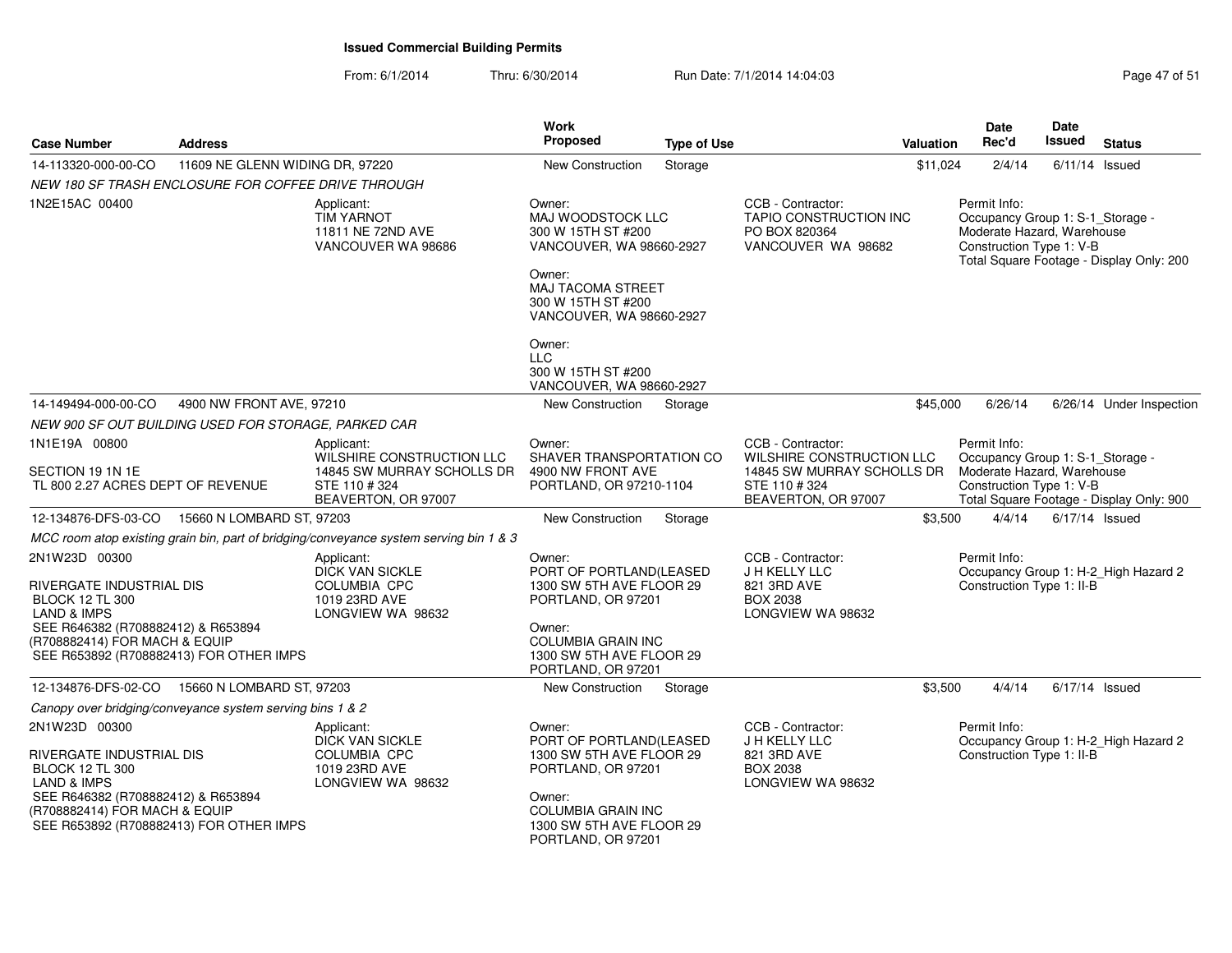From: 6/1/2014Thru: 6/30/2014 Run Date: 7/1/2014 14:04:03 Research 2010 Rage 47 of 51

| <b>Case Number</b>                                                                                                                                                   | <b>Address</b>                                            |                                                                                                   | Work<br><b>Proposed</b>                                                                                                                                                      | <b>Type of Use</b> |                                                                                                 | <b>Valuation</b> | Date<br>Rec'd                                                                                              | <b>Date</b><br>Issued | <b>Status</b>                            |
|----------------------------------------------------------------------------------------------------------------------------------------------------------------------|-----------------------------------------------------------|---------------------------------------------------------------------------------------------------|------------------------------------------------------------------------------------------------------------------------------------------------------------------------------|--------------------|-------------------------------------------------------------------------------------------------|------------------|------------------------------------------------------------------------------------------------------------|-----------------------|------------------------------------------|
| 14-113320-000-00-CO                                                                                                                                                  | 11609 NE GLENN WIDING DR, 97220                           |                                                                                                   | <b>New Construction</b>                                                                                                                                                      | Storage            |                                                                                                 | \$11,024         | 2/4/14                                                                                                     | 6/11/14               | Issued                                   |
|                                                                                                                                                                      | NEW 180 SF TRASH ENCLOSURE FOR COFFEE DRIVE THROUGH       |                                                                                                   |                                                                                                                                                                              |                    |                                                                                                 |                  |                                                                                                            |                       |                                          |
| 1N2E15AC 00400                                                                                                                                                       |                                                           | Applicant:<br><b>TIM YARNOT</b><br>11811 NE 72ND AVE<br>VANCOUVER WA 98686                        | Owner:<br><b>MAJ WOODSTOCK LLC</b><br>300 W 15TH ST #200<br>VANCOUVER, WA 98660-2927<br>Owner:                                                                               |                    | CCB - Contractor:<br>TAPIO CONSTRUCTION INC<br>PO BOX 820364<br>VANCOUVER WA 98682              |                  | Permit Info:<br>Occupancy Group 1: S-1_Storage -<br>Moderate Hazard, Warehouse<br>Construction Type 1: V-B |                       | Total Square Footage - Display Only: 200 |
|                                                                                                                                                                      |                                                           |                                                                                                   | MAJ TACOMA STREET<br>300 W 15TH ST #200<br>VANCOUVER, WA 98660-2927                                                                                                          |                    |                                                                                                 |                  |                                                                                                            |                       |                                          |
|                                                                                                                                                                      |                                                           |                                                                                                   | Owner:<br><b>LLC</b><br>300 W 15TH ST #200<br>VANCOUVER, WA 98660-2927                                                                                                       |                    |                                                                                                 |                  |                                                                                                            |                       |                                          |
| 14-149494-000-00-CO                                                                                                                                                  | 4900 NW FRONT AVE, 97210                                  |                                                                                                   | New Construction                                                                                                                                                             | Storage            |                                                                                                 | \$45,000         | 6/26/14                                                                                                    |                       | 6/26/14 Under Inspection                 |
|                                                                                                                                                                      | NEW 900 SF OUT BUILDING USED FOR STORAGE, PARKED CAR      |                                                                                                   |                                                                                                                                                                              |                    |                                                                                                 |                  |                                                                                                            |                       |                                          |
| 1N1E19A 00800                                                                                                                                                        |                                                           | Applicant:                                                                                        | Owner:                                                                                                                                                                       |                    | CCB - Contractor:                                                                               |                  | Permit Info:                                                                                               |                       |                                          |
| SECTION 19 1N 1E<br>TL 800 2.27 ACRES DEPT OF REVENUE                                                                                                                |                                                           | WILSHIRE CONSTRUCTION LLC<br>14845 SW MURRAY SCHOLLS DR<br>STE 110 # 324<br>BEAVERTON, OR 97007   | SHAVER TRANSPORTATION CO<br>4900 NW FRONT AVE<br>PORTLAND, OR 97210-1104                                                                                                     |                    | WILSHIRE CONSTRUCTION LLC<br>14845 SW MURRAY SCHOLLS DR<br>STE 110 # 324<br>BEAVERTON, OR 97007 |                  | Occupancy Group 1: S-1_Storage -<br>Moderate Hazard, Warehouse<br>Construction Type 1: V-B                 |                       | Total Square Footage - Display Only: 900 |
|                                                                                                                                                                      | 12-134876-DFS-03-CO 15660 N LOMBARD ST, 97203             |                                                                                                   | New Construction                                                                                                                                                             | Storage            |                                                                                                 | \$3,500          | 4/4/14                                                                                                     |                       | $6/17/14$ Issued                         |
|                                                                                                                                                                      |                                                           | MCC room atop existing grain bin, part of bridging/conveyance system serving bin 1 & 3            |                                                                                                                                                                              |                    |                                                                                                 |                  |                                                                                                            |                       |                                          |
| 2N1W23D 00300<br>RIVERGATE INDUSTRIAL DIS<br><b>BLOCK 12 TL 300</b><br><b>LAND &amp; IMPS</b><br>SEE R646382 (R708882412) & R653894<br>(R708882414) FOR MACH & EQUIP | SEE R653892 (R708882413) FOR OTHER IMPS                   | Applicant:<br><b>DICK VAN SICKLE</b><br><b>COLUMBIA CPC</b><br>1019 23RD AVE<br>LONGVIEW WA 98632 | Owner:<br>PORT OF PORTLAND(LEASED<br>1300 SW 5TH AVE FLOOR 29<br>PORTLAND, OR 97201<br>Owner:<br><b>COLUMBIA GRAIN INC</b><br>1300 SW 5TH AVE FLOOR 29<br>PORTLAND, OR 97201 |                    | CCB - Contractor:<br>J H KELLY LLC<br>821 3RD AVE<br><b>BOX 2038</b><br>LONGVIEW WA 98632       |                  | Permit Info:<br>Construction Type 1: II-B                                                                  |                       | Occupancy Group 1: H-2_High Hazard 2     |
|                                                                                                                                                                      | 12-134876-DFS-02-CO  15660 N LOMBARD ST, 97203            |                                                                                                   | New Construction                                                                                                                                                             | Storage            |                                                                                                 | \$3,500          | 4/4/14                                                                                                     |                       | 6/17/14 Issued                           |
|                                                                                                                                                                      | Canopy over bridging/conveyance system serving bins 1 & 2 |                                                                                                   |                                                                                                                                                                              |                    |                                                                                                 |                  |                                                                                                            |                       |                                          |
| 2N1W23D 00300<br>RIVERGATE INDUSTRIAL DIS<br><b>BLOCK 12 TL 300</b><br><b>LAND &amp; IMPS</b><br>SEE R646382 (R708882412) & R653894<br>(R708882414) FOR MACH & EQUIP | SEE R653892 (R708882413) FOR OTHER IMPS                   | Applicant:<br><b>DICK VAN SICKLE</b><br><b>COLUMBIA CPC</b><br>1019 23RD AVE<br>LONGVIEW WA 98632 | Owner:<br>PORT OF PORTLAND(LEASED<br>1300 SW 5TH AVE FLOOR 29<br>PORTLAND, OR 97201<br>Owner:<br><b>COLUMBIA GRAIN INC</b><br>1300 SW 5TH AVE FLOOR 29<br>PORTLAND, OR 97201 |                    | CCB - Contractor:<br>J H KELLY LLC<br>821 3RD AVE<br><b>BOX 2038</b><br>LONGVIEW WA 98632       |                  | Permit Info:<br>Construction Type 1: II-B                                                                  |                       | Occupancy Group 1: H-2_High Hazard 2     |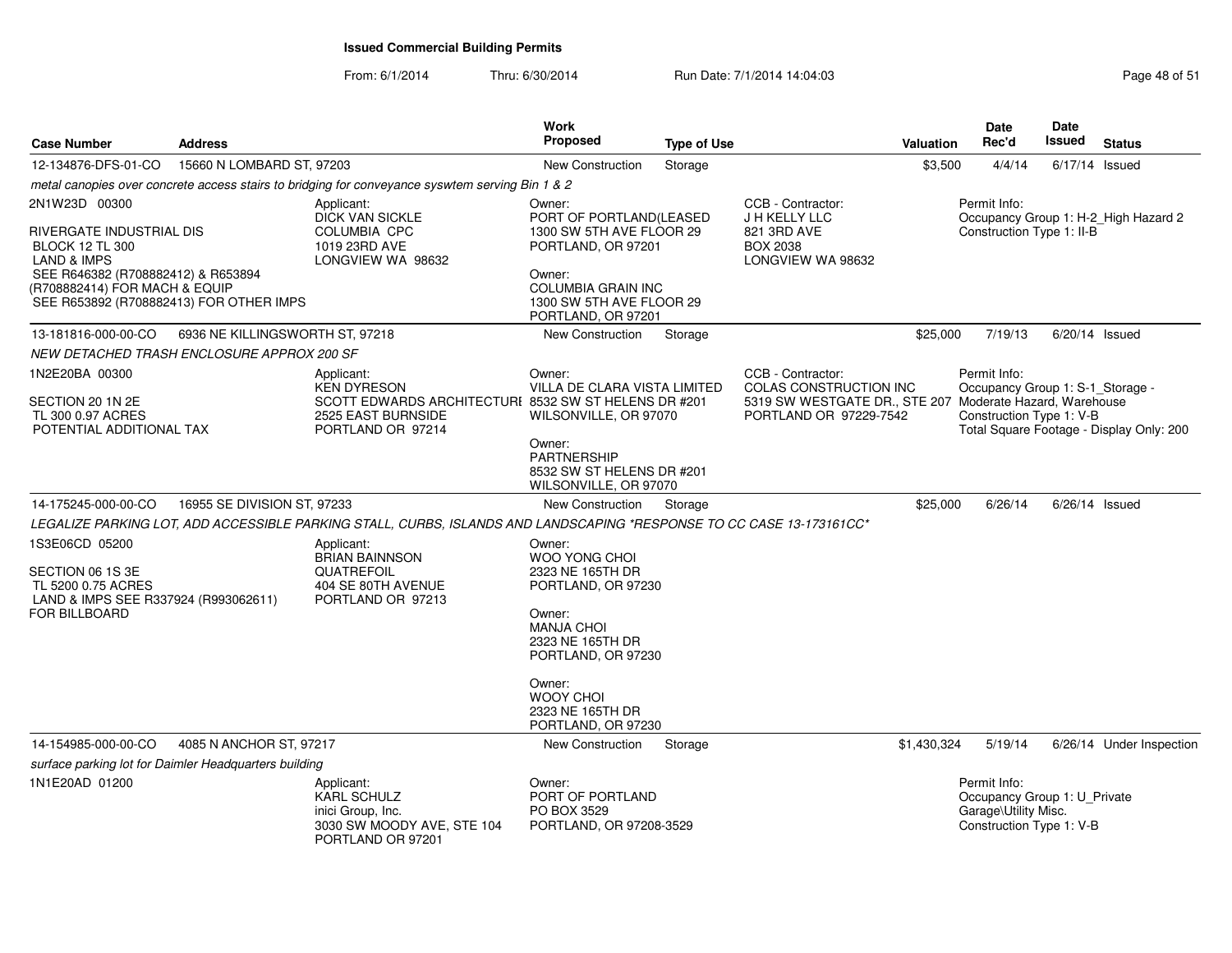From: 6/1/2014Thru: 6/30/2014 Run Date: 7/1/2014 14:04:03 Research 2010 Rage 48 of 51

| <b>Case Number</b>                                                                                             | <b>Address</b>                  |                                                                                                                      | Work<br><b>Proposed</b>                                                               | <b>Type of Use</b> |                                                                                                         | <b>Valuation</b> | <b>Date</b><br>Rec'd                                                                             | Date<br><b>Issued</b> | <b>Status</b>                            |
|----------------------------------------------------------------------------------------------------------------|---------------------------------|----------------------------------------------------------------------------------------------------------------------|---------------------------------------------------------------------------------------|--------------------|---------------------------------------------------------------------------------------------------------|------------------|--------------------------------------------------------------------------------------------------|-----------------------|------------------------------------------|
| 12-134876-DFS-01-CO                                                                                            | 15660 N LOMBARD ST, 97203       |                                                                                                                      | New Construction                                                                      | Storage            |                                                                                                         | \$3,500          | 4/4/14                                                                                           | $6/17/14$ Issued      |                                          |
|                                                                                                                |                                 | metal canopies over concrete access stairs to bridging for conveyance syswtem serving Bin 1 & 2                      |                                                                                       |                    |                                                                                                         |                  |                                                                                                  |                       |                                          |
| 2N1W23D 00300                                                                                                  |                                 | Applicant:<br><b>DICK VAN SICKLE</b>                                                                                 | Owner:<br>PORT OF PORTLAND(LEASED                                                     |                    | CCB - Contractor:<br>J H KELLY LLC                                                                      |                  | Permit Info:                                                                                     |                       | Occupancy Group 1: H-2_High Hazard 2     |
| RIVERGATE INDUSTRIAL DIS<br><b>BLOCK 12 TL 300</b><br><b>LAND &amp; IMPS</b>                                   |                                 | <b>COLUMBIA CPC</b><br>1019 23RD AVE<br>LONGVIEW WA 98632                                                            | 1300 SW 5TH AVE FLOOR 29<br>PORTLAND, OR 97201                                        |                    | 821 3RD AVE<br><b>BOX 2038</b><br>LONGVIEW WA 98632                                                     |                  | Construction Type 1: II-B                                                                        |                       |                                          |
| SEE R646382 (R708882412) & R653894<br>(R708882414) FOR MACH & EQUIP<br>SEE R653892 (R708882413) FOR OTHER IMPS |                                 |                                                                                                                      | Owner:<br><b>COLUMBIA GRAIN INC</b><br>1300 SW 5TH AVE FLOOR 29<br>PORTLAND, OR 97201 |                    |                                                                                                         |                  |                                                                                                  |                       |                                          |
| 13-181816-000-00-CO                                                                                            | 6936 NE KILLINGSWORTH ST, 97218 |                                                                                                                      | <b>New Construction</b>                                                               | Storage            |                                                                                                         | \$25,000         | 7/19/13                                                                                          | $6/20/14$ Issued      |                                          |
| NEW DETACHED TRASH ENCLOSURE APPROX 200 SF                                                                     |                                 |                                                                                                                      |                                                                                       |                    |                                                                                                         |                  |                                                                                                  |                       |                                          |
| 1N2E20BA 00300<br>SECTION 20 1N 2E                                                                             |                                 | Applicant:<br><b>KEN DYRESON</b><br>SCOTT EDWARDS ARCHITECTURI 8532 SW ST HELENS DR #201                             | Owner:<br>VILLA DE CLARA VISTA LIMITED                                                |                    | CCB - Contractor:<br>COLAS CONSTRUCTION INC<br>5319 SW WESTGATE DR., STE 207 Moderate Hazard, Warehouse |                  | Permit Info:<br>Occupancy Group 1: S-1_Storage -                                                 |                       |                                          |
| TL 300 0.97 ACRES                                                                                              |                                 | 2525 EAST BURNSIDE                                                                                                   | WILSONVILLE, OR 97070                                                                 |                    | PORTLAND OR 97229-7542                                                                                  |                  | Construction Type 1: V-B                                                                         |                       |                                          |
| POTENTIAL ADDITIONAL TAX                                                                                       |                                 | PORTLAND OR 97214                                                                                                    | Owner:<br><b>PARTNERSHIP</b><br>8532 SW ST HELENS DR #201<br>WILSONVILLE, OR 97070    |                    |                                                                                                         |                  |                                                                                                  |                       | Total Square Footage - Display Only: 200 |
| 14-175245-000-00-CO                                                                                            | 16955 SE DIVISION ST, 97233     |                                                                                                                      | <b>New Construction</b>                                                               | Storage            |                                                                                                         | \$25,000         | 6/26/14                                                                                          | $6/26/14$ Issued      |                                          |
|                                                                                                                |                                 | LEGALIZE PARKING LOT, ADD ACCESSIBLE PARKING STALL, CURBS, ISLANDS AND LANDSCAPING *RESPONSE TO CC CASE 13-173161CC* |                                                                                       |                    |                                                                                                         |                  |                                                                                                  |                       |                                          |
| 1S3E06CD 05200<br>SECTION 06 1S 3E<br>TL 5200 0.75 ACRES<br>LAND & IMPS SEE R337924 (R993062611)               |                                 | Applicant:<br><b>BRIAN BAINNSON</b><br>QUATREFOIL<br>404 SE 80TH AVENUE<br>PORTLAND OR 97213                         | Owner:<br><b>WOO YONG CHOI</b><br>2323 NE 165TH DR<br>PORTLAND, OR 97230              |                    |                                                                                                         |                  |                                                                                                  |                       |                                          |
| FOR BILLBOARD                                                                                                  |                                 |                                                                                                                      | Owner:<br><b>MANJA CHOI</b><br>2323 NE 165TH DR<br>PORTLAND, OR 97230                 |                    |                                                                                                         |                  |                                                                                                  |                       |                                          |
|                                                                                                                |                                 |                                                                                                                      | Owner:<br><b>WOOY CHOI</b><br>2323 NE 165TH DR<br>PORTLAND, OR 97230                  |                    |                                                                                                         |                  |                                                                                                  |                       |                                          |
| 14-154985-000-00-CO                                                                                            | 4085 N ANCHOR ST, 97217         |                                                                                                                      | <b>New Construction</b>                                                               | Storage            |                                                                                                         | \$1,430,324      | 5/19/14                                                                                          |                       | 6/26/14 Under Inspection                 |
| surface parking lot for Daimler Headquarters building                                                          |                                 |                                                                                                                      |                                                                                       |                    |                                                                                                         |                  |                                                                                                  |                       |                                          |
| 1N1E20AD 01200                                                                                                 |                                 | Applicant:<br><b>KARL SCHULZ</b><br>inici Group, Inc.<br>3030 SW MOODY AVE, STE 104<br>PORTLAND OR 97201             | Owner:<br>PORT OF PORTLAND<br>PO BOX 3529<br>PORTLAND, OR 97208-3529                  |                    |                                                                                                         |                  | Permit Info:<br>Occupancy Group 1: U_Private<br>Garage\Utility Misc.<br>Construction Type 1: V-B |                       |                                          |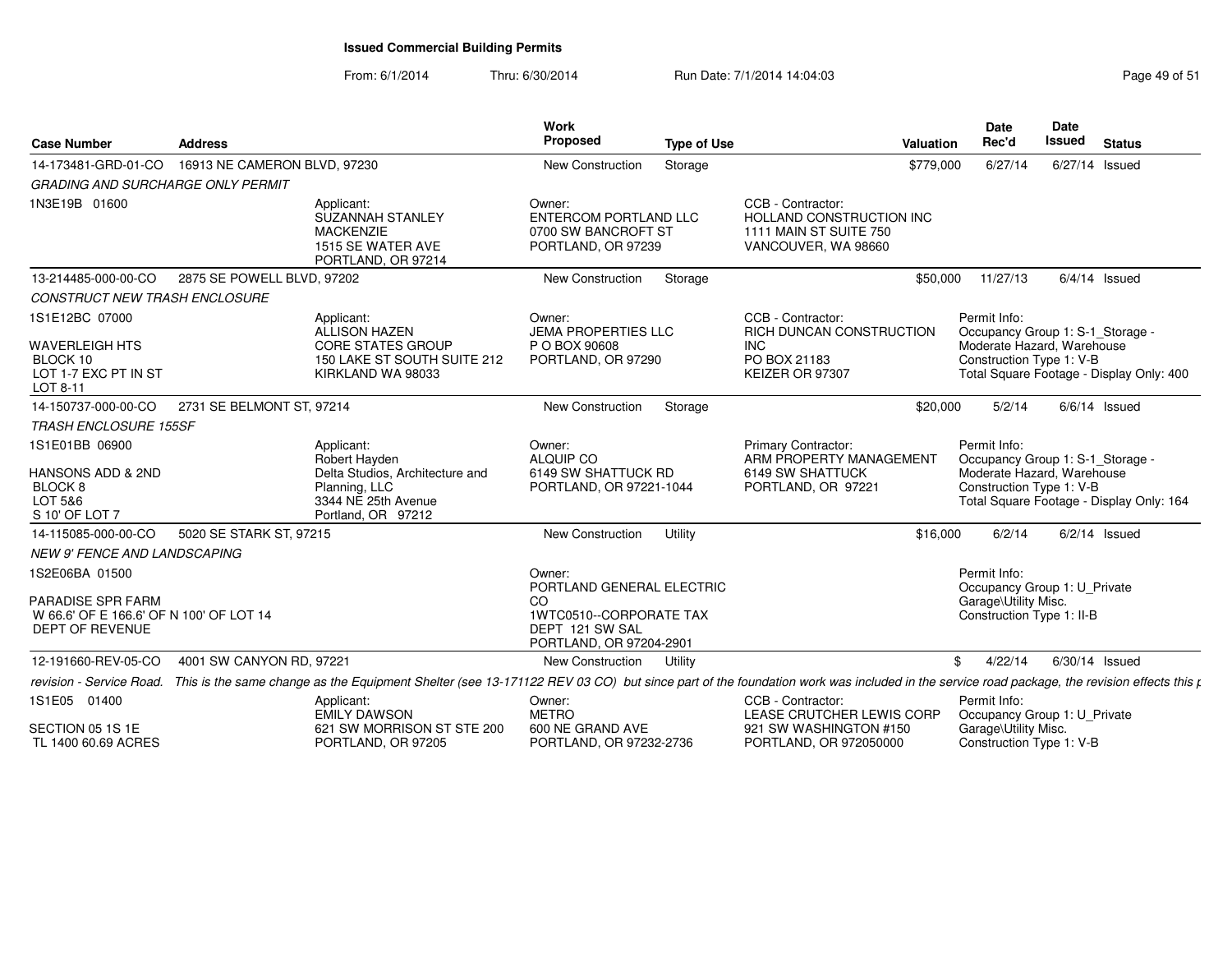From: 6/1/2014Thru: 6/30/2014 Run Date: 7/1/2014 14:04:03 Research 2010 Rage 49 of 51

| <b>Case Number</b>                                                                      | <b>Address</b>               |                                                                                                                                                                                                                 | Work<br><b>Proposed</b>                                                                                  | <b>Type of Use</b> |                                                                                                       | Valuation | <b>Date</b><br>Rec'd                                                                                       | <b>Date</b><br>Issued | <b>Status</b>                            |
|-----------------------------------------------------------------------------------------|------------------------------|-----------------------------------------------------------------------------------------------------------------------------------------------------------------------------------------------------------------|----------------------------------------------------------------------------------------------------------|--------------------|-------------------------------------------------------------------------------------------------------|-----------|------------------------------------------------------------------------------------------------------------|-----------------------|------------------------------------------|
| 14-173481-GRD-01-CO                                                                     | 16913 NE CAMERON BLVD, 97230 |                                                                                                                                                                                                                 | <b>New Construction</b>                                                                                  | Storage            |                                                                                                       | \$779,000 | 6/27/14                                                                                                    | 6/27/14 Issued        |                                          |
| <b>GRADING AND SURCHARGE ONLY PERMIT</b>                                                |                              |                                                                                                                                                                                                                 |                                                                                                          |                    |                                                                                                       |           |                                                                                                            |                       |                                          |
| 1N3E19B 01600                                                                           |                              | Applicant:<br>SUZANNAH STANLEY<br><b>MACKENZIE</b><br>1515 SE WATER AVE<br>PORTLAND, OR 97214                                                                                                                   | Owner:<br>ENTERCOM PORTLAND LLC<br>0700 SW BANCROFT ST<br>PORTLAND, OR 97239                             |                    | CCB - Contractor:<br><b>HOLLAND CONSTRUCTION INC</b><br>1111 MAIN ST SUITE 750<br>VANCOUVER, WA 98660 |           |                                                                                                            |                       |                                          |
| 13-214485-000-00-CO                                                                     | 2875 SE POWELL BLVD, 97202   |                                                                                                                                                                                                                 | <b>New Construction</b>                                                                                  | Storage            |                                                                                                       | \$50,000  | 11/27/13                                                                                                   |                       | $6/4/14$ Issued                          |
| CONSTRUCT NEW TRASH ENCLOSURE                                                           |                              |                                                                                                                                                                                                                 |                                                                                                          |                    |                                                                                                       |           |                                                                                                            |                       |                                          |
| 1S1E12BC 07000<br><b>WAVERLEIGH HTS</b><br>BLOCK 10<br>LOT 1-7 EXC PT IN ST<br>LOT 8-11 |                              | Applicant:<br>ALLISON HAZEN<br><b>CORE STATES GROUP</b><br>150 LAKE ST SOUTH SUITE 212<br>KIRKLAND WA 98033                                                                                                     | Owner:<br>JEMA PROPERTIES LLC<br>P O BOX 90608<br>PORTLAND, OR 97290                                     |                    | CCB - Contractor:<br>RICH DUNCAN CONSTRUCTION<br><b>INC</b><br>PO BOX 21183<br>KEIZER OR 97307        |           | Permit Info:<br>Occupancy Group 1: S-1_Storage -<br>Moderate Hazard, Warehouse<br>Construction Type 1: V-B |                       | Total Square Footage - Display Only: 400 |
| 14-150737-000-00-CO                                                                     | 2731 SE BELMONT ST, 97214    |                                                                                                                                                                                                                 | New Construction                                                                                         | Storage            |                                                                                                       | \$20,000  | 5/2/14                                                                                                     |                       | $6/6/14$ Issued                          |
| <b>TRASH ENCLOSURE 155SF</b>                                                            |                              |                                                                                                                                                                                                                 |                                                                                                          |                    |                                                                                                       |           |                                                                                                            |                       |                                          |
| 1S1E01BB 06900<br>HANSONS ADD & 2ND<br>BLOCK 8<br>LOT 5&6<br>S 10' OF LOT 7             |                              | Applicant:<br>Robert Havden<br>Delta Studios, Architecture and<br>Planning, LLC<br>3344 NE 25th Avenue<br>Portland, OR 97212                                                                                    | Owner:<br>ALQUIP CO<br>6149 SW SHATTUCK RD<br>PORTLAND, OR 97221-1044                                    |                    | Primary Contractor:<br>ARM PROPERTY MANAGEMENT<br>6149 SW SHATTUCK<br>PORTLAND, OR 97221              |           | Permit Info:<br>Occupancy Group 1: S-1_Storage -<br>Moderate Hazard, Warehouse<br>Construction Type 1: V-B |                       | Total Square Footage - Display Only: 164 |
| 14-115085-000-00-CO                                                                     | 5020 SE STARK ST, 97215      |                                                                                                                                                                                                                 | <b>New Construction</b>                                                                                  | Utility            |                                                                                                       | \$16,000  | 6/2/14                                                                                                     |                       | $6/2/14$ Issued                          |
| <b>NEW 9' FENCE AND LANDSCAPING</b>                                                     |                              |                                                                                                                                                                                                                 |                                                                                                          |                    |                                                                                                       |           |                                                                                                            |                       |                                          |
| 1S2E06BA 01500                                                                          |                              |                                                                                                                                                                                                                 | Owner:                                                                                                   |                    |                                                                                                       |           | Permit Info:                                                                                               |                       |                                          |
| PARADISE SPR FARM<br>W 66.6' OF E 166.6' OF N 100' OF LOT 14<br><b>DEPT OF REVENUE</b>  |                              |                                                                                                                                                                                                                 | PORTLAND GENERAL ELECTRIC<br>CO<br>1WTC0510--CORPORATE TAX<br>DEPT 121 SW SAL<br>PORTLAND, OR 97204-2901 |                    |                                                                                                       |           | Occupancy Group 1: U_Private<br>Garage\Utility Misc.<br>Construction Type 1: II-B                          |                       |                                          |
| 12-191660-REV-05-CO                                                                     | 4001 SW CANYON RD, 97221     |                                                                                                                                                                                                                 | <b>New Construction</b>                                                                                  | Utility            |                                                                                                       |           | 4/22/14<br>\$                                                                                              | 6/30/14 Issued        |                                          |
|                                                                                         |                              | revision - Service Road. This is the same change as the Equipment Shelter (see 13-171122 REV 03 CO) but since part of the foundation work was included in the service road package, the revision effects this p |                                                                                                          |                    |                                                                                                       |           |                                                                                                            |                       |                                          |
| 1S1E05 01400                                                                            |                              | Applicant:<br><b>EMILY DAWSON</b>                                                                                                                                                                               | Owner:<br><b>METRO</b>                                                                                   |                    | CCB - Contractor:<br>LEASE CRUTCHER LEWIS CORP                                                        |           | Permit Info:<br>Occupancy Group 1: U_Private                                                               |                       |                                          |
| SECTION 05 1S 1E<br>TL 1400 60.69 ACRES                                                 |                              | 621 SW MORRISON ST STE 200<br>PORTLAND, OR 97205                                                                                                                                                                | 600 NE GRAND AVE<br>PORTLAND, OR 97232-2736                                                              |                    | 921 SW WASHINGTON #150<br>PORTLAND, OR 972050000                                                      |           | Garage\Utility Misc.<br>Construction Type 1: V-B                                                           |                       |                                          |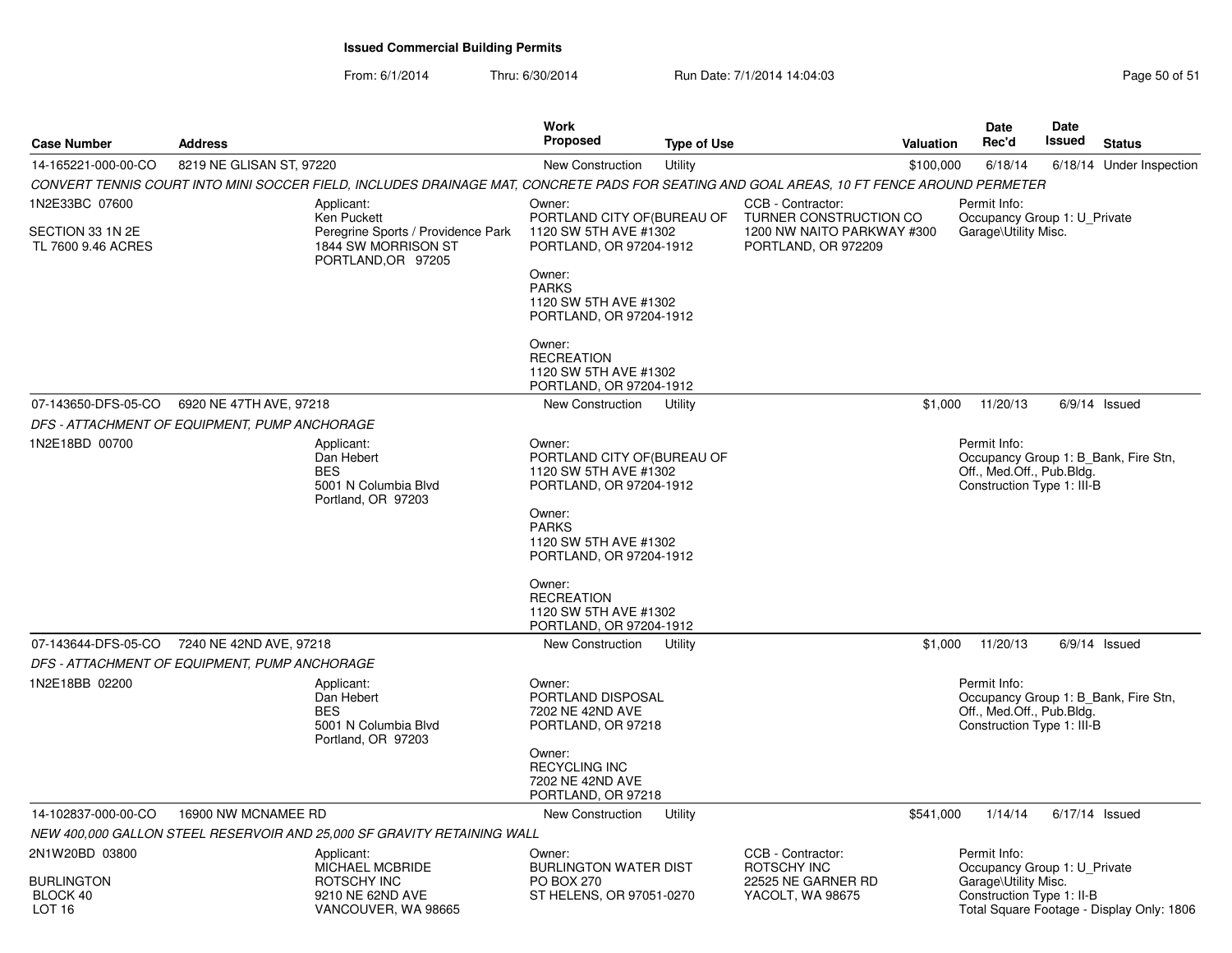From: 6/1/2014Thru: 6/30/2014 **Run Date: 7/1/2014 14:04:03** Page 50 of 51

| <b>Case Number</b>                                       | <b>Address</b>                                                                                               |                                                                                                                                           | Work<br>Proposed                                                                                                                                                                                        | <b>Type of Use</b> |                                        | Valuation | Date<br>Rec'd                                                           | <b>Date</b><br>Issued | <b>Status</b>                             |
|----------------------------------------------------------|--------------------------------------------------------------------------------------------------------------|-------------------------------------------------------------------------------------------------------------------------------------------|---------------------------------------------------------------------------------------------------------------------------------------------------------------------------------------------------------|--------------------|----------------------------------------|-----------|-------------------------------------------------------------------------|-----------------------|-------------------------------------------|
| 14-165221-000-00-CO                                      | 8219 NE GLISAN ST, 97220                                                                                     |                                                                                                                                           | <b>New Construction</b>                                                                                                                                                                                 | Utility            |                                        | \$100,000 | 6/18/14                                                                 |                       | 6/18/14 Under Inspection                  |
|                                                          |                                                                                                              | CONVERT TENNIS COURT INTO MINI SOCCER FIELD, INCLUDES DRAINAGE MAT, CONCRETE PADS FOR SEATING AND GOAL AREAS, 10 FT FENCE AROUND PERMETER |                                                                                                                                                                                                         |                    |                                        |           |                                                                         |                       |                                           |
| 1N2E33BC 07600<br>SECTION 33 1N 2E<br>TL 7600 9.46 ACRES | Applicant:<br>Ken Puckett<br>Peregrine Sports / Providence Park<br>1844 SW MORRISON ST<br>PORTLAND, OR 97205 |                                                                                                                                           | CCB - Contractor:<br>Owner:<br>PORTLAND CITY OF (BUREAU OF<br>TURNER CONSTRUCTION CO<br>1120 SW 5TH AVE #1302<br>1200 NW NAITO PARKWAY #300<br>PORTLAND, OR 97204-1912<br>PORTLAND, OR 972209<br>Owner: |                    |                                        |           | Permit Info:<br>Occupancy Group 1: U_Private<br>Garage\Utility Misc.    |                       |                                           |
|                                                          |                                                                                                              |                                                                                                                                           | <b>PARKS</b><br>1120 SW 5TH AVE #1302<br>PORTLAND, OR 97204-1912                                                                                                                                        |                    |                                        |           |                                                                         |                       |                                           |
|                                                          |                                                                                                              |                                                                                                                                           | Owner:<br><b>RECREATION</b><br>1120 SW 5TH AVE #1302<br>PORTLAND, OR 97204-1912                                                                                                                         |                    |                                        |           |                                                                         |                       |                                           |
| 07-143650-DFS-05-CO                                      | 6920 NE 47TH AVE, 97218                                                                                      |                                                                                                                                           | New Construction                                                                                                                                                                                        | Utility            |                                        | \$1,000   | 11/20/13                                                                |                       | $6/9/14$ Issued                           |
|                                                          | DFS - ATTACHMENT OF EQUIPMENT, PUMP ANCHORAGE                                                                |                                                                                                                                           |                                                                                                                                                                                                         |                    |                                        |           |                                                                         |                       |                                           |
| 1N2E18BD 00700                                           |                                                                                                              | Applicant:<br>Dan Hebert<br><b>BES</b><br>5001 N Columbia Blvd<br>Portland, OR 97203                                                      | Owner:<br>PORTLAND CITY OF (BUREAU OF<br>1120 SW 5TH AVE #1302<br>PORTLAND, OR 97204-1912                                                                                                               |                    |                                        |           | Permit Info:<br>Off., Med.Off., Pub.Bldg.<br>Construction Type 1: III-B |                       | Occupancy Group 1: B Bank, Fire Stn,      |
|                                                          |                                                                                                              |                                                                                                                                           | Owner:<br><b>PARKS</b><br>1120 SW 5TH AVE #1302<br>PORTLAND, OR 97204-1912                                                                                                                              |                    |                                        |           |                                                                         |                       |                                           |
|                                                          |                                                                                                              |                                                                                                                                           | Owner:<br><b>RECREATION</b><br>1120 SW 5TH AVE #1302<br>PORTLAND, OR 97204-1912                                                                                                                         |                    |                                        |           |                                                                         |                       |                                           |
| 07-143644-DFS-05-CO                                      | 7240 NE 42ND AVE, 97218                                                                                      |                                                                                                                                           | New Construction                                                                                                                                                                                        | Utility            |                                        | \$1,000   | 11/20/13                                                                |                       | $6/9/14$ Issued                           |
|                                                          | DFS - ATTACHMENT OF EQUIPMENT, PUMP ANCHORAGE                                                                |                                                                                                                                           |                                                                                                                                                                                                         |                    |                                        |           |                                                                         |                       |                                           |
| 1N2E18BB 02200                                           |                                                                                                              | Applicant:<br>Dan Hebert<br><b>BES</b><br>5001 N Columbia Blvd<br>Portland, OR 97203                                                      | Owner:<br>PORTLAND DISPOSAL<br>7202 NE 42ND AVE<br>PORTLAND, OR 97218                                                                                                                                   |                    |                                        |           | Permit Info:<br>Off., Med.Off., Pub.Bldg.<br>Construction Type 1: III-B |                       | Occupancy Group 1: B_Bank, Fire Stn,      |
|                                                          |                                                                                                              |                                                                                                                                           | Owner:<br><b>RECYCLING INC</b><br>7202 NE 42ND AVE<br>PORTLAND, OR 97218                                                                                                                                |                    |                                        |           |                                                                         |                       |                                           |
| 14-102837-000-00-CO                                      | 16900 NW MCNAMEE RD                                                                                          |                                                                                                                                           | <b>New Construction</b>                                                                                                                                                                                 | Utility            |                                        | \$541,000 | 1/14/14                                                                 |                       | $6/17/14$ Issued                          |
|                                                          |                                                                                                              | NEW 400,000 GALLON STEEL RESERVOIR AND 25,000 SF GRAVITY RETAINING WALL                                                                   |                                                                                                                                                                                                         |                    |                                        |           |                                                                         |                       |                                           |
| 2N1W20BD 03800                                           |                                                                                                              | Applicant:<br>MICHAEL MCBRIDE                                                                                                             | Owner:<br><b>BURLINGTON WATER DIST</b>                                                                                                                                                                  |                    | CCB - Contractor:<br>ROTSCHY INC       |           | Permit Info:<br>Occupancy Group 1: U_Private                            |                       |                                           |
| <b>BURLINGTON</b><br>BLOCK 40<br>LOT <sub>16</sub>       |                                                                                                              | ROTSCHY INC<br>9210 NE 62ND AVE<br>VANCOUVER, WA 98665                                                                                    | <b>PO BOX 270</b><br>ST HELENS, OR 97051-0270                                                                                                                                                           |                    | 22525 NE GARNER RD<br>YACOLT, WA 98675 |           | Garage\Utility Misc.<br>Construction Type 1: II-B                       |                       | Total Square Footage - Display Only: 1806 |